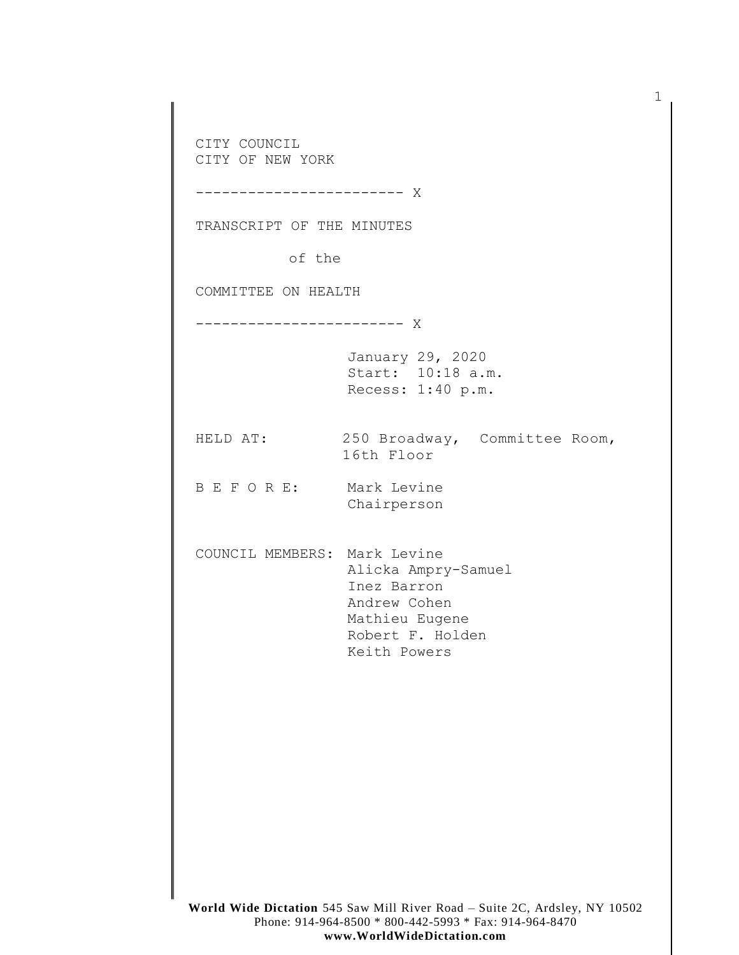CITY COUNCIL CITY OF NEW YORK ------------------------ X TRANSCRIPT OF THE MINUTES of the COMMITTEE ON HEALTH ------------------------ X January 29, 2020 Start: 10:18 a.m. Recess: 1:40 p.m. HELD AT: 250 Broadway, Committee Room, 16th Floor B E F O R E: Mark Levine Chairperson COUNCIL MEMBERS: Mark Levine Alicka Ampry-Samuel Inez Barron Andrew Cohen Mathieu Eugene Robert F. Holden Keith Powers

1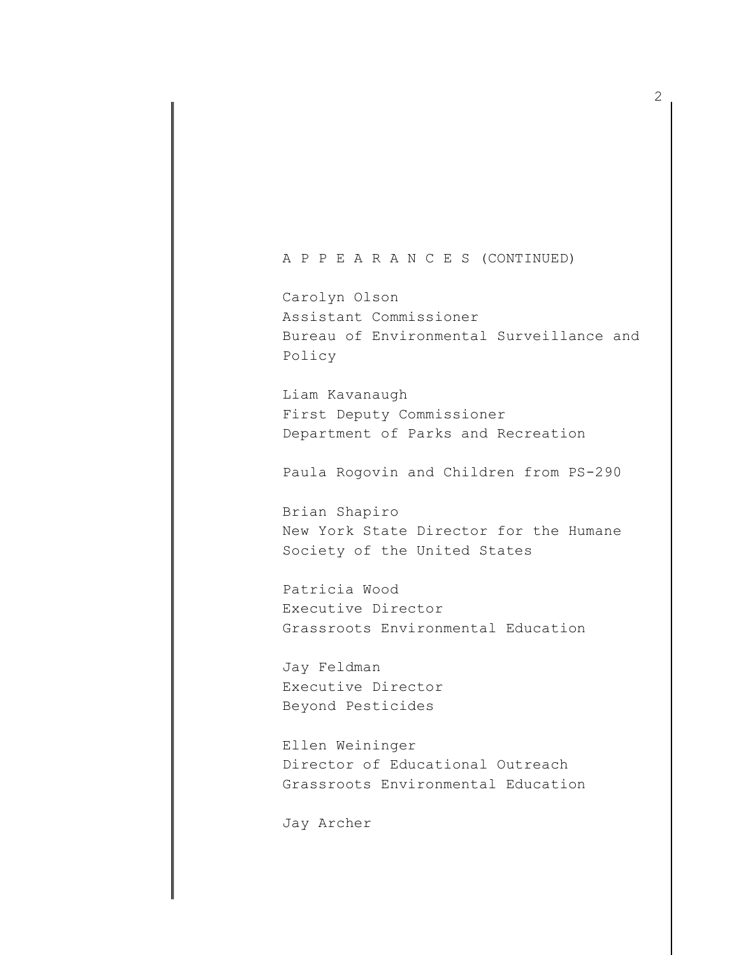A P P E A R A N C E S (CONTINUED)

Carolyn Olson Assistant Commissioner Bureau of Environmental Surveillance and Policy

Liam Kavanaugh First Deputy Commissioner Department of Parks and Recreation

Paula Rogovin and Children from PS-290

Brian Shapiro New York State Director for the Humane Society of the United States

Patricia Wood Executive Director Grassroots Environmental Education

Jay Feldman Executive Director Beyond Pesticides

Ellen Weininger Director of Educational Outreach Grassroots Environmental Education

Jay Archer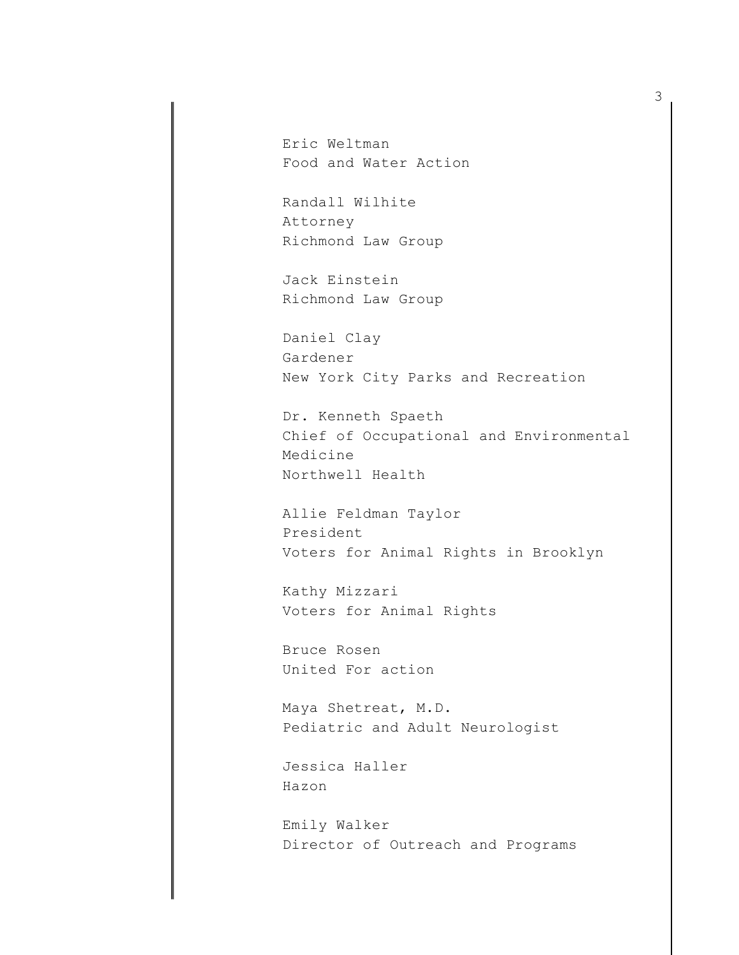Eric Weltman Food and Water Action

Randall Wilhite Attorney Richmond Law Group

Jack Einstein Richmond Law Group

Daniel Clay Gardener New York City Parks and Recreation

Dr. Kenneth Spaeth Chief of Occupational and Environmental Medicine Northwell Health

Allie Feldman Taylor President Voters for Animal Rights in Brooklyn

Kathy Mizzari Voters for Animal Rights

Bruce Rosen United For action

Maya Shetreat, M.D. Pediatric and Adult Neurologist

Jessica Haller Hazon

Emily Walker Director of Outreach and Programs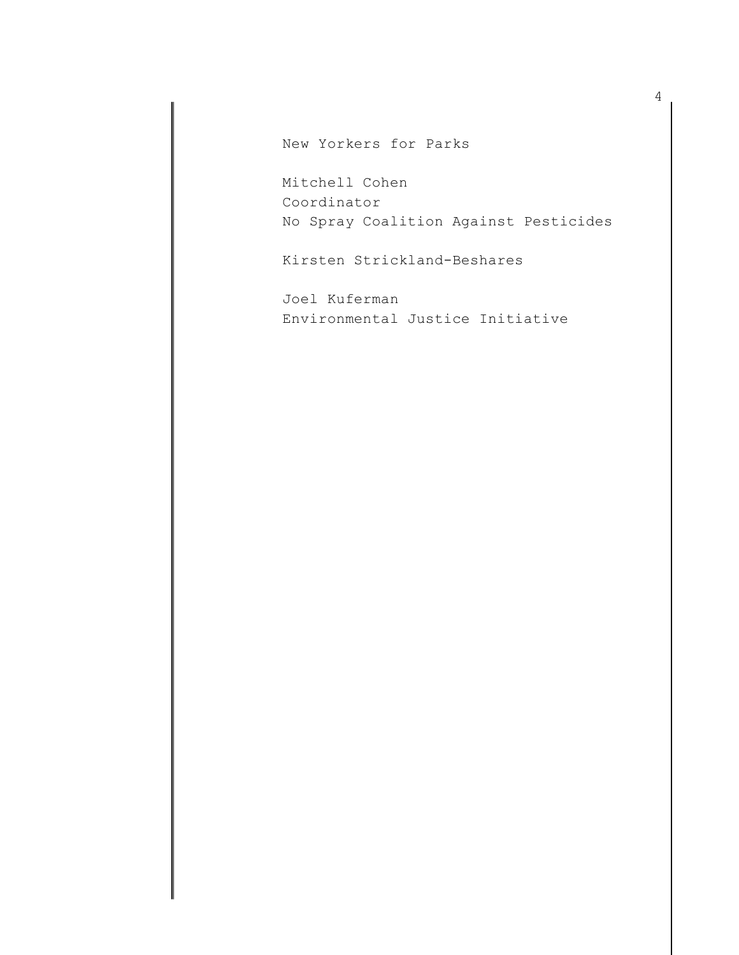New Yorkers for Parks

Mitchell Cohen Coordinator No Spray Coalition Against Pesticides

Kirsten Strickland-Beshares

Joel Kuferman Environmental Justice Initiative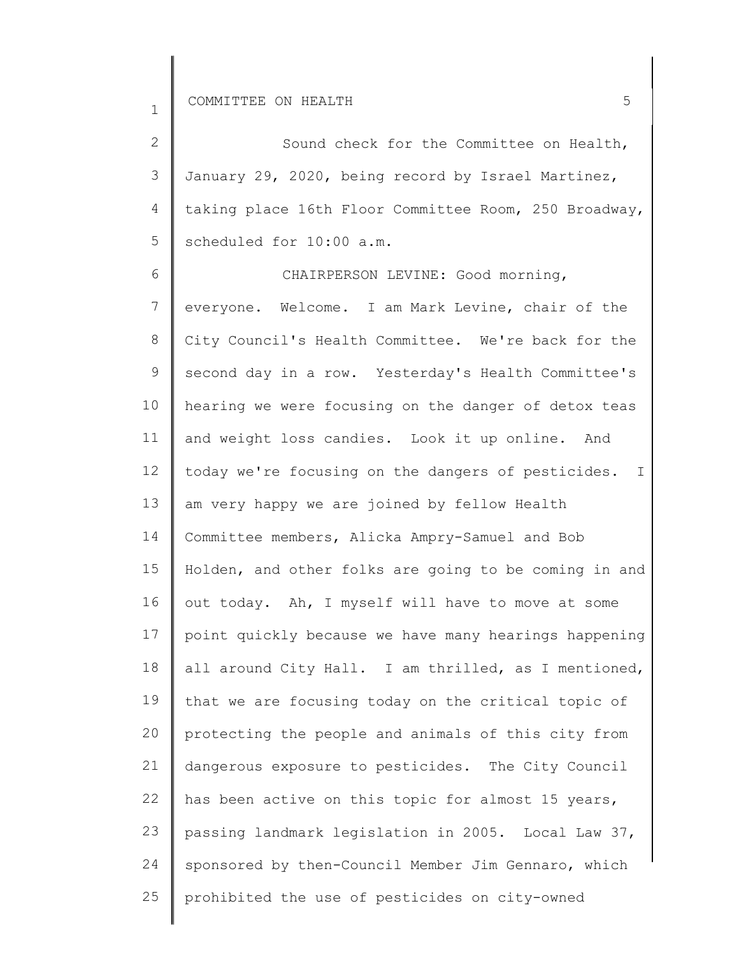1

| $\overline{2}$ | Sound check for the Committee on Health,                |
|----------------|---------------------------------------------------------|
| 3              | January 29, 2020, being record by Israel Martinez,      |
| $\overline{4}$ | taking place 16th Floor Committee Room, 250 Broadway,   |
| 5              | scheduled for 10:00 a.m.                                |
| 6              | CHAIRPERSON LEVINE: Good morning,                       |
| $7\phantom{.}$ | everyone. Welcome. I am Mark Levine, chair of the       |
| 8              | City Council's Health Committee. We're back for the     |
| $\mathsf 9$    | second day in a row. Yesterday's Health Committee's     |
| 10             | hearing we were focusing on the danger of detox teas    |
| 11             | and weight loss candies. Look it up online. And         |
| 12             | today we're focusing on the dangers of pesticides.<br>I |
| 13             | am very happy we are joined by fellow Health            |
| 14             | Committee members, Alicka Ampry-Samuel and Bob          |
| 15             | Holden, and other folks are going to be coming in and   |
| 16             | out today. Ah, I myself will have to move at some       |
| 17             | point quickly because we have many hearings happening   |
| 18             | all around City Hall. I am thrilled, as I mentioned,    |
| 19             | that we are focusing today on the critical topic of     |
| 20             | protecting the people and animals of this city from     |
| 21             | dangerous exposure to pesticides. The City Council      |
| 22             | has been active on this topic for almost 15 years,      |
| 23             | passing landmark legislation in 2005. Local Law 37,     |
| 24             | sponsored by then-Council Member Jim Gennaro, which     |
| 25             | prohibited the use of pesticides on city-owned          |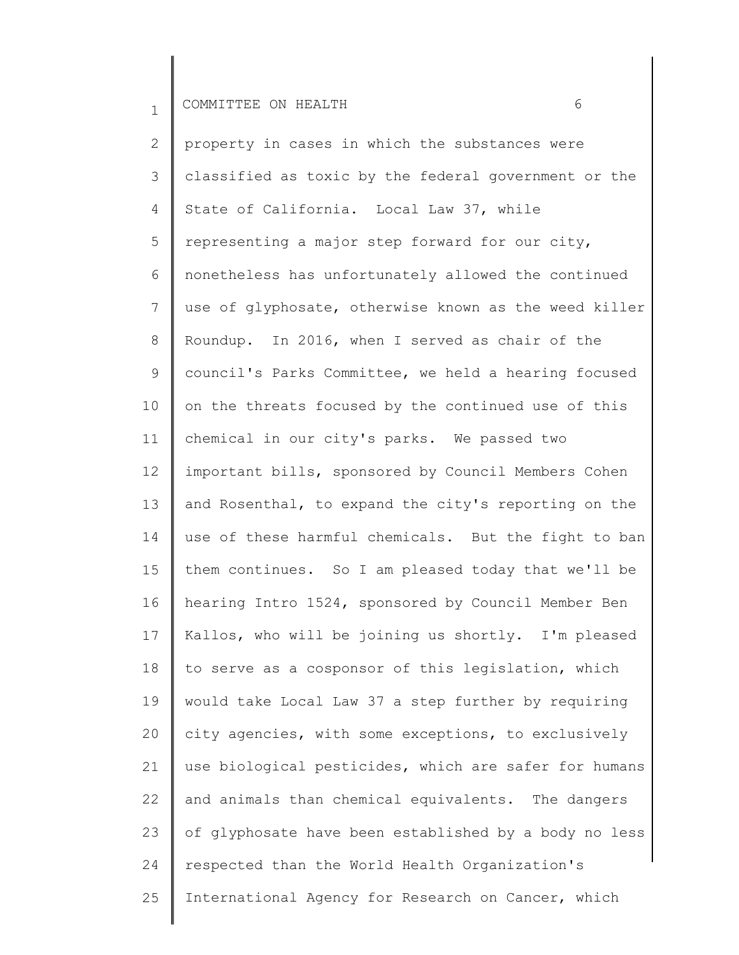2 3 4 5 6 7 8 9 10 11 12 13 14 15 16 17 18 19 20 21 22 23 24 25 property in cases in which the substances were classified as toxic by the federal government or the State of California. Local Law 37, while representing a major step forward for our city, nonetheless has unfortunately allowed the continued use of glyphosate, otherwise known as the weed killer Roundup. In 2016, when I served as chair of the council's Parks Committee, we held a hearing focused on the threats focused by the continued use of this chemical in our city's parks. We passed two important bills, sponsored by Council Members Cohen and Rosenthal, to expand the city's reporting on the use of these harmful chemicals. But the fight to ban them continues. So I am pleased today that we'll be hearing Intro 1524, sponsored by Council Member Ben Kallos, who will be joining us shortly. I'm pleased to serve as a cosponsor of this legislation, which would take Local Law 37 a step further by requiring city agencies, with some exceptions, to exclusively use biological pesticides, which are safer for humans and animals than chemical equivalents. The dangers of glyphosate have been established by a body no less respected than the World Health Organization's International Agency for Research on Cancer, which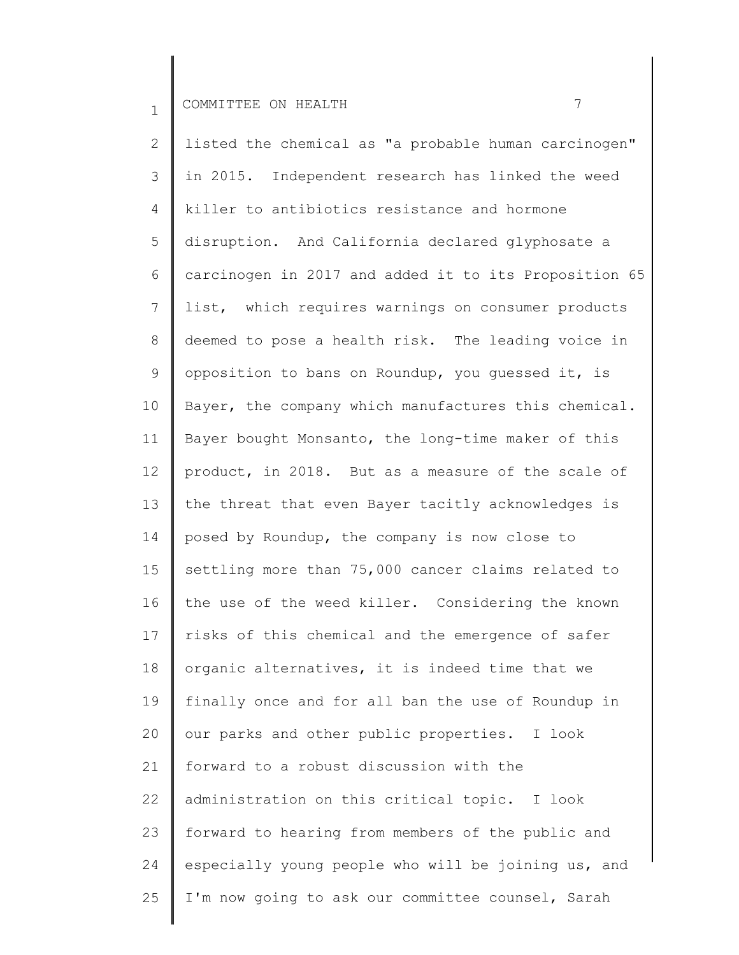2 3 4 5 6 7 8 9 10 11 12 13 14 15 16 17 18 19 20 21 22 23 24 25 listed the chemical as "a probable human carcinogen" in 2015. Independent research has linked the weed killer to antibiotics resistance and hormone disruption. And California declared glyphosate a carcinogen in 2017 and added it to its Proposition 65 list, which requires warnings on consumer products deemed to pose a health risk. The leading voice in opposition to bans on Roundup, you guessed it, is Bayer, the company which manufactures this chemical. Bayer bought Monsanto, the long-time maker of this product, in 2018. But as a measure of the scale of the threat that even Bayer tacitly acknowledges is posed by Roundup, the company is now close to settling more than 75,000 cancer claims related to the use of the weed killer. Considering the known risks of this chemical and the emergence of safer organic alternatives, it is indeed time that we finally once and for all ban the use of Roundup in our parks and other public properties. I look forward to a robust discussion with the administration on this critical topic. I look forward to hearing from members of the public and especially young people who will be joining us, and I'm now going to ask our committee counsel, Sarah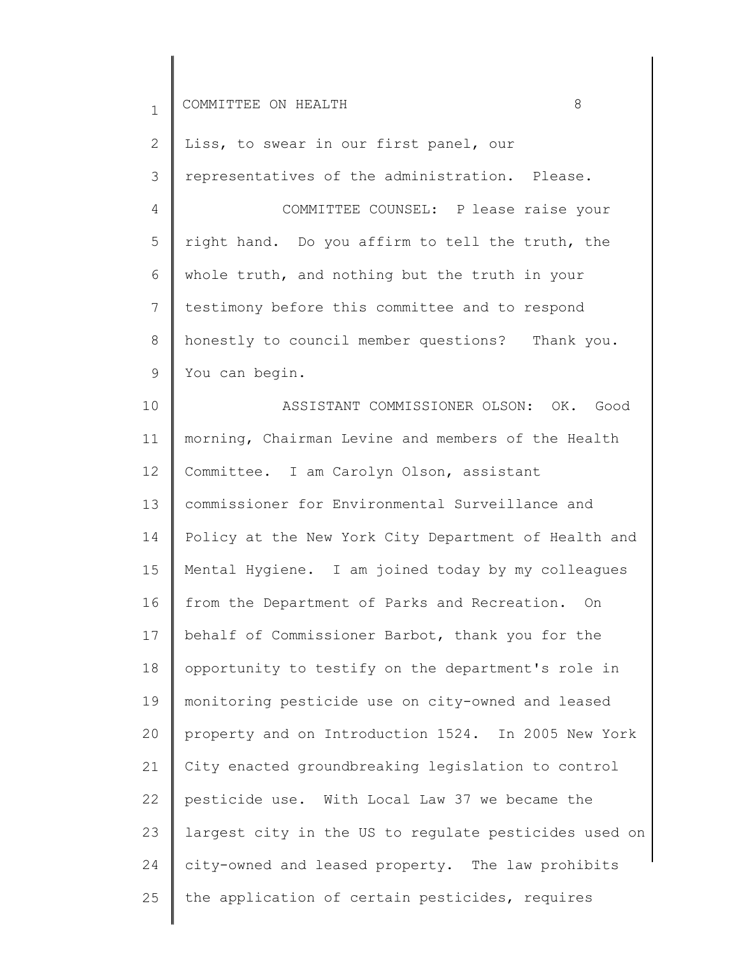| $\mathbf{1}$    | 8<br>COMMITTEE ON HEALTH                              |
|-----------------|-------------------------------------------------------|
| 2               | Liss, to swear in our first panel, our                |
| 3               | representatives of the administration. Please.        |
| 4               | COMMITTEE COUNSEL: P lease raise your                 |
| 5               | right hand. Do you affirm to tell the truth, the      |
| 6               | whole truth, and nothing but the truth in your        |
| 7               | testimony before this committee and to respond        |
| 8               | honestly to council member questions? Thank you.      |
| 9               | You can begin.                                        |
| 10              | ASSISTANT COMMISSIONER OLSON: OK. Good                |
| 11              | morning, Chairman Levine and members of the Health    |
| 12 <sup>2</sup> | Committee. I am Carolyn Olson, assistant              |
| 13              | commissioner for Environmental Surveillance and       |
| 14              | Policy at the New York City Department of Health and  |
| 15              | Mental Hygiene. I am joined today by my colleagues    |
| 16              | from the Department of Parks and Recreation. On       |
| 17              | behalf of Commissioner Barbot, thank you for the      |
| 18              | opportunity to testify on the department's role in    |
| 19              | monitoring pesticide use on city-owned and leased     |
| 20              | property and on Introduction 1524. In 2005 New York   |
| 21              | City enacted groundbreaking legislation to control    |
| 22              | pesticide use. With Local Law 37 we became the        |
| 23              | largest city in the US to regulate pesticides used on |
| 24              | city-owned and leased property. The law prohibits     |
| 25              | the application of certain pesticides, requires       |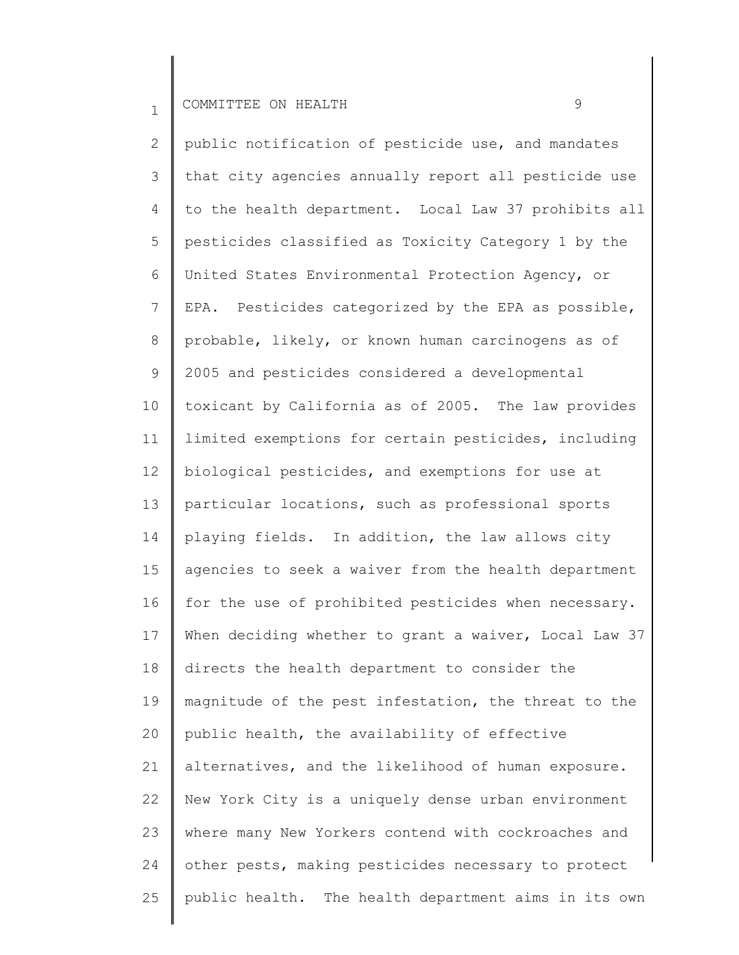2 3 4 5 6 7 8 9 10 11 12 13 14 15 16 17 18 19 20 21 22 23 24 25 public notification of pesticide use, and mandates that city agencies annually report all pesticide use to the health department. Local Law 37 prohibits all pesticides classified as Toxicity Category 1 by the United States Environmental Protection Agency, or EPA. Pesticides categorized by the EPA as possible, probable, likely, or known human carcinogens as of 2005 and pesticides considered a developmental toxicant by California as of 2005. The law provides limited exemptions for certain pesticides, including biological pesticides, and exemptions for use at particular locations, such as professional sports playing fields. In addition, the law allows city agencies to seek a waiver from the health department for the use of prohibited pesticides when necessary. When deciding whether to grant a waiver, Local Law 37 directs the health department to consider the magnitude of the pest infestation, the threat to the public health, the availability of effective alternatives, and the likelihood of human exposure. New York City is a uniquely dense urban environment where many New Yorkers contend with cockroaches and other pests, making pesticides necessary to protect public health. The health department aims in its own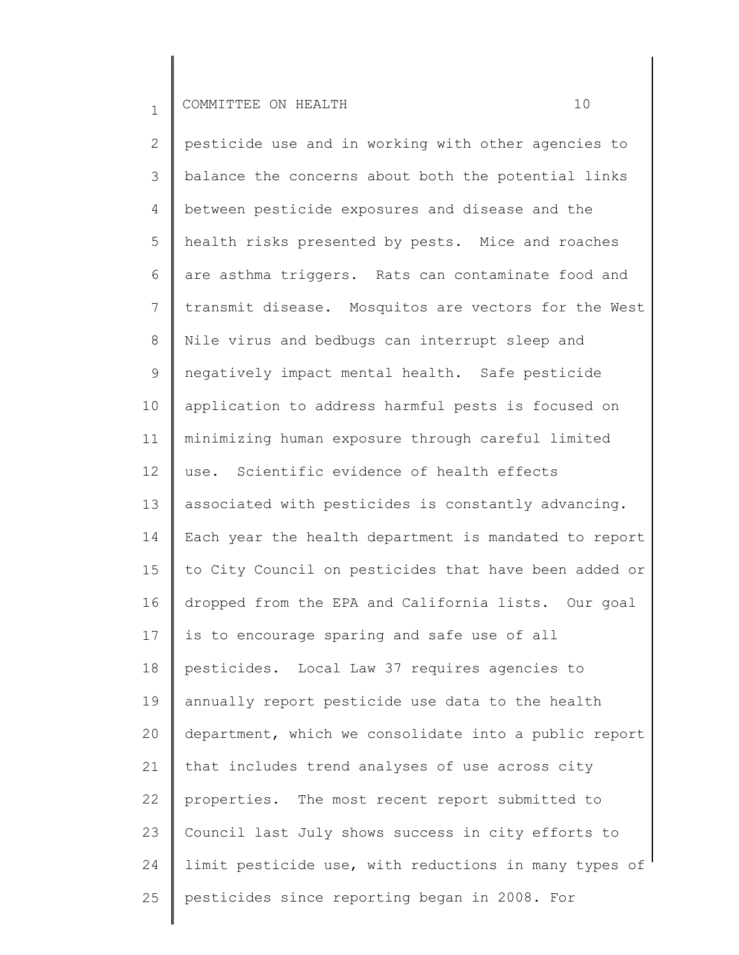2 3 4 5 6 7 8 9 10 11 12 13 14 15 16 17 18 19 20 21 22 23 24 25 pesticide use and in working with other agencies to balance the concerns about both the potential links between pesticide exposures and disease and the health risks presented by pests. Mice and roaches are asthma triggers. Rats can contaminate food and transmit disease. Mosquitos are vectors for the West Nile virus and bedbugs can interrupt sleep and negatively impact mental health. Safe pesticide application to address harmful pests is focused on minimizing human exposure through careful limited use. Scientific evidence of health effects associated with pesticides is constantly advancing. Each year the health department is mandated to report to City Council on pesticides that have been added or dropped from the EPA and California lists. Our goal is to encourage sparing and safe use of all pesticides. Local Law 37 requires agencies to annually report pesticide use data to the health department, which we consolidate into a public report that includes trend analyses of use across city properties. The most recent report submitted to Council last July shows success in city efforts to limit pesticide use, with reductions in many types of pesticides since reporting began in 2008. For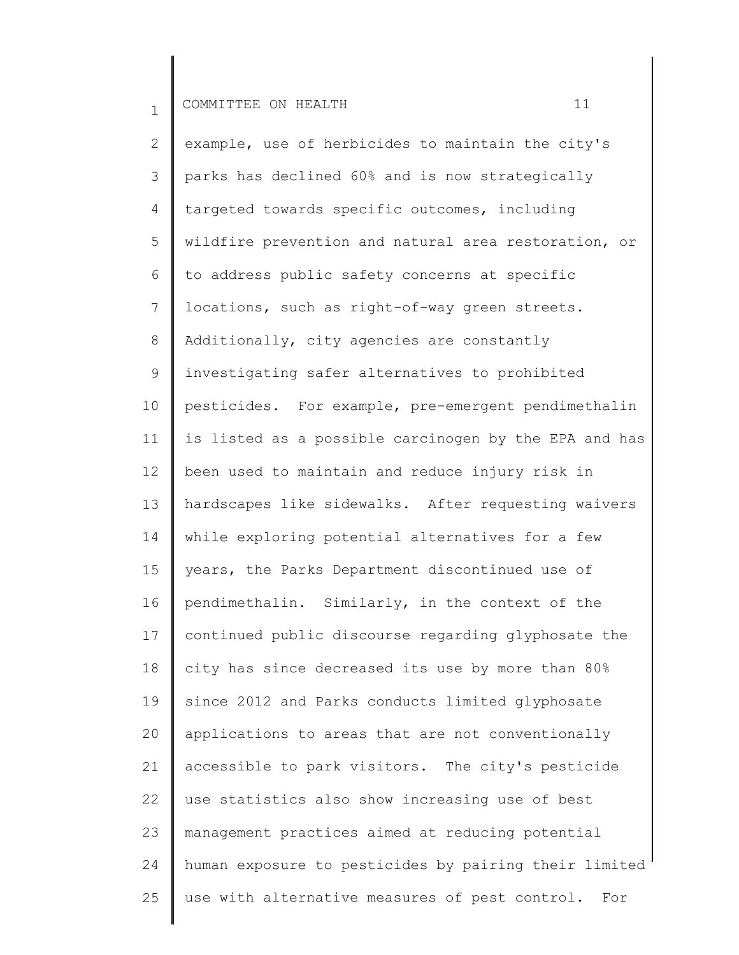2 3 4 5 6 7 8 9 10 11 12 13 14 15 16 17 18 19 20 21 22 23 24 25 example, use of herbicides to maintain the city's parks has declined 60% and is now strategically targeted towards specific outcomes, including wildfire prevention and natural area restoration, or to address public safety concerns at specific locations, such as right-of-way green streets. Additionally, city agencies are constantly investigating safer alternatives to prohibited pesticides. For example, pre-emergent pendimethalin is listed as a possible carcinogen by the EPA and has been used to maintain and reduce injury risk in hardscapes like sidewalks. After requesting waivers while exploring potential alternatives for a few years, the Parks Department discontinued use of pendimethalin. Similarly, in the context of the continued public discourse regarding glyphosate the city has since decreased its use by more than 80% since 2012 and Parks conducts limited glyphosate applications to areas that are not conventionally accessible to park visitors. The city's pesticide use statistics also show increasing use of best management practices aimed at reducing potential human exposure to pesticides by pairing their limited use with alternative measures of pest control. For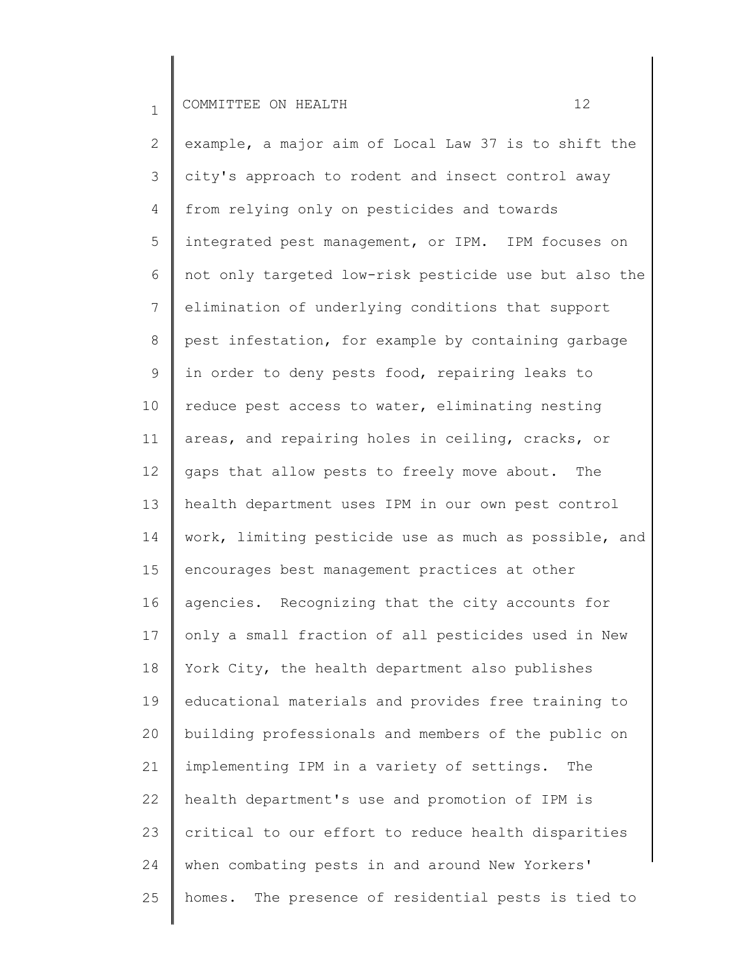2 3 4 5 6 7 8 9 10 11 12 13 14 15 16 17 18 19 20 21 22 23 24 25 example, a major aim of Local Law 37 is to shift the city's approach to rodent and insect control away from relying only on pesticides and towards integrated pest management, or IPM. IPM focuses on not only targeted low-risk pesticide use but also the elimination of underlying conditions that support pest infestation, for example by containing garbage in order to deny pests food, repairing leaks to reduce pest access to water, eliminating nesting areas, and repairing holes in ceiling, cracks, or gaps that allow pests to freely move about. The health department uses IPM in our own pest control work, limiting pesticide use as much as possible, and encourages best management practices at other agencies. Recognizing that the city accounts for only a small fraction of all pesticides used in New York City, the health department also publishes educational materials and provides free training to building professionals and members of the public on implementing IPM in a variety of settings. The health department's use and promotion of IPM is critical to our effort to reduce health disparities when combating pests in and around New Yorkers' homes. The presence of residential pests is tied to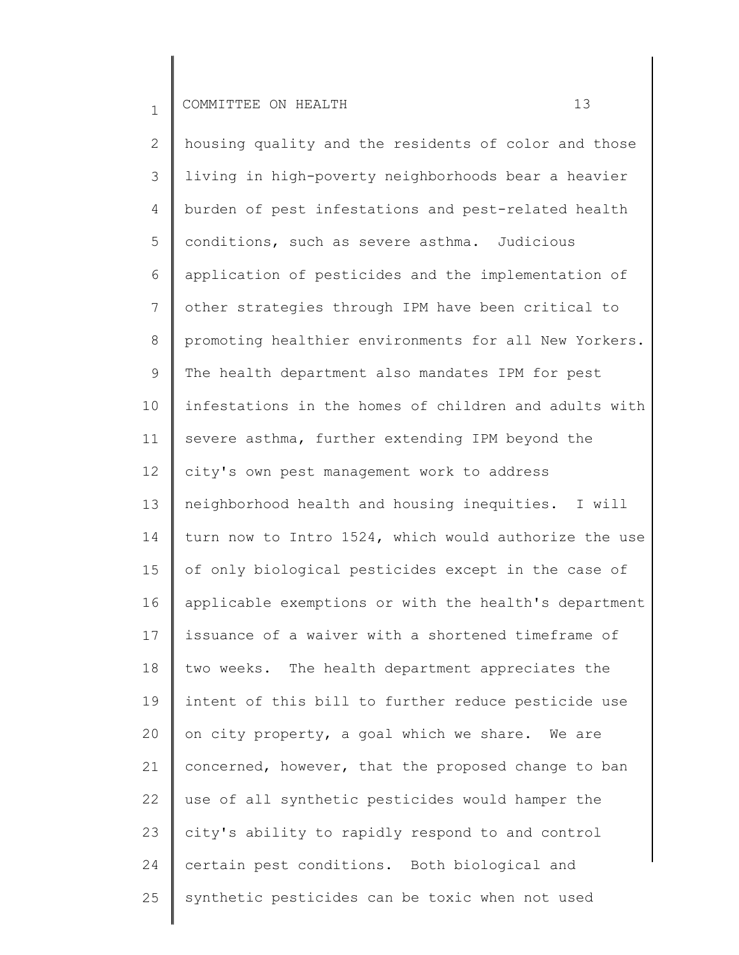2 3 4 5 6 7 8 9 10 11 12 13 14 15 16 17 18 19 20 21 22 23 24 25 housing quality and the residents of color and those living in high-poverty neighborhoods bear a heavier burden of pest infestations and pest-related health conditions, such as severe asthma. Judicious application of pesticides and the implementation of other strategies through IPM have been critical to promoting healthier environments for all New Yorkers. The health department also mandates IPM for pest infestations in the homes of children and adults with severe asthma, further extending IPM beyond the city's own pest management work to address neighborhood health and housing inequities. I will turn now to Intro 1524, which would authorize the use of only biological pesticides except in the case of applicable exemptions or with the health's department issuance of a waiver with a shortened timeframe of two weeks. The health department appreciates the intent of this bill to further reduce pesticide use on city property, a goal which we share. We are concerned, however, that the proposed change to ban use of all synthetic pesticides would hamper the city's ability to rapidly respond to and control certain pest conditions. Both biological and synthetic pesticides can be toxic when not used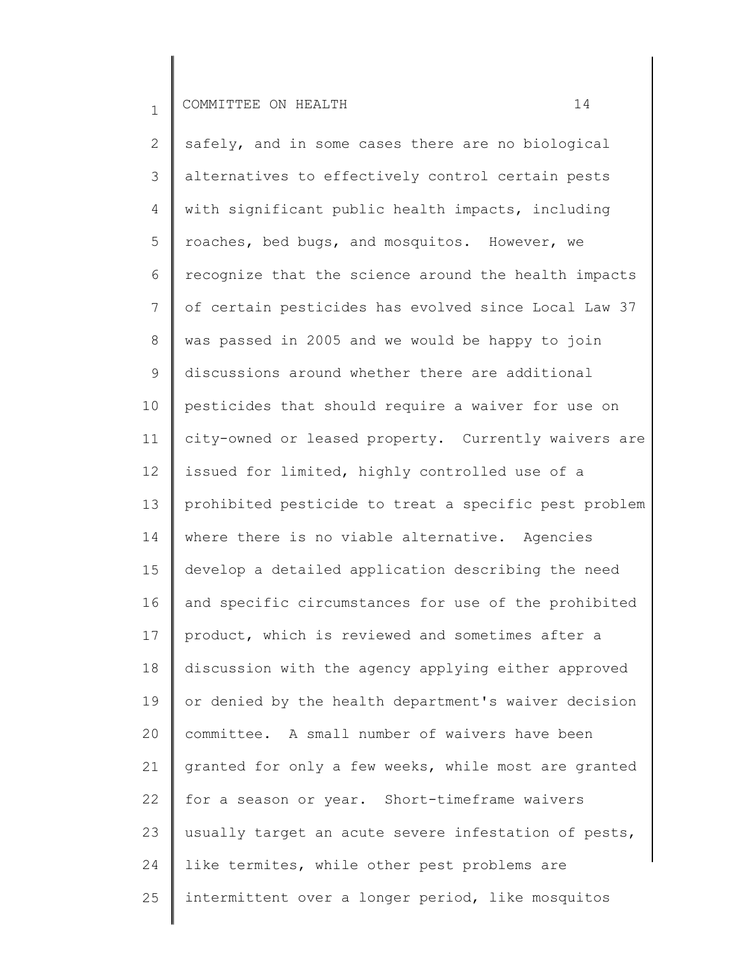2 3 4 5 6 7 8 9 10 11 12 13 14 15 16 17 18 19 20 21 22 23 24 25 safely, and in some cases there are no biological alternatives to effectively control certain pests with significant public health impacts, including roaches, bed bugs, and mosquitos. However, we recognize that the science around the health impacts of certain pesticides has evolved since Local Law 37 was passed in 2005 and we would be happy to join discussions around whether there are additional pesticides that should require a waiver for use on city-owned or leased property. Currently waivers are issued for limited, highly controlled use of a prohibited pesticide to treat a specific pest problem where there is no viable alternative. Agencies develop a detailed application describing the need and specific circumstances for use of the prohibited product, which is reviewed and sometimes after a discussion with the agency applying either approved or denied by the health department's waiver decision committee. A small number of waivers have been granted for only a few weeks, while most are granted for a season or year. Short-timeframe waivers usually target an acute severe infestation of pests, like termites, while other pest problems are intermittent over a longer period, like mosquitos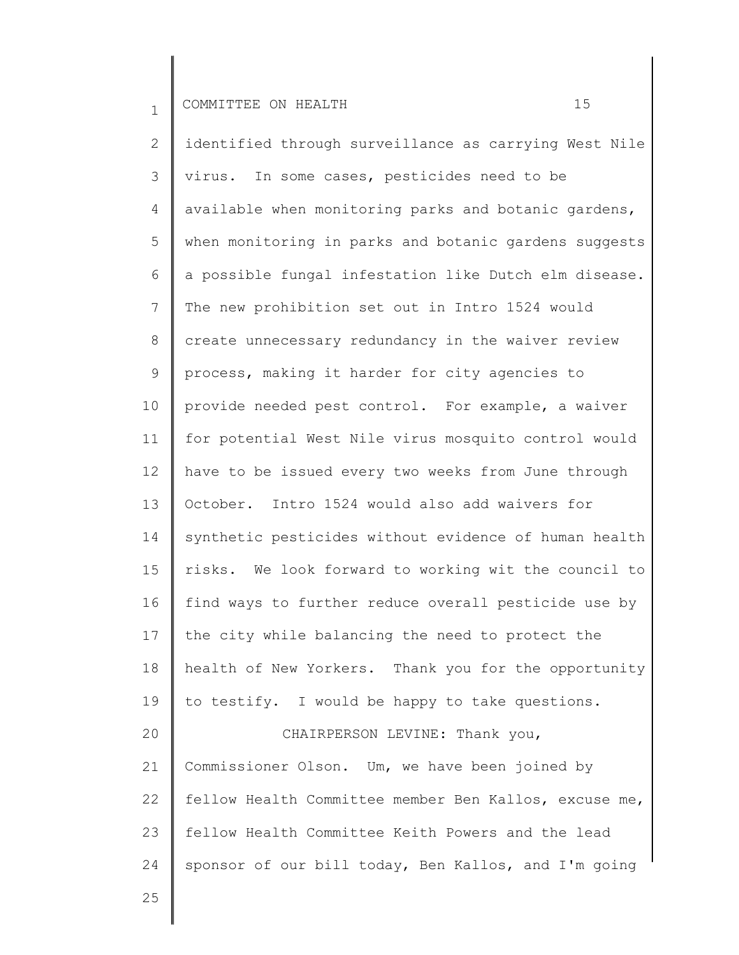25

2 3 4 5 6 7 8 9 10 11 12 13 14 15 16 17 18 19 20 21 22 23 24 identified through surveillance as carrying West Nile virus. In some cases, pesticides need to be available when monitoring parks and botanic gardens, when monitoring in parks and botanic gardens suggests a possible fungal infestation like Dutch elm disease. The new prohibition set out in Intro 1524 would create unnecessary redundancy in the waiver review process, making it harder for city agencies to provide needed pest control. For example, a waiver for potential West Nile virus mosquito control would have to be issued every two weeks from June through October. Intro 1524 would also add waivers for synthetic pesticides without evidence of human health risks. We look forward to working wit the council to find ways to further reduce overall pesticide use by the city while balancing the need to protect the health of New Yorkers. Thank you for the opportunity to testify. I would be happy to take questions. CHAIRPERSON LEVINE: Thank you, Commissioner Olson. Um, we have been joined by fellow Health Committee member Ben Kallos, excuse me, fellow Health Committee Keith Powers and the lead sponsor of our bill today, Ben Kallos, and I'm going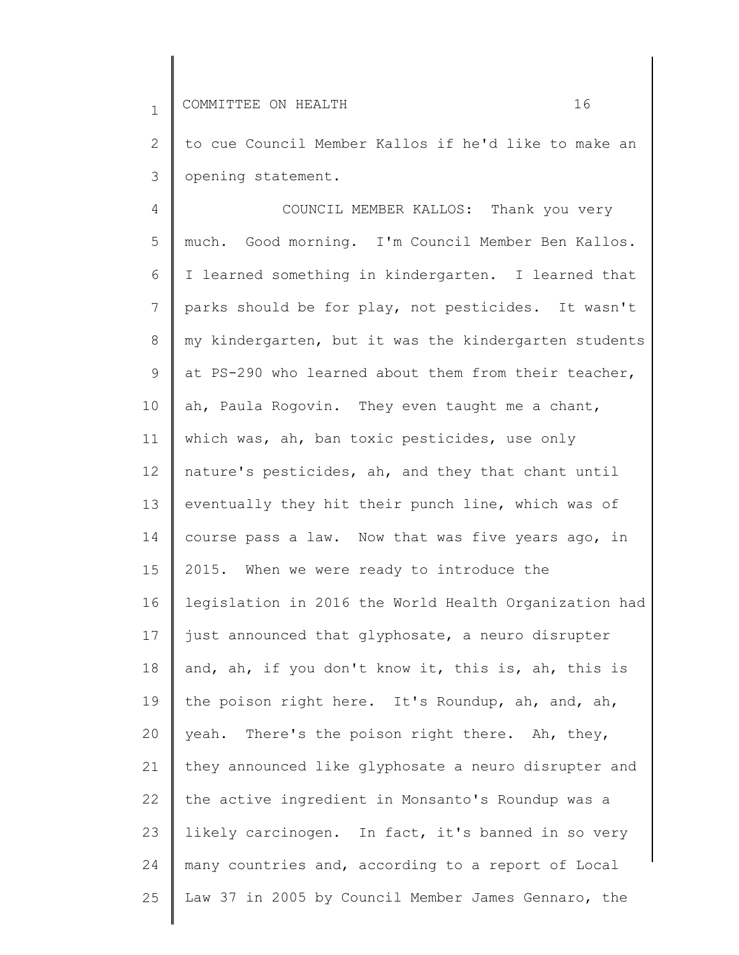2 3 to cue Council Member Kallos if he'd like to make an opening statement.

4 5 6 7 8 9 10 11 12 13 14 15 16 17 18 19 20 21 22 23 24 25 COUNCIL MEMBER KALLOS: Thank you very much. Good morning. I'm Council Member Ben Kallos. I learned something in kindergarten. I learned that parks should be for play, not pesticides. It wasn't my kindergarten, but it was the kindergarten students at PS-290 who learned about them from their teacher, ah, Paula Rogovin. They even taught me a chant, which was, ah, ban toxic pesticides, use only nature's pesticides, ah, and they that chant until eventually they hit their punch line, which was of course pass a law. Now that was five years ago, in 2015. When we were ready to introduce the legislation in 2016 the World Health Organization had just announced that glyphosate, a neuro disrupter and, ah, if you don't know it, this is, ah, this is the poison right here. It's Roundup, ah, and, ah, yeah. There's the poison right there. Ah, they, they announced like glyphosate a neuro disrupter and the active ingredient in Monsanto's Roundup was a likely carcinogen. In fact, it's banned in so very many countries and, according to a report of Local Law 37 in 2005 by Council Member James Gennaro, the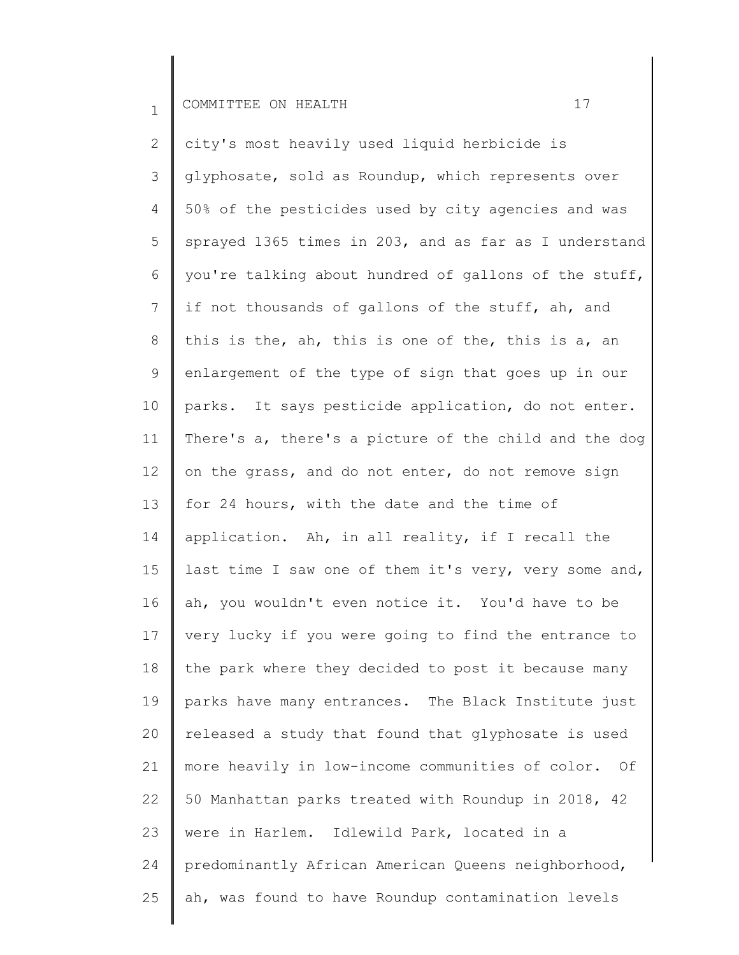2 3 4 5 6 7 8 9 10 11 12 13 14 15 16 17 18 19 20 21 22 23 24 25 city's most heavily used liquid herbicide is glyphosate, sold as Roundup, which represents over 50% of the pesticides used by city agencies and was sprayed 1365 times in 203, and as far as I understand you're talking about hundred of gallons of the stuff, if not thousands of gallons of the stuff, ah, and this is the, ah, this is one of the, this is a, an enlargement of the type of sign that goes up in our parks. It says pesticide application, do not enter. There's a, there's a picture of the child and the dog on the grass, and do not enter, do not remove sign for 24 hours, with the date and the time of application. Ah, in all reality, if I recall the last time I saw one of them it's very, very some and, ah, you wouldn't even notice it. You'd have to be very lucky if you were going to find the entrance to the park where they decided to post it because many parks have many entrances. The Black Institute just released a study that found that glyphosate is used more heavily in low-income communities of color. Of 50 Manhattan parks treated with Roundup in 2018, 42 were in Harlem. Idlewild Park, located in a predominantly African American Queens neighborhood, ah, was found to have Roundup contamination levels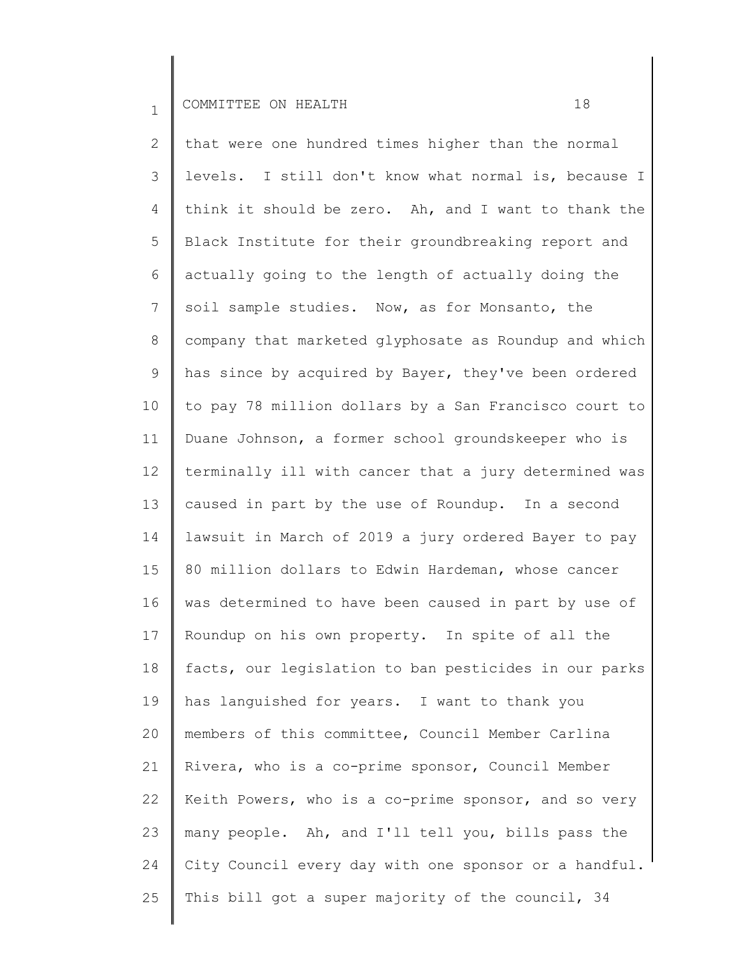2 3 4 5 6 7 8 9 10 11 12 13 14 15 16 17 18 19 20 21 22 23 24 25 that were one hundred times higher than the normal levels. I still don't know what normal is, because I think it should be zero. Ah, and I want to thank the Black Institute for their groundbreaking report and actually going to the length of actually doing the soil sample studies. Now, as for Monsanto, the company that marketed glyphosate as Roundup and which has since by acquired by Bayer, they've been ordered to pay 78 million dollars by a San Francisco court to Duane Johnson, a former school groundskeeper who is terminally ill with cancer that a jury determined was caused in part by the use of Roundup. In a second lawsuit in March of 2019 a jury ordered Bayer to pay 80 million dollars to Edwin Hardeman, whose cancer was determined to have been caused in part by use of Roundup on his own property. In spite of all the facts, our legislation to ban pesticides in our parks has languished for years. I want to thank you members of this committee, Council Member Carlina Rivera, who is a co-prime sponsor, Council Member Keith Powers, who is a co-prime sponsor, and so very many people. Ah, and I'll tell you, bills pass the City Council every day with one sponsor or a handful. This bill got a super majority of the council, 34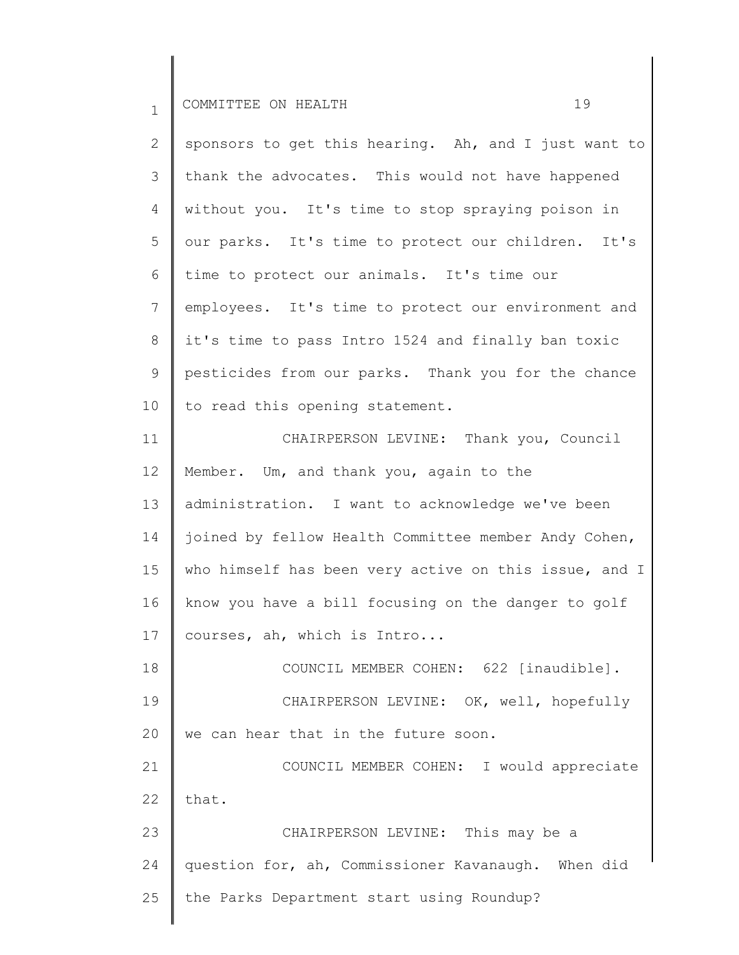2 3 4 5 6 7 8 9 10 11 sponsors to get this hearing. Ah, and I just want to thank the advocates. This would not have happened without you. It's time to stop spraying poison in our parks. It's time to protect our children. It's time to protect our animals. It's time our employees. It's time to protect our environment and it's time to pass Intro 1524 and finally ban toxic pesticides from our parks. Thank you for the chance to read this opening statement. CHAIRPERSON LEVINE: Thank you, Council

12 13 14 15 16 17 Member. Um, and thank you, again to the administration. I want to acknowledge we've been joined by fellow Health Committee member Andy Cohen, who himself has been very active on this issue, and I know you have a bill focusing on the danger to golf courses, ah, which is Intro...

18 19 20 COUNCIL MEMBER COHEN: 622 [inaudible]. CHAIRPERSON LEVINE: OK, well, hopefully we can hear that in the future soon.

21 22 COUNCIL MEMBER COHEN: I would appreciate that.

23 24 25 CHAIRPERSON LEVINE: This may be a question for, ah, Commissioner Kavanaugh. When did the Parks Department start using Roundup?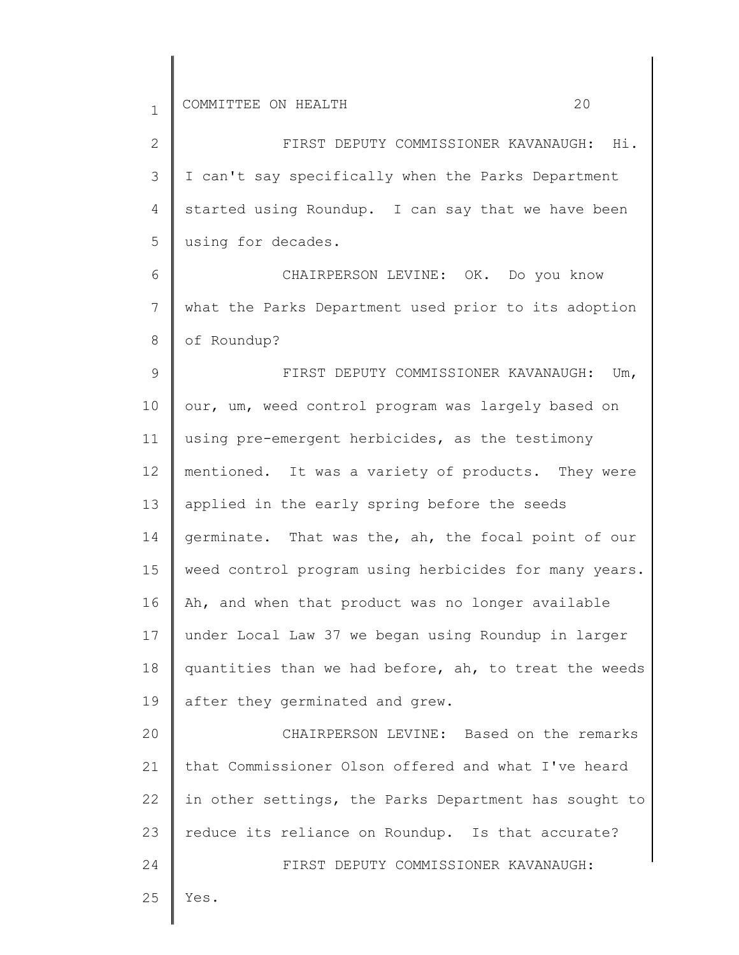2

3

4

5

6

25

Yes.

| FIRST DEPUTY COMMISSIONER KAVANAUGH: Hi.             |  |  |
|------------------------------------------------------|--|--|
| I can't say specifically when the Parks Department   |  |  |
| started using Roundup. I can say that we have been   |  |  |
| using for decades.                                   |  |  |
| CHAIRPERSON LEVINE: OK. Do you know                  |  |  |
| what the Parks Department used prior to its adoption |  |  |

7 8 9 what the Parks Department used prior to its adoption of Roundup? FIRST DEPUTY COMMISSIONER KAVANAUGH: Um,

10 11 12 13 14 15 16 17 18 19 our, um, weed control program was largely based on using pre-emergent herbicides, as the testimony mentioned. It was a variety of products. They were applied in the early spring before the seeds germinate. That was the, ah, the focal point of our weed control program using herbicides for many years. Ah, and when that product was no longer available under Local Law 37 we began using Roundup in larger quantities than we had before, ah, to treat the weeds after they germinated and grew.

20 21 22 23 24 CHAIRPERSON LEVINE: Based on the remarks that Commissioner Olson offered and what I've heard in other settings, the Parks Department has sought to reduce its reliance on Roundup. Is that accurate? FIRST DEPUTY COMMISSIONER KAVANAUGH: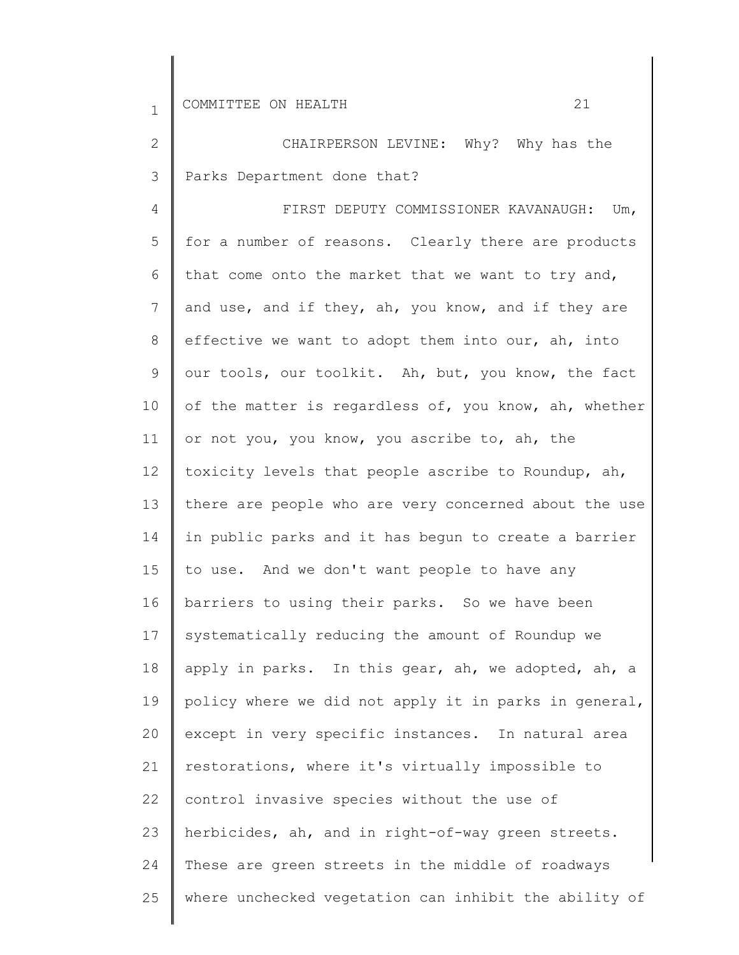2 3 CHAIRPERSON LEVINE: Why? Why has the Parks Department done that?

4 5 6 7 8 9 10 11 12 13 14 15 16 17 18 19 20 21 22 23 24 25 FIRST DEPUTY COMMISSIONER KAVANAUGH: Um, for a number of reasons. Clearly there are products that come onto the market that we want to try and, and use, and if they, ah, you know, and if they are effective we want to adopt them into our, ah, into our tools, our toolkit. Ah, but, you know, the fact of the matter is regardless of, you know, ah, whether or not you, you know, you ascribe to, ah, the toxicity levels that people ascribe to Roundup, ah, there are people who are very concerned about the use in public parks and it has begun to create a barrier to use. And we don't want people to have any barriers to using their parks. So we have been systematically reducing the amount of Roundup we apply in parks. In this gear, ah, we adopted, ah, a policy where we did not apply it in parks in general, except in very specific instances. In natural area restorations, where it's virtually impossible to control invasive species without the use of herbicides, ah, and in right-of-way green streets. These are green streets in the middle of roadways where unchecked vegetation can inhibit the ability of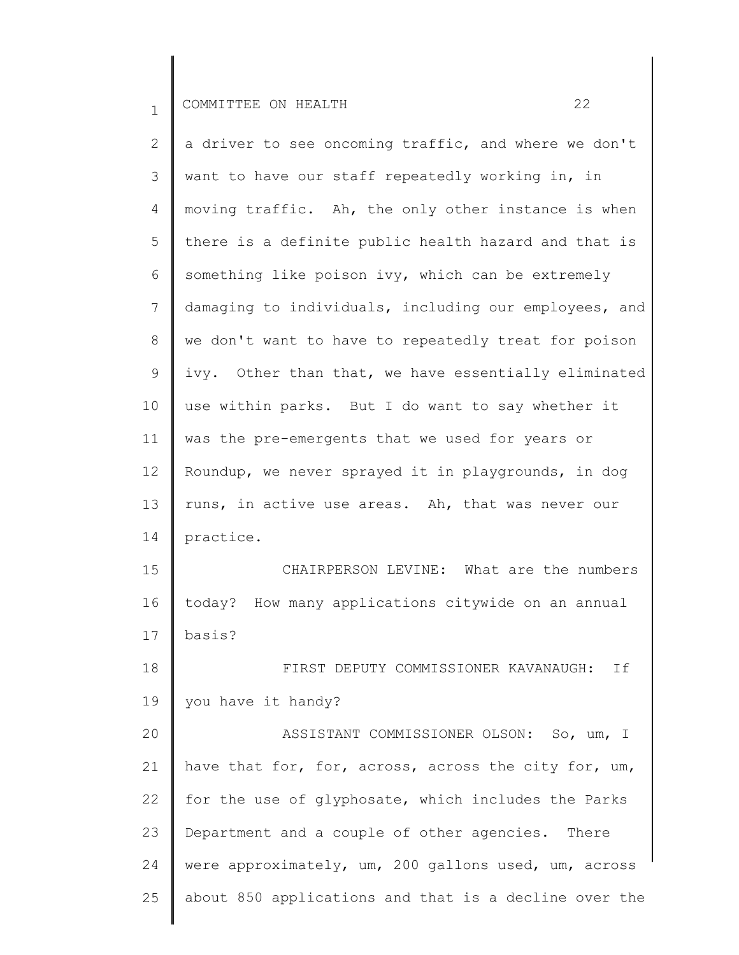2 3 4 5 6 7 8 9 10 11 12 13 14 15 16 17 18 19 20 21 22 23 24 25 a driver to see oncoming traffic, and where we don't want to have our staff repeatedly working in, in moving traffic. Ah, the only other instance is when there is a definite public health hazard and that is something like poison ivy, which can be extremely damaging to individuals, including our employees, and we don't want to have to repeatedly treat for poison ivy. Other than that, we have essentially eliminated use within parks. But I do want to say whether it was the pre-emergents that we used for years or Roundup, we never sprayed it in playgrounds, in dog runs, in active use areas. Ah, that was never our practice. CHAIRPERSON LEVINE: What are the numbers today? How many applications citywide on an annual basis? FIRST DEPUTY COMMISSIONER KAVANAUGH: If you have it handy? ASSISTANT COMMISSIONER OLSON: So, um, I have that for, for, across, across the city for, um, for the use of glyphosate, which includes the Parks Department and a couple of other agencies. There were approximately, um, 200 gallons used, um, across about 850 applications and that is a decline over the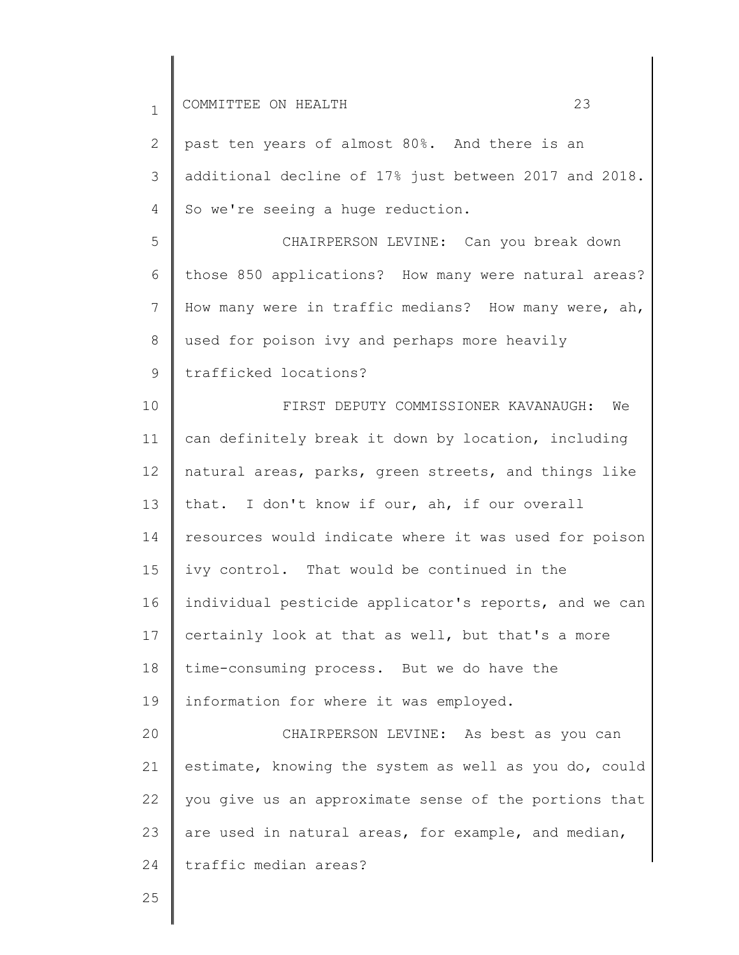| $\mathbf{1}$ | 23<br>COMMITTEE ON HEALTH                             |
|--------------|-------------------------------------------------------|
| 2            | past ten years of almost 80%. And there is an         |
| 3            | additional decline of 17% just between 2017 and 2018. |
| 4            | So we're seeing a huge reduction.                     |
| 5            | CHAIRPERSON LEVINE: Can you break down                |
| 6            | those 850 applications? How many were natural areas?  |
| 7            | How many were in traffic medians? How many were, ah,  |
| 8            | used for poison ivy and perhaps more heavily          |
| 9            | trafficked locations?                                 |
| 10           | FIRST DEPUTY COMMISSIONER KAVANAUGH: We               |
| 11           | can definitely break it down by location, including   |
| 12           | natural areas, parks, green streets, and things like  |
| 13           | that. I don't know if our, ah, if our overall         |
| 14           | resources would indicate where it was used for poison |
| 15           | ivy control. That would be continued in the           |
| 16           | individual pesticide applicator's reports, and we can |
| 17           | certainly look at that as well, but that's a more     |
| 18           | time-consuming process. But we do have the            |
| 19           | information for where it was employed.                |
| 20           | CHAIRPERSON LEVINE: As best as you can                |
| 21           | estimate, knowing the system as well as you do, could |
| 22           | you give us an approximate sense of the portions that |
| 23           | are used in natural areas, for example, and median,   |
| 24           | traffic median areas?                                 |
|              |                                                       |

25

∥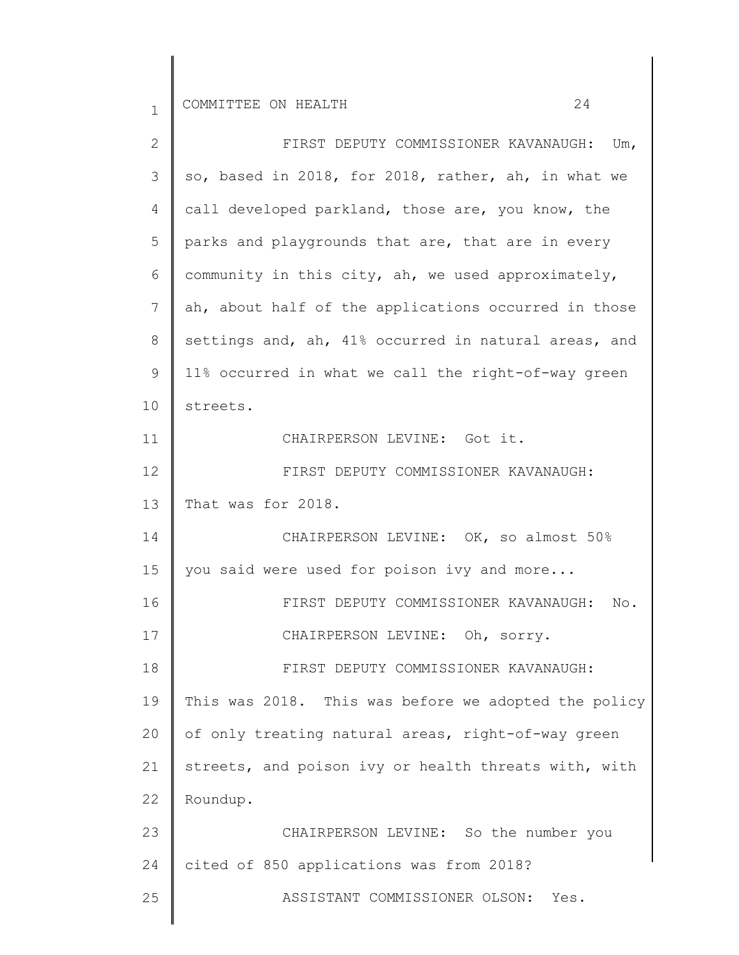| $\mathbf{2}$ | FIRST DEPUTY COMMISSIONER KAVANAUGH: Um,             |
|--------------|------------------------------------------------------|
| 3            | so, based in 2018, for 2018, rather, ah, in what we  |
| 4            | call developed parkland, those are, you know, the    |
| 5            | parks and playgrounds that are, that are in every    |
| 6            | community in this city, ah, we used approximately,   |
| 7            | ah, about half of the applications occurred in those |
| 8            | settings and, ah, 41% occurred in natural areas, and |
| $\mathsf 9$  | 11% occurred in what we call the right-of-way green  |
| 10           | streets.                                             |
| 11           | CHAIRPERSON LEVINE: Got it.                          |
| 12           | FIRST DEPUTY COMMISSIONER KAVANAUGH:                 |
| 13           | That was for 2018.                                   |
| 14           | CHAIRPERSON LEVINE: OK, so almost 50%                |
| 15           | you said were used for poison ivy and more           |
| 16           | FIRST DEPUTY COMMISSIONER KAVANAUGH:<br>No.          |
| 17           | CHAIRPERSON LEVINE: Oh, sorry.                       |
| 18           | FIRST DEPUTY COMMISSIONER KAVANAUGH:                 |
| 19           | This was 2018. This was before we adopted the policy |
| 20           | of only treating natural areas, right-of-way green   |
| 21           | streets, and poison ivy or health threats with, with |
| 22           | Roundup.                                             |
| 23           | CHAIRPERSON LEVINE: So the number you                |
| 24           | cited of 850 applications was from 2018?             |
| 25           | ASSISTANT COMMISSIONER OLSON:<br>Yes.                |
|              |                                                      |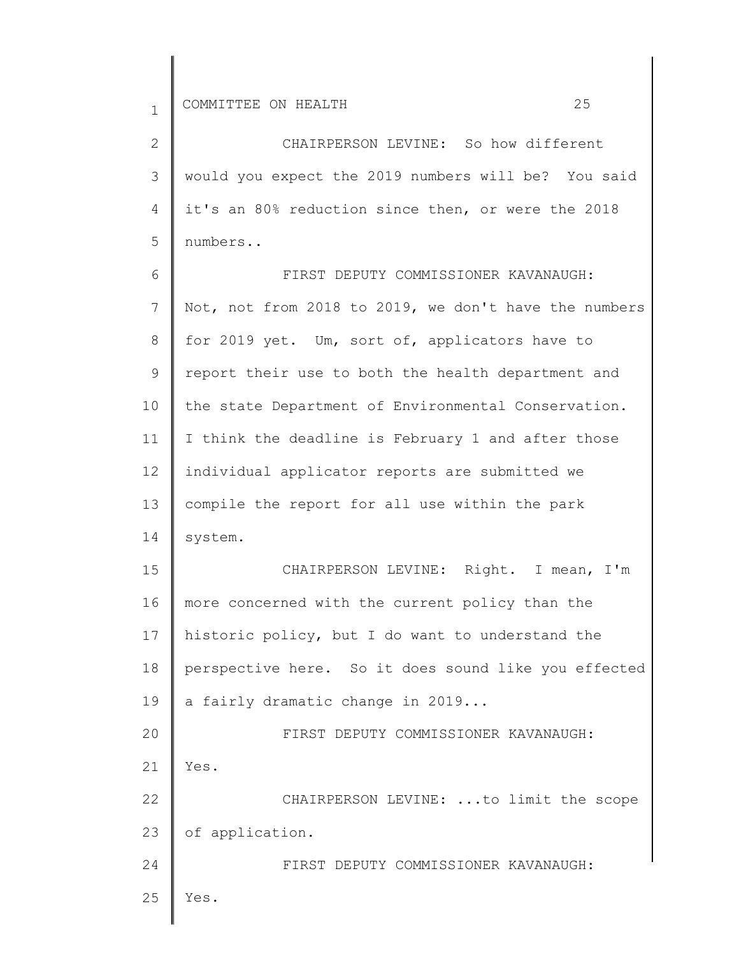| $\overline{2}$ | CHAIRPERSON LEVINE: So how different                  |
|----------------|-------------------------------------------------------|
| 3              | would you expect the 2019 numbers will be? You said   |
| 4              | it's an 80% reduction since then, or were the 2018    |
| 5              | numbers                                               |
| 6              | FIRST DEPUTY COMMISSIONER KAVANAUGH:                  |
| $\overline{7}$ | Not, not from 2018 to 2019, we don't have the numbers |
| 8              | for 2019 yet. Um, sort of, applicators have to        |
| 9              | report their use to both the health department and    |
| 10             | the state Department of Environmental Conservation.   |
| 11             | I think the deadline is February 1 and after those    |
| 12             | individual applicator reports are submitted we        |
| 13             | compile the report for all use within the park        |
| 14             | system.                                               |
| 15             | CHAIRPERSON LEVINE: Right. I mean, I'm                |
| 16             | more concerned with the current policy than the       |
| 17             | historic policy, but I do want to understand the      |
| 18             | perspective here. So it does sound like you effected  |
| 19             | a fairly dramatic change in 2019                      |
| 20             | FIRST DEPUTY COMMISSIONER KAVANAUGH:                  |
| 21             | Yes.                                                  |
| 22             | CHAIRPERSON LEVINE: to limit the scope                |
| 23             | of application.                                       |
| 24             | FIRST DEPUTY COMMISSIONER KAVANAUGH:                  |
| 25             | Yes.                                                  |
|                |                                                       |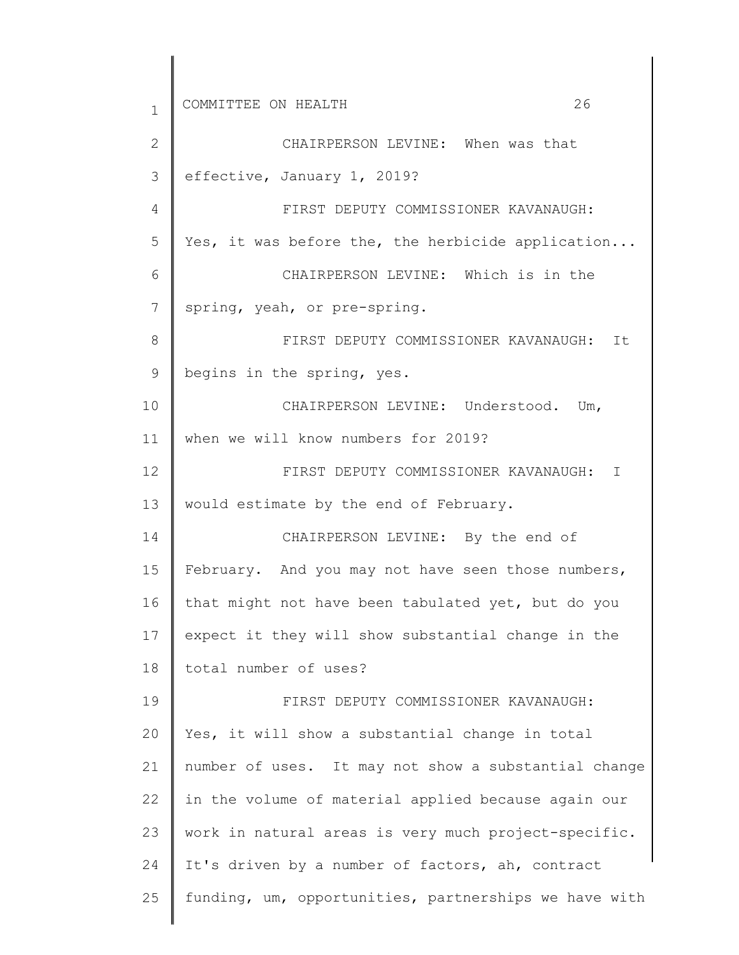1 2 3 4 5 6 7 8 9 10 11 12 13 14 15 16 17 18 19 20 21 22 23 24 25 COMMITTEE ON HEALTH 26 CHAIRPERSON LEVINE: When was that effective, January 1, 2019? FIRST DEPUTY COMMISSIONER KAVANAUGH: Yes, it was before the, the herbicide application... CHAIRPERSON LEVINE: Which is in the spring, yeah, or pre-spring. FIRST DEPUTY COMMISSIONER KAVANAUGH: It begins in the spring, yes. CHAIRPERSON LEVINE: Understood. Um, when we will know numbers for 2019? FIRST DEPUTY COMMISSIONER KAVANAUGH: I would estimate by the end of February. CHAIRPERSON LEVINE: By the end of February. And you may not have seen those numbers, that might not have been tabulated yet, but do you expect it they will show substantial change in the total number of uses? FIRST DEPUTY COMMISSIONER KAVANAUGH: Yes, it will show a substantial change in total number of uses. It may not show a substantial change in the volume of material applied because again our work in natural areas is very much project-specific. It's driven by a number of factors, ah, contract funding, um, opportunities, partnerships we have with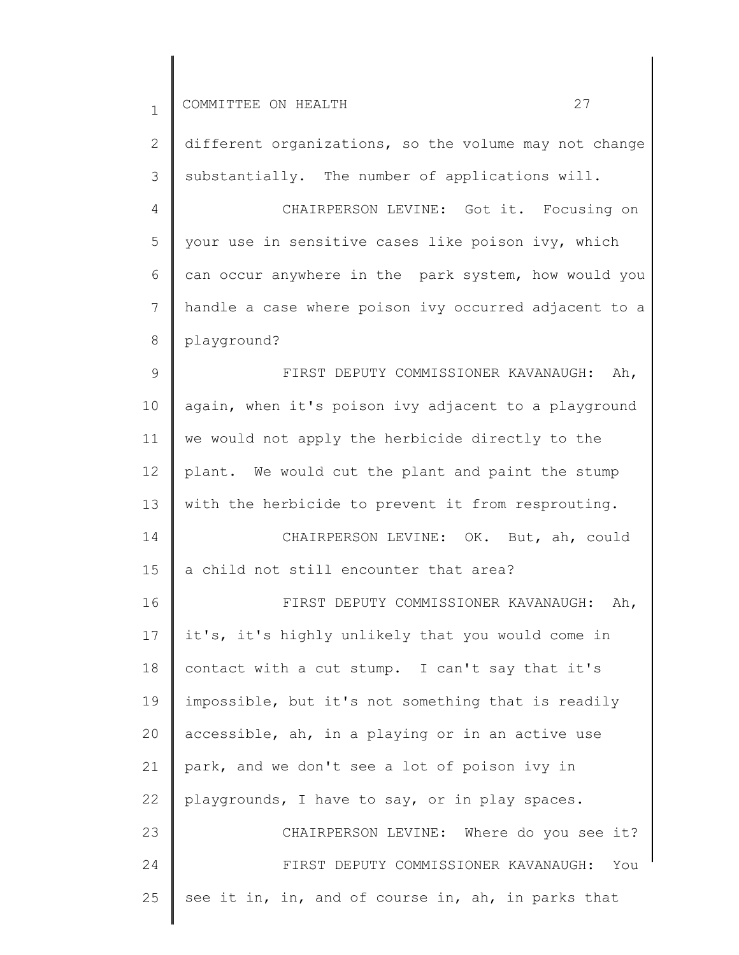| $\mathbf{1}$ | 27<br>COMMITTEE ON HEALTH                             |
|--------------|-------------------------------------------------------|
| $\mathbf{2}$ | different organizations, so the volume may not change |
| 3            | substantially. The number of applications will.       |
| 4            | CHAIRPERSON LEVINE: Got it. Focusing on               |
| 5            | your use in sensitive cases like poison ivy, which    |
| 6            | can occur anywhere in the park system, how would you  |
| 7            | handle a case where poison ivy occurred adjacent to a |
| 8            | playground?                                           |
| 9            | FIRST DEPUTY COMMISSIONER KAVANAUGH:<br>Ah,           |
| 10           | again, when it's poison ivy adjacent to a playground  |
| 11           | we would not apply the herbicide directly to the      |
| 12           | plant. We would cut the plant and paint the stump     |
| 13           | with the herbicide to prevent it from resprouting.    |
| 14           | CHAIRPERSON LEVINE: OK. But, ah, could                |
| 15           | a child not still encounter that area?                |
| 16           | FIRST DEPUTY COMMISSIONER KAVANAUGH: Ah,              |
| 17           | it's, it's highly unlikely that you would come in     |
| 18           | contact with a cut stump. I can't say that it's       |
| 19           | impossible, but it's not something that is readily    |
| 20           | accessible, ah, in a playing or in an active use      |
| 21           | park, and we don't see a lot of poison ivy in         |
| 22           | playgrounds, I have to say, or in play spaces.        |
| 23           | CHAIRPERSON LEVINE: Where do you see it?              |
| 24           | FIRST DEPUTY COMMISSIONER KAVANAUGH:<br>You           |
| 25           | see it in, in, and of course in, ah, in parks that    |
|              |                                                       |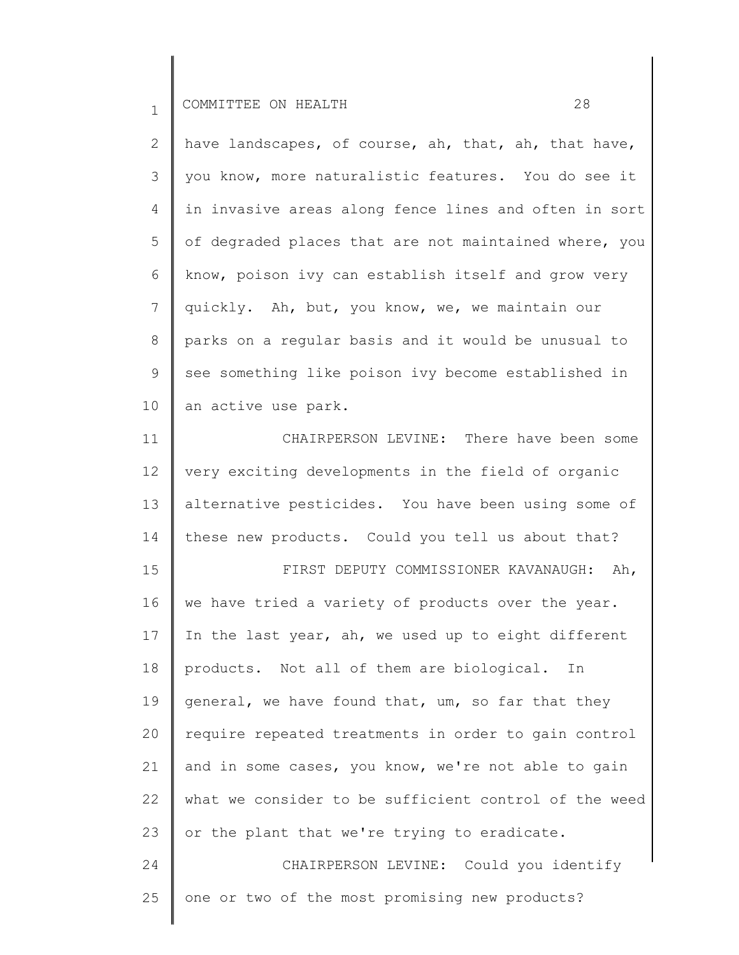2 3 4 5 6 7 8 9 10 have landscapes, of course, ah, that, ah, that have, you know, more naturalistic features. You do see it in invasive areas along fence lines and often in sort of degraded places that are not maintained where, you know, poison ivy can establish itself and grow very quickly. Ah, but, you know, we, we maintain our parks on a regular basis and it would be unusual to see something like poison ivy become established in an active use park.

11 12 13 14 CHAIRPERSON LEVINE: There have been some very exciting developments in the field of organic alternative pesticides. You have been using some of these new products. Could you tell us about that?

15 16 17 18 19 20 21 22 23 24 FIRST DEPUTY COMMISSIONER KAVANAUGH: Ah, we have tried a variety of products over the year. In the last year, ah, we used up to eight different products. Not all of them are biological. In general, we have found that, um, so far that they require repeated treatments in order to gain control and in some cases, you know, we're not able to gain what we consider to be sufficient control of the weed or the plant that we're trying to eradicate. CHAIRPERSON LEVINE: Could you identify

25 one or two of the most promising new products?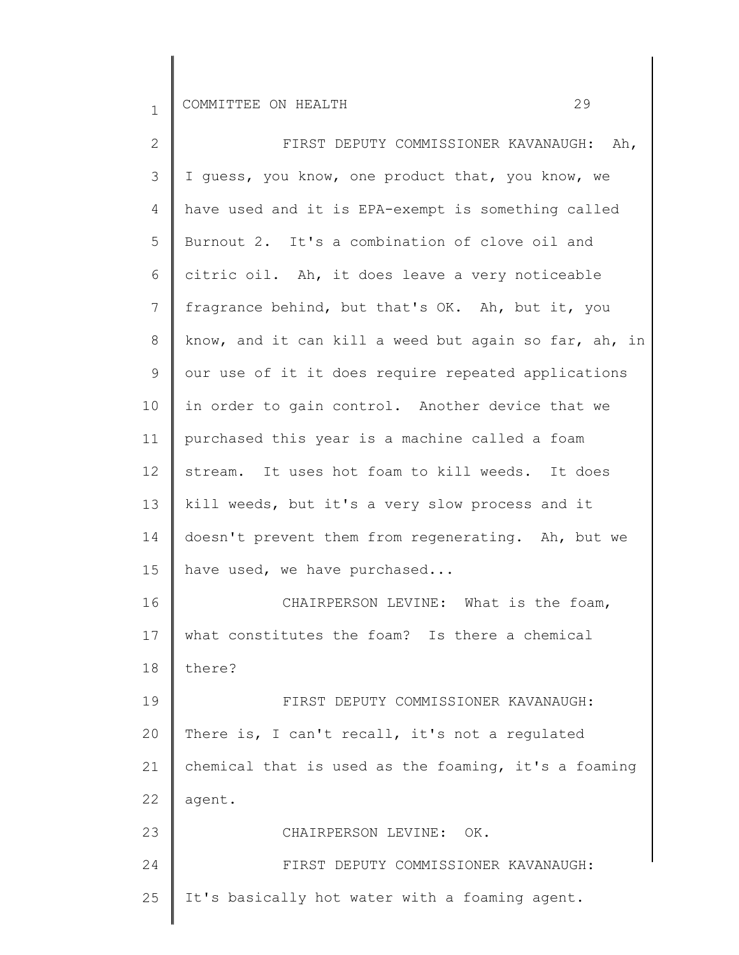| $\mathbf{2}$    | FIRST DEPUTY COMMISSIONER KAVANAUGH: Ah,              |
|-----------------|-------------------------------------------------------|
| 3               | I quess, you know, one product that, you know, we     |
| 4               | have used and it is EPA-exempt is something called    |
| 5               | Burnout 2. It's a combination of clove oil and        |
| 6               | citric oil. Ah, it does leave a very noticeable       |
| 7               | fragrance behind, but that's OK. Ah, but it, you      |
| 8               | know, and it can kill a weed but again so far, ah, in |
| 9               | our use of it it does require repeated applications   |
| 10              | in order to gain control. Another device that we      |
| 11              | purchased this year is a machine called a foam        |
| 12 <sup>°</sup> | stream. It uses hot foam to kill weeds. It does       |
| 13              | kill weeds, but it's a very slow process and it       |
| 14              | doesn't prevent them from regenerating. Ah, but we    |
| 15              | have used, we have purchased                          |
| 16              | CHAIRPERSON LEVINE: What is the foam,                 |
| 17              | what constitutes the foam? Is there a chemical        |
| 18              | there?                                                |
| 19              | FIRST DEPUTY COMMISSIONER KAVANAUGH:                  |
| 20              | There is, I can't recall, it's not a regulated        |
| 21              | chemical that is used as the foaming, it's a foaming  |
| 22              | agent.                                                |
| 23              | CHAIRPERSON LEVINE: OK.                               |
| 24              | FIRST DEPUTY COMMISSIONER KAVANAUGH:                  |
| 25              | It's basically hot water with a foaming agent.        |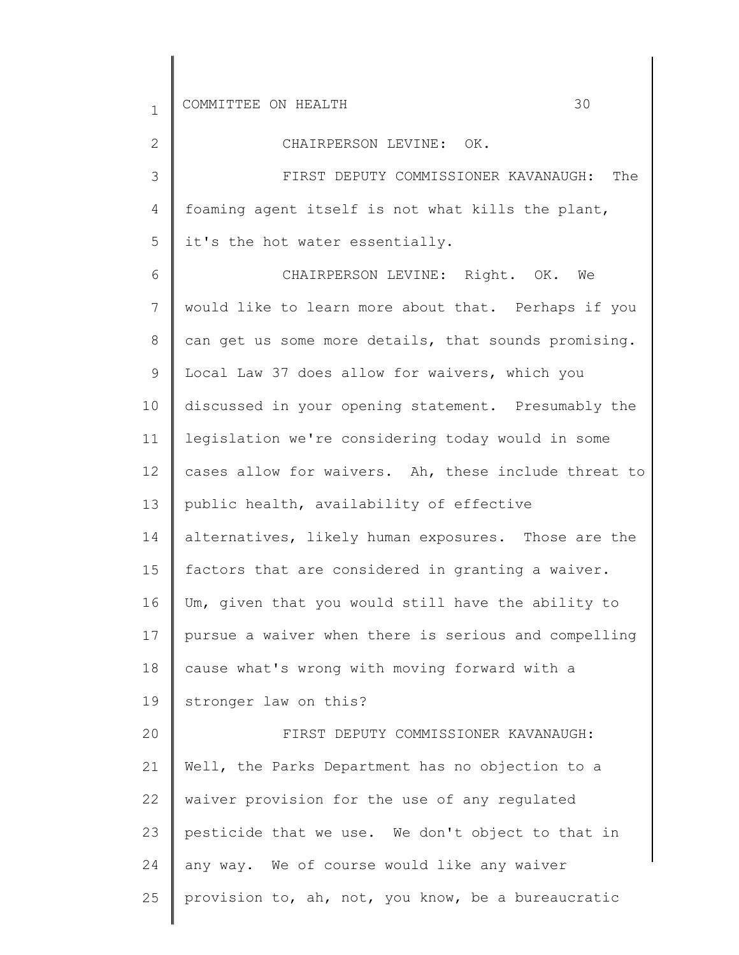2

## CHAIRPERSON LEVINE: OK.

3 4 5 FIRST DEPUTY COMMISSIONER KAVANAUGH: The foaming agent itself is not what kills the plant, it's the hot water essentially.

6 7 8 9 10 11 12 13 14 15 16 17 18 19 20 21 22 23 24 25 CHAIRPERSON LEVINE: Right. OK. We would like to learn more about that. Perhaps if you can get us some more details, that sounds promising. Local Law 37 does allow for waivers, which you discussed in your opening statement. Presumably the legislation we're considering today would in some cases allow for waivers. Ah, these include threat to public health, availability of effective alternatives, likely human exposures. Those are the factors that are considered in granting a waiver. Um, given that you would still have the ability to pursue a waiver when there is serious and compelling cause what's wrong with moving forward with a stronger law on this? FIRST DEPUTY COMMISSIONER KAVANAUGH: Well, the Parks Department has no objection to a waiver provision for the use of any regulated pesticide that we use. We don't object to that in any way. We of course would like any waiver provision to, ah, not, you know, be a bureaucratic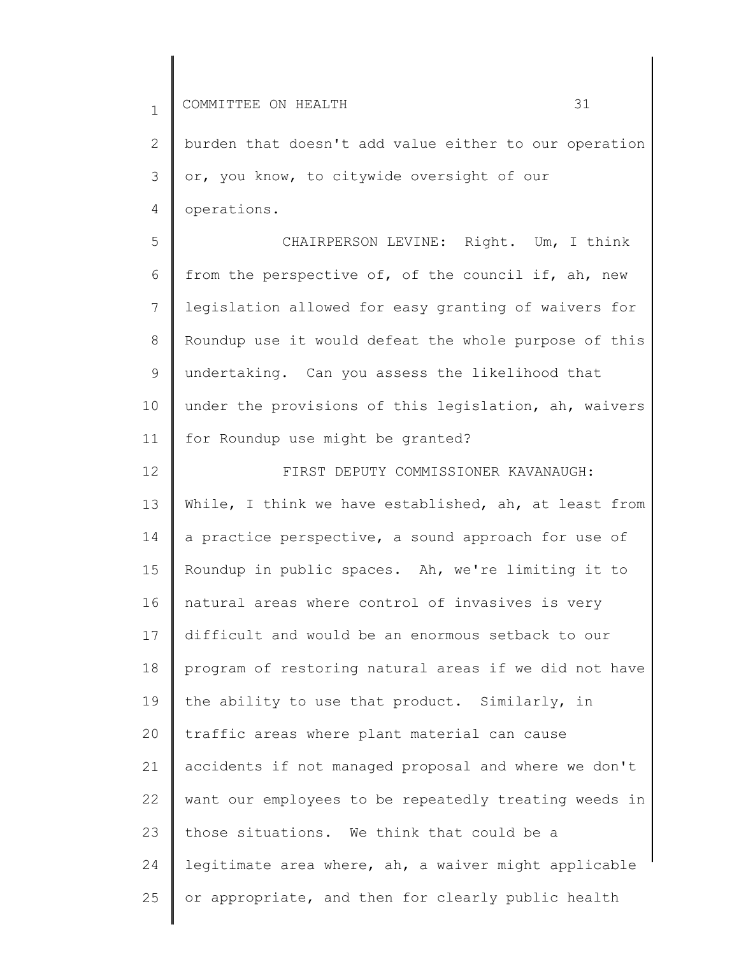2 3 4 burden that doesn't add value either to our operation or, you know, to citywide oversight of our operations.

5 6 7 8 9 10 11 CHAIRPERSON LEVINE: Right. Um, I think from the perspective of, of the council if, ah, new legislation allowed for easy granting of waivers for Roundup use it would defeat the whole purpose of this undertaking. Can you assess the likelihood that under the provisions of this legislation, ah, waivers for Roundup use might be granted?

12 13 14 15 16 17 18 19 20 21 22 23 24 25 FIRST DEPUTY COMMISSIONER KAVANAUGH: While, I think we have established, ah, at least from a practice perspective, a sound approach for use of Roundup in public spaces. Ah, we're limiting it to natural areas where control of invasives is very difficult and would be an enormous setback to our program of restoring natural areas if we did not have the ability to use that product. Similarly, in traffic areas where plant material can cause accidents if not managed proposal and where we don't want our employees to be repeatedly treating weeds in those situations. We think that could be a legitimate area where, ah, a waiver might applicable or appropriate, and then for clearly public health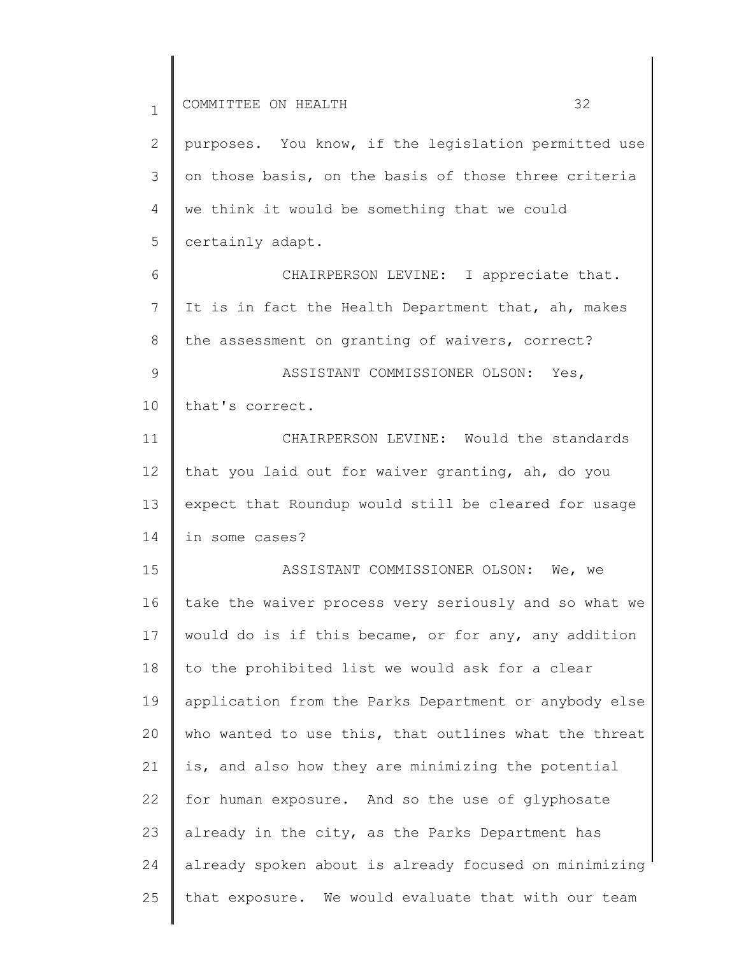1 2 3 4 5 6 7 8 9 10 11 12 13 14 15 16 17 18 19 20 21 22 23 24 COMMITTEE ON HEALTH 32 purposes. You know, if the legislation permitted use on those basis, on the basis of those three criteria we think it would be something that we could certainly adapt. CHAIRPERSON LEVINE: I appreciate that. It is in fact the Health Department that, ah, makes the assessment on granting of waivers, correct? ASSISTANT COMMISSIONER OLSON: Yes, that's correct. CHAIRPERSON LEVINE: Would the standards that you laid out for waiver granting, ah, do you expect that Roundup would still be cleared for usage in some cases? ASSISTANT COMMISSIONER OLSON: We, we take the waiver process very seriously and so what we would do is if this became, or for any, any addition to the prohibited list we would ask for a clear application from the Parks Department or anybody else who wanted to use this, that outlines what the threat is, and also how they are minimizing the potential for human exposure. And so the use of glyphosate already in the city, as the Parks Department has already spoken about is already focused on minimizing

that exposure. We would evaluate that with our team

25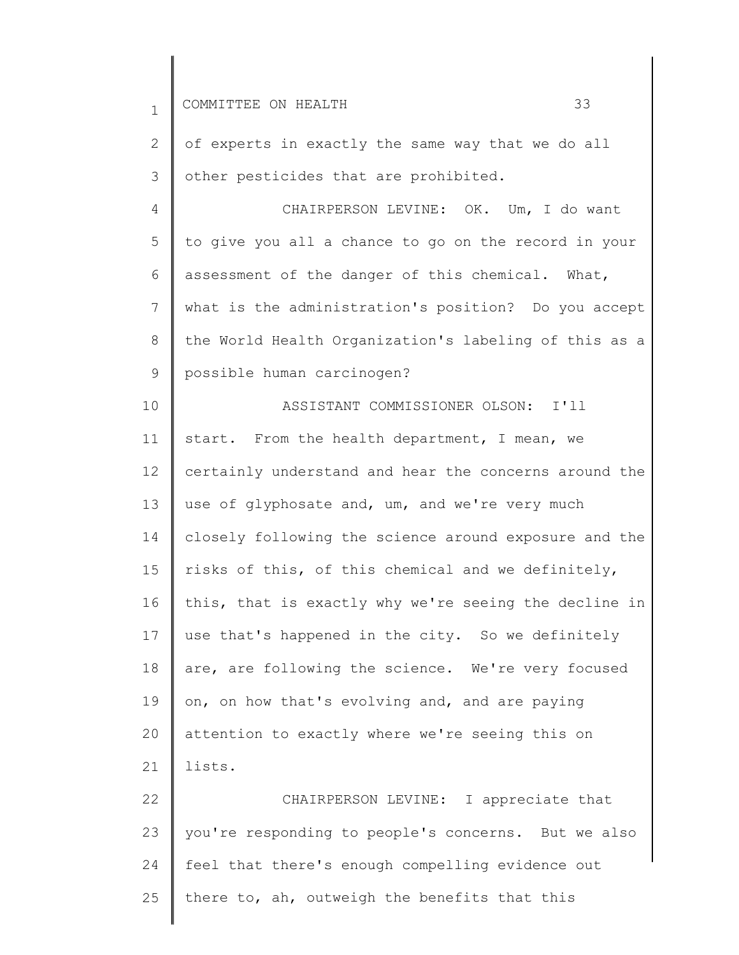| $\mathbf{1}$ | 33<br>COMMITTEE ON HEALTH                             |
|--------------|-------------------------------------------------------|
| 2            | of experts in exactly the same way that we do all     |
| 3            | other pesticides that are prohibited.                 |
| 4            | CHAIRPERSON LEVINE: OK. Um, I do want                 |
| 5            | to give you all a chance to go on the record in your  |
| 6            | assessment of the danger of this chemical. What,      |
| 7            | what is the administration's position? Do you accept  |
| $8\,$        | the World Health Organization's labeling of this as a |
| 9            | possible human carcinogen?                            |
| 10           | ASSISTANT COMMISSIONER OLSON: I'll                    |
| 11           | start. From the health department, I mean, we         |
| 12           | certainly understand and hear the concerns around the |
| 13           | use of glyphosate and, um, and we're very much        |
| 14           | closely following the science around exposure and the |
| 15           | risks of this, of this chemical and we definitely,    |
| 16           | this, that is exactly why we're seeing the decline in |
| 17           | use that's happened in the city. So we definitely     |
| 18           | are, are following the science. We're very focused    |
| 19           | on, on how that's evolving and, and are paying        |
| 20           | attention to exactly where we're seeing this on       |
| 21           | lists.                                                |
| 22           | CHAIRPERSON LEVINE: I appreciate that                 |
| 23           | you're responding to people's concerns. But we also   |
| 24           | feel that there's enough compelling evidence out      |
| 25           | there to, ah, outweigh the benefits that this         |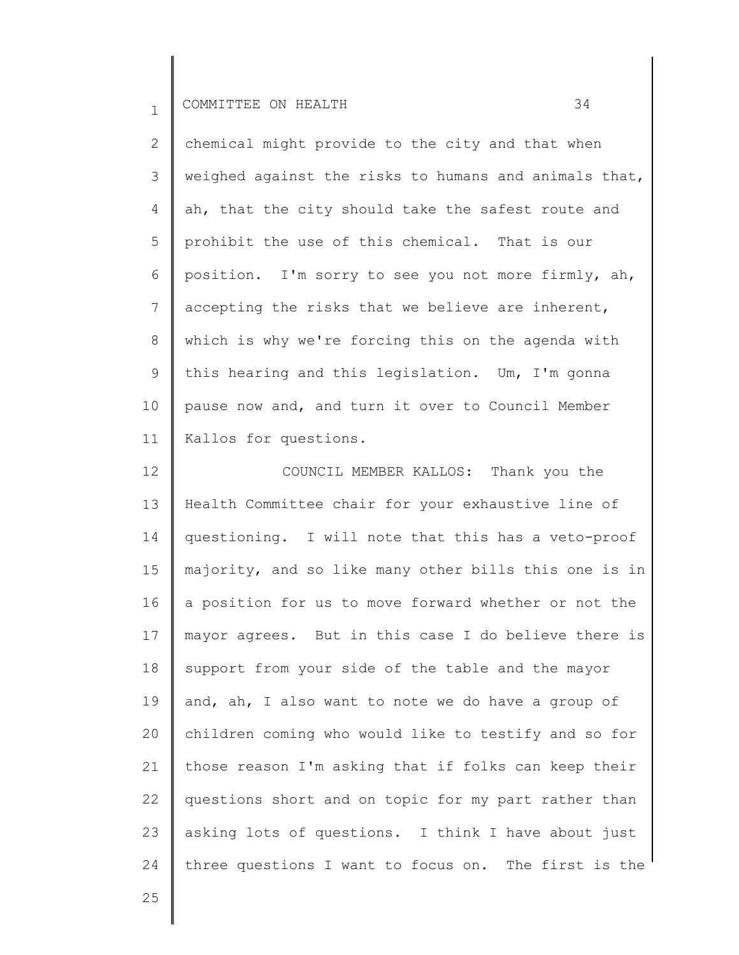2 3 4 5 6 7 8 9 10 11 chemical might provide to the city and that when weighed against the risks to humans and animals that, ah, that the city should take the safest route and prohibit the use of this chemical. That is our position. I'm sorry to see you not more firmly, ah, accepting the risks that we believe are inherent, which is why we're forcing this on the agenda with this hearing and this legislation. Um, I'm gonna pause now and, and turn it over to Council Member Kallos for questions.

12 13 14 15 16 17 18 19 20 21 22 23 24 COUNCIL MEMBER KALLOS: Thank you the Health Committee chair for your exhaustive line of questioning. I will note that this has a veto-proof majority, and so like many other bills this one is in a position for us to move forward whether or not the mayor agrees. But in this case I do believe there is support from your side of the table and the mayor and, ah, I also want to note we do have a group of children coming who would like to testify and so for those reason I'm asking that if folks can keep their questions short and on topic for my part rather than asking lots of questions. I think I have about just three questions I want to focus on. The first is the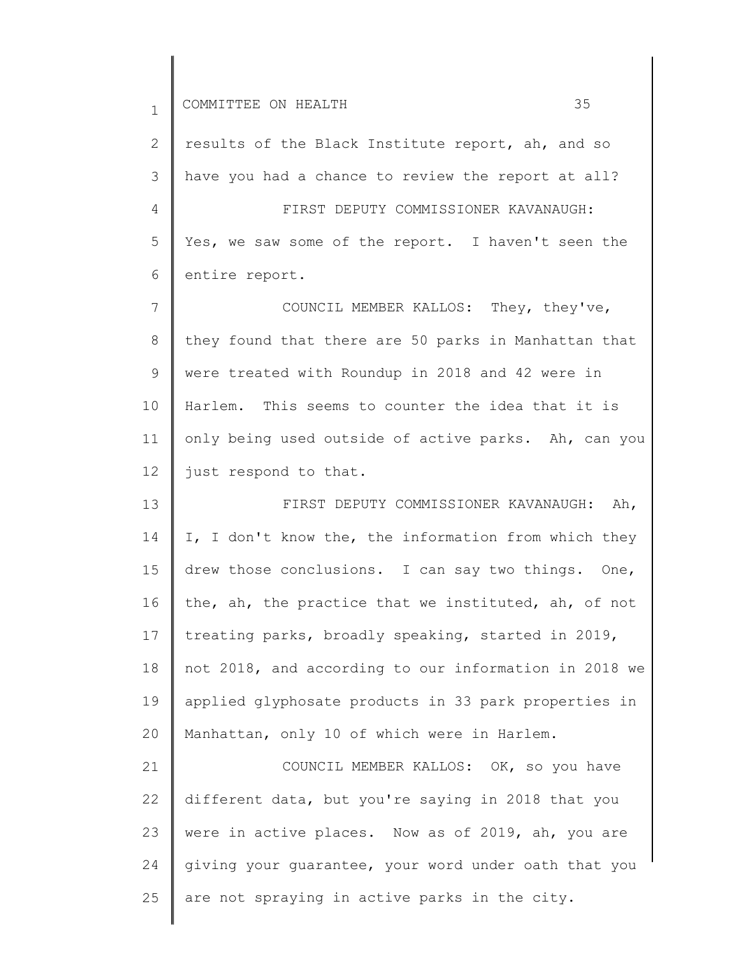1 2 3 4 5 6 7 8 9 10 11 12 13 14 15 16 17 18 19 20 21 22 23 24 COMMITTEE ON HEALTH 35 results of the Black Institute report, ah, and so have you had a chance to review the report at all? FIRST DEPUTY COMMISSIONER KAVANAUGH: Yes, we saw some of the report. I haven't seen the entire report. COUNCIL MEMBER KALLOS: They, they've, they found that there are 50 parks in Manhattan that were treated with Roundup in 2018 and 42 were in Harlem. This seems to counter the idea that it is only being used outside of active parks. Ah, can you just respond to that. FIRST DEPUTY COMMISSIONER KAVANAUGH: Ah, I, I don't know the, the information from which they drew those conclusions. I can say two things. One, the, ah, the practice that we instituted, ah, of not treating parks, broadly speaking, started in 2019, not 2018, and according to our information in 2018 we applied glyphosate products in 33 park properties in Manhattan, only 10 of which were in Harlem. COUNCIL MEMBER KALLOS: OK, so you have different data, but you're saying in 2018 that you were in active places. Now as of 2019, ah, you are giving your guarantee, your word under oath that you

are not spraying in active parks in the city.

25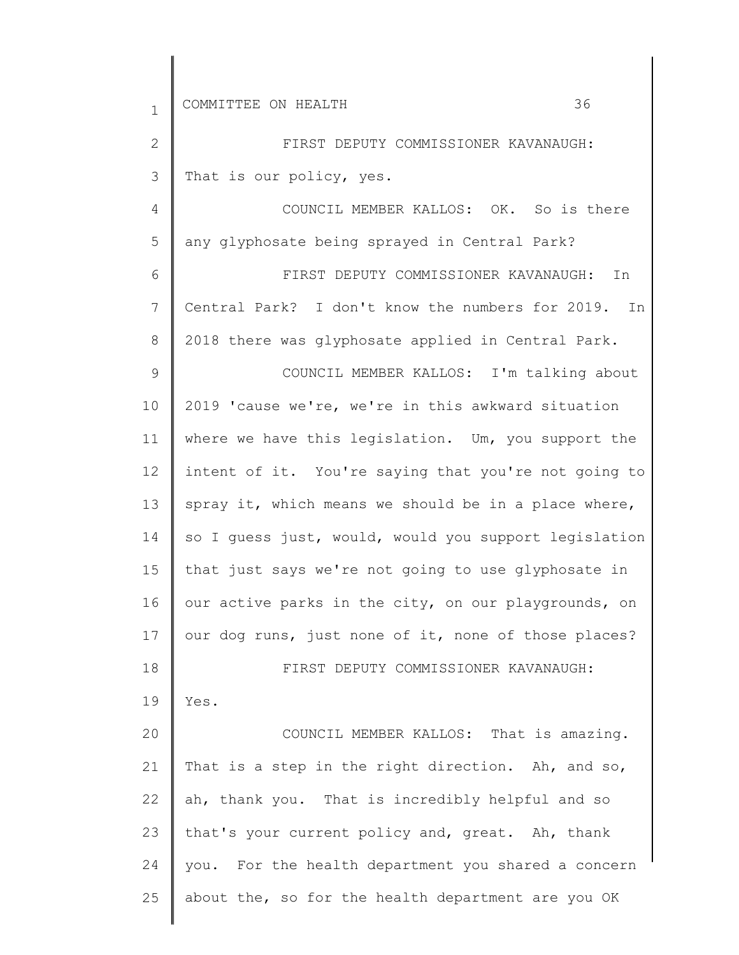| $\mathbf 1$  | 36<br>COMMITTEE ON HEALTH                             |
|--------------|-------------------------------------------------------|
| $\mathbf{2}$ | FIRST DEPUTY COMMISSIONER KAVANAUGH:                  |
| 3            | That is our policy, yes.                              |
| 4            | COUNCIL MEMBER KALLOS: OK. So is there                |
| 5            | any glyphosate being sprayed in Central Park?         |
| 6            | FIRST DEPUTY COMMISSIONER KAVANAUGH:<br>In            |
| 7            | Central Park? I don't know the numbers for 2019. In   |
| 8            | 2018 there was glyphosate applied in Central Park.    |
| 9            | COUNCIL MEMBER KALLOS: I'm talking about              |
| 10           | 2019 'cause we're, we're in this awkward situation    |
| 11           | where we have this legislation. Um, you support the   |
| 12           | intent of it. You're saying that you're not going to  |
| 13           | spray it, which means we should be in a place where,  |
| 14           | so I quess just, would, would you support legislation |
| 15           | that just says we're not going to use glyphosate in   |
| 16           | our active parks in the city, on our playgrounds, on  |
| 17           | our dog runs, just none of it, none of those places?  |
| 18           | FIRST DEPUTY COMMISSIONER KAVANAUGH:                  |
| 19           | Yes.                                                  |
| 20           | COUNCIL MEMBER KALLOS: That is amazing.               |
| 21           | That is a step in the right direction. Ah, and so,    |
| 22           | ah, thank you. That is incredibly helpful and so      |
| 23           | that's your current policy and, great. Ah, thank      |
| 24           | you. For the health department you shared a concern   |
| 25           | about the, so for the health department are you OK    |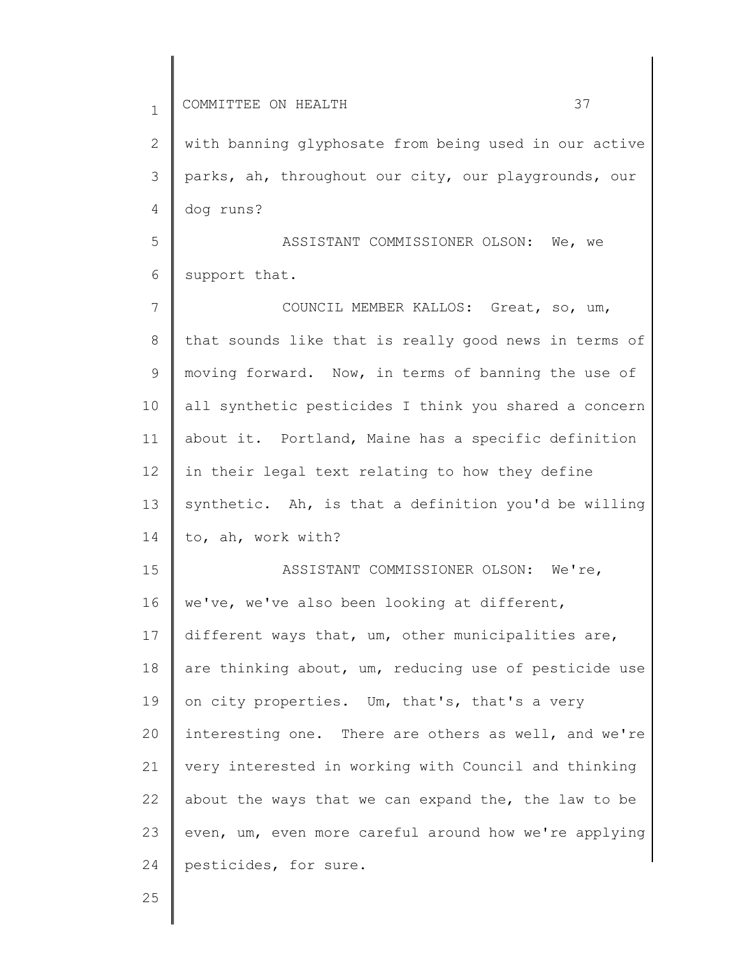1 2 3 4 5 6 7 8 9 10 11 12 13 14 15 16 17 18 19 20 21 22 23 24 COMMITTEE ON HEALTH 37 with banning glyphosate from being used in our active parks, ah, throughout our city, our playgrounds, our dog runs? ASSISTANT COMMISSIONER OLSON: We, we support that. COUNCIL MEMBER KALLOS: Great, so, um, that sounds like that is really good news in terms of moving forward. Now, in terms of banning the use of all synthetic pesticides I think you shared a concern about it. Portland, Maine has a specific definition in their legal text relating to how they define synthetic. Ah, is that a definition you'd be willing to, ah, work with? ASSISTANT COMMISSIONER OLSON: We're, we've, we've also been looking at different, different ways that, um, other municipalities are, are thinking about, um, reducing use of pesticide use on city properties. Um, that's, that's a very interesting one. There are others as well, and we're very interested in working with Council and thinking about the ways that we can expand the, the law to be even, um, even more careful around how we're applying pesticides, for sure.

25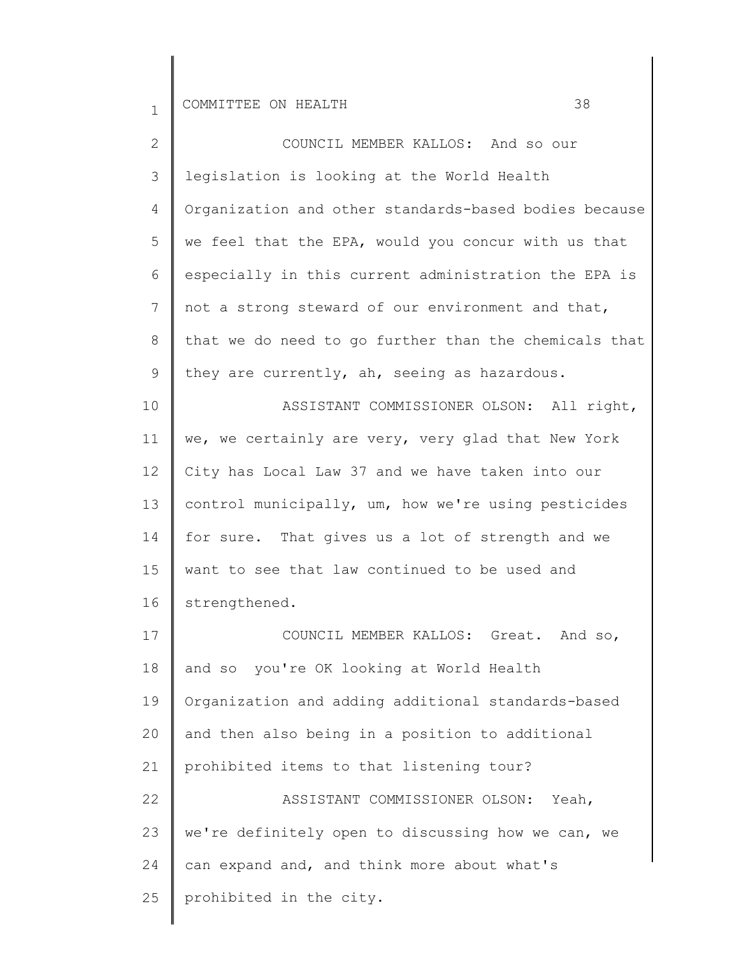| $\mathbf{2}^{\prime}$ | COUNCIL MEMBER KALLOS: And so our                     |
|-----------------------|-------------------------------------------------------|
| 3                     | legislation is looking at the World Health            |
| 4                     | Organization and other standards-based bodies because |
| 5                     | we feel that the EPA, would you concur with us that   |
| 6                     | especially in this current administration the EPA is  |
| $7\phantom{.0}$       | not a strong steward of our environment and that,     |
| 8                     | that we do need to go further than the chemicals that |
| 9                     | they are currently, ah, seeing as hazardous.          |
| 10                    | ASSISTANT COMMISSIONER OLSON: All right,              |
| 11                    | we, we certainly are very, very glad that New York    |
| 12                    | City has Local Law 37 and we have taken into our      |
| 13                    | control municipally, um, how we're using pesticides   |
| 14                    | for sure. That gives us a lot of strength and we      |
| 15                    | want to see that law continued to be used and         |
| 16                    | strengthened.                                         |
| 17                    | COUNCIL MEMBER KALLOS: Great. And so,                 |
| 18                    | and so you're OK looking at World Health              |
| 19                    | Organization and adding additional standards-based    |
| 20                    | and then also being in a position to additional       |
| 21                    | prohibited items to that listening tour?              |
| 22                    | ASSISTANT COMMISSIONER OLSON: Yeah,                   |
| 23                    | we're definitely open to discussing how we can, we    |
| 24                    | can expand and, and think more about what's           |
| 25                    | prohibited in the city.                               |
|                       |                                                       |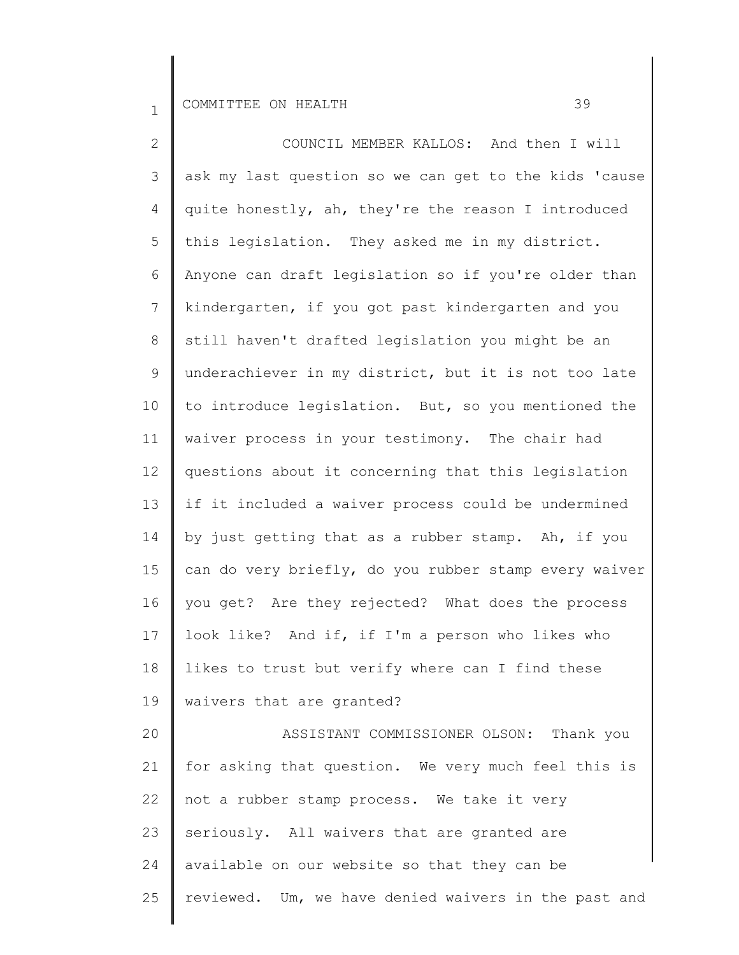25

2 3 4 5 6 7 8 9 10 11 12 13 14 15 16 17 18 19 20 21 22 23 24 COUNCIL MEMBER KALLOS: And then I will ask my last question so we can get to the kids 'cause quite honestly, ah, they're the reason I introduced this legislation. They asked me in my district. Anyone can draft legislation so if you're older than kindergarten, if you got past kindergarten and you still haven't drafted legislation you might be an underachiever in my district, but it is not too late to introduce legislation. But, so you mentioned the waiver process in your testimony. The chair had questions about it concerning that this legislation if it included a waiver process could be undermined by just getting that as a rubber stamp. Ah, if you can do very briefly, do you rubber stamp every waiver you get? Are they rejected? What does the process look like? And if, if I'm a person who likes who likes to trust but verify where can I find these waivers that are granted? ASSISTANT COMMISSIONER OLSON: Thank you for asking that question. We very much feel this is not a rubber stamp process. We take it very seriously. All waivers that are granted are available on our website so that they can be

reviewed. Um, we have denied waivers in the past and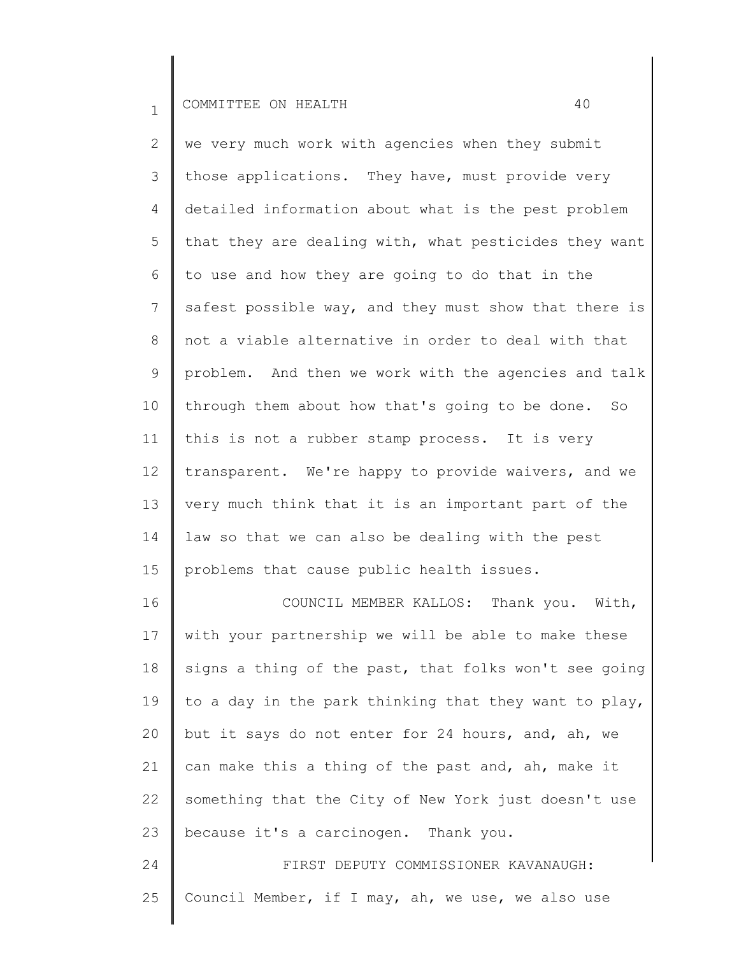2 3 4 5 6 7 8 9 10 11 12 13 14 15 we very much work with agencies when they submit those applications. They have, must provide very detailed information about what is the pest problem that they are dealing with, what pesticides they want to use and how they are going to do that in the safest possible way, and they must show that there is not a viable alternative in order to deal with that problem. And then we work with the agencies and talk through them about how that's going to be done. So this is not a rubber stamp process. It is very transparent. We're happy to provide waivers, and we very much think that it is an important part of the law so that we can also be dealing with the pest problems that cause public health issues.

16 17 18 19 20 21 22 23 COUNCIL MEMBER KALLOS: Thank you. With, with your partnership we will be able to make these signs a thing of the past, that folks won't see going to a day in the park thinking that they want to play, but it says do not enter for 24 hours, and, ah, we can make this a thing of the past and, ah, make it something that the City of New York just doesn't use because it's a carcinogen. Thank you.

24 25 FIRST DEPUTY COMMISSIONER KAVANAUGH: Council Member, if I may, ah, we use, we also use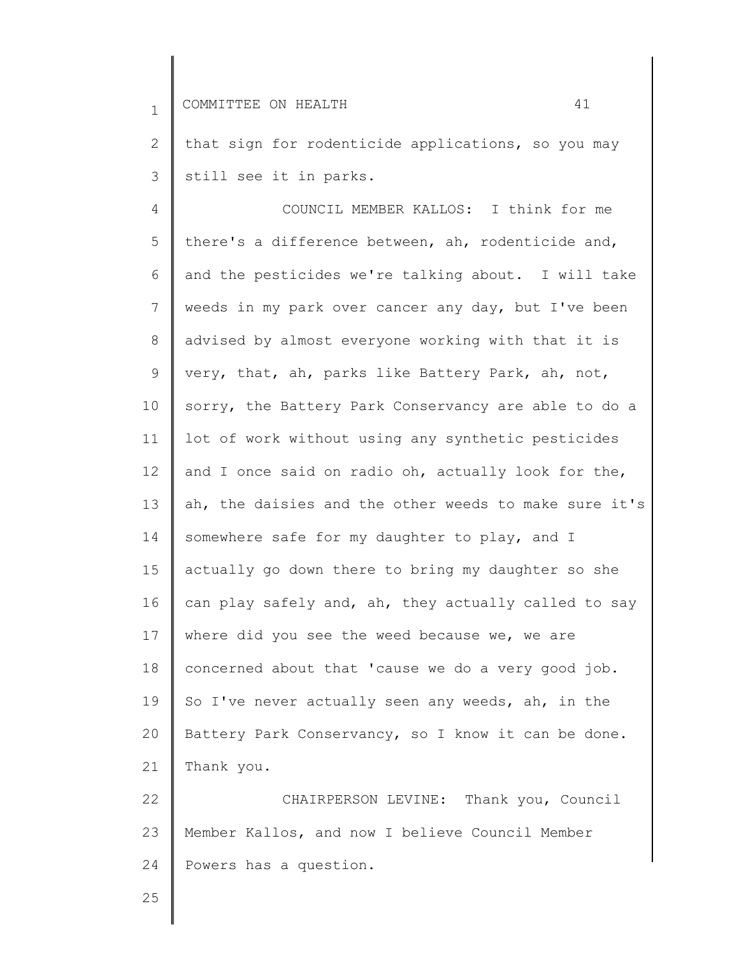1 2 3 4 5 6 7 8 9 10 11 12 13 14 15 16 17 18 19 20 21 22 23 24 COMMITTEE ON HEALTH 41 that sign for rodenticide applications, so you may still see it in parks. COUNCIL MEMBER KALLOS: I think for me there's a difference between, ah, rodenticide and, and the pesticides we're talking about. I will take weeds in my park over cancer any day, but I've been advised by almost everyone working with that it is very, that, ah, parks like Battery Park, ah, not, sorry, the Battery Park Conservancy are able to do a lot of work without using any synthetic pesticides and I once said on radio oh, actually look for the, ah, the daisies and the other weeds to make sure it's somewhere safe for my daughter to play, and I actually go down there to bring my daughter so she can play safely and, ah, they actually called to say where did you see the weed because we, we are concerned about that 'cause we do a very good job. So I've never actually seen any weeds, ah, in the Battery Park Conservancy, so I know it can be done. Thank you. CHAIRPERSON LEVINE: Thank you, Council Member Kallos, and now I believe Council Member Powers has a question.

25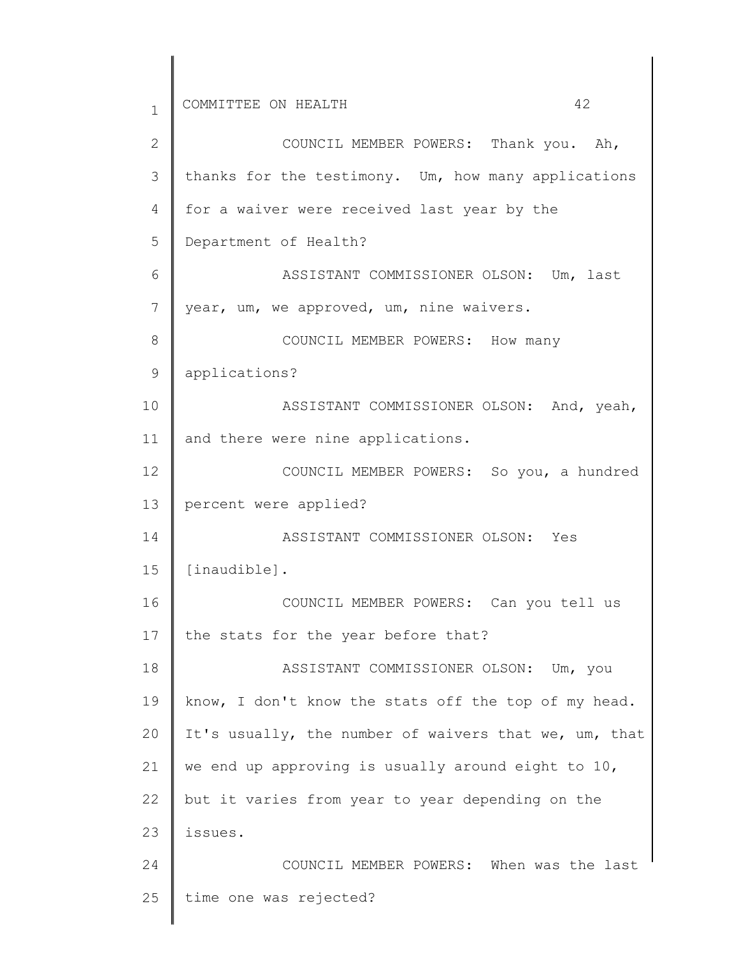1 2 3 4 5 6 7 8 9 10 11 12 13 14 15 16 17 18 19 20 21 22 23 24 25 COMMITTEE ON HEALTH 42 COUNCIL MEMBER POWERS: Thank you. Ah, thanks for the testimony. Um, how many applications for a waiver were received last year by the Department of Health? ASSISTANT COMMISSIONER OLSON: Um, last year, um, we approved, um, nine waivers. COUNCIL MEMBER POWERS: How many applications? ASSISTANT COMMISSIONER OLSON: And, yeah, and there were nine applications. COUNCIL MEMBER POWERS: So you, a hundred percent were applied? ASSISTANT COMMISSIONER OLSON: Yes [inaudible]. COUNCIL MEMBER POWERS: Can you tell us the stats for the year before that? ASSISTANT COMMISSIONER OLSON: Um, you know, I don't know the stats off the top of my head. It's usually, the number of waivers that we, um, that we end up approving is usually around eight to 10, but it varies from year to year depending on the issues. COUNCIL MEMBER POWERS: When was the last time one was rejected?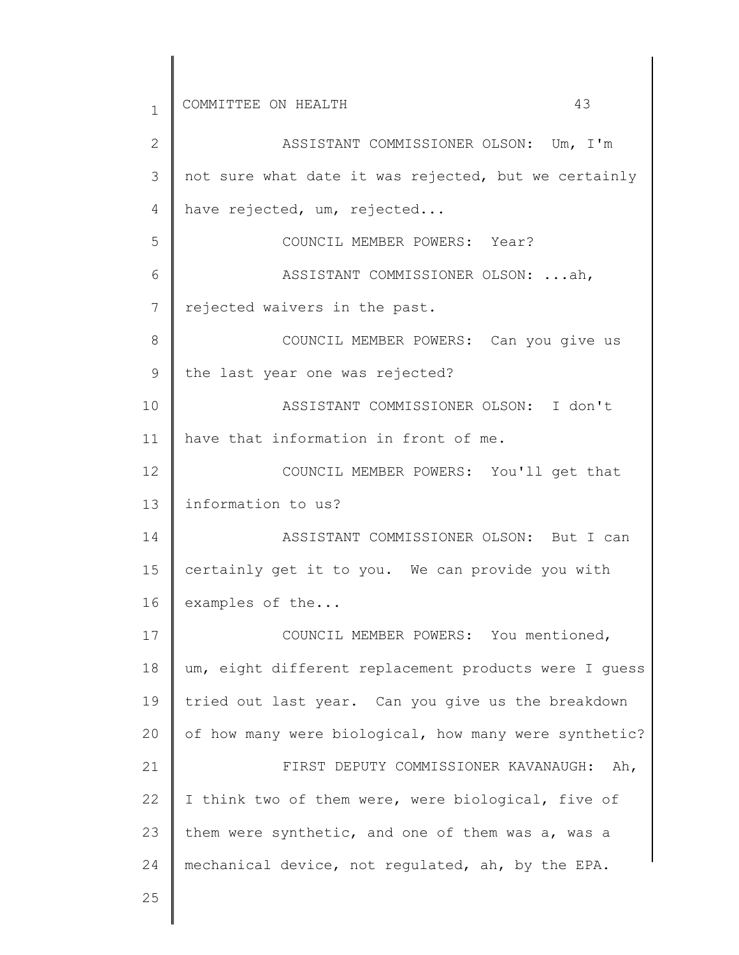1 2 3 4 5 6 7 8 9 10 11 12 13 14 15 16 17 18 19 20 21 22 23 24 25 COMMITTEE ON HEALTH 43 ASSISTANT COMMISSIONER OLSON: Um, I'm not sure what date it was rejected, but we certainly have rejected, um, rejected... COUNCIL MEMBER POWERS: Year? ASSISTANT COMMISSIONER OLSON: ...ah, rejected waivers in the past. COUNCIL MEMBER POWERS: Can you give us the last year one was rejected? ASSISTANT COMMISSIONER OLSON: I don't have that information in front of me. COUNCIL MEMBER POWERS: You'll get that information to us? ASSISTANT COMMISSIONER OLSON: But I can certainly get it to you. We can provide you with examples of the... COUNCIL MEMBER POWERS: You mentioned, um, eight different replacement products were I guess tried out last year. Can you give us the breakdown of how many were biological, how many were synthetic? FIRST DEPUTY COMMISSIONER KAVANAUGH: Ah, I think two of them were, were biological, five of them were synthetic, and one of them was a, was a mechanical device, not regulated, ah, by the EPA.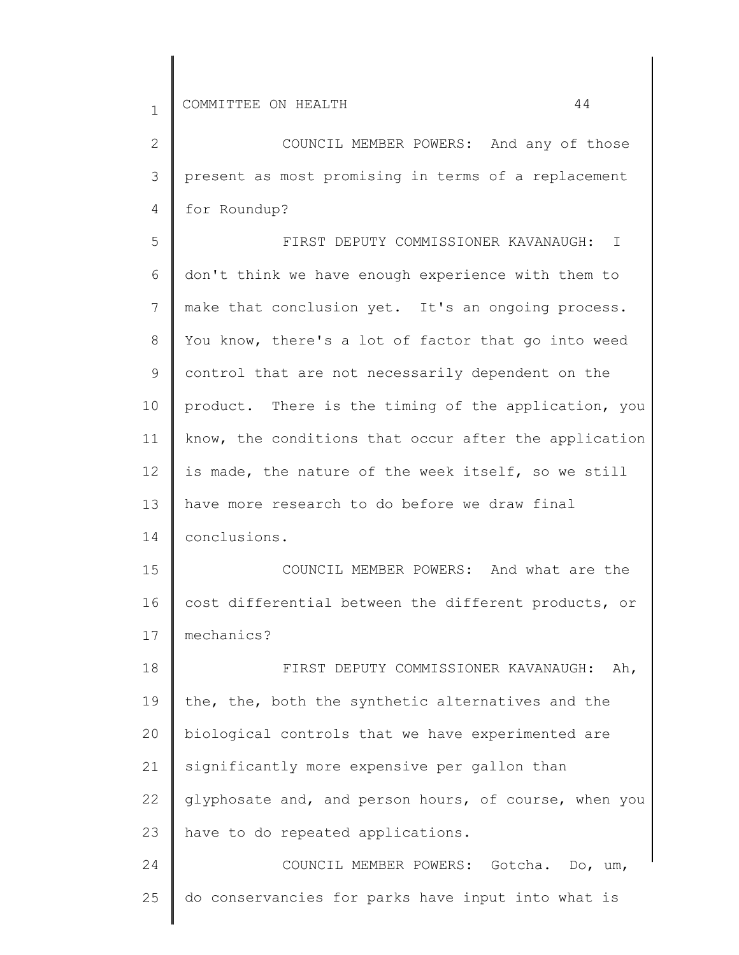2

3

4

5

6

7

8

9

10

11

12

13

14

15

16

17

| COUNCIL MEMBER POWERS: And any of those               |
|-------------------------------------------------------|
| present as most promising in terms of a replacement   |
| for Roundup?                                          |
| FIRST DEPUTY COMMISSIONER KAVANAUGH: I                |
| don't think we have enough experience with them to    |
| make that conclusion yet. It's an ongoing process.    |
| You know, there's a lot of factor that go into weed   |
| control that are not necessarily dependent on the     |
| product. There is the timing of the application, you  |
| know, the conditions that occur after the application |
| is made, the nature of the week itself, so we still   |
| have more research to do before we draw final         |
| conclusions.                                          |
| COUNCIL MEMBER POWERS: And what are the               |
| cost differential between the different products, or  |
| mechanics?                                            |
| FIRST DEPUTY COMMISSIONER KAVANAUGH:<br>Ah,           |

18 19 20 21 22 23 24 the, the, both the synthetic alternatives and the biological controls that we have experimented are significantly more expensive per gallon than glyphosate and, and person hours, of course, when you have to do repeated applications. COUNCIL MEMBER POWERS: Gotcha. Do, um,

25 do conservancies for parks have input into what is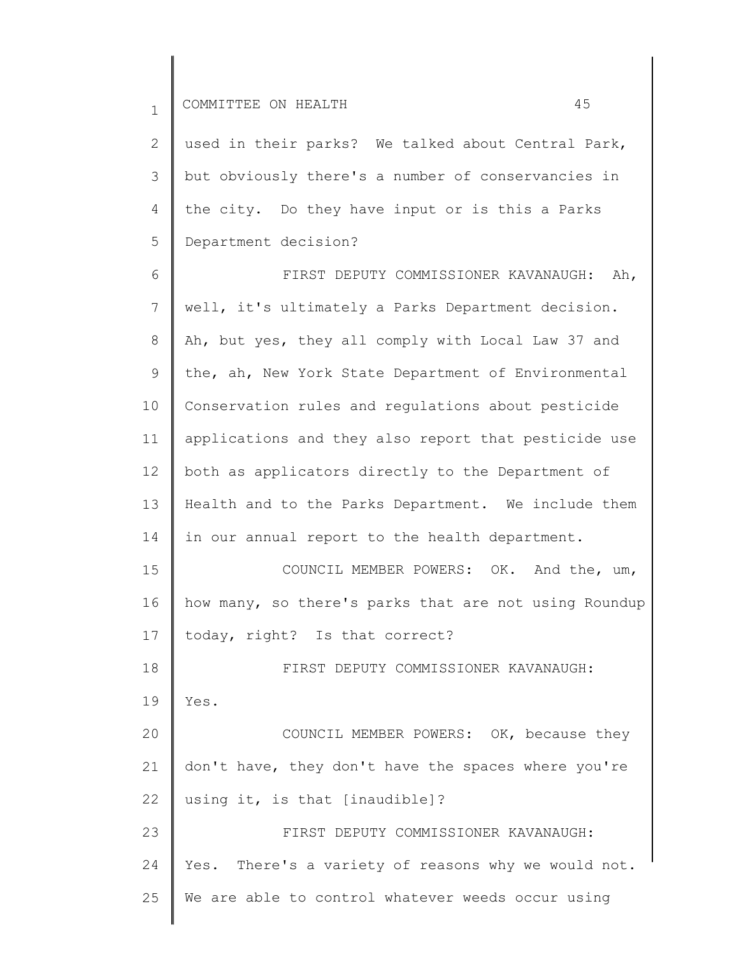2 3 4 5 used in their parks? We talked about Central Park, but obviously there's a number of conservancies in the city. Do they have input or is this a Parks Department decision?

6 7 8 9 10 11 12 13 14 15 16 17 18 19 20 21 22 FIRST DEPUTY COMMISSIONER KAVANAUGH: Ah, well, it's ultimately a Parks Department decision. Ah, but yes, they all comply with Local Law 37 and the, ah, New York State Department of Environmental Conservation rules and regulations about pesticide applications and they also report that pesticide use both as applicators directly to the Department of Health and to the Parks Department. We include them in our annual report to the health department. COUNCIL MEMBER POWERS: OK. And the, um, how many, so there's parks that are not using Roundup today, right? Is that correct? FIRST DEPUTY COMMISSIONER KAVANAUGH: Yes. COUNCIL MEMBER POWERS: OK, because they don't have, they don't have the spaces where you're using it, is that [inaudible]?

23 24 25 FIRST DEPUTY COMMISSIONER KAVANAUGH: Yes. There's a variety of reasons why we would not. We are able to control whatever weeds occur using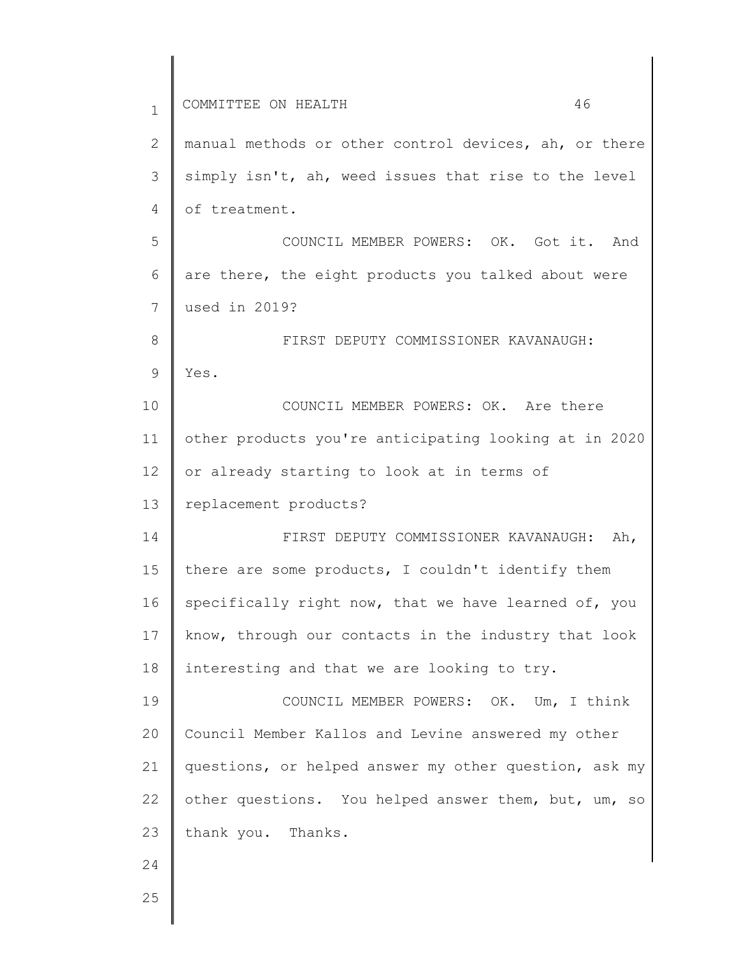| $\mathbf 1$  | 46<br>COMMITTEE ON HEALTH                             |
|--------------|-------------------------------------------------------|
| $\mathbf{2}$ | manual methods or other control devices, ah, or there |
| 3            | simply isn't, ah, weed issues that rise to the level  |
| 4            | of treatment.                                         |
| 5            | COUNCIL MEMBER POWERS: OK. Got it. And                |
| 6            | are there, the eight products you talked about were   |
| 7            | used in 2019?                                         |
| 8            | FIRST DEPUTY COMMISSIONER KAVANAUGH:                  |
| 9            | Yes.                                                  |
| 10           | COUNCIL MEMBER POWERS: OK. Are there                  |
| 11           | other products you're anticipating looking at in 2020 |
| 12           | or already starting to look at in terms of            |
| 13           | replacement products?                                 |
| 14           | FIRST DEPUTY COMMISSIONER KAVANAUGH: Ah,              |
| 15           | there are some products, I couldn't identify them     |
| 16           | specifically right now, that we have learned of, you  |
| 17           | know, through our contacts in the industry that look  |
| 18           | interesting and that we are looking to try.           |
| 19           | COUNCIL MEMBER POWERS: OK. Um, I think                |
| 20           | Council Member Kallos and Levine answered my other    |
| 21           | questions, or helped answer my other question, ask my |
| 22           | other questions. You helped answer them, but, um, so  |
| 23           | thank you. Thanks.                                    |
| 24           |                                                       |
| 25           |                                                       |
|              |                                                       |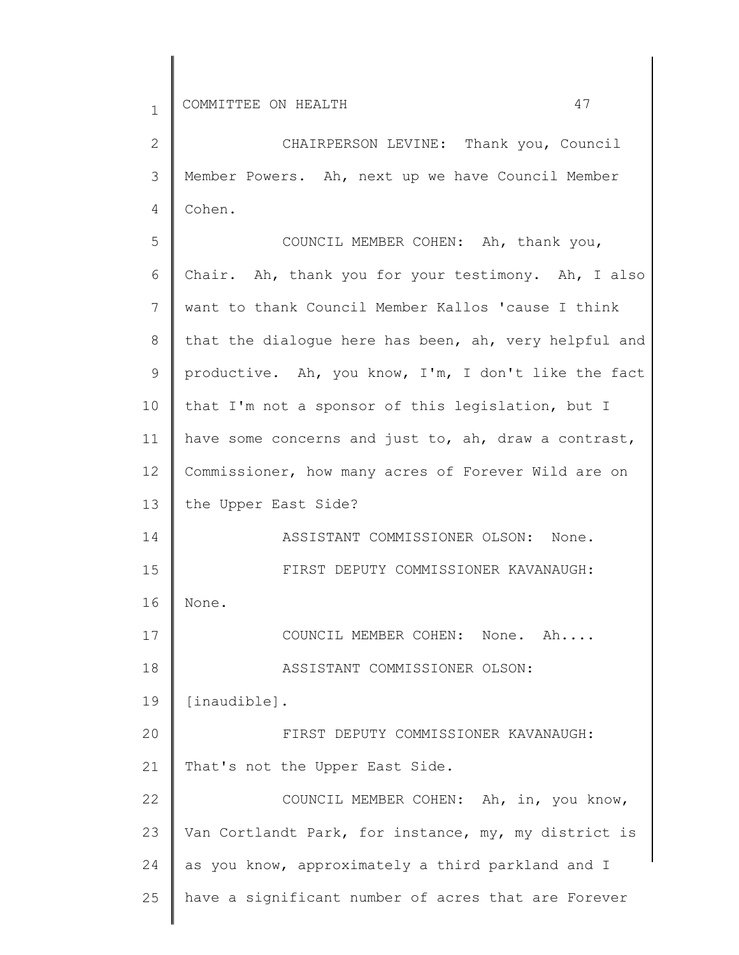2

3

4

5

6

| CHAIRPERSON LEVINE: Thank you, Council                |
|-------------------------------------------------------|
| Member Powers. Ah, next up we have Council Member     |
| Cohen.                                                |
| COUNCIL MEMBER COHEN: Ah, thank you,                  |
| Chair. Ah, thank you for your testimony. Ah, I also   |
| want to thank Council Member Kallos 'cause I think    |
| that the dialogue here has been, ah, very helpful and |
| productive. Ah, you know, I'm, I don't like the fact  |
| that I'm not a sponsor of this legislation, but I     |
|                                                       |

7 8 9 10 11 12 13 14 15 16 17 18 19 20 21 22 23 24 25 want to thank Council Member Kallos 'cause I think that the dialogue here has been, ah, very helpful and productive. Ah, you know, I'm, I don't like the fact that I'm not a have some concerns and just to, ah, draw a contrast, Commissioner, how many acres of Forever Wild are on the Upper East Side? ASSISTANT COMMISSIONER OLSON: None. FIRST DEPUTY COMMISSIONER KAVANAUGH: None. COUNCIL MEMBER COHEN: None. Ah.... ASSISTANT COMMISSIONER OLSON: [inaudible]. FIRST DEPUTY COMMISSIONER KAVANAUGH: That's not the Upper East Side. COUNCIL MEMBER COHEN: Ah, in, you know, Van Cortlandt Park, for instance, my, my district is as you know, approximately a third parkland and I have a significant number of acres that are Forever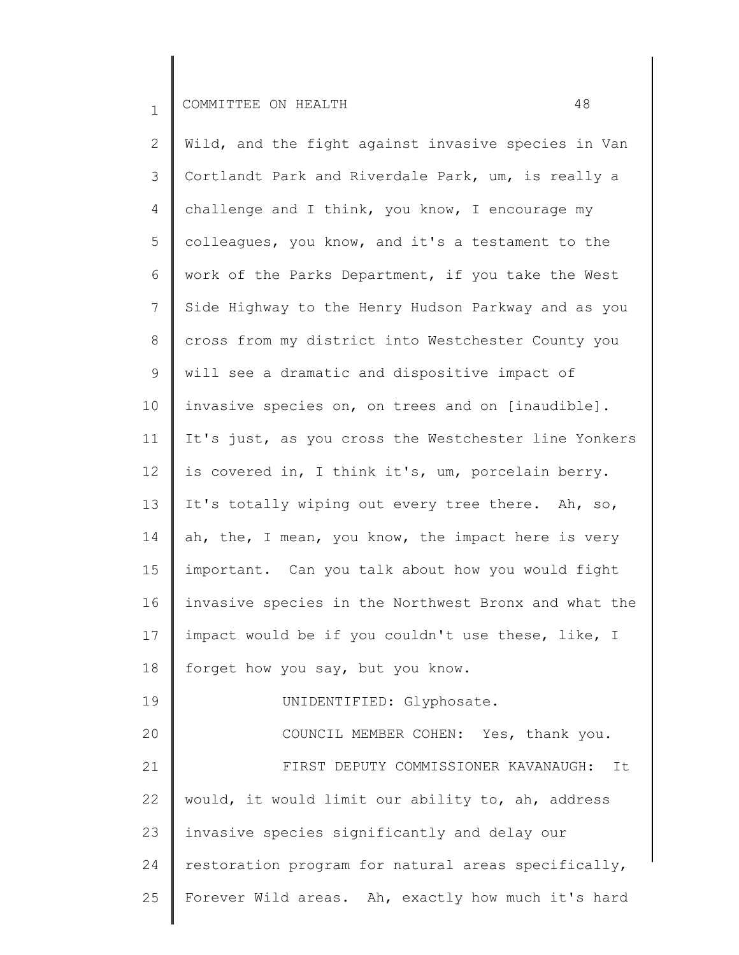2 3 4 5 6 7 8 9 10 11 12 13 14 15 16 17 18 19 20 21 22 23 24 25 Wild, and the fight against invasive species in Van Cortlandt Park and Riverdale Park, um, is really a challenge and I think, you know, I encourage my colleagues, you know, and it's a testament to the work of the Parks Department, if you take the West Side Highway to the Henry Hudson Parkway and as you cross from my district into Westchester County you will see a dramatic and dispositive impact of invasive species on, on trees and on [inaudible]. It's just, as you cross the Westchester line Yonkers is covered in, I think it's, um, porcelain berry. It's totally wiping out every tree there. Ah, so, ah, the, I mean, you know, the impact here is very important. Can you talk about how you would fight invasive species in the Northwest Bronx and what the impact would be if you couldn't use these, like, I forget how you say, but you know. UNIDENTIFIED: Glyphosate. COUNCIL MEMBER COHEN: Yes, thank you. FIRST DEPUTY COMMISSIONER KAVANAUGH: It would, it would limit our ability to, ah, address invasive species significantly and delay our restoration program for natural areas specifically, Forever Wild areas. Ah, exactly how much it's hard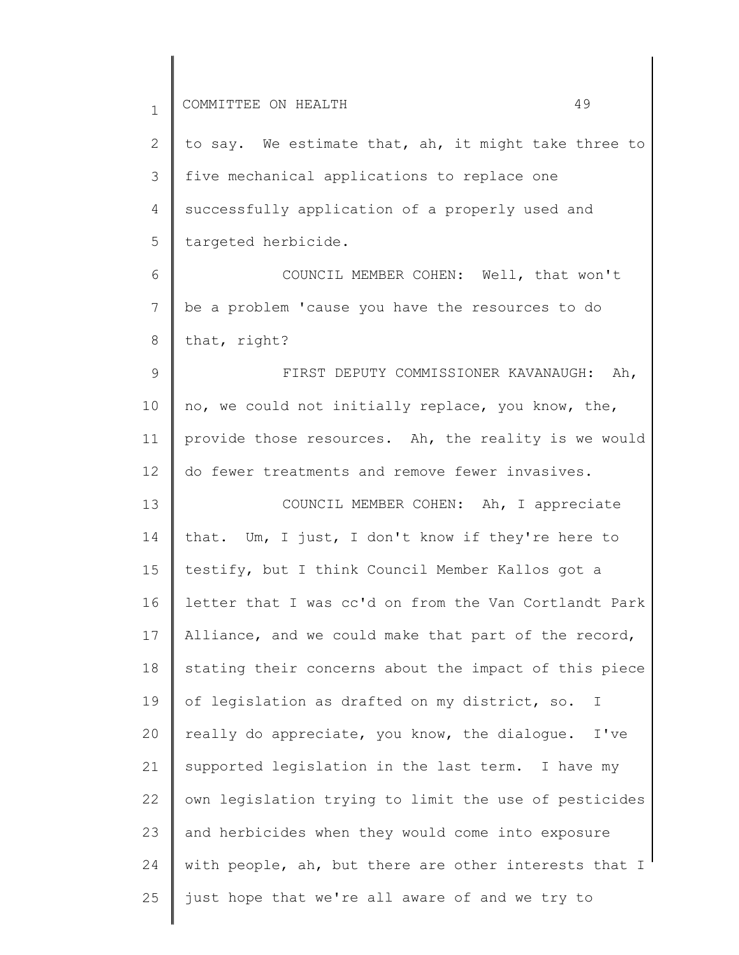| $\mathbf{1}$                                 | 49<br>COMMITTEE ON HEALTH                                     |
|----------------------------------------------|---------------------------------------------------------------|
| 2                                            | to say. We estimate that, ah, it might take three to          |
| 3                                            | five mechanical applications to replace one                   |
| 4                                            | successfully application of a properly used and               |
| 5                                            | targeted herbicide.                                           |
| 6                                            | COUNCIL MEMBER COHEN: Well, that won't                        |
| 7                                            | be a problem 'cause you have the resources to do              |
| 8                                            | that, right?                                                  |
| $\mathsf 9$                                  | FIRST DEPUTY COMMISSIONER KAVANAUGH:<br>Ah,                   |
| 10                                           | no, we could not initially replace, you know, the,            |
| 11                                           | provide those resources. Ah, the reality is we would          |
| 12                                           | do fewer treatments and remove fewer invasives.               |
|                                              |                                                               |
|                                              | COUNCIL MEMBER COHEN: Ah, I appreciate                        |
|                                              | that. Um, I just, I don't know if they're here to             |
|                                              | testify, but I think Council Member Kallos got a              |
|                                              | letter that I was cc'd on from the Van Cortlandt Park         |
|                                              | Alliance, and we could make that part of the record,          |
|                                              | stating their concerns about the impact of this piece         |
|                                              | of legislation as drafted on my district, so.<br>$\mathbb{I}$ |
| 13<br>14<br>15<br>16<br>17<br>18<br>19<br>20 | really do appreciate, you know, the dialogue.<br>I've         |
|                                              | supported legislation in the last term. I have my             |
|                                              | own legislation trying to limit the use of pesticides         |
|                                              | and herbicides when they would come into exposure             |
| 21<br>22<br>23<br>24                         | with people, ah, but there are other interests that I         |
| 25                                           | just hope that we're all aware of and we try to               |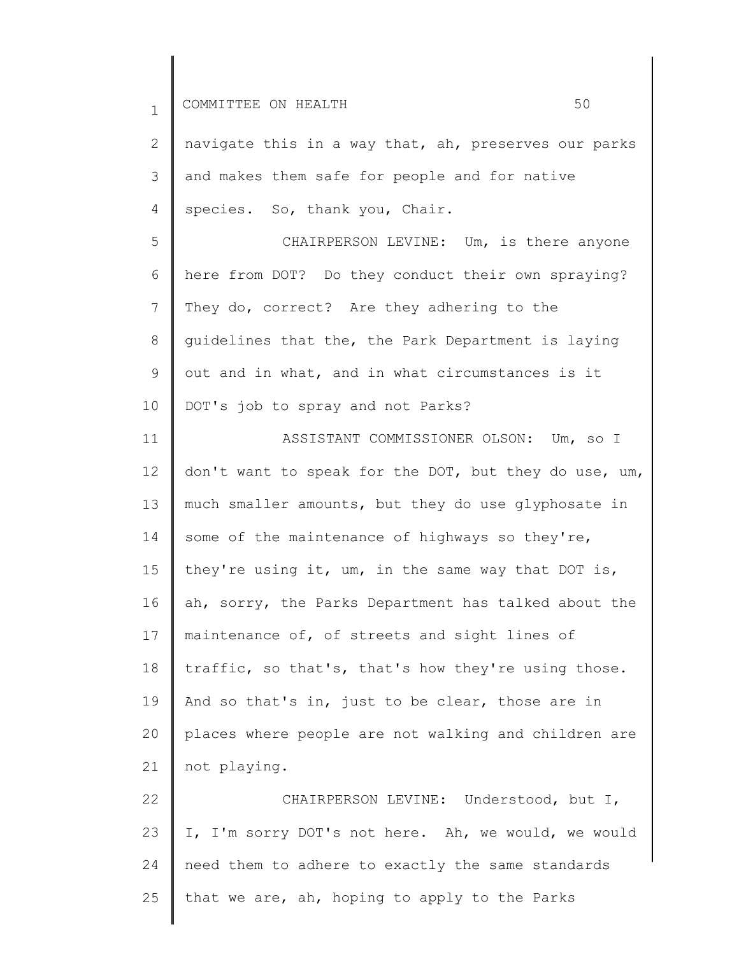1 2 3 4 5 6 7 8 9 10 11 12 13 14 15 16 17 18 19 20 21 22 COMMITTEE ON HEALTH 50 navigate this in a way that, ah, preserves our parks and makes them safe for people and for native species. So, thank you, Chair. CHAIRPERSON LEVINE: Um, is there anyone here from DOT? Do they conduct their own spraying? They do, correct? Are they adhering to the guidelines that the, the Park Department is laying out and in what, and in what circumstances is it DOT's job to spray and not Parks? ASSISTANT COMMISSIONER OLSON: Um, so I don't want to speak for the DOT, but they do use, um, much smaller amounts, but they do use glyphosate in some of the maintenance of highways so they're, they're using it, um, in the same way that DOT is, ah, sorry, the Parks Department has talked about the maintenance of, of streets and sight lines of traffic, so that's, that's how they're using those. And so that's in, just to be clear, those are in places where people are not walking and children are not playing. CHAIRPERSON LEVINE: Understood, but I,

23 24 25 I, I'm sorry DOT's not here. Ah, we would, we would need them to adhere to exactly the same standards that we are, ah, hoping to apply to the Parks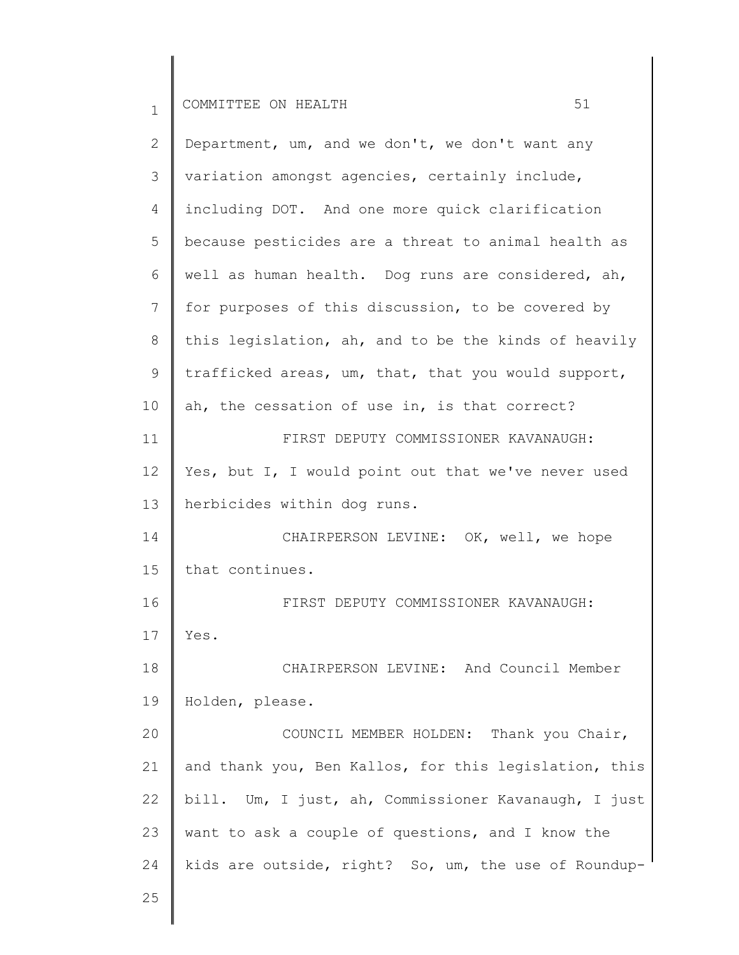1 2 3 4 5 6 7 8 9 10 11 12 13 14 15 16 17 18 19 20 21 22 23 24 25 COMMITTEE ON HEALTH 51 Department, um, and we don't, we don't want any variation amongst agencies, certainly include, including DOT. And one more quick clarification because pesticides are a threat to animal health as well as human health. Dog runs are considered, ah, for purposes of this discussion, to be covered by this legislation, ah, and to be the kinds of heavily trafficked areas, um, that, that you would support, ah, the cessation of use in, is that correct? FIRST DEPUTY COMMISSIONER KAVANAUGH: Yes, but I, I would point out that we've never used herbicides within dog runs. CHAIRPERSON LEVINE: OK, well, we hope that continues. FIRST DEPUTY COMMISSIONER KAVANAUGH: Yes. CHAIRPERSON LEVINE: And Council Member Holden, please. COUNCIL MEMBER HOLDEN: Thank you Chair, and thank you, Ben Kallos, for this legislation, this bill. Um, I just, ah, Commissioner Kavanaugh, I just want to ask a couple of questions, and I know the kids are outside, right? So, um, the use of Roundup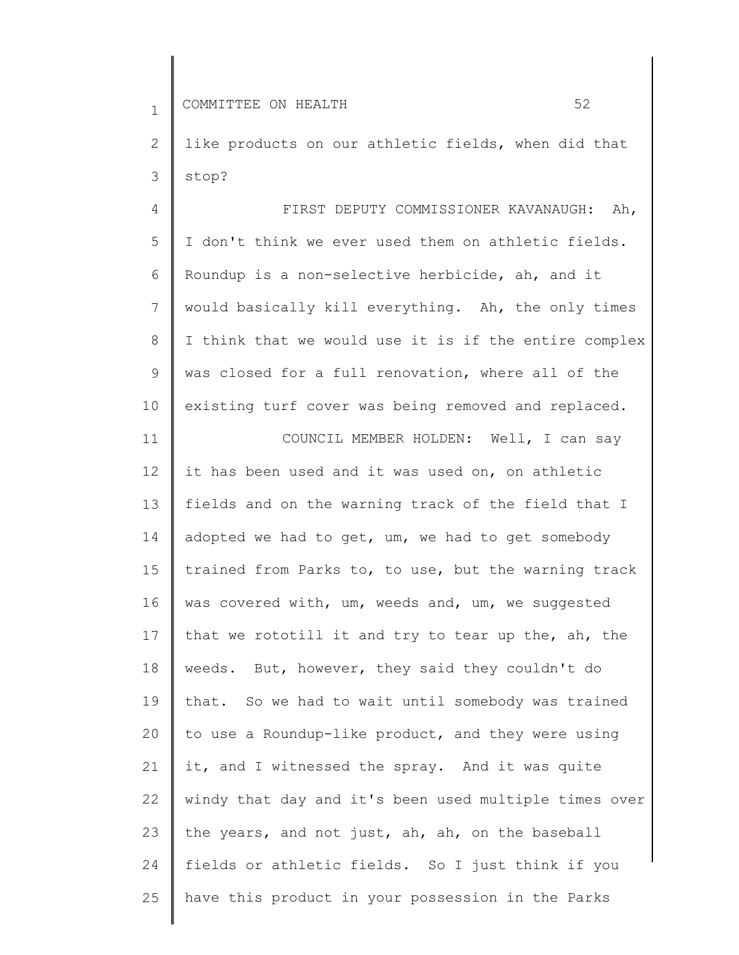11

2 3 like products on our athletic fields, when did that stop?

4 5 6 7 8 9 10 FIRST DEPUTY COMMISSIONER KAVANAUGH: Ah, I don't think we ever used them on athletic fields. Roundup is a non-selective herbicide, ah, and it would basically kill everything. Ah, the only times I think that we would use it is if the entire complex was closed for a full renovation, where all of the existing turf cover was being removed and replaced.

COUNCIL MEMBER HOLDEN: Well, I can say

12 13 14 15 16 17 18 19 20 21 22 23 24 25 it has been used and it was used on, on athletic fields and on the warning track of the field that I adopted we had to get, um, we had to get somebody trained from Parks to, to use, but the warning track was covered with, um, weeds and, um, we suggested that we rototill it and try to tear up the, ah, the weeds. But, however, they said they couldn't do that. So we had to wait until somebody was trained to use a Roundup-like product, and they were using it, and I witnessed the spray. And it was quite windy that day and it's been used multiple times over the years, and not just, ah, ah, on the baseball fields or athletic fields. So I just think if you have this product in your possession in the Parks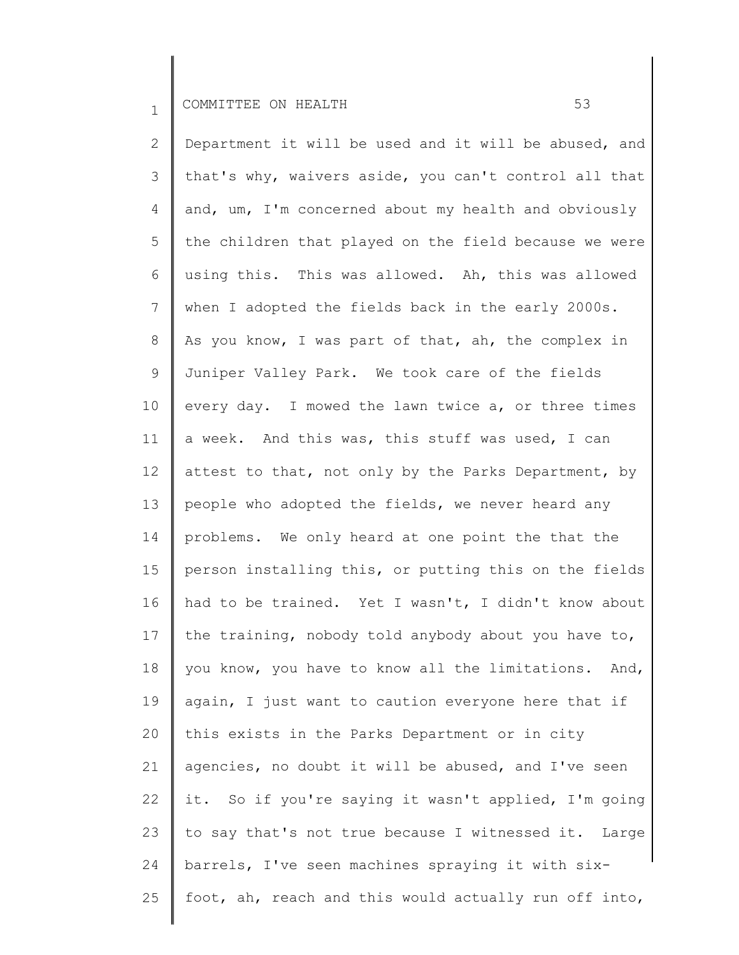2 3 4 5 6 7 8 9 10 11 12 13 14 15 16 17 18 19 20 21 22 23 24 25 Department it will be used and it will be abused, and that's why, waivers aside, you can't control all that and, um, I'm concerned about my health and obviously the children that played on the field because we were using this. This was allowed. Ah, this was allowed when I adopted the fields back in the early 2000s. As you know, I was part of that, ah, the complex in Juniper Valley Park. We took care of the fields every day. I mowed the lawn twice a, or three times a week. And this was, this stuff was used, I can attest to that, not only by the Parks Department, by people who adopted the fields, we never heard any problems. We only heard at one point the that the person installing this, or putting this on the fields had to be trained. Yet I wasn't, I didn't know about the training, nobody told anybody about you have to, you know, you have to know all the limitations. And, again, I just want to caution everyone here that if this exists in the Parks Department or in city agencies, no doubt it will be abused, and I've seen it. So if you're saying it wasn't applied, I'm going to say that's not true because I witnessed it. Large barrels, I've seen machines spraying it with sixfoot, ah, reach and this would actually run off into,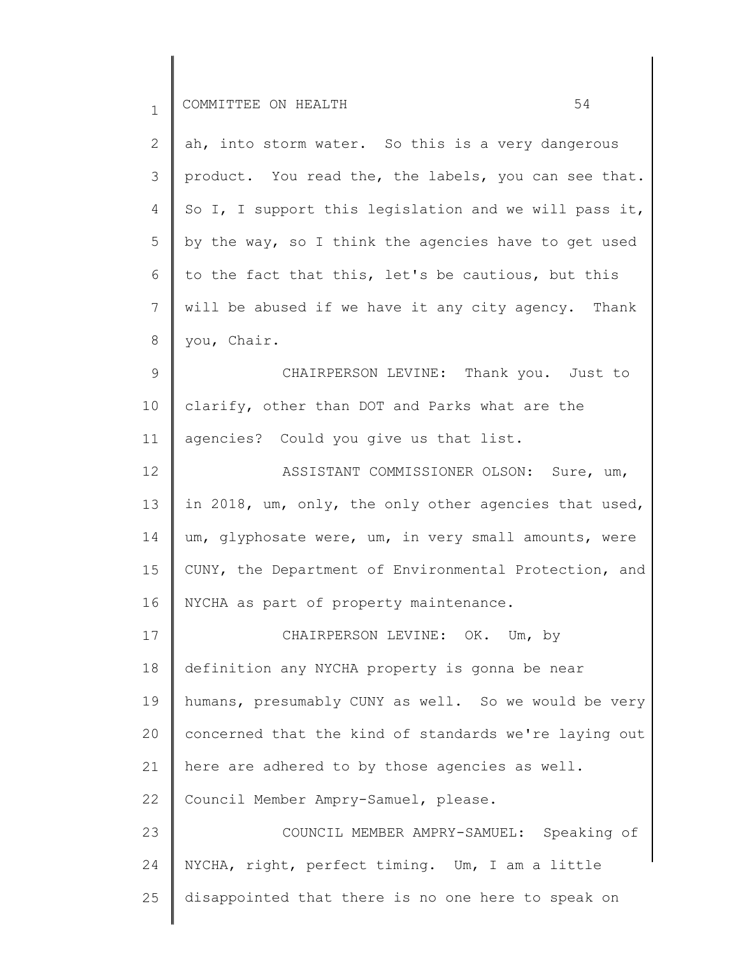| $\mathbf 1$ | 54<br>COMMITTEE ON HEALTH                             |
|-------------|-------------------------------------------------------|
| 2           | ah, into storm water. So this is a very dangerous     |
| 3           | product. You read the, the labels, you can see that.  |
| 4           | So I, I support this legislation and we will pass it, |
| 5           | by the way, so I think the agencies have to get used  |
| 6           | to the fact that this, let's be cautious, but this    |
| 7           | will be abused if we have it any city agency. Thank   |
| 8           | you, Chair.                                           |
| 9           | CHAIRPERSON LEVINE: Thank you. Just to                |
| 10          | clarify, other than DOT and Parks what are the        |
| 11          | agencies? Could you give us that list.                |
| 12          | ASSISTANT COMMISSIONER OLSON: Sure, um,               |
| 13          | in 2018, um, only, the only other agencies that used, |
| 14          | um, glyphosate were, um, in very small amounts, were  |
| 15          | CUNY, the Department of Environmental Protection, and |
| 16          | NYCHA as part of property maintenance.                |
| 17          | CHAIRPERSON LEVINE: OK. Um, by                        |
| 18          | definition any NYCHA property is gonna be near        |
| 19          | humans, presumably CUNY as well. So we would be very  |
| 20          | concerned that the kind of standards we're laying out |
| 21          | here are adhered to by those agencies as well.        |
| 22          | Council Member Ampry-Samuel, please.                  |
| 23          | COUNCIL MEMBER AMPRY-SAMUEL: Speaking of              |
| 24          | NYCHA, right, perfect timing. Um, I am a little       |
| 25          | disappointed that there is no one here to speak on    |
|             |                                                       |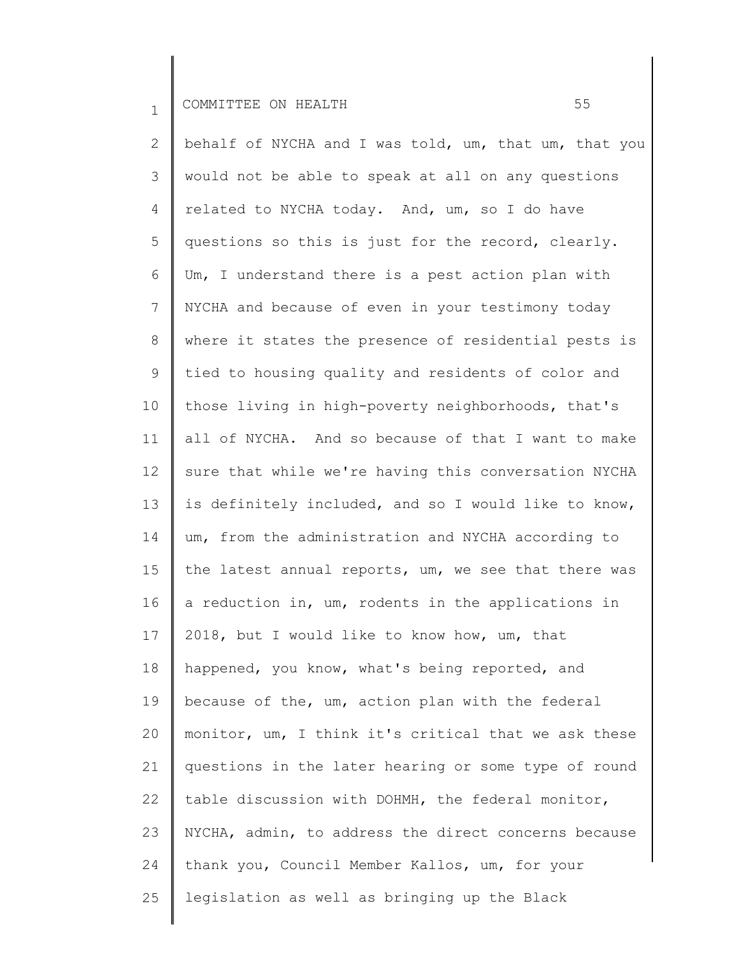2 3 4 5 6 7 8 9 10 11 12 13 14 15 16 17 18 19 20 21 22 23 24 25 behalf of NYCHA and I was told, um, that um, that you would not be able to speak at all on any questions related to NYCHA today. And, um, so I do have questions so this is just for the record, clearly. Um, I understand there is a pest action plan with NYCHA and because of even in your testimony today where it states the presence of residential pests is tied to housing quality and residents of color and those living in high-poverty neighborhoods, that's all of NYCHA. And so because of that I want to make sure that while we're having this conversation NYCHA is definitely included, and so I would like to know, um, from the administration and NYCHA according to the latest annual reports, um, we see that there was a reduction in, um, rodents in the applications in 2018, but I would like to know how, um, that happened, you know, what's being reported, and because of the, um, action plan with the federal monitor, um, I think it's critical that we ask these questions in the later hearing or some type of round table discussion with DOHMH, the federal monitor, NYCHA, admin, to address the direct concerns because thank you, Council Member Kallos, um, for your legislation as well as bringing up the Black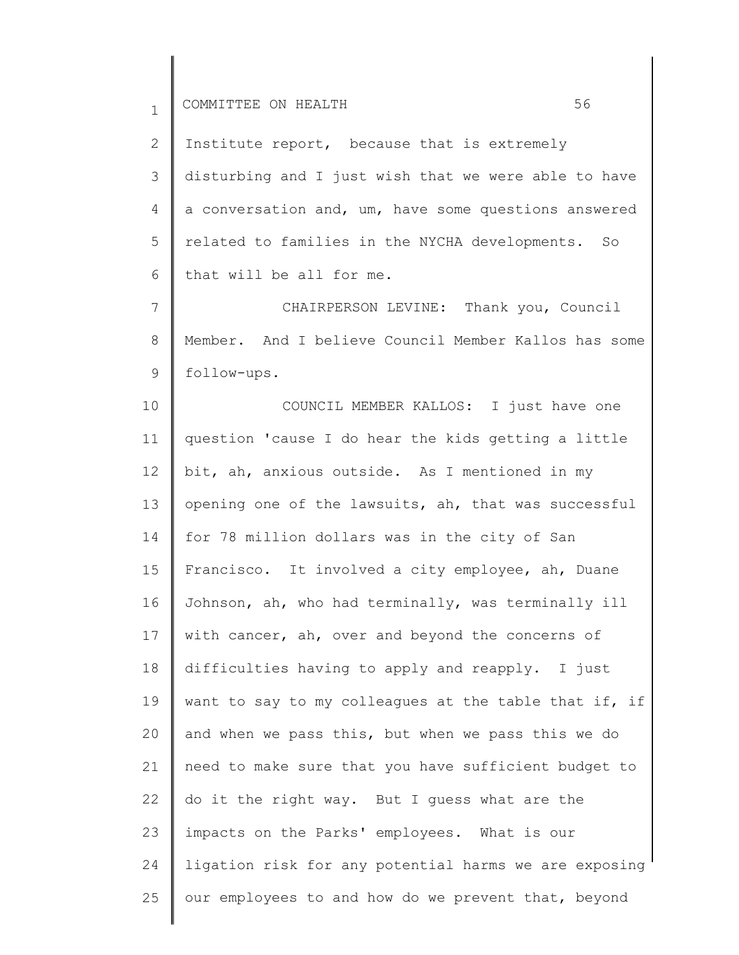2 3 4 5 6 Institute report, because that is extremely disturbing and I just wish that we were able to have a conversation and, um, have some questions answered related to families in the NYCHA developments. So that will be all for me.

7 8 9 CHAIRPERSON LEVINE: Thank you, Council Member. And I believe Council Member Kallos has some follow-ups.

10 11 12 13 14 15 16 17 18 19 20 21 22 23 24 25 COUNCIL MEMBER KALLOS: I just have one question 'cause I do hear the kids getting a little bit, ah, anxious outside. As I mentioned in my opening one of the lawsuits, ah, that was successful for 78 million dollars was in the city of San Francisco. It involved a city employee, ah, Duane Johnson, ah, who had terminally, was terminally ill with cancer, ah, over and beyond the concerns of difficulties having to apply and reapply. I just want to say to my colleagues at the table that if, if and when we pass this, but when we pass this we do need to make sure that you have sufficient budget to do it the right way. But I guess what are the impacts on the Parks' employees. What is our ligation risk for any potential harms we are exposing our employees to and how do we prevent that, beyond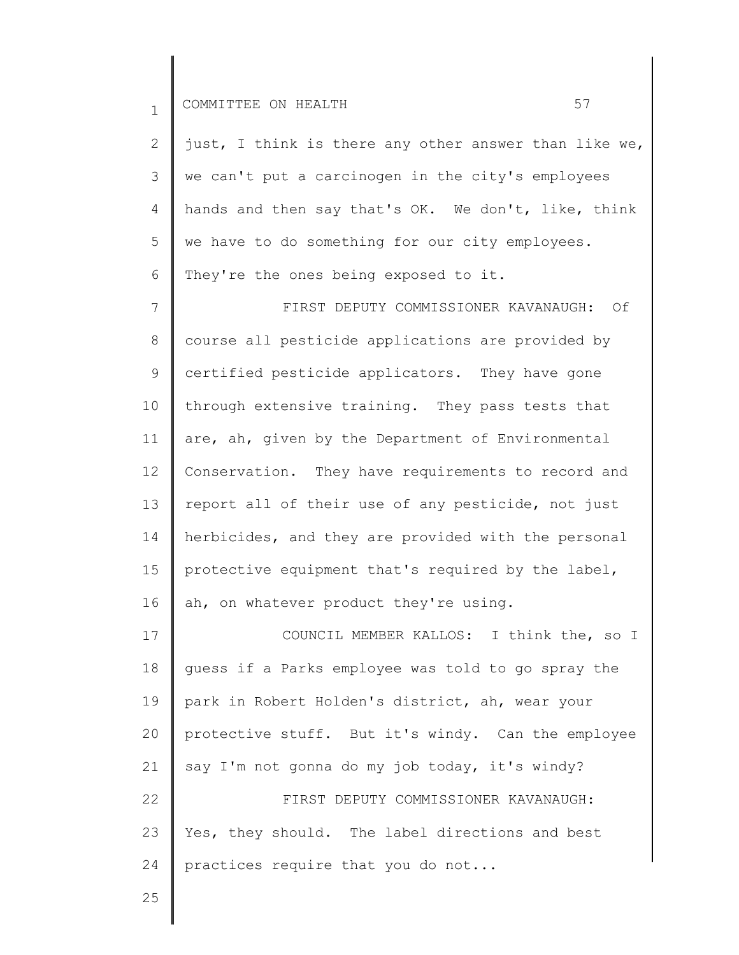2 3 4 5 6 just, I think is there any other answer than like we, we can't put a carcinogen in the city's employees hands and then say that's OK. We don't, like, think we have to do something for our city employees. They're the ones being exposed to it.

7 8 9 10 11 12 13 14 15 16 FIRST DEPUTY COMMISSIONER KAVANAUGH: Of course all pesticide applications are provided by certified pesticide applicators. They have gone through extensive training. They pass tests that are, ah, given by the Department of Environmental Conservation. They have requirements to record and report all of their use of any pesticide, not just herbicides, and they are provided with the personal protective equipment that's required by the label, ah, on whatever product they're using.

17 18 19 20 21 22 23 24 COUNCIL MEMBER KALLOS: I think the, so I guess if a Parks employee was told to go spray the park in Robert Holden's district, ah, wear your protective stuff. But it's windy. Can the employee say I'm not gonna do my job today, it's windy? FIRST DEPUTY COMMISSIONER KAVANAUGH: Yes, they should. The label directions and best practices require that you do not...

25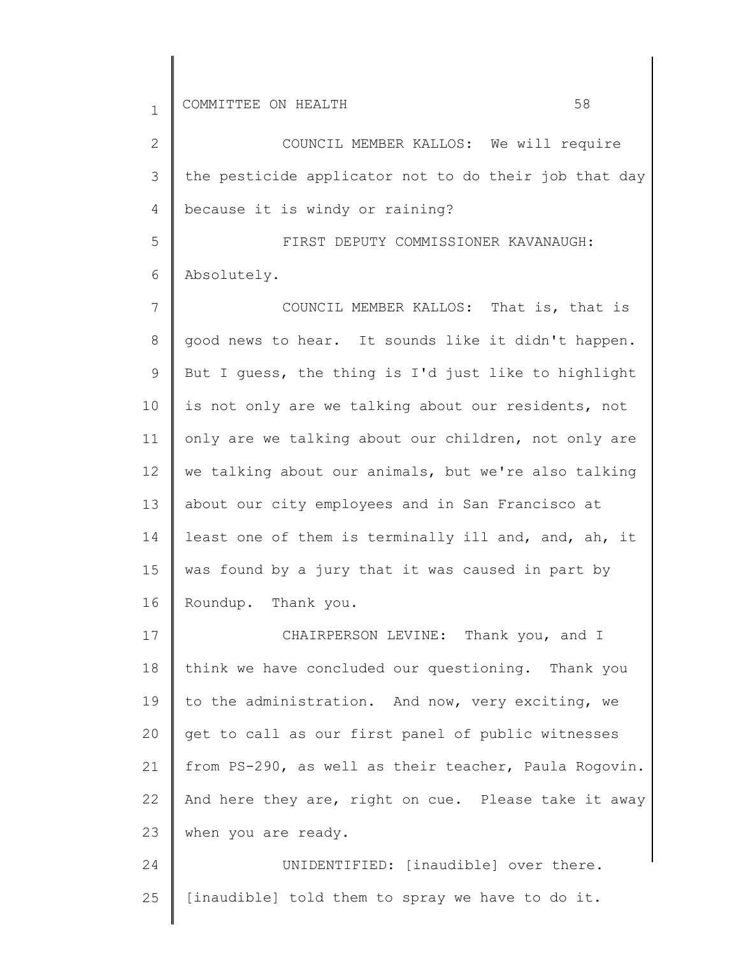2 3 4 5 6 7 8 9 10 11 12 13 14 15 16 COUNCIL MEMBER KALLOS: We will require the pesticide applicator not to do their job that day because it is windy or raining? FIRST DEPUTY COMMISSIONER KAVANAUGH: Absolutely. COUNCIL MEMBER KALLOS: That is, that is good news to hear. It sounds like it didn't happen. But I guess, the thing is I'd just like to highlight is not only are we talking about our residents, not only are we talking about our children, not only are we talking about our animals, but we're also talking about our city employees and in San Francisco at least one of them is terminally ill and, and, ah, it was found by a jury that it was caused in part by Roundup. Thank you.

17 18 19 20 21 22 23 CHAIRPERSON LEVINE: Thank you, and I think we have concluded our questioning. Thank you to the administration. And now, very exciting, we get to call as our first panel of public witnesses from PS-290, as well as their teacher, Paula Rogovin. And here they are, right on cue. Please take it away when you are ready.

24 25 UNIDENTIFIED: [inaudible] over there. [inaudible] told them to spray we have to do it.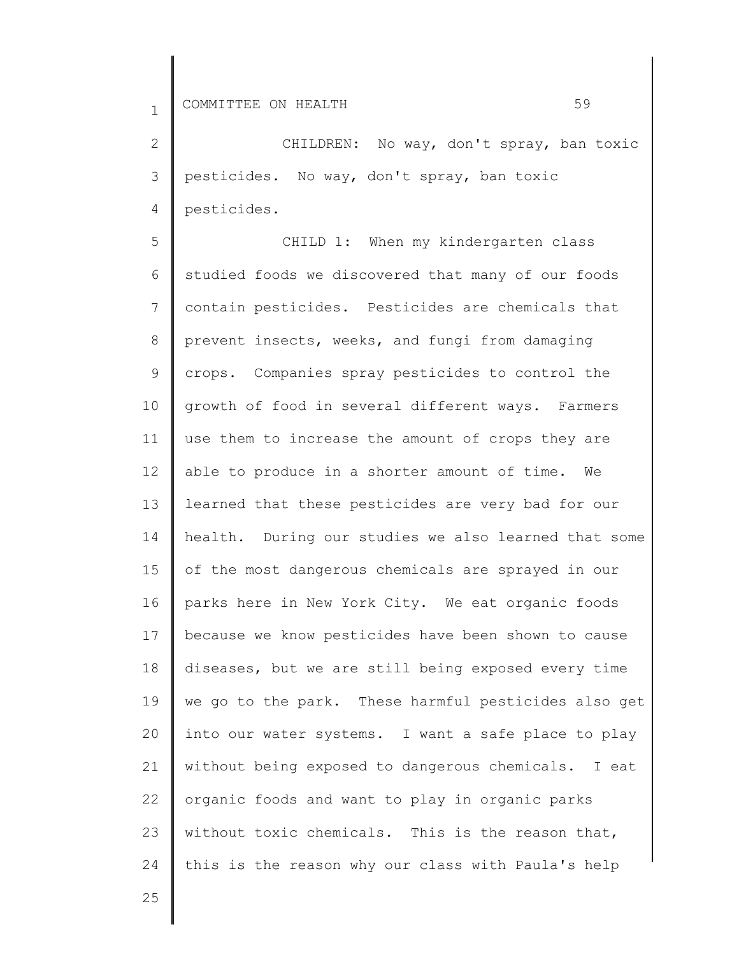2 3 4 CHILDREN: No way, don't spray, ban toxic pesticides. No way, don't spray, ban toxic pesticides.

5 6 7 8 9 10 11 12 13 14 15 16 17 18 19 20 21 22 23 24 CHILD 1: When my kindergarten class studied foods we discovered that many of our foods contain pesticides. Pesticides are chemicals that prevent insects, weeks, and fungi from damaging crops. Companies spray pesticides to control the growth of food in several different ways. Farmers use them to increase the amount of crops they are able to produce in a shorter amount of time. We learned that these pesticides are very bad for our health. During our studies we also learned that some of the most dangerous chemicals are sprayed in our parks here in New York City. We eat organic foods because we know pesticides have been shown to cause diseases, but we are still being exposed every time we go to the park. These harmful pesticides also get into our water systems. I want a safe place to play without being exposed to dangerous chemicals. I eat organic foods and want to play in organic parks without toxic chemicals. This is the reason that, this is the reason why our class with Paula's help

25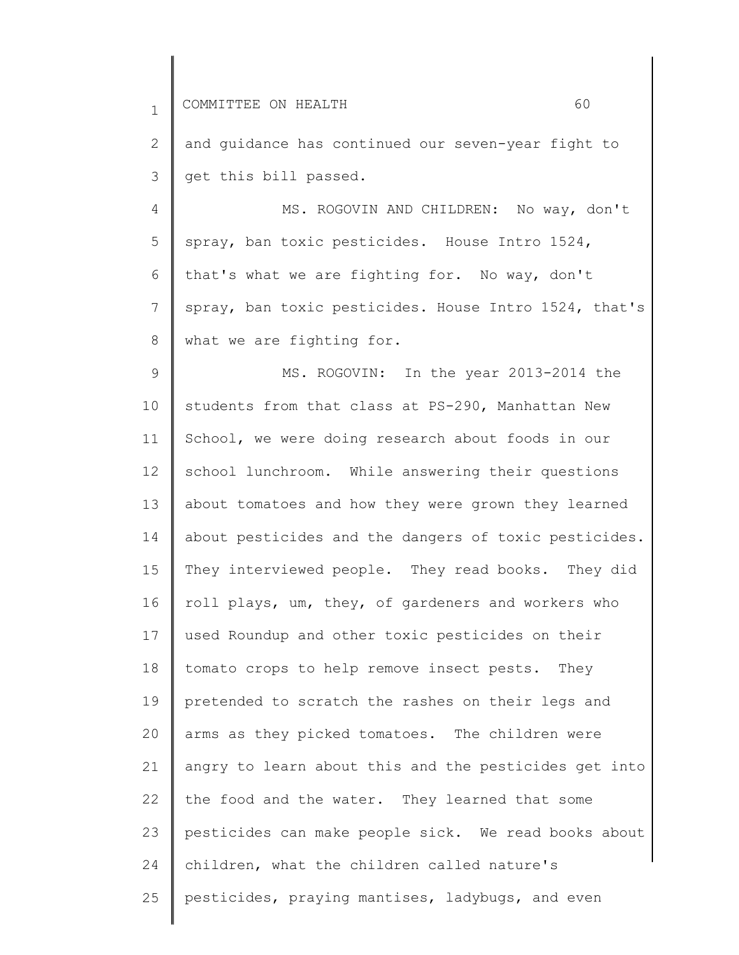2 3 and guidance has continued our seven-year fight to get this bill passed.

4 5 6 7 8 MS. ROGOVIN AND CHILDREN: No way, don't spray, ban toxic pesticides. House Intro 1524, that's what we are fighting for. No way, don't spray, ban toxic pesticides. House Intro 1524, that's what we are fighting for.

9 10 11 12 13 14 15 16 17 18 19 20 21 22 23 24 25 MS. ROGOVIN: In the year 2013-2014 the students from that class at PS-290, Manhattan New School, we were doing research about foods in our school lunchroom. While answering their questions about tomatoes and how they were grown they learned about pesticides and the dangers of toxic pesticides. They interviewed people. They read books. They did roll plays, um, they, of gardeners and workers who used Roundup and other toxic pesticides on their tomato crops to help remove insect pests. They pretended to scratch the rashes on their legs and arms as they picked tomatoes. The children were angry to learn about this and the pesticides get into the food and the water. They learned that some pesticides can make people sick. We read books about children, what the children called nature's pesticides, praying mantises, ladybugs, and even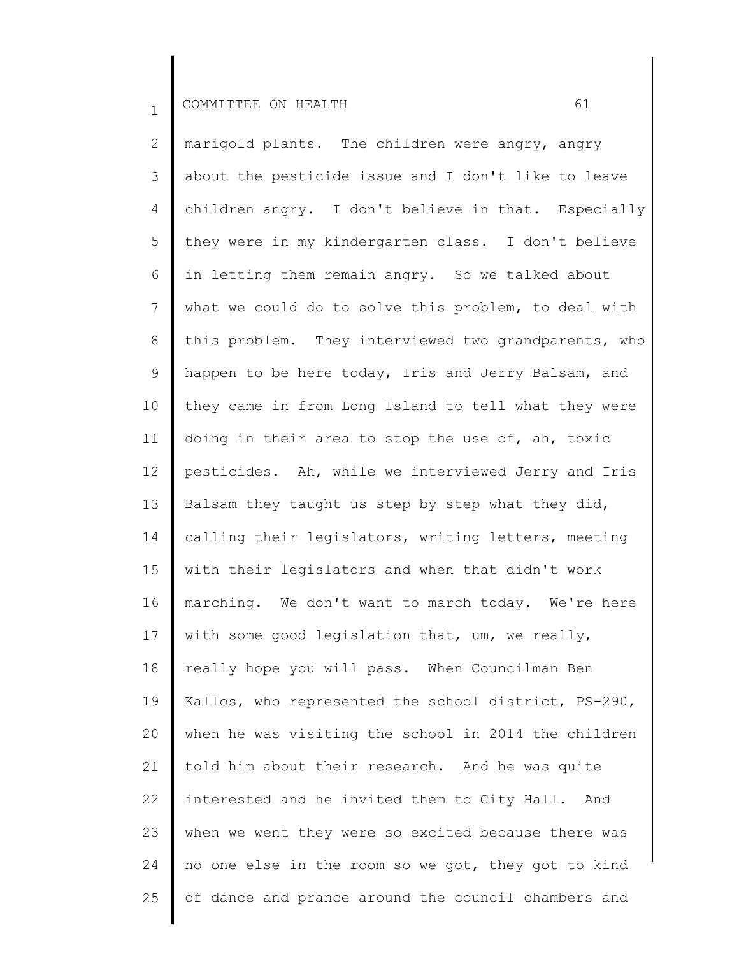2 3 4 5 6 7 8 9 10 11 12 13 14 15 16 17 18 19 20 21 22 23 24 25 marigold plants. The children were angry, angry about the pesticide issue and I don't like to leave children angry. I don't believe in that. Especially they were in my kindergarten class. I don't believe in letting them remain angry. So we talked about what we could do to solve this problem, to deal with this problem. They interviewed two grandparents, who happen to be here today, Iris and Jerry Balsam, and they came in from Long Island to tell what they were doing in their area to stop the use of, ah, toxic pesticides. Ah, while we interviewed Jerry and Iris Balsam they taught us step by step what they did, calling their legislators, writing letters, meeting with their legislators and when that didn't work marching. We don't want to march today. We're here with some good legislation that, um, we really, really hope you will pass. When Councilman Ben Kallos, who represented the school district, PS-290, when he was visiting the school in 2014 the children told him about their research. And he was quite interested and he invited them to City Hall. And when we went they were so excited because there was no one else in the room so we got, they got to kind of dance and prance around the council chambers and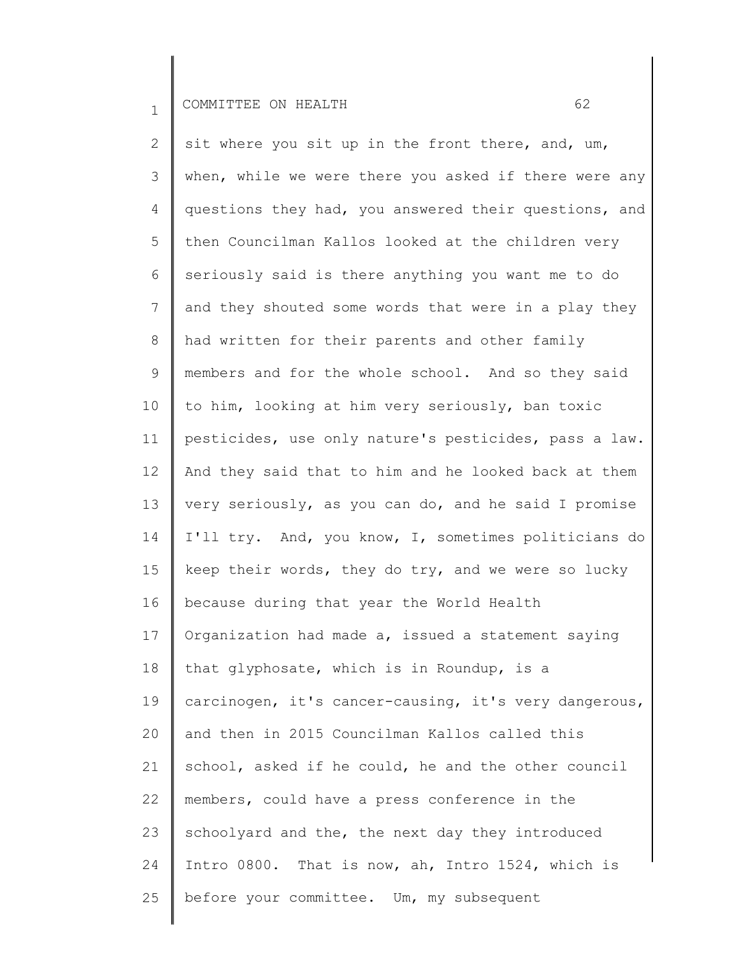2 3 4 5 6 7 8 9 10 11 12 13 14 15 16 17 18 19 20 21 22 23 24 25 sit where you sit up in the front there, and, um, when, while we were there you asked if there were any questions they had, you answered their questions, and then Councilman Kallos looked at the children very seriously said is there anything you want me to do and they shouted some words that were in a play they had written for their parents and other family members and for the whole school. And so they said to him, looking at him very seriously, ban toxic pesticides, use only nature's pesticides, pass a law. And they said that to him and he looked back at them very seriously, as you can do, and he said I promise I'll try. And, you know, I, sometimes politicians do keep their words, they do try, and we were so lucky because during that year the World Health Organization had made a, issued a statement saying that glyphosate, which is in Roundup, is a carcinogen, it's cancer-causing, it's very dangerous, and then in 2015 Councilman Kallos called this school, asked if he could, he and the other council members, could have a press conference in the schoolyard and the, the next day they introduced Intro 0800. That is now, ah, Intro 1524, which is before your committee. Um, my subsequent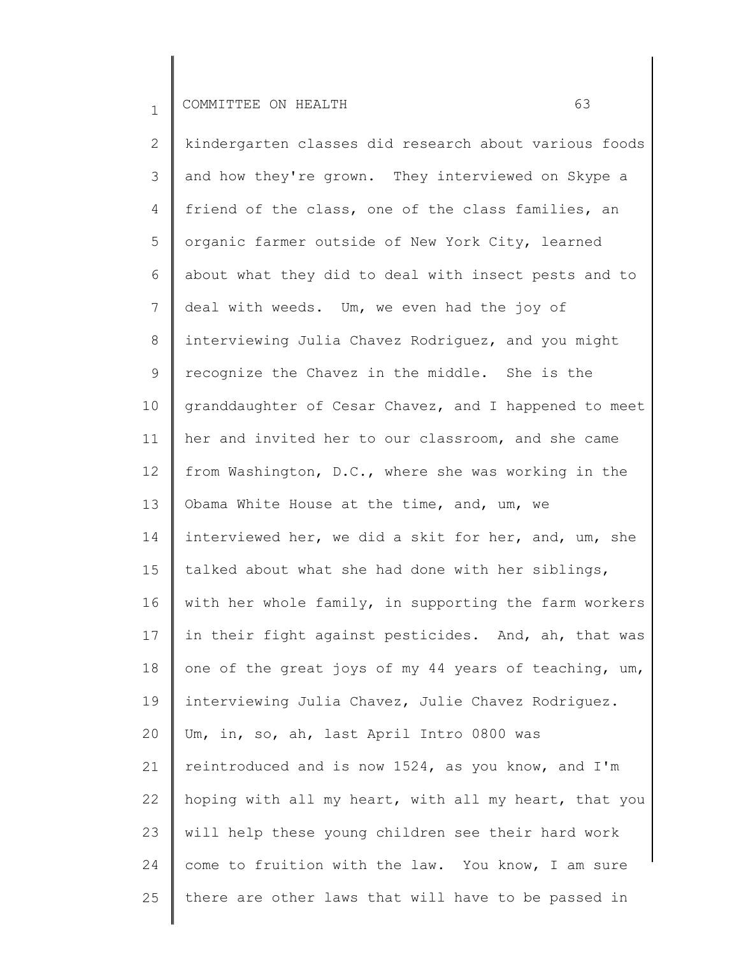2 3 4 5 6 7 8 9 10 11 12 13 14 15 16 17 18 19 20 21 22 23 24 25 kindergarten classes did research about various foods and how they're grown. They interviewed on Skype a friend of the class, one of the class families, an organic farmer outside of New York City, learned about what they did to deal with insect pests and to deal with weeds. Um, we even had the joy of interviewing Julia Chavez Rodriguez, and you might recognize the Chavez in the middle. She is the granddaughter of Cesar Chavez, and I happened to meet her and invited her to our classroom, and she came from Washington, D.C., where she was working in the Obama White House at the time, and, um, we interviewed her, we did a skit for her, and, um, she talked about what she had done with her siblings, with her whole family, in supporting the farm workers in their fight against pesticides. And, ah, that was one of the great joys of my 44 years of teaching, um, interviewing Julia Chavez, Julie Chavez Rodriguez. Um, in, so, ah, last April Intro 0800 was reintroduced and is now 1524, as you know, and I'm hoping with all my heart, with all my heart, that you will help these young children see their hard work come to fruition with the law. You know, I am sure there are other laws that will have to be passed in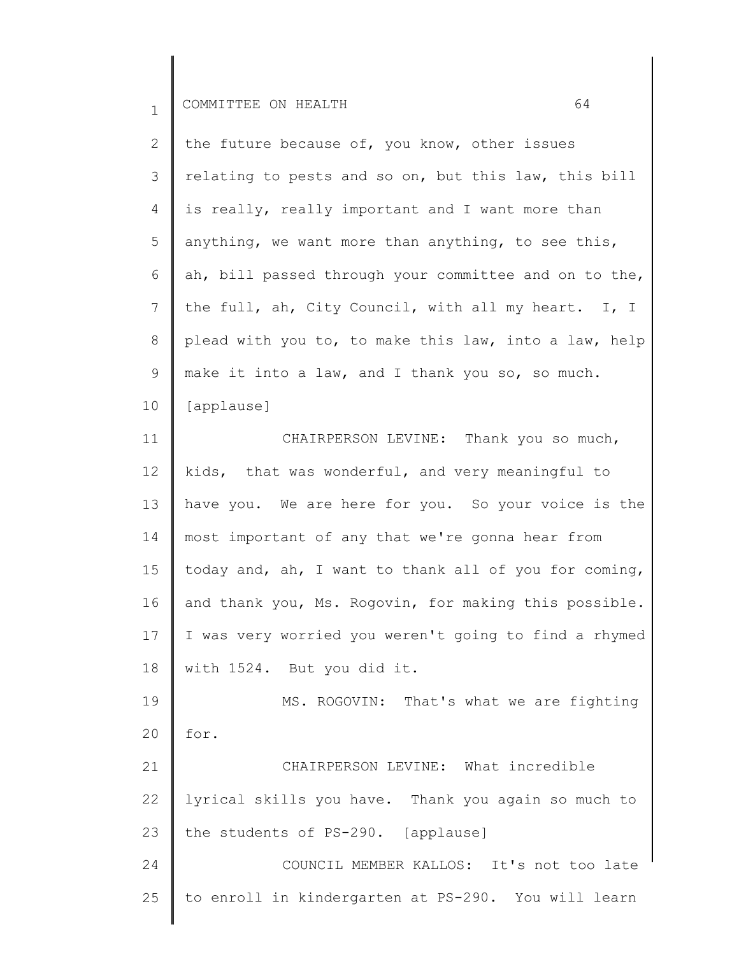| I<br><b>_</b> | . <del>.</del> . <del>.</del><br>л N Л | ∩N<br>$\sim$ | -- |  |  |
|---------------|----------------------------------------|--------------|----|--|--|
|---------------|----------------------------------------|--------------|----|--|--|

| 2  | the future because of, you know, other issues         |
|----|-------------------------------------------------------|
| 3  | relating to pests and so on, but this law, this bill  |
| 4  | is really, really important and I want more than      |
| 5  | anything, we want more than anything, to see this,    |
| 6  | ah, bill passed through your committee and on to the, |
| 7  | the full, ah, City Council, with all my heart. I, I   |
| 8  | plead with you to, to make this law, into a law, help |
| 9  | make it into a law, and I thank you so, so much.      |
| 10 | [applause]                                            |

11 12 13 14 15 16 17 18 19 CHAIRPERSON LEVINE: Thank you so much, kids, that was wonderful, and very meaningful to have you. We are here for you. So your voice is the most important of any that we're gonna hear from today and, ah, I want to thank all of you for coming, and thank you, Ms. Rogovin, for making this possible. I was very worried you weren't going to find a rhymed with 1524. But you did it. MS. ROGOVIN: That's what we are fighting

20 for.

21 22 23 CHAIRPERSON LEVINE: What incredible lyrical skills you have. Thank you again so much to the students of PS-290. [applause]

24 25 COUNCIL MEMBER KALLOS: It's not too late to enroll in kindergarten at PS-290. You will learn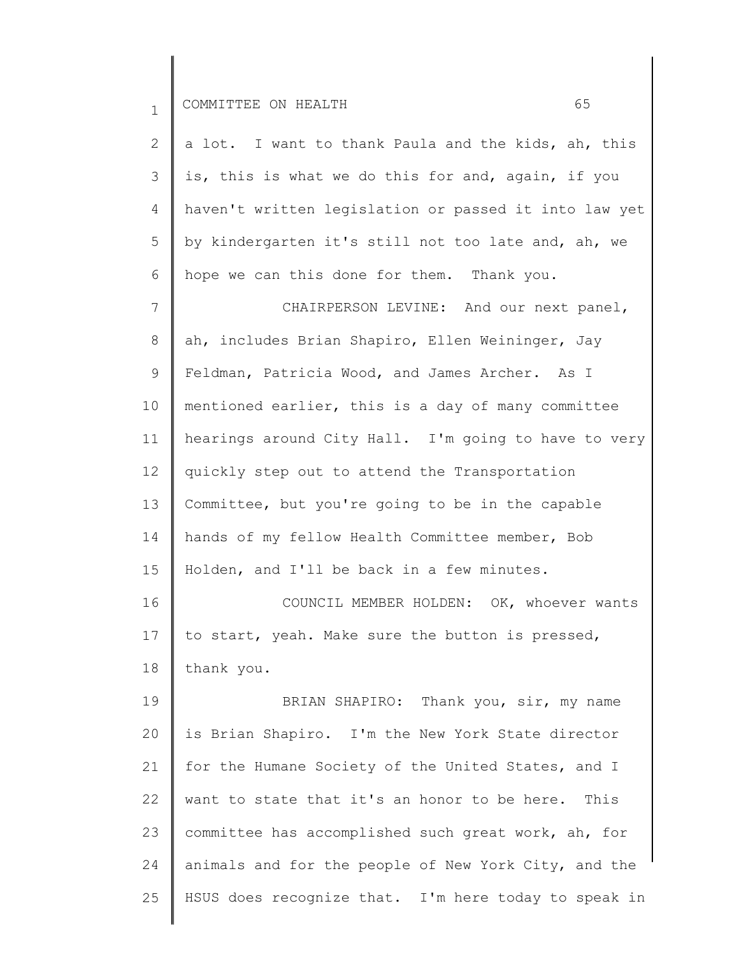| <b>__</b> | )MMTTTF.E<br>II | ON<br>$\sim$ $\sim$ |  |  |
|-----------|-----------------|---------------------|--|--|
|-----------|-----------------|---------------------|--|--|

| a lot. I want to thank Paula and the kids, ah, this   |
|-------------------------------------------------------|
| is, this is what we do this for and, again, if you    |
| haven't written legislation or passed it into law yet |
| by kindergarten it's still not too late and, ah, we   |
| hope we can this done for them. Thank you.            |
| CHAIRPERSON LEVINE: And our next panel,               |
| ah, includes Brian Shapiro, Ellen Weininger, Jay      |
| Feldman, Patricia Wood, and James Archer. As I        |
| mentioned earlier, this is a day of many committee    |
| hearings around City Hall. I'm going to have to very  |
| quickly step out to attend the Transportation         |
| Committee, but you're going to be in the capable      |
|                                                       |

14 15 hands of my fellow Health Committee member, Bob Holden, and I'll be back in a few minutes.

16 17 18 COUNCIL MEMBER HOLDEN: OK, whoever wants to start, yeah. Make sure the button is pressed, thank you.

19 20 21 22 23 24 25 BRIAN SHAPIRO: Thank you, sir, my name is Brian Shapiro. I'm the New York State director for the Humane Society of the United States, and I want to state that it's an honor to be here. This committee has accomplished such great work, ah, for animals and for the people of New York City, and the HSUS does recognize that. I'm here today to speak in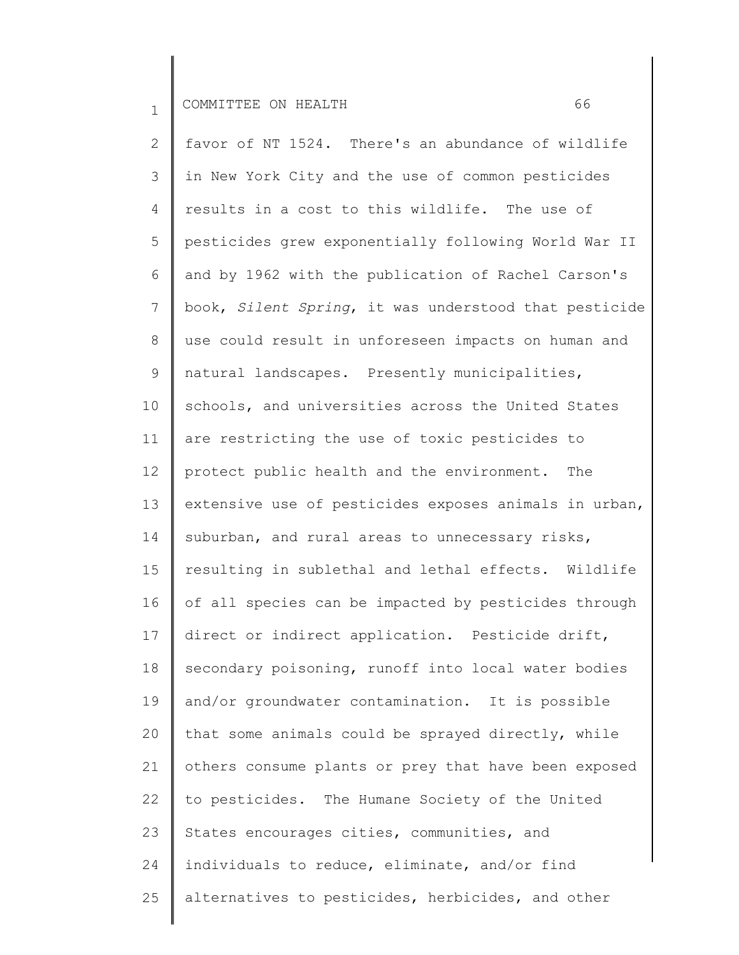2 3 4 5 6 7 8 9 10 11 12 13 14 15 16 17 18 19 20 21 22 23 24 25 favor of NT 1524. There's an abundance of wildlife in New York City and the use of common pesticides results in a cost to this wildlife. The use of pesticides grew exponentially following World War II and by 1962 with the publication of Rachel Carson's book, *Silent Spring*, it was understood that pesticide use could result in unforeseen impacts on human and natural landscapes. Presently municipalities, schools, and universities across the United States are restricting the use of toxic pesticides to protect public health and the environment. The extensive use of pesticides exposes animals in urban, suburban, and rural areas to unnecessary risks, resulting in sublethal and lethal effects. Wildlife of all species can be impacted by pesticides through direct or indirect application. Pesticide drift, secondary poisoning, runoff into local water bodies and/or groundwater contamination. It is possible that some animals could be sprayed directly, while others consume plants or prey that have been exposed to pesticides. The Humane Society of the United States encourages cities, communities, and individuals to reduce, eliminate, and/or find alternatives to pesticides, herbicides, and other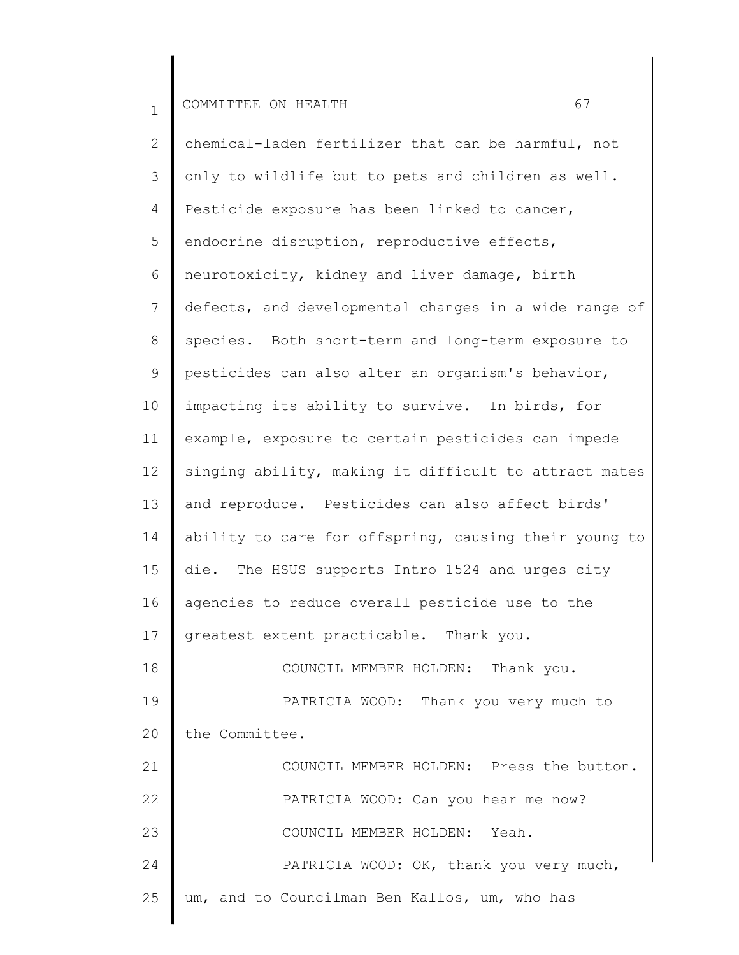2 3 4 5 6 7 8 9 10 11 12 13 14 15 16 17 18 19 20 21 22 23 24 25 chemical-laden fertilizer that can be harmful, not only to wildlife but to pets and children as well. Pesticide exposure has been linked to cancer, endocrine disruption, reproductive effects, neurotoxicity, kidney and liver damage, birth defects, and developmental changes in a wide range of species. Both short-term and long-term exposure to pesticides can also alter an organism's behavior, impacting its ability to survive. In birds, for example, exposure to certain pesticides can impede singing ability, making it difficult to attract mates and reproduce. Pesticides can also affect birds' ability to care for offspring, causing their young to die. The HSUS supports Intro 1524 and urges city agencies to reduce overall pesticide use to the greatest extent practicable. Thank you. COUNCIL MEMBER HOLDEN: Thank you. PATRICIA WOOD: Thank you very much to the Committee. COUNCIL MEMBER HOLDEN: Press the button. PATRICIA WOOD: Can you hear me now? COUNCIL MEMBER HOLDEN: Yeah. PATRICIA WOOD: OK, thank you very much, um, and to Councilman Ben Kallos, um, who has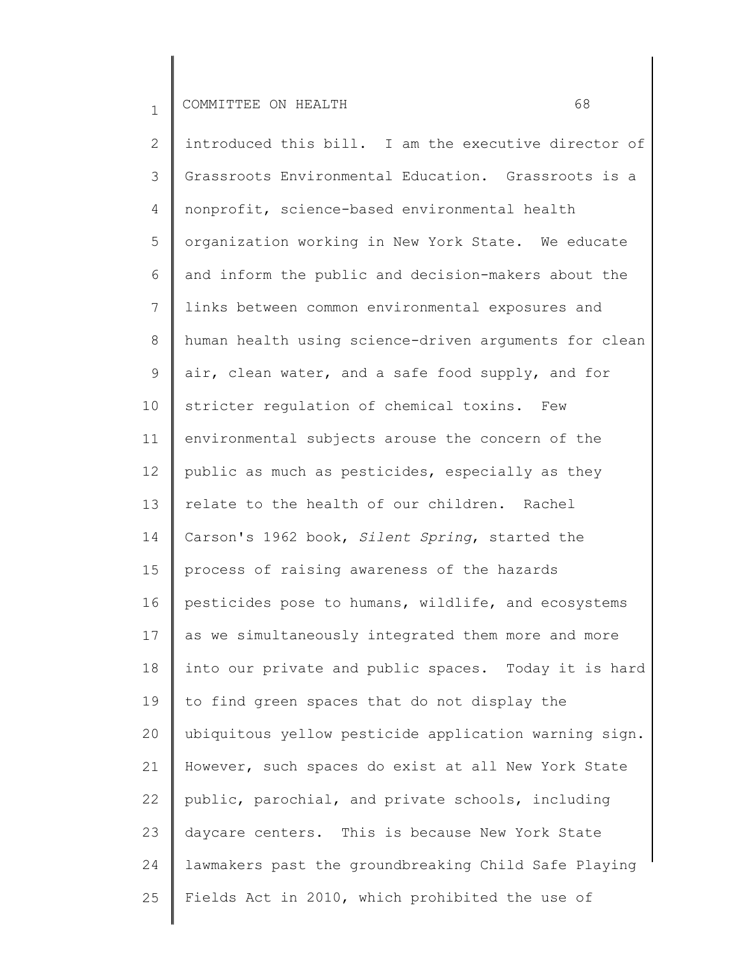2 3 4 5 6 7 8 9 10 11 12 13 14 15 16 17 18 19 20 21 22 23 24 25 introduced this bill. I am the executive director of Grassroots Environmental Education. Grassroots is a nonprofit, science-based environmental health organization working in New York State. We educate and inform the public and decision-makers about the links between common environmental exposures and human health using science-driven arguments for clean air, clean water, and a safe food supply, and for stricter regulation of chemical toxins. Few environmental subjects arouse the concern of the public as much as pesticides, especially as they relate to the health of our children. Rachel Carson's 1962 book, *Silent Spring*, started the process of raising awareness of the hazards pesticides pose to humans, wildlife, and ecosystems as we simultaneously integrated them more and more into our private and public spaces. Today it is hard to find green spaces that do not display the ubiquitous yellow pesticide application warning sign. However, such spaces do exist at all New York State public, parochial, and private schools, including daycare centers. This is because New York State lawmakers past the groundbreaking Child Safe Playing Fields Act in 2010, which prohibited the use of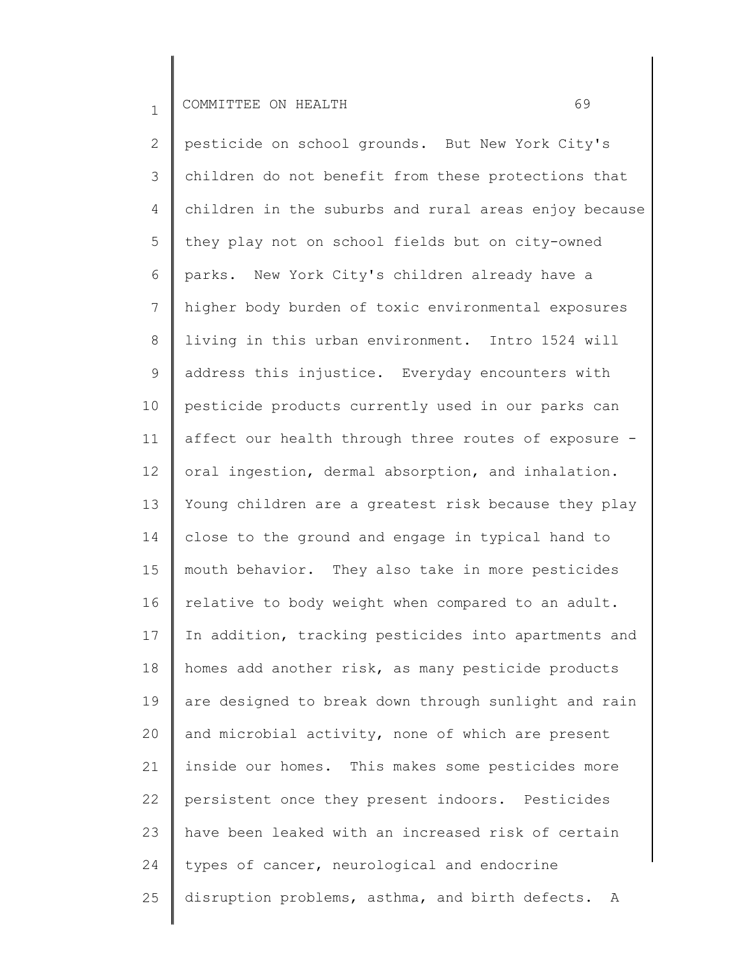2 3 4 5 6 7 8 9 10 11 12 13 14 15 16 17 18 19 20 21 22 23 24 25 pesticide on school grounds. But New York City's children do not benefit from these protections that children in the suburbs and rural areas enjoy because they play not on school fields but on city-owned parks. New York City's children already have a higher body burden of toxic environmental exposures living in this urban environment. Intro 1524 will address this injustice. Everyday encounters with pesticide products currently used in our parks can affect our health through three routes of exposure oral ingestion, dermal absorption, and inhalation. Young children are a greatest risk because they play close to the ground and engage in typical hand to mouth behavior. They also take in more pesticides relative to body weight when compared to an adult. In addition, tracking pesticides into apartments and homes add another risk, as many pesticide products are designed to break down through sunlight and rain and microbial activity, none of which are present inside our homes. This makes some pesticides more persistent once they present indoors. Pesticides have been leaked with an increased risk of certain types of cancer, neurological and endocrine disruption problems, asthma, and birth defects. A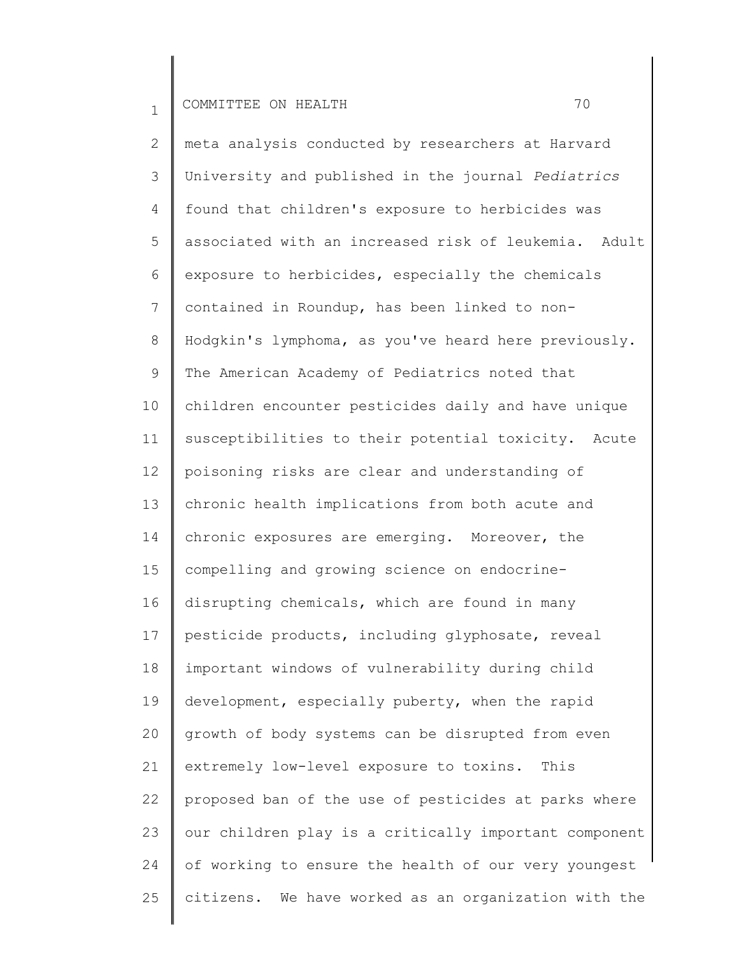2 3 4 5 6 7 8 9 10 11 12 13 14 15 16 17 18 19 20 21 22 23 24 25 meta analysis conducted by researchers at Harvard University and published in the journal *Pediatrics* found that children's exposure to herbicides was associated with an increased risk of leukemia. Adult exposure to herbicides, especially the chemicals contained in Roundup, has been linked to non-Hodgkin's lymphoma, as you've heard here previously. The American Academy of Pediatrics noted that children encounter pesticides daily and have unique susceptibilities to their potential toxicity. Acute poisoning risks are clear and understanding of chronic health implications from both acute and chronic exposures are emerging. Moreover, the compelling and growing science on endocrinedisrupting chemicals, which are found in many pesticide products, including glyphosate, reveal important windows of vulnerability during child development, especially puberty, when the rapid growth of body systems can be disrupted from even extremely low-level exposure to toxins. This proposed ban of the use of pesticides at parks where our children play is a critically important component of working to ensure the health of our very youngest citizens. We have worked as an organization with the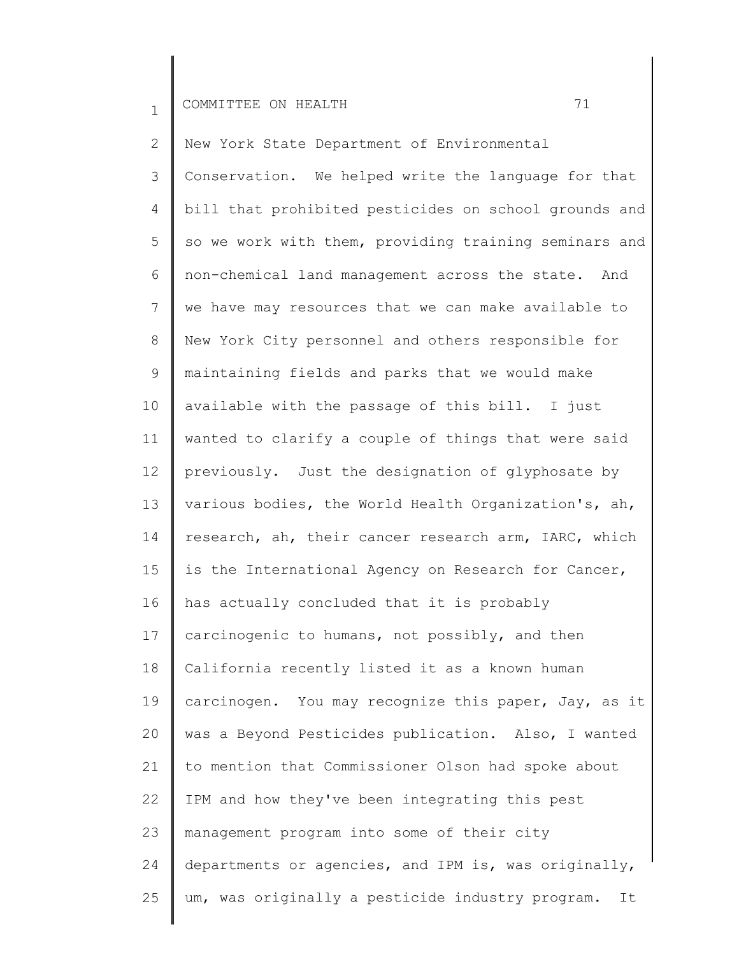2 3 4 5 6 7 8 9 10 11 12 13 14 15 16 17 18 19 20 21 22 23 24 25 New York State Department of Environmental Conservation. We helped write the language for that bill that prohibited pesticides on school grounds and so we work with them, providing training seminars and non-chemical land management across the state. And we have may resources that we can make available to New York City personnel and others responsible for maintaining fields and parks that we would make available with the passage of this bill. I just wanted to clarify a couple of things that were said previously. Just the designation of glyphosate by various bodies, the World Health Organization's, ah, research, ah, their cancer research arm, IARC, which is the International Agency on Research for Cancer, has actually concluded that it is probably carcinogenic to humans, not possibly, and then California recently listed it as a known human carcinogen. You may recognize this paper, Jay, as it was a Beyond Pesticides publication. Also, I wanted to mention that Commissioner Olson had spoke about IPM and how they've been integrating this pest management program into some of their city departments or agencies, and IPM is, was originally, um, was originally a pesticide industry program. It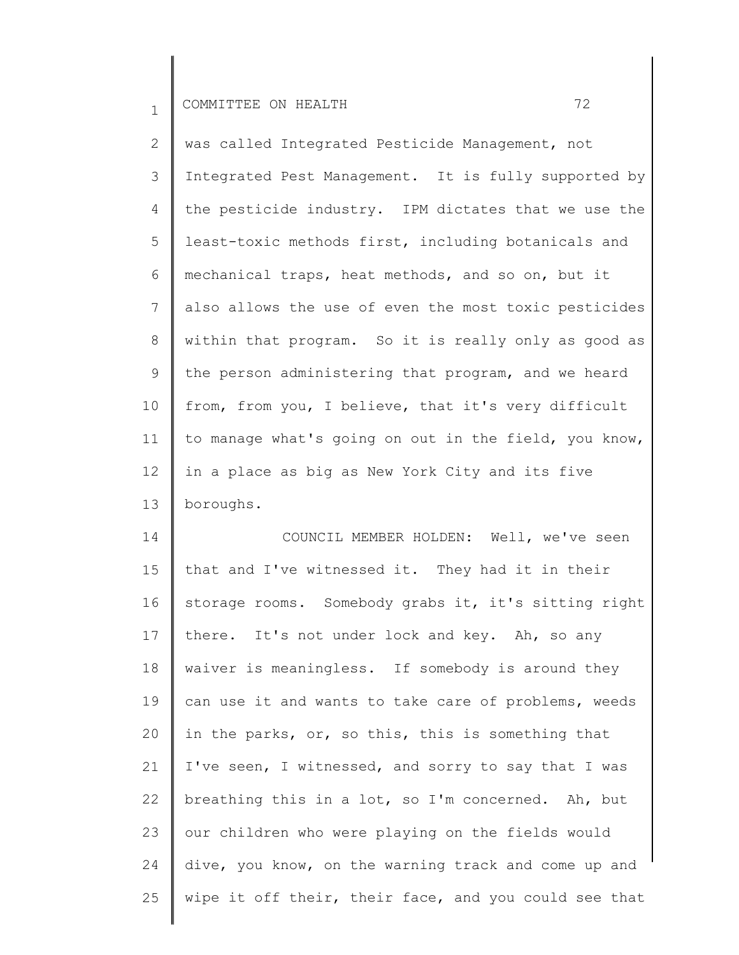2 3 4 5 6 7 8 9 10 11 12 13 was called Integrated Pesticide Management, not Integrated Pest Management. It is fully supported by the pesticide industry. IPM dictates that we use the least-toxic methods first, including botanicals and mechanical traps, heat methods, and so on, but it also allows the use of even the most toxic pesticides within that program. So it is really only as good as the person administering that program, and we heard from, from you, I believe, that it's very difficult to manage what's going on out in the field, you know, in a place as big as New York City and its five boroughs.

14 15 16 17 18 19 20 21 22 23 24 25 COUNCIL MEMBER HOLDEN: Well, we've seen that and I've witnessed it. They had it in their storage rooms. Somebody grabs it, it's sitting right there. It's not under lock and key. Ah, so any waiver is meaningless. If somebody is around they can use it and wants to take care of problems, weeds in the parks, or, so this, this is something that I've seen, I witnessed, and sorry to say that I was breathing this in a lot, so I'm concerned. Ah, but our children who were playing on the fields would dive, you know, on the warning track and come up and wipe it off their, their face, and you could see that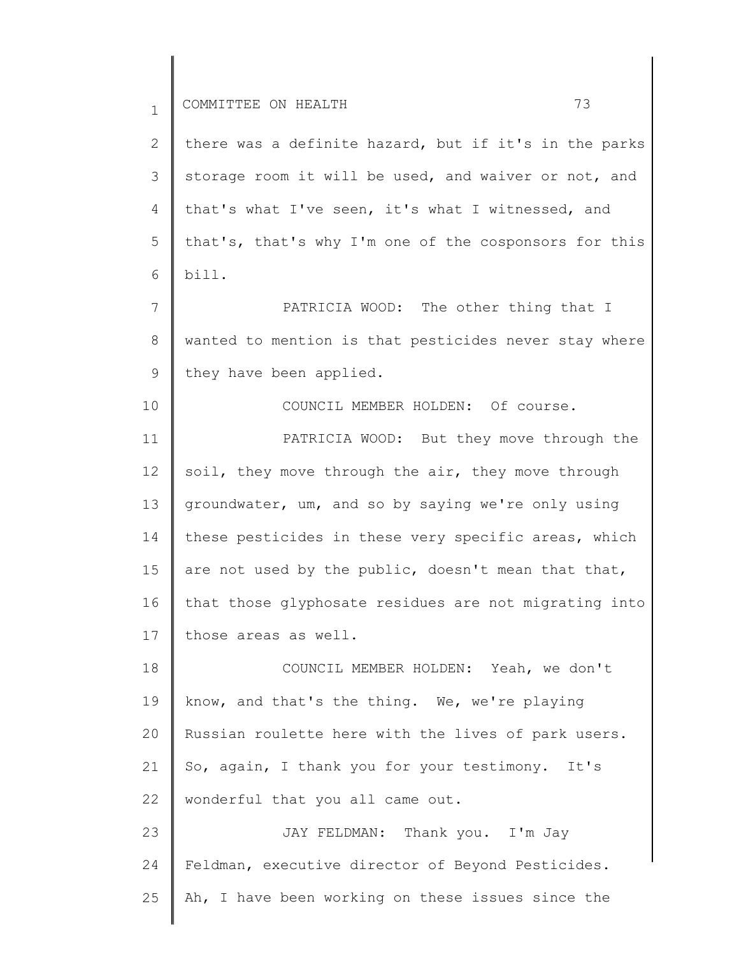10

2 3 4 5 6 there was a definite hazard, but if it's in the parks storage room it will be used, and waiver or not, and that's what I've seen, it's what I witnessed, and that's, that's why I'm one of the cosponsors for this bill.

7 8 9 PATRICIA WOOD: The other thing that I wanted to mention is that pesticides never stay where they have been applied.

COUNCIL MEMBER HOLDEN: Of course.

11 12 13 14 15 16 17 PATRICIA WOOD: But they move through the soil, they move through the air, they move through groundwater, um, and so by saying we're only using these pesticides in these very specific areas, which are not used by the public, doesn't mean that that, that those glyphosate residues are not migrating into those areas as well.

18 19 20 21 22 COUNCIL MEMBER HOLDEN: Yeah, we don't know, and that's the thing. We, we're playing Russian roulette here with the lives of park users. So, again, I thank you for your testimony. It's wonderful that you all came out.

23 24 25 JAY FELDMAN: Thank you. I'm Jay Feldman, executive director of Beyond Pesticides. Ah, I have been working on these issues since the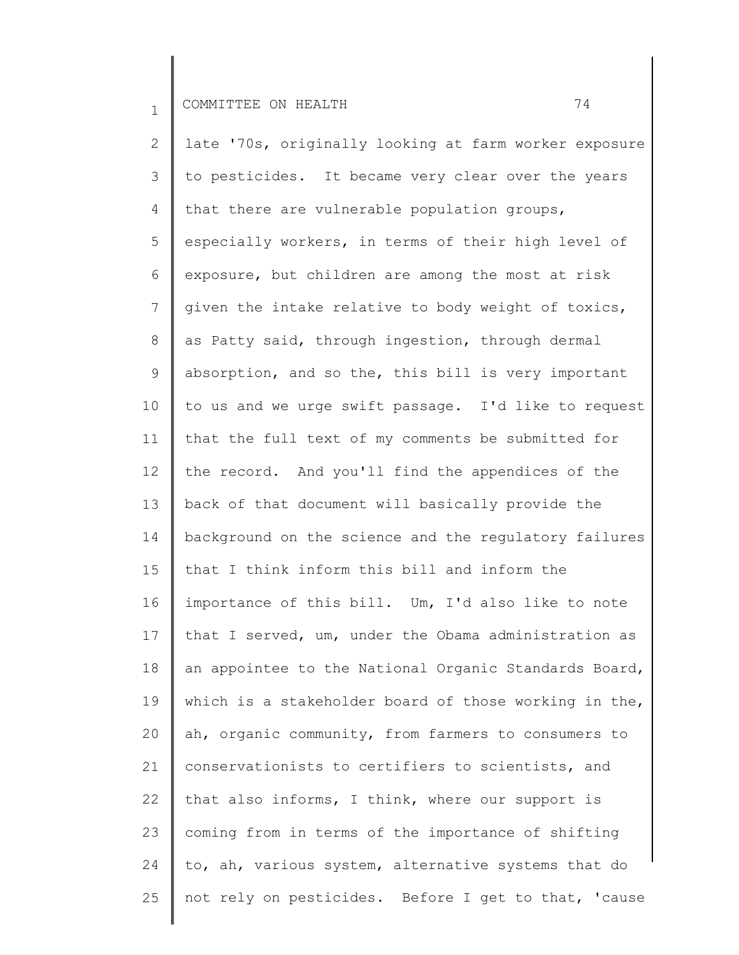2 3 4 5 6 7 8 9 10 11 12 13 14 15 16 17 18 19 20 21 22 23 24 25 late '70s, originally looking at farm worker exposure to pesticides. It became very clear over the years that there are vulnerable population groups, especially workers, in terms of their high level of exposure, but children are among the most at risk given the intake relative to body weight of toxics, as Patty said, through ingestion, through dermal absorption, and so the, this bill is very important to us and we urge swift passage. I'd like to request that the full text of my comments be submitted for the record. And you'll find the appendices of the back of that document will basically provide the background on the science and the regulatory failures that I think inform this bill and inform the importance of this bill. Um, I'd also like to note that I served, um, under the Obama administration as an appointee to the National Organic Standards Board, which is a stakeholder board of those working in the, ah, organic community, from farmers to consumers to conservationists to certifiers to scientists, and that also informs, I think, where our support is coming from in terms of the importance of shifting to, ah, various system, alternative systems that do not rely on pesticides. Before I get to that, 'cause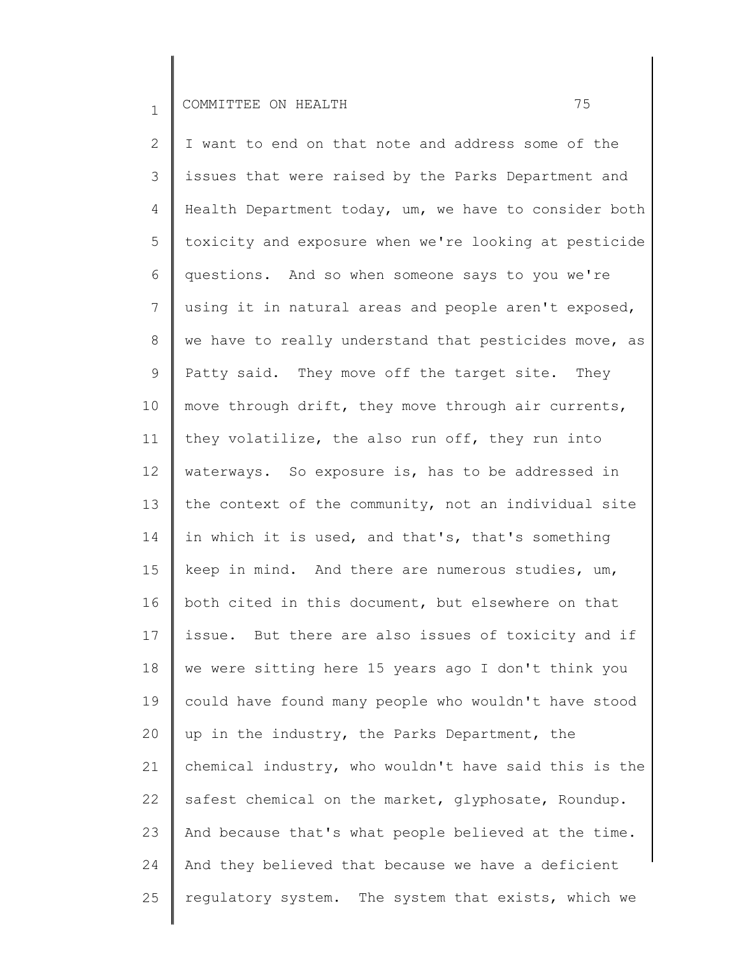2 3 4 5 6 7 8 9 10 11 12 13 14 15 16 17 18 19 20 21 22 23 24 25 I want to end on that note and address some of the issues that were raised by the Parks Department and Health Department today, um, we have to consider both toxicity and exposure when we're looking at pesticide questions. And so when someone says to you we're using it in natural areas and people aren't exposed, we have to really understand that pesticides move, as Patty said. They move off the target site. They move through drift, they move through air currents, they volatilize, the also run off, they run into waterways. So exposure is, has to be addressed in the context of the community, not an individual site in which it is used, and that's, that's something keep in mind. And there are numerous studies, um, both cited in this document, but elsewhere on that issue. But there are also issues of toxicity and if we were sitting here 15 years ago I don't think you could have found many people who wouldn't have stood up in the industry, the Parks Department, the chemical industry, who wouldn't have said this is the safest chemical on the market, glyphosate, Roundup. And because that's what people believed at the time. And they believed that because we have a deficient regulatory system. The system that exists, which we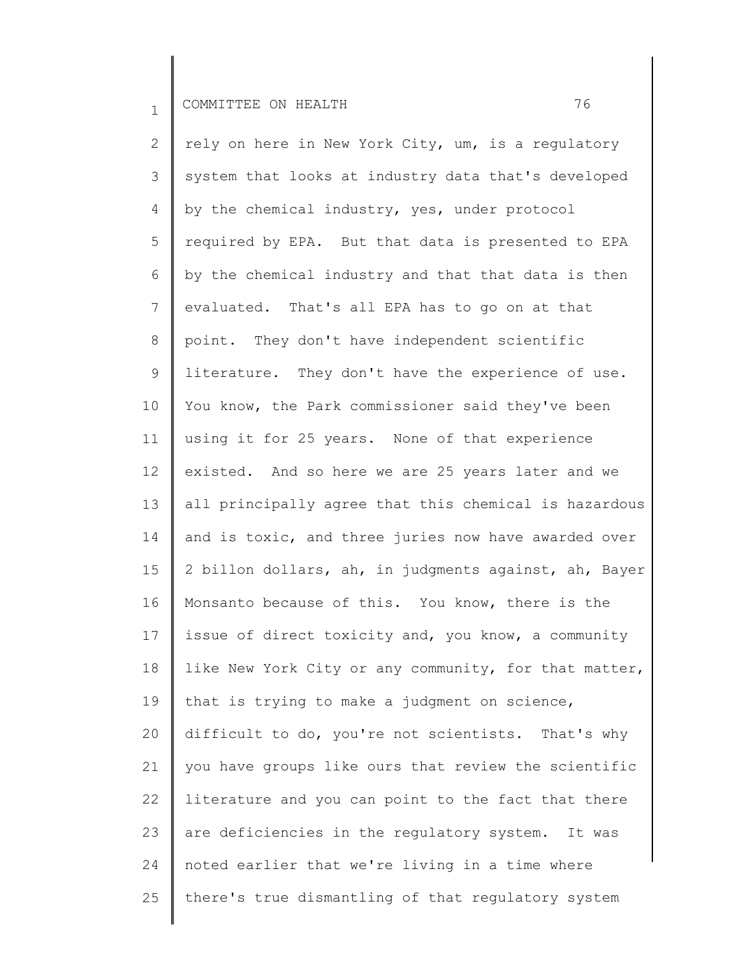2 3 4 5 6 7 8 9 10 11 12 13 14 15 16 17 18 19 20 21 22 23 24 25 rely on here in New York City, um, is a regulatory system that looks at industry data that's developed by the chemical industry, yes, under protocol required by EPA. But that data is presented to EPA by the chemical industry and that that data is then evaluated. That's all EPA has to go on at that point. They don't have independent scientific literature. They don't have the experience of use. You know, the Park commissioner said they've been using it for 25 years. None of that experience existed. And so here we are 25 years later and we all principally agree that this chemical is hazardous and is toxic, and three juries now have awarded over 2 billon dollars, ah, in judgments against, ah, Bayer Monsanto because of this. You know, there is the issue of direct toxicity and, you know, a community like New York City or any community, for that matter, that is trying to make a judgment on science, difficult to do, you're not scientists. That's why you have groups like ours that review the scientific literature and you can point to the fact that there are deficiencies in the regulatory system. It was noted earlier that we're living in a time where there's true dismantling of that regulatory system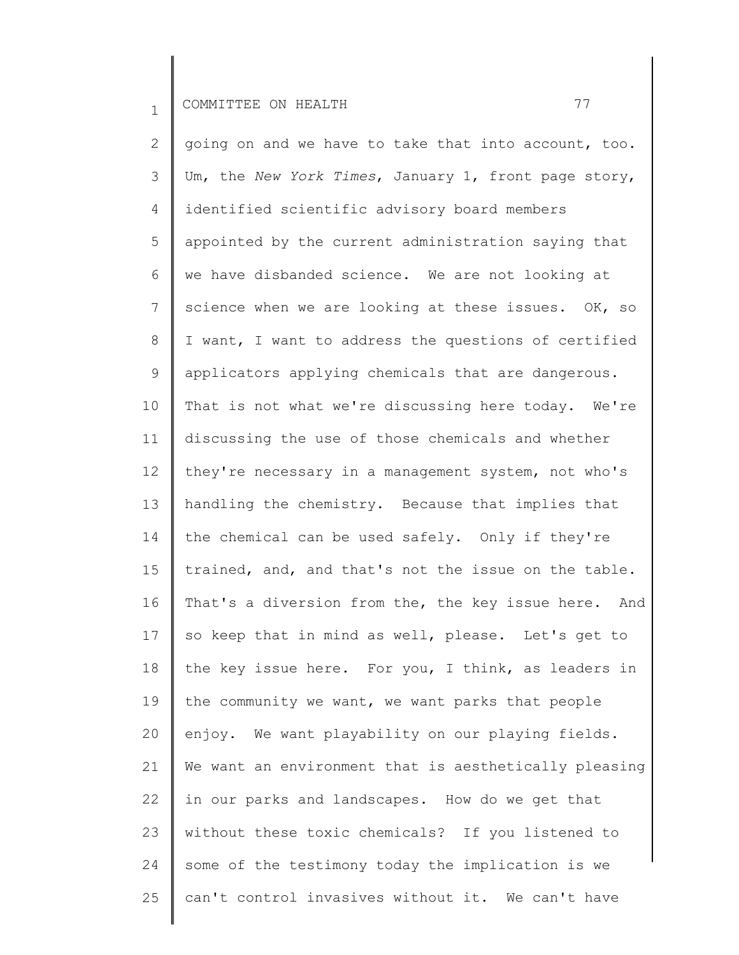2 3 4 5 6 7 8 9 10 11 12 13 14 15 16 17 18 19 20 21 22 23 24 25 going on and we have to take that into account, too. Um, the *New York Times*, January 1, front page story, identified scientific advisory board members appointed by the current administration saying that we have disbanded science. We are not looking at science when we are looking at these issues. OK, so I want, I want to address the questions of certified applicators applying chemicals that are dangerous. That is not what we're discussing here today. We're discussing the use of those chemicals and whether they're necessary in a management system, not who's handling the chemistry. Because that implies that the chemical can be used safely. Only if they're trained, and, and that's not the issue on the table. That's a diversion from the, the key issue here. And so keep that in mind as well, please. Let's get to the key issue here. For you, I think, as leaders in the community we want, we want parks that people enjoy. We want playability on our playing fields. We want an environment that is aesthetically pleasing in our parks and landscapes. How do we get that without these toxic chemicals? If you listened to some of the testimony today the implication is we can't control invasives without it. We can't have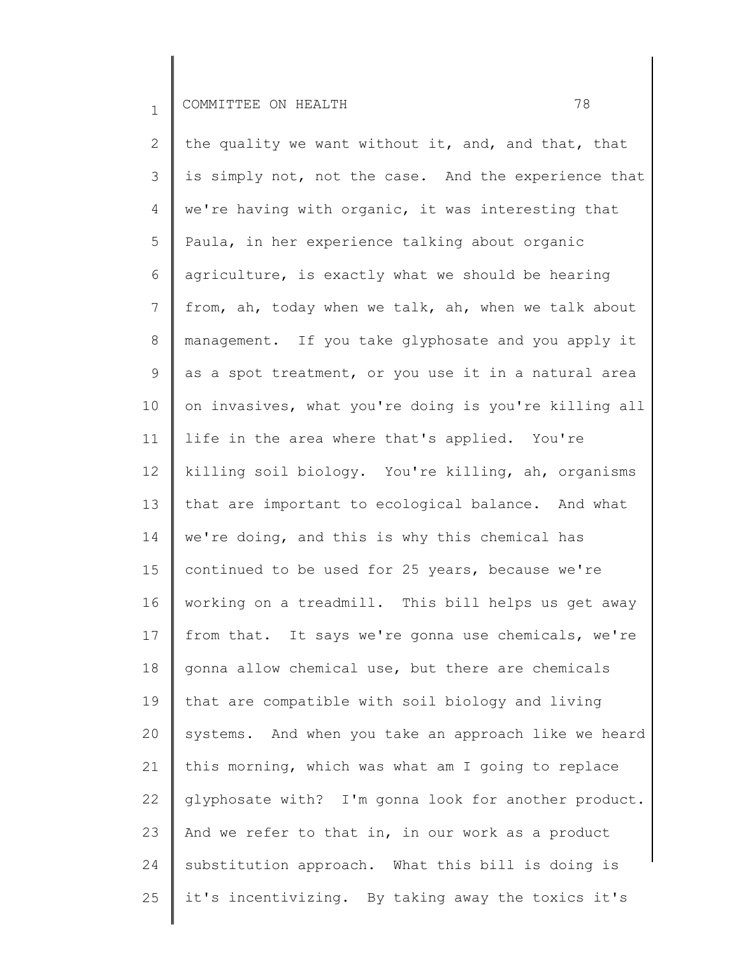2 3 4 5 6 7 8 9 10 11 12 13 14 15 16 17 18 19 20 21 22 23 24 25 the quality we want without it, and, and that, that is simply not, not the case. And the experience that we're having with organic, it was interesting that Paula, in her experience talking about organic agriculture, is exactly what we should be hearing from, ah, today when we talk, ah, when we talk about management. If you take glyphosate and you apply it as a spot treatment, or you use it in a natural area on invasives, what you're doing is you're killing all life in the area where that's applied. You're killing soil biology. You're killing, ah, organisms that are important to ecological balance. And what we're doing, and this is why this chemical has continued to be used for 25 years, because we're working on a treadmill. This bill helps us get away from that. It says we're gonna use chemicals, we're gonna allow chemical use, but there are chemicals that are compatible with soil biology and living systems. And when you take an approach like we heard this morning, which was what am I going to replace glyphosate with? I'm gonna look for another product. And we refer to that in, in our work as a product substitution approach. What this bill is doing is it's incentivizing. By taking away the toxics it's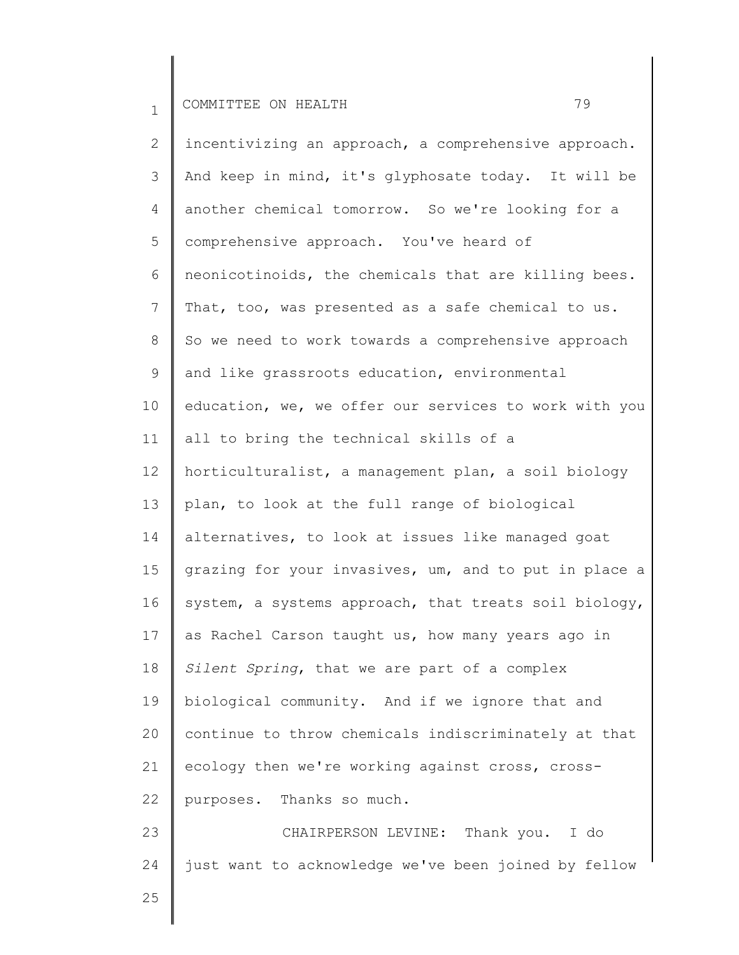2

3

4

5

6

7

8

9

10

11

12

13

14

15

16

17

18

19

20

21

22

23

24

incentivizing an approach, a comprehensive approach. And keep in mind, it's glyphosate today. It will be another chemical tomorrow. So we're looking for a comprehensive approach. You've heard of neonicotinoids, the chemicals that are killing bees. That, too, was presented as a safe chemical to us. So we need to work towards a comprehensive approach and like grassroots education, environmental education, we, we offer our services to work with you all to bring the technical skills of a horticulturalist, a management plan, a soil biology plan, to look at the full range of biological alternatives, to look at issues like managed goat grazing for your invasives, um, and to put in place a system, a systems approach, that treats soil biology, as Rachel Carson taught us, how many years ago in *Silent Spring*, that we are part of a complex biological community. And if we ignore that and

continue to throw chemicals indiscriminately at that

just want to acknowledge we've been joined by fellow

CHAIRPERSON LEVINE: Thank you. I do

ecology then we're working against cross, cross-

purposes. Thanks so much.

25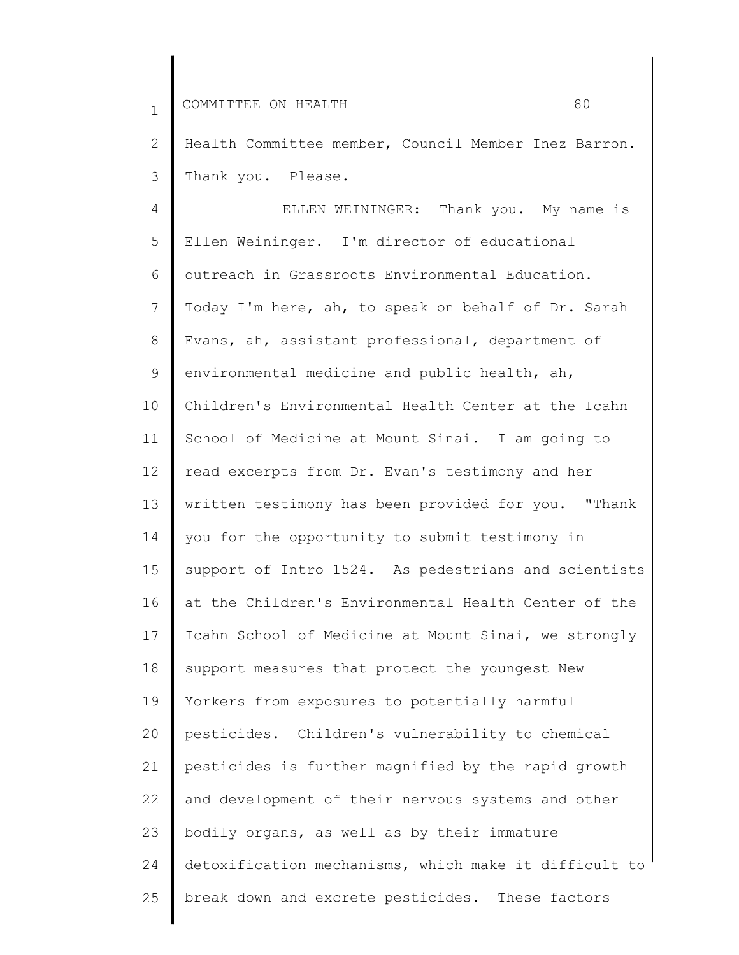2 3 Health Committee member, Council Member Inez Barron. Thank you. Please.

4 5 6 7 8 9 10 11 12 13 14 15 16 17 18 19 20 21 22 23 24 25 ELLEN WEININGER: Thank you. My name is Ellen Weininger. I'm director of educational outreach in Grassroots Environmental Education. Today I'm here, ah, to speak on behalf of Dr. Sarah Evans, ah, assistant professional, department of environmental medicine and public health, ah, Children's Environmental Health Center at the Icahn School of Medicine at Mount Sinai. I am going to read excerpts from Dr. Evan's testimony and her written testimony has been provided for you. "Thank you for the opportunity to submit testimony in support of Intro 1524. As pedestrians and scientists at the Children's Environmental Health Center of the Icahn School of Medicine at Mount Sinai, we strongly support measures that protect the youngest New Yorkers from exposures to potentially harmful pesticides. Children's vulnerability to chemical pesticides is further magnified by the rapid growth and development of their nervous systems and other bodily organs, as well as by their immature detoxification mechanisms, which make it difficult to break down and excrete pesticides. These factors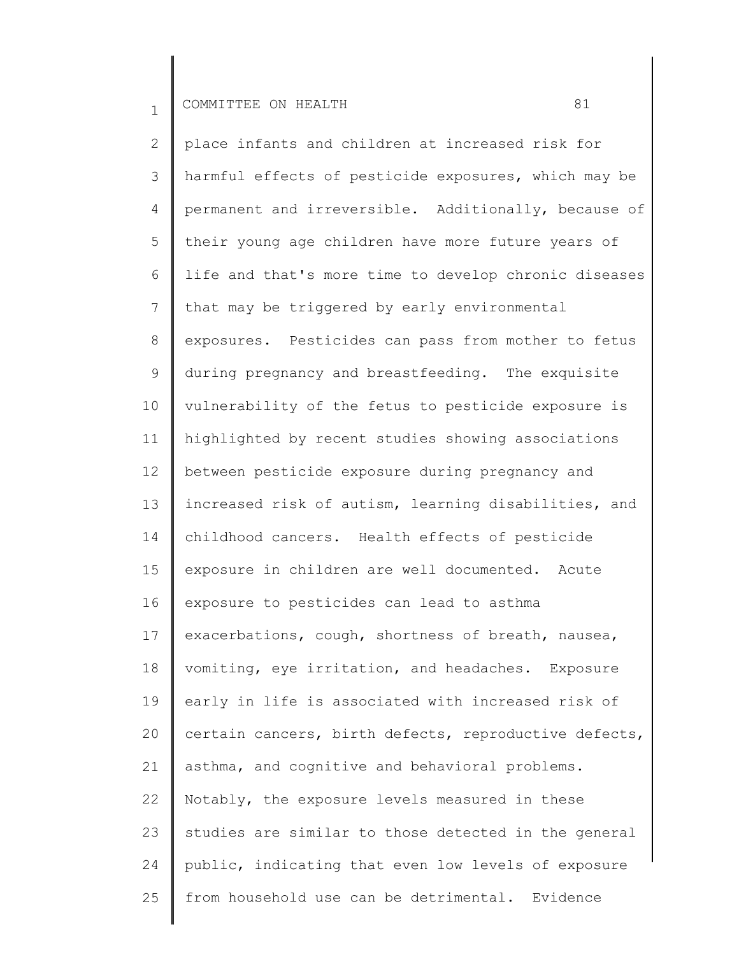2 3 4 5 6 7 8 9 10 11 12 13 14 15 16 17 18 19 20 21 22 23 24 25 place infants and children at increased risk for harmful effects of pesticide exposures, which may be permanent and irreversible. Additionally, because of their young age children have more future years of life and that's more time to develop chronic diseases that may be triggered by early environmental exposures. Pesticides can pass from mother to fetus during pregnancy and breastfeeding. The exquisite vulnerability of the fetus to pesticide exposure is highlighted by recent studies showing associations between pesticide exposure during pregnancy and increased risk of autism, learning disabilities, and childhood cancers. Health effects of pesticide exposure in children are well documented. Acute exposure to pesticides can lead to asthma exacerbations, cough, shortness of breath, nausea, vomiting, eye irritation, and headaches. Exposure early in life is associated with increased risk of certain cancers, birth defects, reproductive defects, asthma, and cognitive and behavioral problems. Notably, the exposure levels measured in these studies are similar to those detected in the general public, indicating that even low levels of exposure from household use can be detrimental. Evidence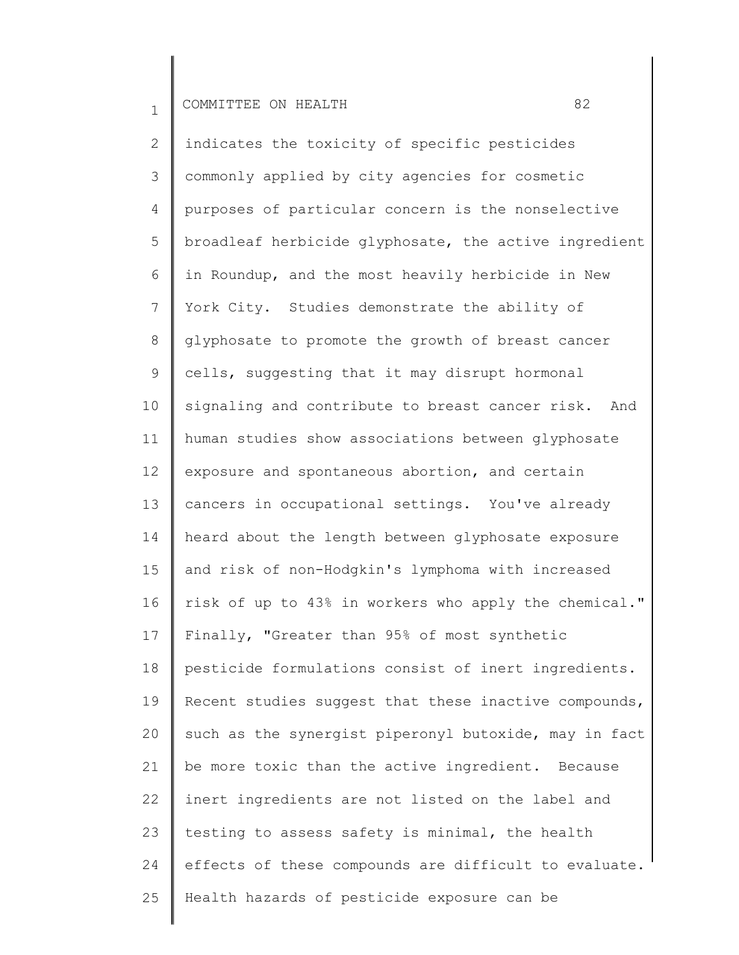2 3 4 5 6 7 8 9 10 11 12 13 14 15 16 17 18 19 20 21 22 23 24 25 indicates the toxicity of specific pesticides commonly applied by city agencies for cosmetic purposes of particular concern is the nonselective broadleaf herbicide glyphosate, the active ingredient in Roundup, and the most heavily herbicide in New York City. Studies demonstrate the ability of glyphosate to promote the growth of breast cancer cells, suggesting that it may disrupt hormonal signaling and contribute to breast cancer risk. And human studies show associations between glyphosate exposure and spontaneous abortion, and certain cancers in occupational settings. You've already heard about the length between glyphosate exposure and risk of non-Hodgkin's lymphoma with increased risk of up to 43% in workers who apply the chemical." Finally, "Greater than 95% of most synthetic pesticide formulations consist of inert ingredients. Recent studies suggest that these inactive compounds, such as the synergist piperonyl butoxide, may in fact be more toxic than the active ingredient. Because inert ingredients are not listed on the label and testing to assess safety is minimal, the health effects of these compounds are difficult to evaluate. Health hazards of pesticide exposure can be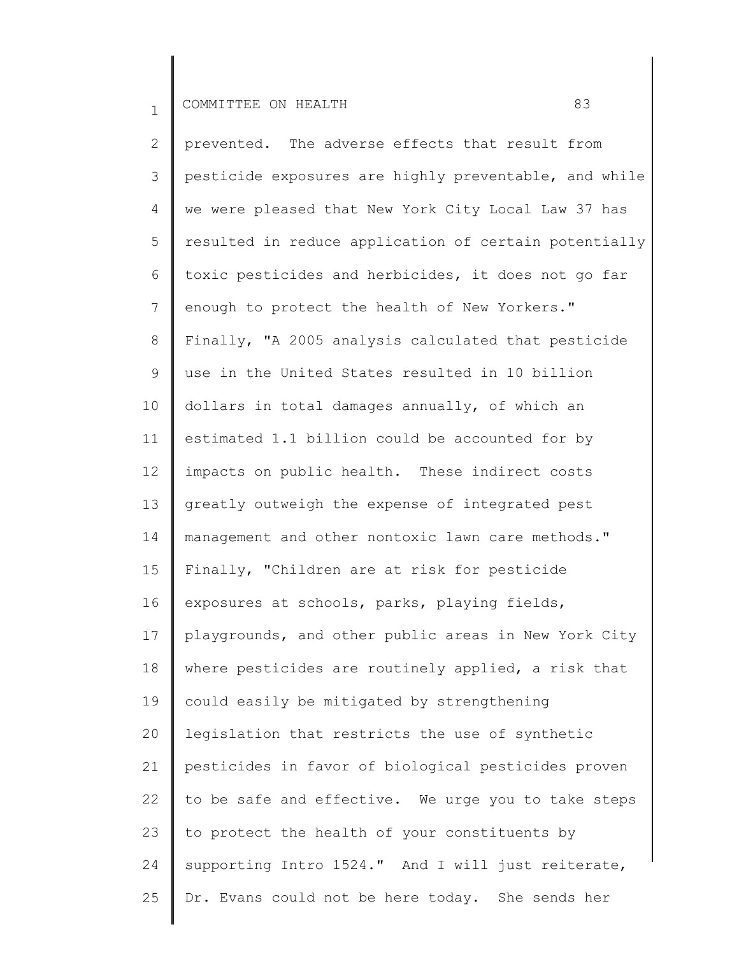2 3 4 5 6 7 8 9 10 11 12 13 14 15 16 17 18 19 20 21 22 23 24 25 prevented. The adverse effects that result from pesticide exposures are highly preventable, and while we were pleased that New York City Local Law 37 has resulted in reduce application of certain potentially toxic pesticides and herbicides, it does not go far enough to protect the health of New Yorkers." Finally, "A 2005 analysis calculated that pesticide use in the United States resulted in 10 billion dollars in total damages annually, of which an estimated 1.1 billion could be accounted for by impacts on public health. These indirect costs greatly outweigh the expense of integrated pest management and other nontoxic lawn care methods." Finally, "Children are at risk for pesticide exposures at schools, parks, playing fields, playgrounds, and other public areas in New York City where pesticides are routinely applied, a risk that could easily be mitigated by strengthening legislation that restricts the use of synthetic pesticides in favor of biological pesticides proven to be safe and effective. We urge you to take steps to protect the health of your constituents by supporting Intro 1524." And I will just reiterate, Dr. Evans could not be here today. She sends her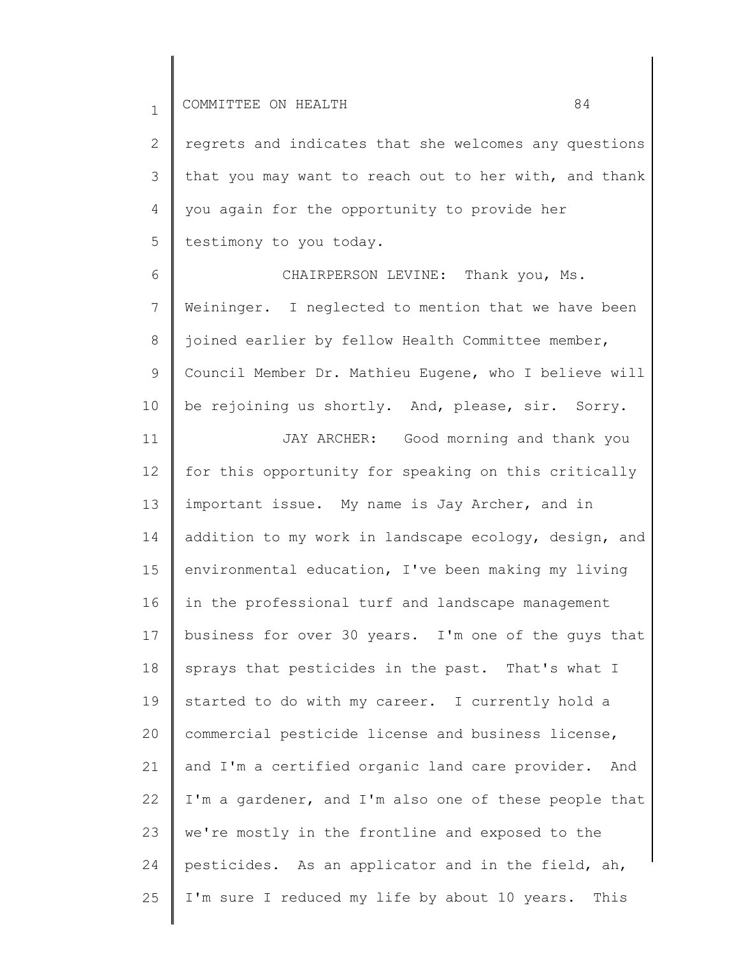2 3 4 5 regrets and indicates that she welcomes any questions that you may want to reach out to her with, and thank you again for the opportunity to provide her testimony to you today.

6 7 8 9 10 CHAIRPERSON LEVINE: Thank you, Ms. Weininger. I neglected to mention that we have been joined earlier by fellow Health Committee member, Council Member Dr. Mathieu Eugene, who I believe will be rejoining us shortly. And, please, sir. Sorry.

11 12 13 14 15 16 17 18 19 20 21 22 23 24 25 JAY ARCHER: Good morning and thank you for this opportunity for speaking on this critically important issue. My name is Jay Archer, and in addition to my work in landscape ecology, design, and environmental education, I've been making my living in the professional turf and landscape management business for over 30 years. I'm one of the guys that sprays that pesticides in the past. That's what I started to do with my career. I currently hold a commercial pesticide license and business license, and I'm a certified organic land care provider. And I'm a gardener, and I'm also one of these people that we're mostly in the frontline and exposed to the pesticides. As an applicator and in the field, ah, I'm sure I reduced my life by about 10 years. This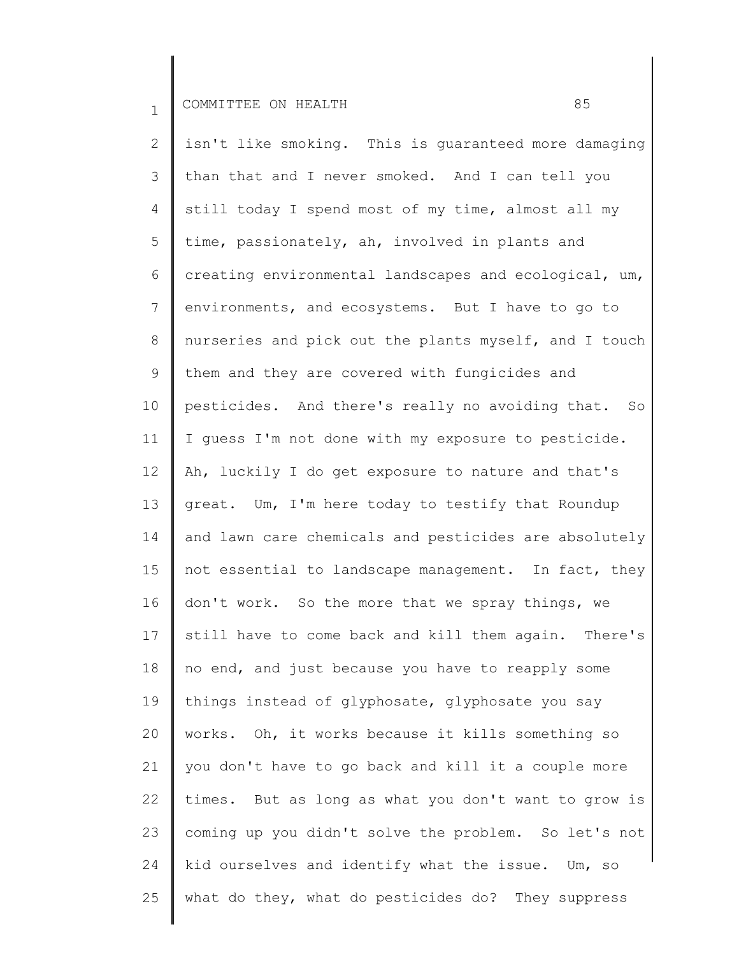2 3 4 5 6 7 8 9 10 11 12 13 14 15 16 17 18 19 20 21 22 23 24 25 isn't like smoking. This is guaranteed more damaging than that and I never smoked. And I can tell you still today I spend most of my time, almost all my time, passionately, ah, involved in plants and creating environmental landscapes and ecological, um, environments, and ecosystems. But I have to go to nurseries and pick out the plants myself, and I touch them and they are covered with fungicides and pesticides. And there's really no avoiding that. So I guess I'm not done with my exposure to pesticide. Ah, luckily I do get exposure to nature and that's great. Um, I'm here today to testify that Roundup and lawn care chemicals and pesticides are absolutely not essential to landscape management. In fact, they don't work. So the more that we spray things, we still have to come back and kill them again. There's no end, and just because you have to reapply some things instead of glyphosate, glyphosate you say works. Oh, it works because it kills something so you don't have to go back and kill it a couple more times. But as long as what you don't want to grow is coming up you didn't solve the problem. So let's not kid ourselves and identify what the issue. Um, so what do they, what do pesticides do? They suppress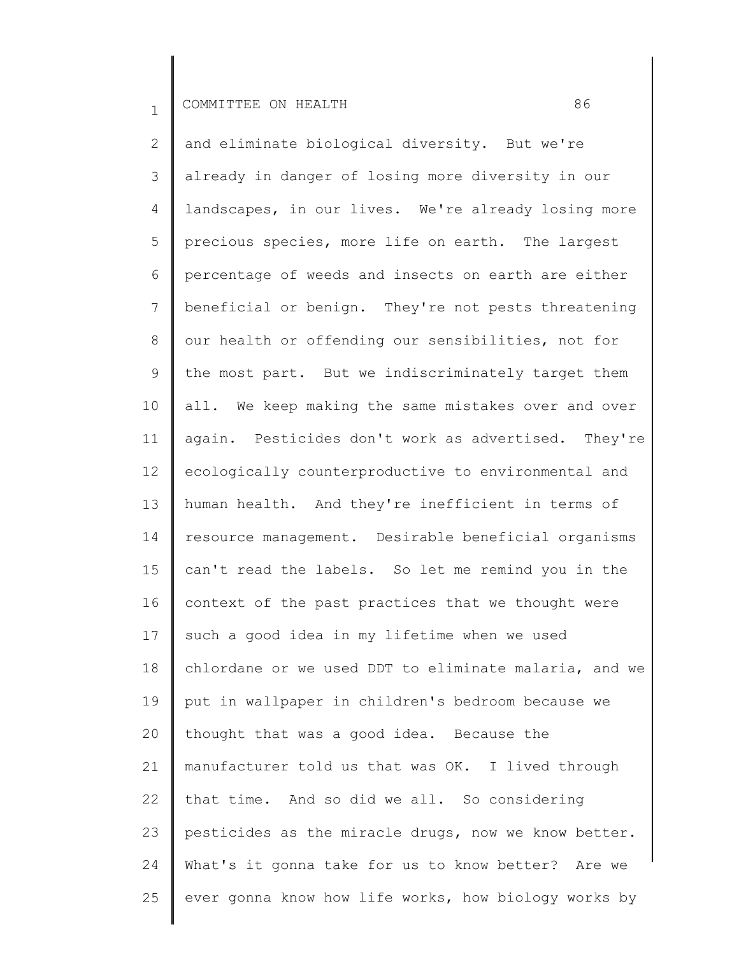2 3 4 5 6 7 8 9 10 11 12 13 14 15 16 17 18 19 20 21 22 23 24 25 and eliminate biological diversity. But we're already in danger of losing more diversity in our landscapes, in our lives. We're already losing more precious species, more life on earth. The largest percentage of weeds and insects on earth are either beneficial or benign. They're not pests threatening our health or offending our sensibilities, not for the most part. But we indiscriminately target them all. We keep making the same mistakes over and over again. Pesticides don't work as advertised. They're ecologically counterproductive to environmental and human health. And they're inefficient in terms of resource management. Desirable beneficial organisms can't read the labels. So let me remind you in the context of the past practices that we thought were such a good idea in my lifetime when we used chlordane or we used DDT to eliminate malaria, and we put in wallpaper in children's bedroom because we thought that was a good idea. Because the manufacturer told us that was OK. I lived through that time. And so did we all. So considering pesticides as the miracle drugs, now we know better. What's it gonna take for us to know better? Are we ever gonna know how life works, how biology works by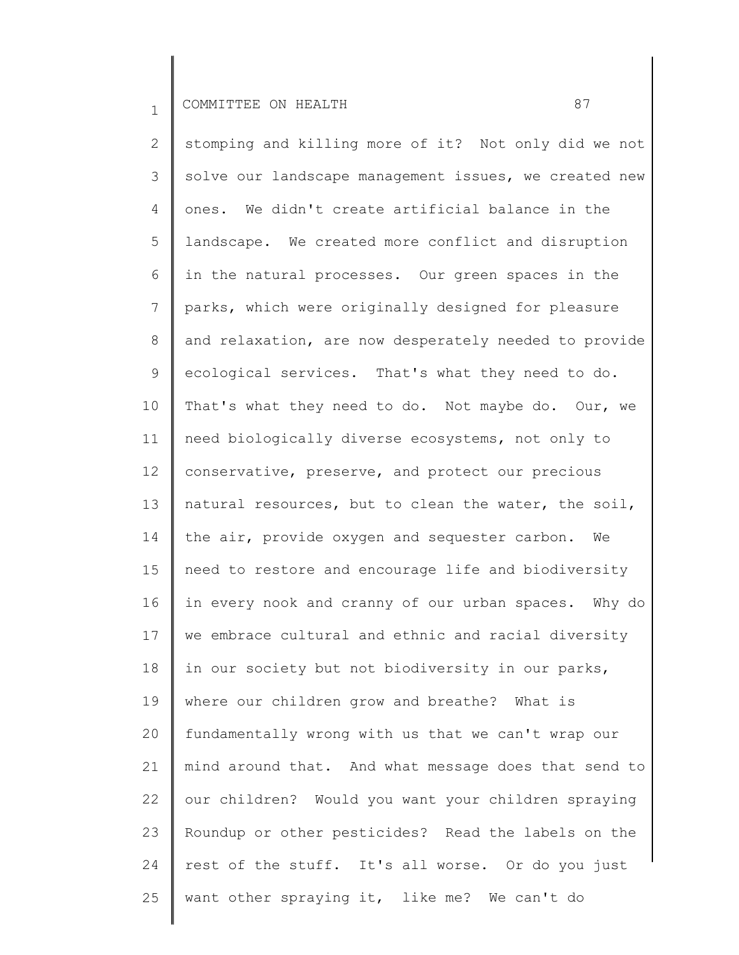2 3 4 5 6 7 8 9 10 11 12 13 14 15 16 17 18 19 20 21 22 23 24 25 stomping and killing more of it? Not only did we not solve our landscape management issues, we created new ones. We didn't create artificial balance in the landscape. We created more conflict and disruption in the natural processes. Our green spaces in the parks, which were originally designed for pleasure and relaxation, are now desperately needed to provide ecological services. That's what they need to do. That's what they need to do. Not maybe do. Our, we need biologically diverse ecosystems, not only to conservative, preserve, and protect our precious natural resources, but to clean the water, the soil, the air, provide oxygen and sequester carbon. We need to restore and encourage life and biodiversity in every nook and cranny of our urban spaces. Why do we embrace cultural and ethnic and racial diversity in our society but not biodiversity in our parks, where our children grow and breathe? What is fundamentally wrong with us that we can't wrap our mind around that. And what message does that send to our children? Would you want your children spraying Roundup or other pesticides? Read the labels on the rest of the stuff. It's all worse. Or do you just want other spraying it, like me? We can't do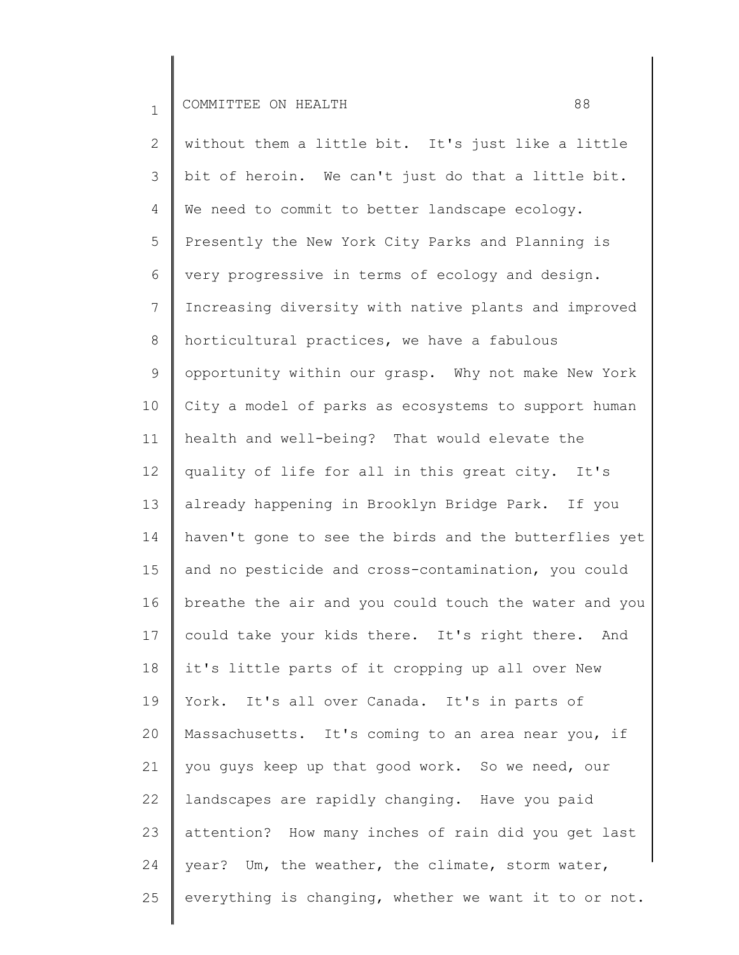2 3 4 5 6 7 8 9 10 11 12 13 14 15 16 17 18 19 20 21 22 23 24 25 without them a little bit. It's just like a little bit of heroin. We can't just do that a little bit. We need to commit to better landscape ecology. Presently the New York City Parks and Planning is very progressive in terms of ecology and design. Increasing diversity with native plants and improved horticultural practices, we have a fabulous opportunity within our grasp. Why not make New York City a model of parks as ecosystems to support human health and well-being? That would elevate the quality of life for all in this great city. It's already happening in Brooklyn Bridge Park. If you haven't gone to see the birds and the butterflies yet and no pesticide and cross-contamination, you could breathe the air and you could touch the water and you could take your kids there. It's right there. And it's little parts of it cropping up all over New York. It's all over Canada. It's in parts of Massachusetts. It's coming to an area near you, if you guys keep up that good work. So we need, our landscapes are rapidly changing. Have you paid attention? How many inches of rain did you get last year? Um, the weather, the climate, storm water, everything is changing, whether we want it to or not.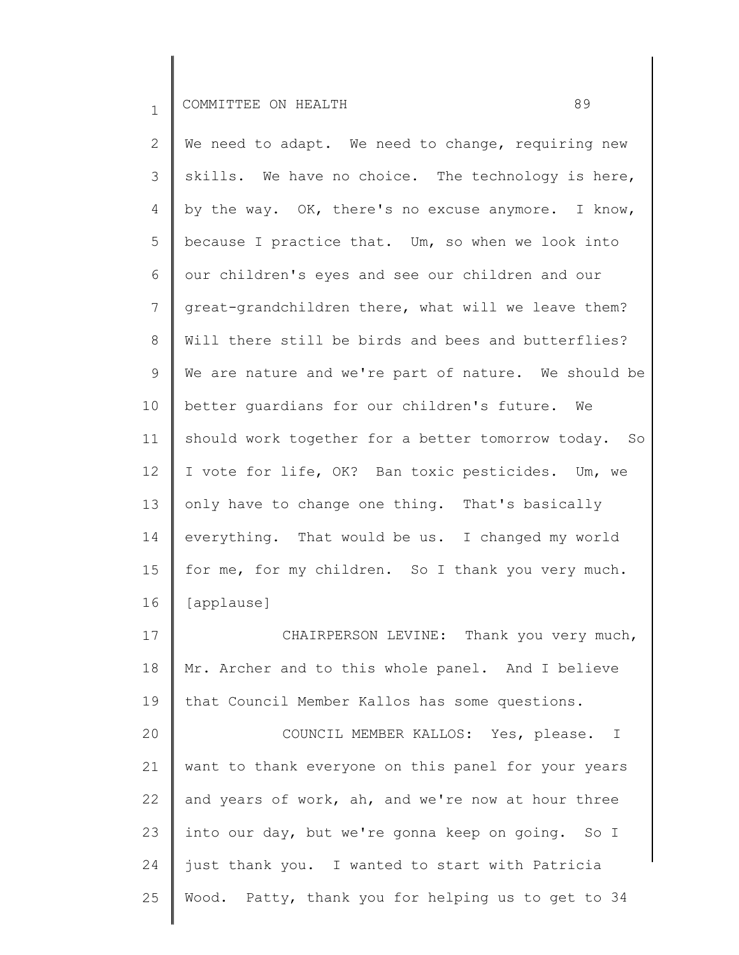2 3 4 5 6 7 8 9 10 11 12 13 14 15 16 17 18 19 We need to adapt. We need to change, requiring new skills. We have no choice. The technology is here, by the way. OK, there's no excuse anymore. I know, because I practice that. Um, so when we look into our children's eyes and see our children and our great-grandchildren there, what will we leave them? Will there still be birds and bees and butterflies? We are nature and we're part of nature. We should be better guardians for our children's future. We should work together for a better tomorrow today. So I vote for life, OK? Ban toxic pesticides. Um, we only have to change one thing. That's basically everything. That would be us. I changed my world for me, for my children. So I thank you very much. [applause] CHAIRPERSON LEVINE: Thank you very much, Mr. Archer and to this whole panel. And I believe that Council Member Kallos has some questions.

20 21 22 23 24 25 COUNCIL MEMBER KALLOS: Yes, please. I want to thank everyone on this panel for your years and years of work, ah, and we're now at hour three into our day, but we're gonna keep on going. So I just thank you. I wanted to start with Patricia Wood. Patty, thank you for helping us to get to 34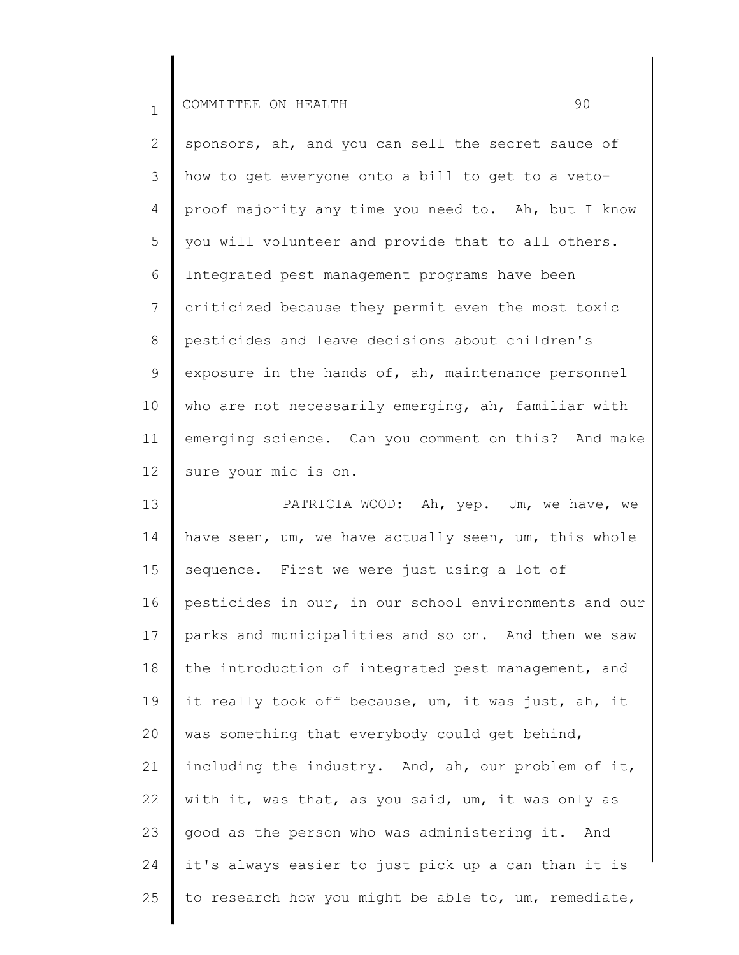2 3 4 5 6 7 8 9 10 11 12 sponsors, ah, and you can sell the secret sauce of how to get everyone onto a bill to get to a vetoproof majority any time you need to. Ah, but I know you will volunteer and provide that to all others. Integrated pest management programs have been criticized because they permit even the most toxic pesticides and leave decisions about children's exposure in the hands of, ah, maintenance personnel who are not necessarily emerging, ah, familiar with emerging science. Can you comment on this? And make sure your mic is on.

13 14 15 16 17 18 19 20 21 22 23 24 25 PATRICIA WOOD: Ah, yep. Um, we have, we have seen, um, we have actually seen, um, this whole sequence. First we were just using a lot of pesticides in our, in our school environments and our parks and municipalities and so on. And then we saw the introduction of integrated pest management, and it really took off because, um, it was just, ah, it was something that everybody could get behind, including the industry. And, ah, our problem of it, with it, was that, as you said, um, it was only as good as the person who was administering it. And it's always easier to just pick up a can than it is to research how you might be able to, um, remediate,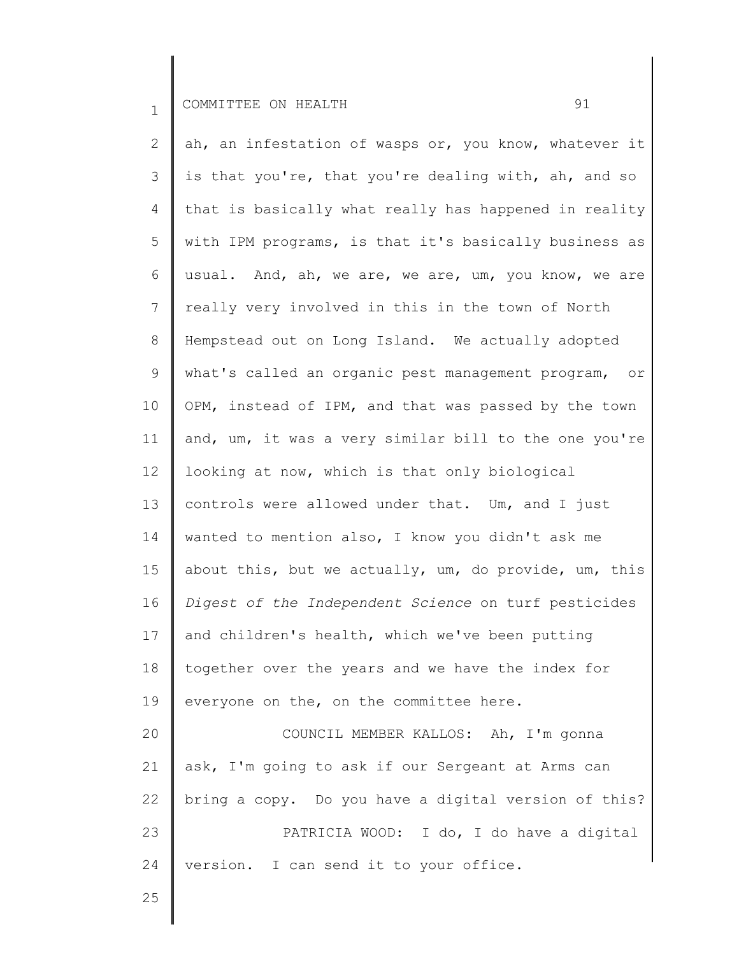2 3 4 5 6 7 8 9 10 11 12 13 14 15 16 17 18 19 20 21 22 23 24 ah, an infestation of wasps or, you know, whatever it is that you're, that you're dealing with, ah, and so that is basically what really has happened in reality with IPM programs, is that it's basically business as usual. And, ah, we are, we are, um, you know, we are really very involved in this in the town of North Hempstead out on Long Island. We actually adopted what's called an organic pest management program, or OPM, instead of IPM, and that was passed by the town and, um, it was a very similar bill to the one you're looking at now, which is that only biological controls were allowed under that. Um, and I just wanted to mention also, I know you didn't ask me about this, but we actually, um, do provide, um, this *Digest of the Independent Science* on turf pesticides and children's health, which we've been putting together over the years and we have the index for everyone on the, on the committee here. COUNCIL MEMBER KALLOS: Ah, I'm gonna ask, I'm going to ask if our Sergeant at Arms can bring a copy. Do you have a digital version of this? PATRICIA WOOD: I do, I do have a digital version. I can send it to your office.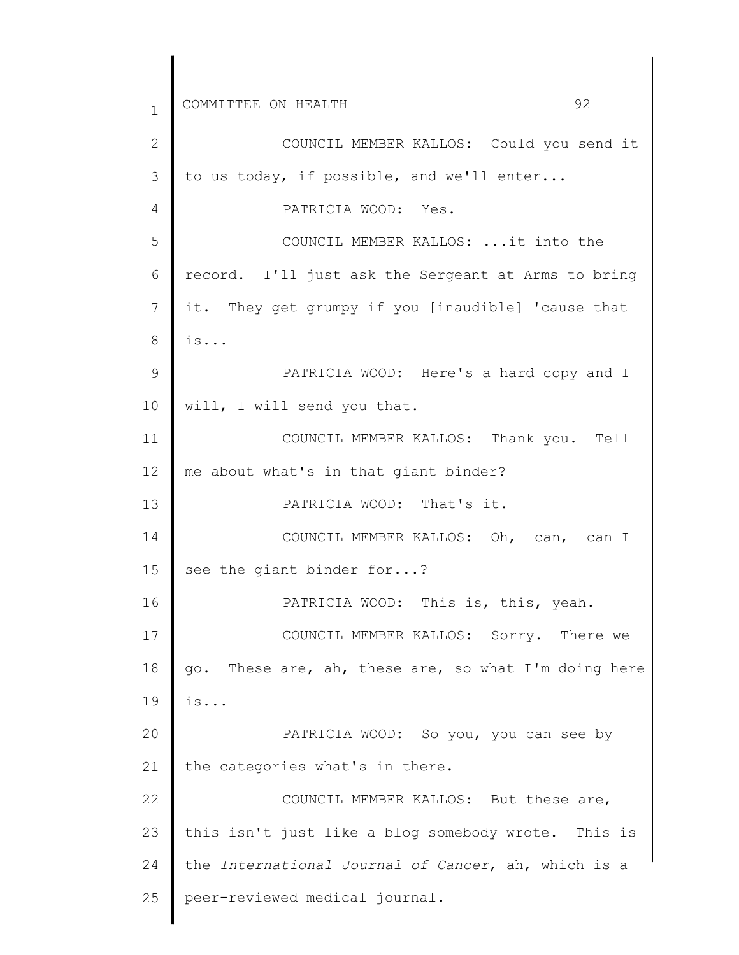1 2 3 4 5 6 7 8 9 10 11 12 13 14 15 16 17 18 19 20 21 22 23 24 25 COMMITTEE ON HEALTH 32 COUNCIL MEMBER KALLOS: Could you send it to us today, if possible, and we'll enter... PATRICIA WOOD: Yes. COUNCIL MEMBER KALLOS: ...it into the record. I'll just ask the Sergeant at Arms to bring it. They get grumpy if you [inaudible] 'cause that is... PATRICIA WOOD: Here's a hard copy and I will, I will send you that. COUNCIL MEMBER KALLOS: Thank you. Tell me about what's in that giant binder? PATRICIA WOOD: That's it. COUNCIL MEMBER KALLOS: Oh, can, can I see the giant binder for...? PATRICIA WOOD: This is, this, yeah. COUNCIL MEMBER KALLOS: Sorry. There we go. These are, ah, these are, so what I'm doing here is... PATRICIA WOOD: So you, you can see by the categories what's in there. COUNCIL MEMBER KALLOS: But these are, this isn't just like a blog somebody wrote. This is the *International Journal of Cancer*, ah, which is a peer-reviewed medical journal.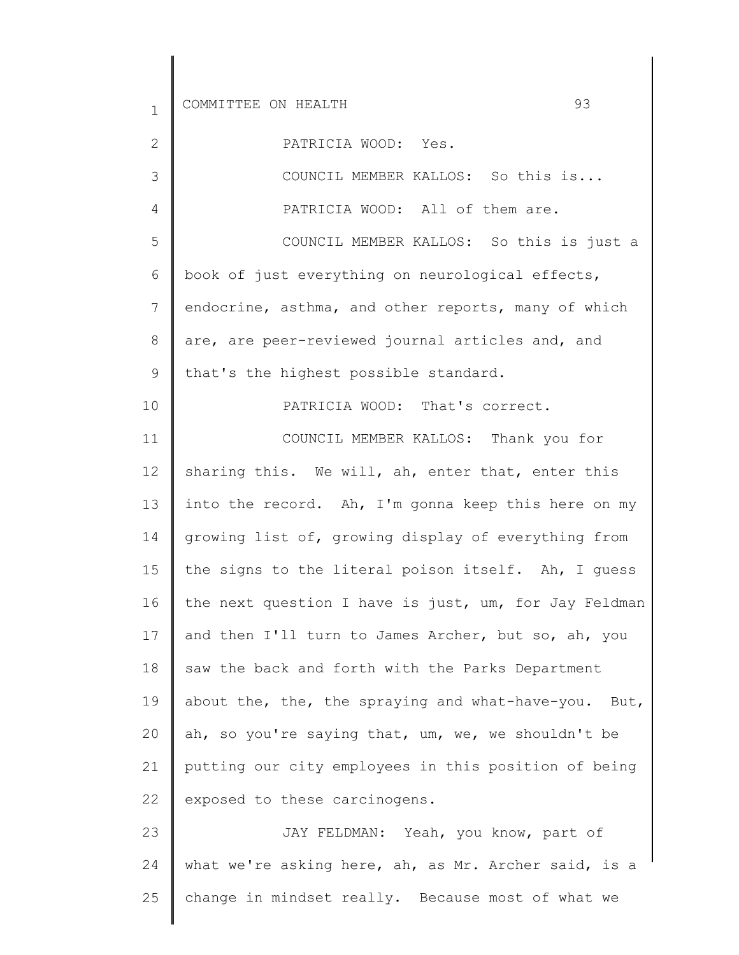2

3

4

10

PATRICIA WOOD: Yes.

COUNCIL MEMBER KALLOS: So this is... PATRICIA WOOD: All of them are.

5 6 7 8 9 COUNCIL MEMBER KALLOS: So this is just a book of just everything on neurological effects, endocrine, asthma, and other reports, many of which are, are peer-reviewed journal articles and, and that's the highest possible standard.

PATRICIA WOOD: That's correct.

11 12 13 14 15 16 17 18 19 20 21 22 COUNCIL MEMBER KALLOS: Thank you for sharing this. We will, ah, enter that, enter this into the record. Ah, I'm gonna keep this here on my growing list of, growing display of everything from the signs to the literal poison itself. Ah, I guess the next question I have is just, um, for Jay Feldman and then I'll turn to James Archer, but so, ah, you saw the back and forth with the Parks Department about the, the, the spraying and what-have-you. But, ah, so you're saying that, um, we, we shouldn't be putting our city employees in this position of being exposed to these carcinogens.

23 24 25 JAY FELDMAN: Yeah, you know, part of what we're asking here, ah, as Mr. Archer said, is a change in mindset really. Because most of what we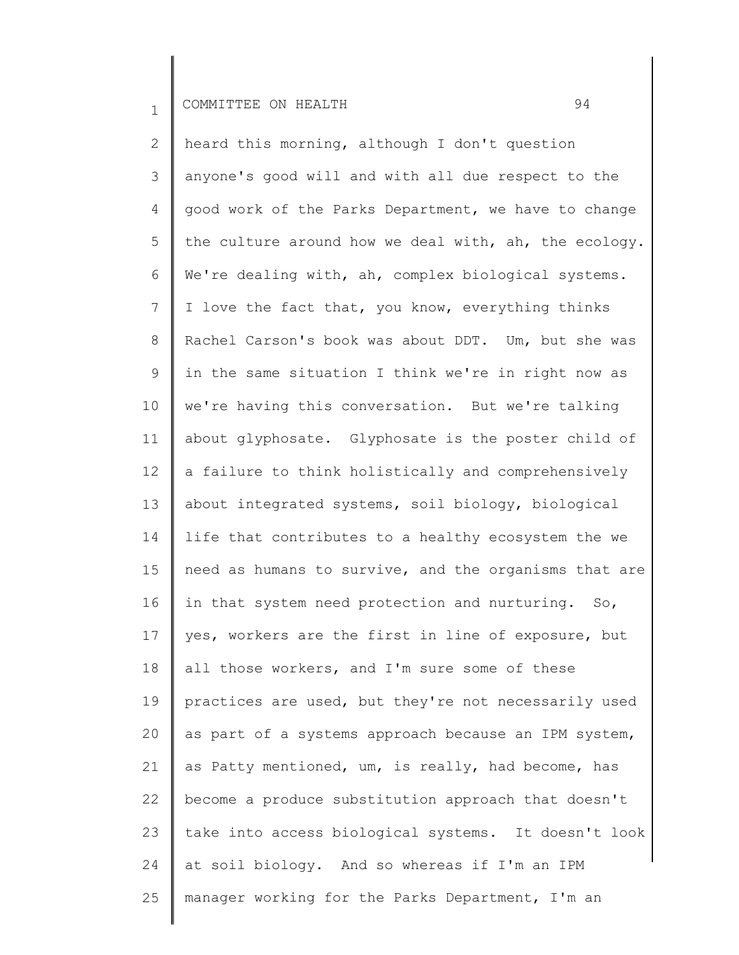2 3 4 5 6 7 8 9 10 11 12 13 14 15 16 17 18 19 20 21 22 23 24 25 heard this morning, although I don't question anyone's good will and with all due respect to the good work of the Parks Department, we have to change the culture around how we deal with, ah, the ecology. We're dealing with, ah, complex biological systems. I love the fact that, you know, everything thinks Rachel Carson's book was about DDT. Um, but she was in the same situation I think we're in right now as we're having this conversation. But we're talking about glyphosate. Glyphosate is the poster child of a failure to think holistically and comprehensively about integrated systems, soil biology, biological life that contributes to a healthy ecosystem the we need as humans to survive, and the organisms that are in that system need protection and nurturing. So, yes, workers are the first in line of exposure, but all those workers, and I'm sure some of these practices are used, but they're not necessarily used as part of a systems approach because an IPM system, as Patty mentioned, um, is really, had become, has become a produce substitution approach that doesn't take into access biological systems. It doesn't look at soil biology. And so whereas if I'm an IPM manager working for the Parks Department, I'm an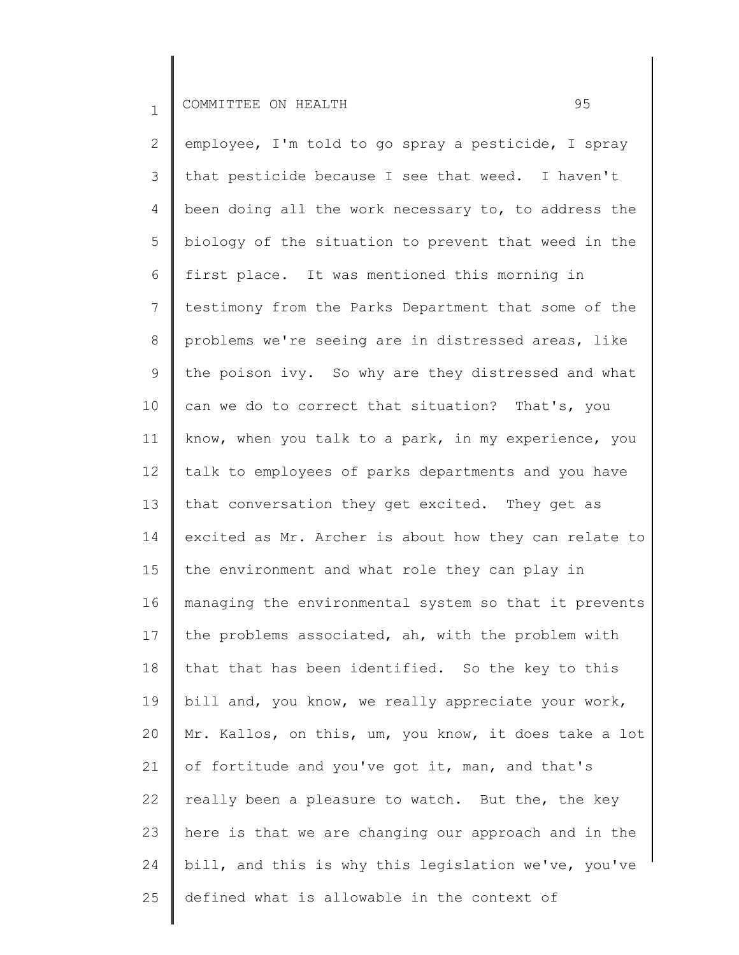2 3 4 5 6 7 8 9 10 11 12 13 14 15 16 17 18 19 20 21 22 23 24 25 employee, I'm told to go spray a pesticide, I spray that pesticide because I see that weed. I haven't been doing all the work necessary to, to address the biology of the situation to prevent that weed in the first place. It was mentioned this morning in testimony from the Parks Department that some of the problems we're seeing are in distressed areas, like the poison ivy. So why are they distressed and what can we do to correct that situation? That's, you know, when you talk to a park, in my experience, you talk to employees of parks departments and you have that conversation they get excited. They get as excited as Mr. Archer is about how they can relate to the environment and what role they can play in managing the environmental system so that it prevents the problems associated, ah, with the problem with that that has been identified. So the key to this bill and, you know, we really appreciate your work, Mr. Kallos, on this, um, you know, it does take a lot of fortitude and you've got it, man, and that's really been a pleasure to watch. But the, the key here is that we are changing our approach and in the bill, and this is why this legislation we've, you've defined what is allowable in the context of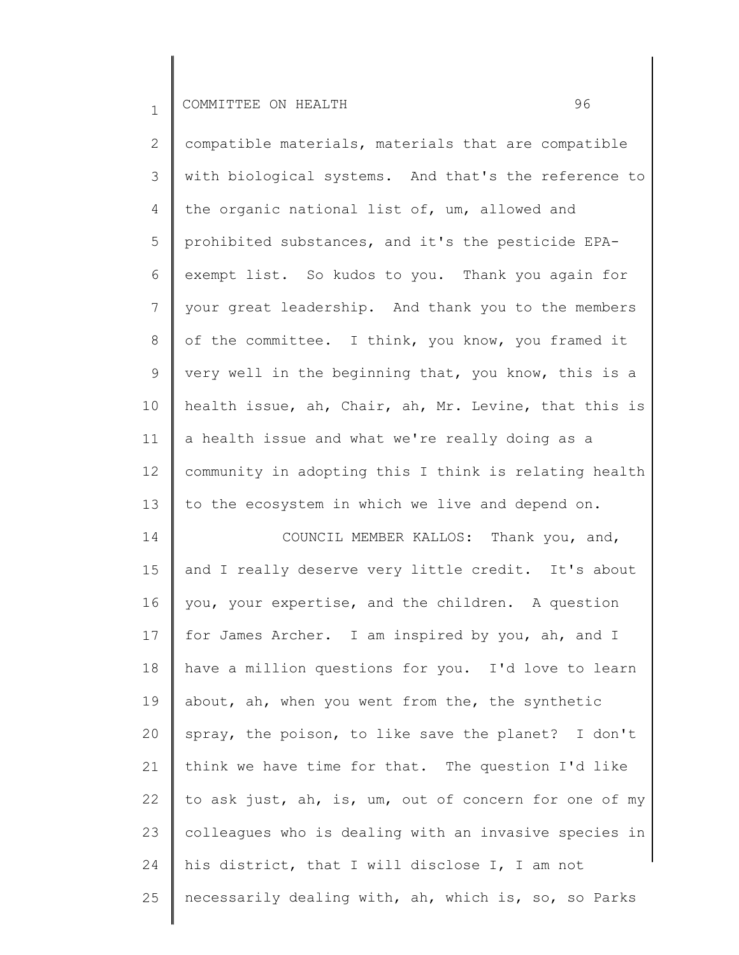2 3 4 5 6 7 8 9 10 11 12 13 14 15 16 17 18 compatible materials, materials that are compatible with biological systems. And that's the reference to the organic national list of, um, allowed and prohibited substances, and it's the pesticide EPAexempt list. So kudos to you. Thank you again for your great leadership. And thank you to the members of the committee. I think, you know, you framed it very well in the beginning that, you know, this is a health issue, ah, Chair, ah, Mr. Levine, that this is a health issue and what we're really doing as a community in adopting this I think is relating health to the ecosystem in which we live and depend on. COUNCIL MEMBER KALLOS: Thank you, and, and I really deserve very little credit. It's about you, your expertise, and the children. A question for James Archer. I am inspired by you, ah, and I have a million questions for you. I'd love to learn about, ah, when you went from the, the synthetic

19 20 21 22 23 24 25 spray, the poison, to like save the planet? I don't think we have time for that. The question I'd like to ask just, ah, is, um, out of concern for one of my colleagues who is dealing with an invasive species in his district, that I will disclose I, I am not necessarily dealing with, ah, which is, so, so Parks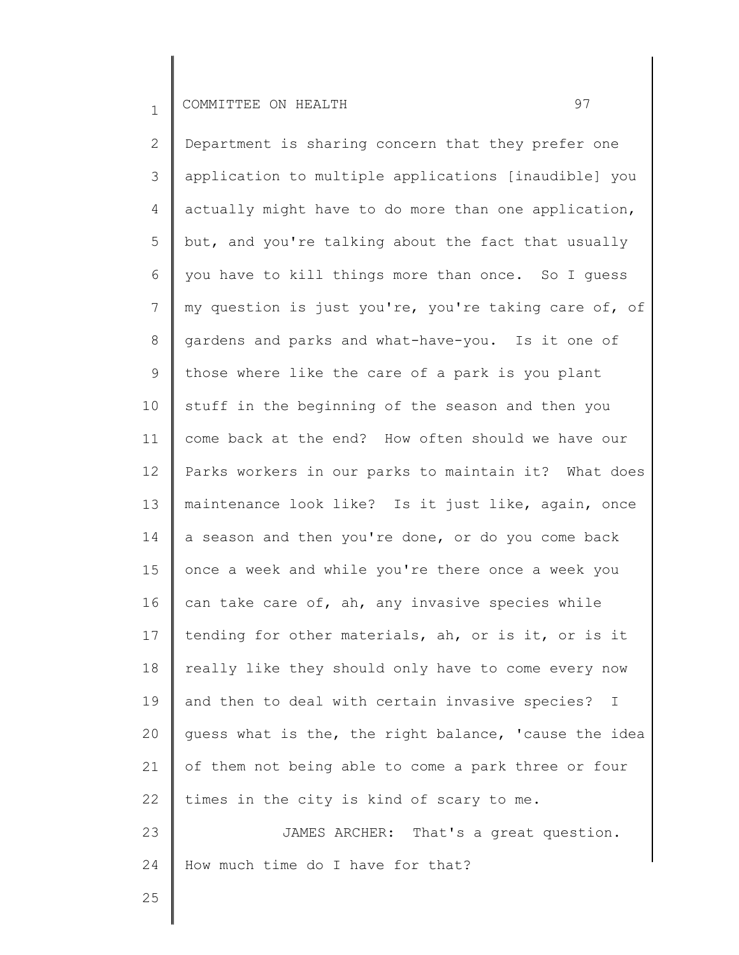2 3 4 5 6 7 8 9 10 11 12 13 14 15 16 17 18 19 20 21 22 23 Department is sharing concern that they prefer one application to multiple applications [inaudible] you actually might have to do more than one application, but, and you're talking about the fact that usually you have to kill things more than once. So I guess my question is just you're, you're taking care of, of gardens and parks and what-have-you. Is it one of those where like the care of a park is you plant stuff in the beginning of the season and then you come back at the end? How often should we have our Parks workers in our parks to maintain it? What does maintenance look like? Is it just like, again, once a season and then you're done, or do you come back once a week and while you're there once a week you can take care of, ah, any invasive species while tending for other materials, ah, or is it, or is it really like they should only have to come every now and then to deal with certain invasive species? I guess what is the, the right balance, 'cause the idea of them not being able to come a park three or four times in the city is kind of scary to me. JAMES ARCHER: That's a great question. How much time do I have for that?

24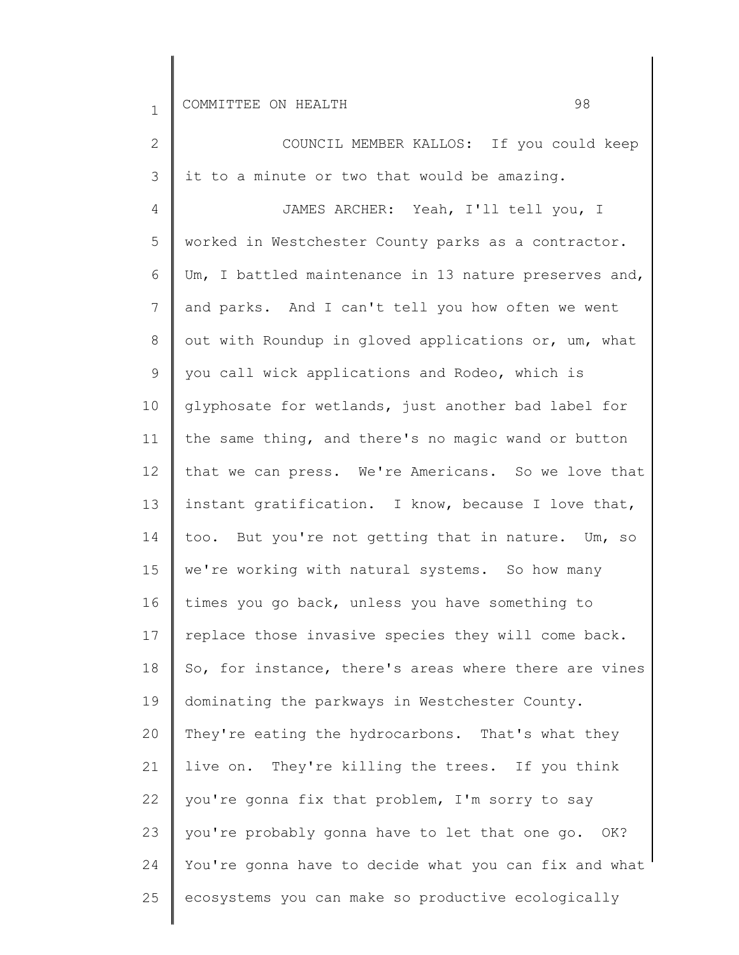| $\mathbf{2}$    | COUNCIL MEMBER KALLOS: If you could keep              |
|-----------------|-------------------------------------------------------|
| 3               | it to a minute or two that would be amazing.          |
| 4               | JAMES ARCHER: Yeah, I'll tell you, I                  |
| 5               | worked in Westchester County parks as a contractor.   |
| 6               | Um, I battled maintenance in 13 nature preserves and, |
| $7\overline{ }$ | and parks. And I can't tell you how often we went     |
| 8               | out with Roundup in gloved applications or, um, what  |
| 9               | you call wick applications and Rodeo, which is        |
| 10              | glyphosate for wetlands, just another bad label for   |
| 11              | the same thing, and there's no magic wand or button   |
| 12              | that we can press. We're Americans. So we love that   |
| 13              | instant gratification. I know, because I love that,   |
| 14              | too. But you're not getting that in nature. Um, so    |
| 15              | we're working with natural systems. So how many       |
| 16              | times you go back, unless you have something to       |
| 17              | replace those invasive species they will come back.   |
| 18              | So, for instance, there's areas where there are vines |
| 19              | dominating the parkways in Westchester County.        |
| 20              | They're eating the hydrocarbons. That's what they     |
| 21              | live on. They're killing the trees. If you think      |
| 22              | you're gonna fix that problem, I'm sorry to say       |
| 23              | you're probably gonna have to let that one go. OK?    |
| 24              | You're gonna have to decide what you can fix and what |
| 25              | ecosystems you can make so productive ecologically    |
|                 |                                                       |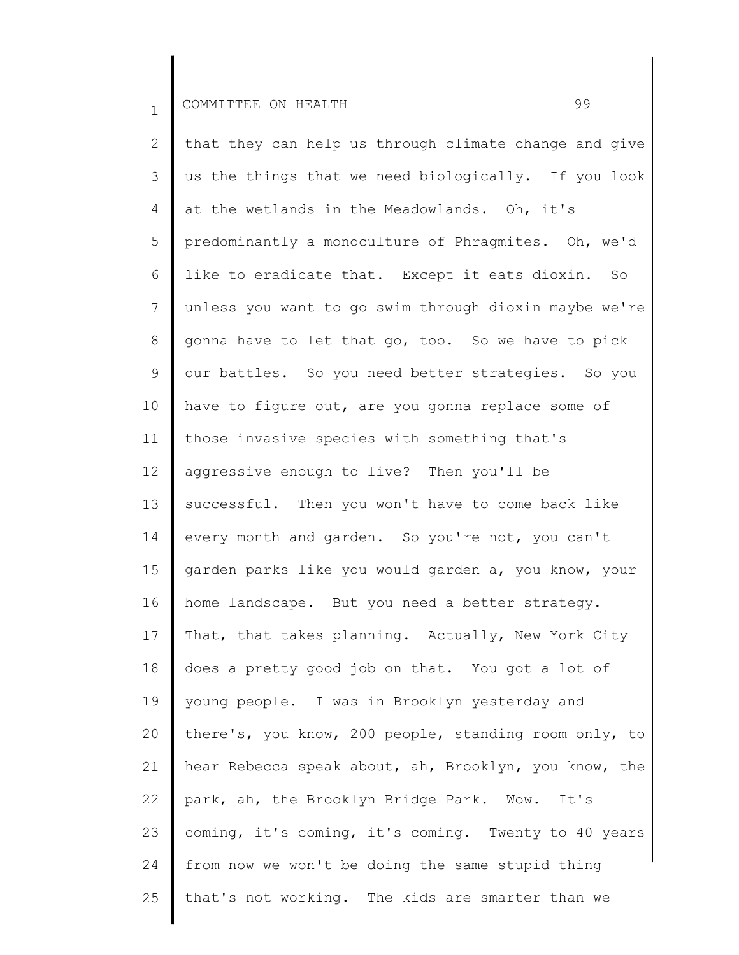25

2 3 4 5 6 7 8 9 10 11 12 13 14 15 16 17 18 19 20 21 22 23 24 that they can help us through climate change and give us the things that we need biologically. If you look at the wetlands in the Meadowlands. Oh, it's predominantly a monoculture of Phragmites. Oh, we'd like to eradicate that. Except it eats dioxin. So unless you want to go swim through dioxin maybe we're gonna have to let that go, too. So we have to pick our battles. So you need better strategies. So you have to figure out, are you gonna replace some of those invasive species with something that's aggressive enough to live? Then you'll be successful. Then you won't have to come back like every month and garden. So you're not, you can't garden parks like you would garden a, you know, your home landscape. But you need a better strategy. That, that takes planning. Actually, New York City does a pretty good job on that. You got a lot of young people. I was in Brooklyn yesterday and there's, you know, 200 people, standing room only, to hear Rebecca speak about, ah, Brooklyn, you know, the park, ah, the Brooklyn Bridge Park. Wow. It's coming, it's coming, it's coming. Twenty to 40 years from now we won't be doing the same stupid thing

that's not working. The kids are smarter than we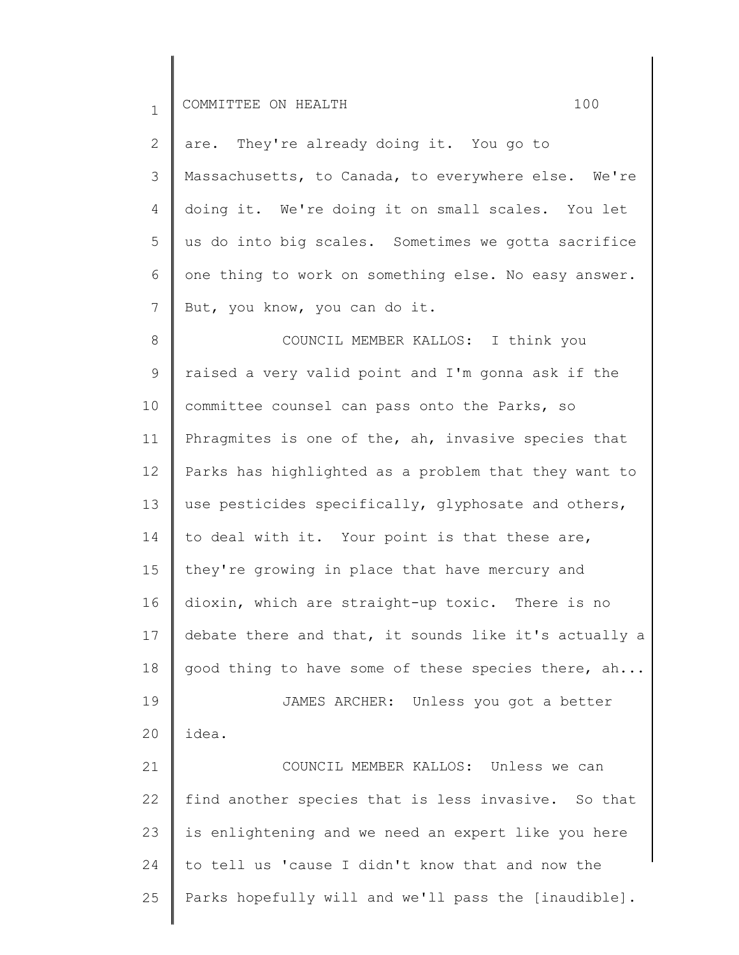| $\mathbf 1$ | 100<br>COMMITTEE ON HEALTH                            |
|-------------|-------------------------------------------------------|
| 2           | are. They're already doing it. You go to              |
| 3           | Massachusetts, to Canada, to everywhere else. We're   |
| 4           | doing it. We're doing it on small scales. You let     |
| 5           | us do into big scales. Sometimes we gotta sacrifice   |
| 6           | one thing to work on something else. No easy answer.  |
| 7           | But, you know, you can do it.                         |
| 8           | COUNCIL MEMBER KALLOS: I think you                    |
| 9           | raised a very valid point and I'm gonna ask if the    |
| 10          | committee counsel can pass onto the Parks, so         |
| 11          | Phragmites is one of the, ah, invasive species that   |
| 12          | Parks has highlighted as a problem that they want to  |
| 13          | use pesticides specifically, glyphosate and others,   |
| 14          | to deal with it. Your point is that these are,        |
| 15          | they're growing in place that have mercury and        |
| 16          | dioxin, which are straight-up toxic. There is no      |
| 17          | debate there and that, it sounds like it's actually a |
| 18          | good thing to have some of these species there, ah    |
| 19          | JAMES ARCHER: Unless you got a better                 |
| 20          | idea.                                                 |
| 21          | COUNCIL MEMBER KALLOS: Unless we can                  |
| 22          | find another species that is less invasive. So that   |
| 23          | is enlightening and we need an expert like you here   |
| 24          | to tell us 'cause I didn't know that and now the      |
| 25          | Parks hopefully will and we'll pass the [inaudible].  |
|             |                                                       |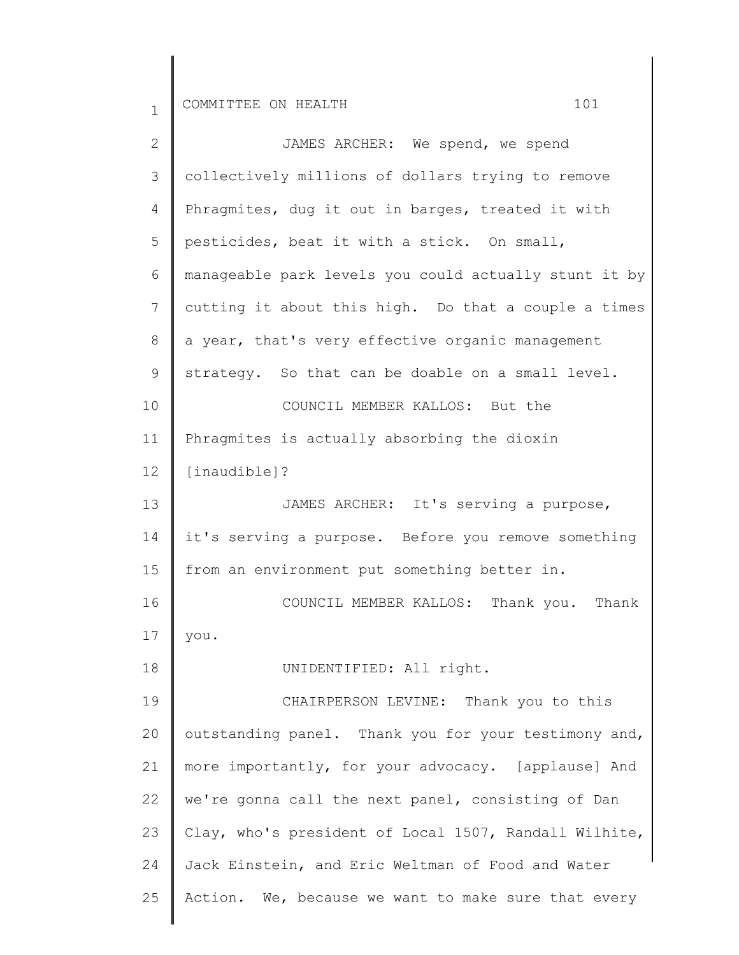| $\overline{2}$ | JAMES ARCHER: We spend, we spend                      |
|----------------|-------------------------------------------------------|
| 3              | collectively millions of dollars trying to remove     |
| 4              | Phragmites, dug it out in barges, treated it with     |
| 5              | pesticides, beat it with a stick. On small,           |
| 6              | manageable park levels you could actually stunt it by |
| 7              | cutting it about this high. Do that a couple a times  |
| 8              | a year, that's very effective organic management      |
| 9              | strategy. So that can be doable on a small level.     |
| 10             | COUNCIL MEMBER KALLOS: But the                        |
| 11             | Phragmites is actually absorbing the dioxin           |
| 12             | [inaudible]?                                          |
| 13             | JAMES ARCHER: It's serving a purpose,                 |
| 14             | it's serving a purpose. Before you remove something   |
| 15             | from an environment put something better in.          |
| 16             | COUNCIL MEMBER KALLOS: Thank you. Thank               |
| 17             | you.                                                  |
| 18             | UNIDENTIFIED: All right.                              |
| 19             | CHAIRPERSON LEVINE: Thank you to this                 |
| 20             | outstanding panel. Thank you for your testimony and,  |
| 21             | more importantly, for your advocacy. [applause] And   |
| 22             | we're gonna call the next panel, consisting of Dan    |
| 23             | Clay, who's president of Local 1507, Randall Wilhite, |
| 24             | Jack Einstein, and Eric Weltman of Food and Water     |
| 25             | Action. We, because we want to make sure that every   |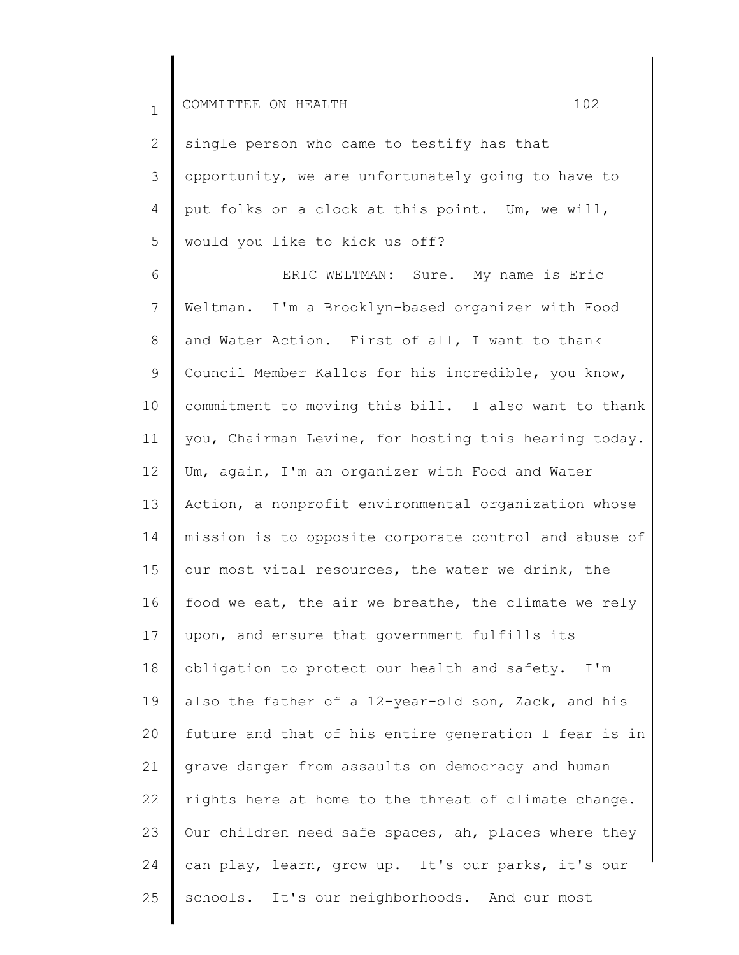2 3 4 5 single person who came to testify has that opportunity, we are unfortunately going to have to put folks on a clock at this point. Um, we will, would you like to kick us off?

6 7 8 9 10 11 12 13 14 15 16 17 18 19 20 21 22 23 24 25 ERIC WELTMAN: Sure. My name is Eric Weltman. I'm a Brooklyn-based organizer with Food and Water Action. First of all, I want to thank Council Member Kallos for his incredible, you know, commitment to moving this bill. I also want to thank you, Chairman Levine, for hosting this hearing today. Um, again, I'm an organizer with Food and Water Action, a nonprofit environmental organization whose mission is to opposite corporate control and abuse of our most vital resources, the water we drink, the food we eat, the air we breathe, the climate we rely upon, and ensure that government fulfills its obligation to protect our health and safety. I'm also the father of a 12-year-old son, Zack, and his future and that of his entire generation I fear is in grave danger from assaults on democracy and human rights here at home to the threat of climate change. Our children need safe spaces, ah, places where they can play, learn, grow up. It's our parks, it's our schools. It's our neighborhoods. And our most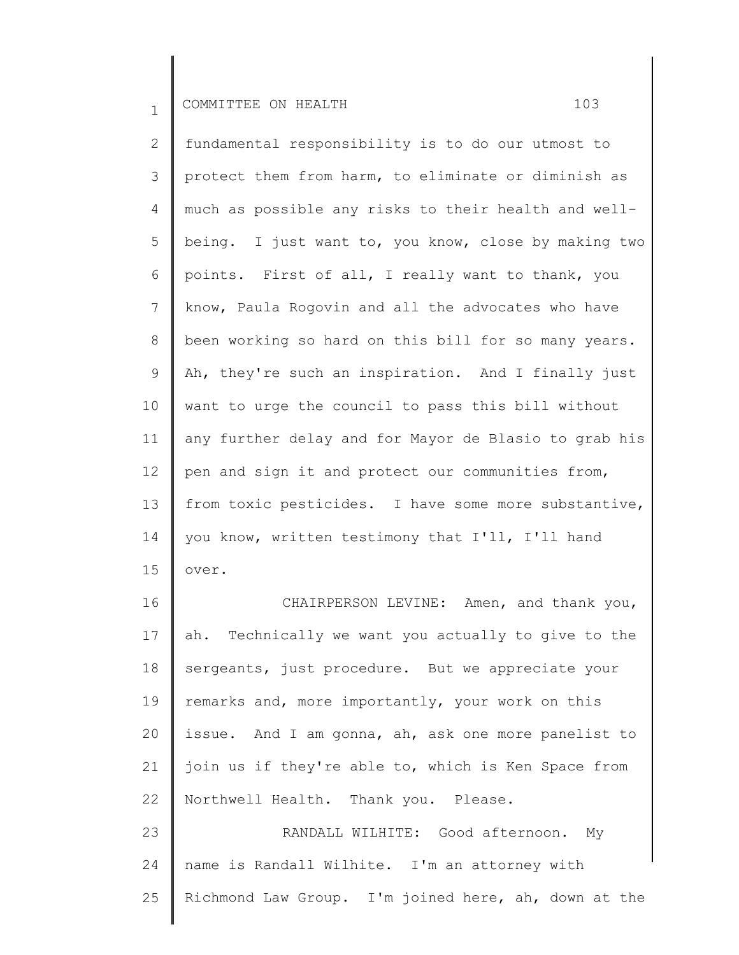2 3 4 5 6 7 8 9 10 11 12 13 14 15 fundamental responsibility is to do our utmost to protect them from harm, to eliminate or diminish as much as possible any risks to their health and wellbeing. I just want to, you know, close by making two points. First of all, I really want to thank, you know, Paula Rogovin and all the advocates who have been working so hard on this bill for so many years. Ah, they're such an inspiration. And I finally just want to urge the council to pass this bill without any further delay and for Mayor de Blasio to grab his pen and sign it and protect our communities from, from toxic pesticides. I have some more substantive, you know, written testimony that I'll, I'll hand over.

16 17 18 19 20 21 22 23 CHAIRPERSON LEVINE: Amen, and thank you, ah. Technically we want you actually to give to the sergeants, just procedure. But we appreciate your remarks and, more importantly, your work on this issue. And I am gonna, ah, ask one more panelist to join us if they're able to, which is Ken Space from Northwell Health. Thank you. Please. RANDALL WILHITE: Good afternoon. My

24 25 name is Randall Wilhite. I'm an attorney with Richmond Law Group. I'm joined here, ah, down at the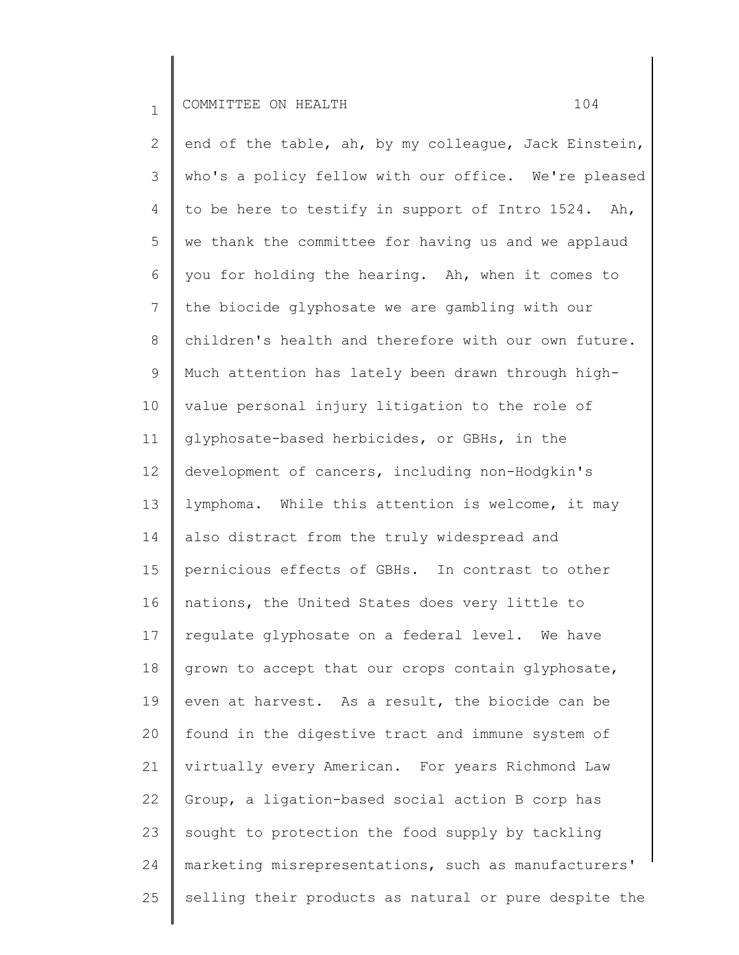2 3 4 5 6 7 8 9 10 11 12 13 14 15 16 17 18 19 20 21 22 23 24 25 end of the table, ah, by my colleague, Jack Einstein, who's a policy fellow with our office. We're pleased to be here to testify in support of Intro 1524. Ah, we thank the committee for having us and we applaud you for holding the hearing. Ah, when it comes to the biocide glyphosate we are gambling with our children's health and therefore with our own future. Much attention has lately been drawn through highvalue personal injury litigation to the role of glyphosate-based herbicides, or GBHs, in the development of cancers, including non-Hodgkin's lymphoma. While this attention is welcome, it may also distract from the truly widespread and pernicious effects of GBHs. In contrast to other nations, the United States does very little to regulate glyphosate on a federal level. We have grown to accept that our crops contain glyphosate, even at harvest. As a result, the biocide can be found in the digestive tract and immune system of virtually every American. For years Richmond Law Group, a ligation-based social action B corp has sought to protection the food supply by tackling marketing misrepresentations, such as manufacturers' selling their products as natural or pure despite the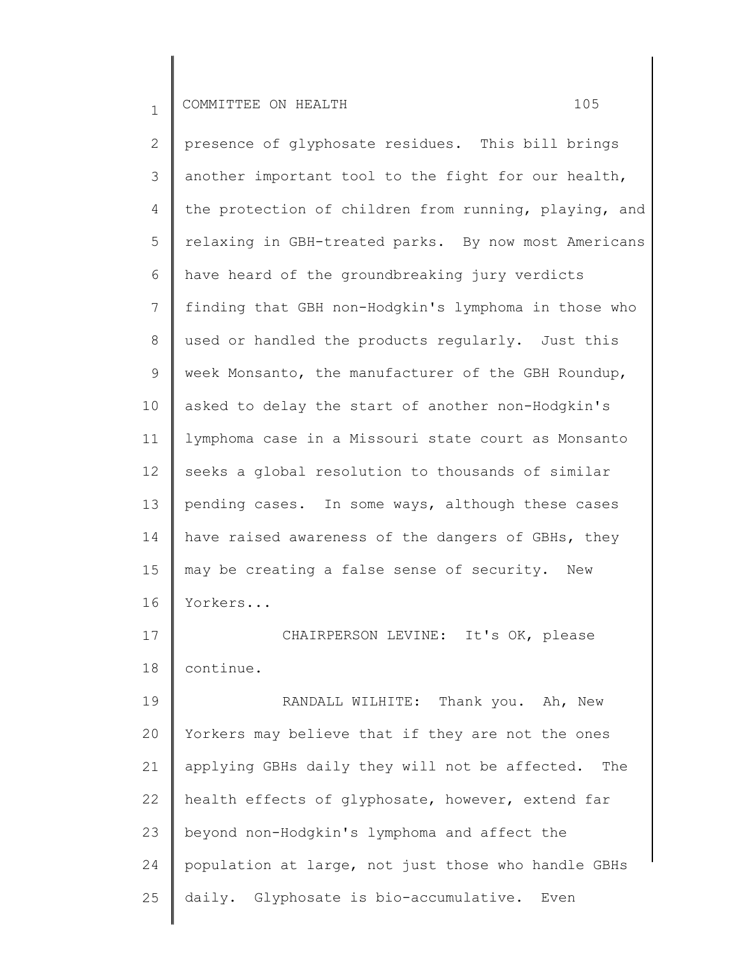2 3 4 5 6 7 8 9 10 11 12 13 14 15 16 17 18 19 presence of glyphosate residues. This bill brings another important tool to the fight for our health, the protection of children from running, playing, and relaxing in GBH-treated parks. By now most Americans have heard of the groundbreaking jury verdicts finding that GBH non-Hodgkin's lymphoma in those who used or handled the products regularly. Just this week Monsanto, the manufacturer of the GBH Roundup, asked to delay the start of another non-Hodgkin's lymphoma case in a Missouri state court as Monsanto seeks a global resolution to thousands of similar pending cases. In some ways, although these cases have raised awareness of the dangers of GBHs, they may be creating a false sense of security. New Yorkers... CHAIRPERSON LEVINE: It's OK, please continue. RANDALL WILHITE: Thank you. Ah, New

20 21 22 23 24 25 Yorkers may believe that if they are not the ones applying GBHs daily they will not be affected. The health effects of glyphosate, however, extend far beyond non-Hodgkin's lymphoma and affect the population at large, not just those who handle GBHs daily. Glyphosate is bio-accumulative. Even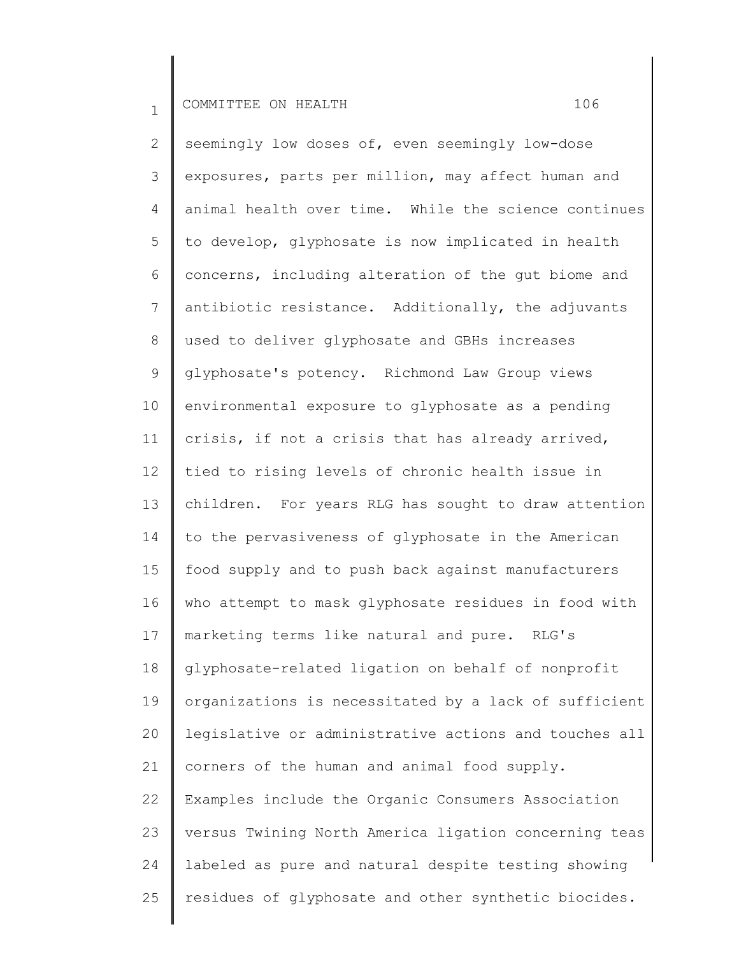2 3 4 5 6 7 8 9 10 11 12 13 14 15 16 17 18 19 20 21 22 23 24 25 seemingly low doses of, even seemingly low-dose exposures, parts per million, may affect human and animal health over time. While the science continues to develop, glyphosate is now implicated in health concerns, including alteration of the gut biome and antibiotic resistance. Additionally, the adjuvants used to deliver glyphosate and GBHs increases glyphosate's potency. Richmond Law Group views environmental exposure to glyphosate as a pending crisis, if not a crisis that has already arrived, tied to rising levels of chronic health issue in children. For years RLG has sought to draw attention to the pervasiveness of glyphosate in the American food supply and to push back against manufacturers who attempt to mask glyphosate residues in food with marketing terms like natural and pure. RLG's glyphosate-related ligation on behalf of nonprofit organizations is necessitated by a lack of sufficient legislative or administrative actions and touches all corners of the human and animal food supply. Examples include the Organic Consumers Association versus Twining North America ligation concerning teas labeled as pure and natural despite testing showing residues of glyphosate and other synthetic biocides.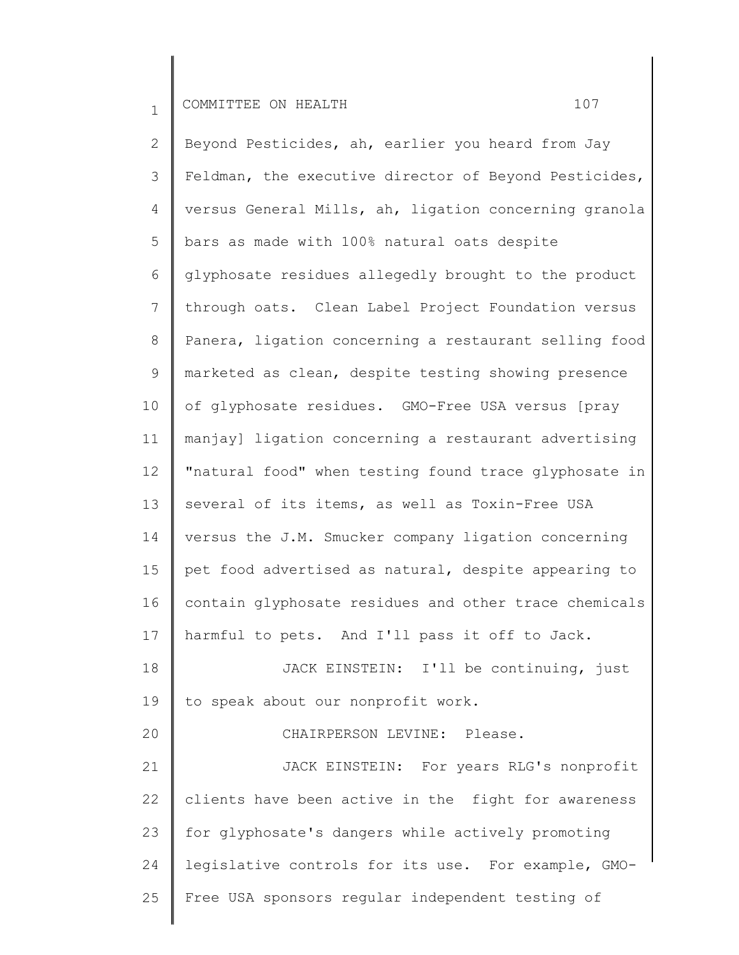2 3 4 5 6 7 8 9 10 11 12 13 14 15 16 17 18 19 20 21 22 23 24 25 Beyond Pesticides, ah, earlier you heard from Jay Feldman, the executive director of Beyond Pesticides, versus General Mills, ah, ligation concerning granola bars as made with 100% natural oats despite glyphosate residues allegedly brought to the product through oats. Clean Label Project Foundation versus Panera, ligation concerning a restaurant selling food marketed as clean, despite testing showing presence of glyphosate residues. GMO-Free USA versus [pray manjay] ligation concerning a restaurant advertising "natural food" when testing found trace glyphosate in several of its items, as well as Toxin-Free USA versus the J.M. Smucker company ligation concerning pet food advertised as natural, despite appearing to contain glyphosate residues and other trace chemicals harmful to pets. And I'll pass it off to Jack. JACK EINSTEIN: I'll be continuing, just to speak about our nonprofit work. CHAIRPERSON LEVINE: Please. JACK EINSTEIN: For years RLG's nonprofit clients have been active in the fight for awareness for glyphosate's dangers while actively promoting legislative controls for its use. For example, GMO-Free USA sponsors regular independent testing of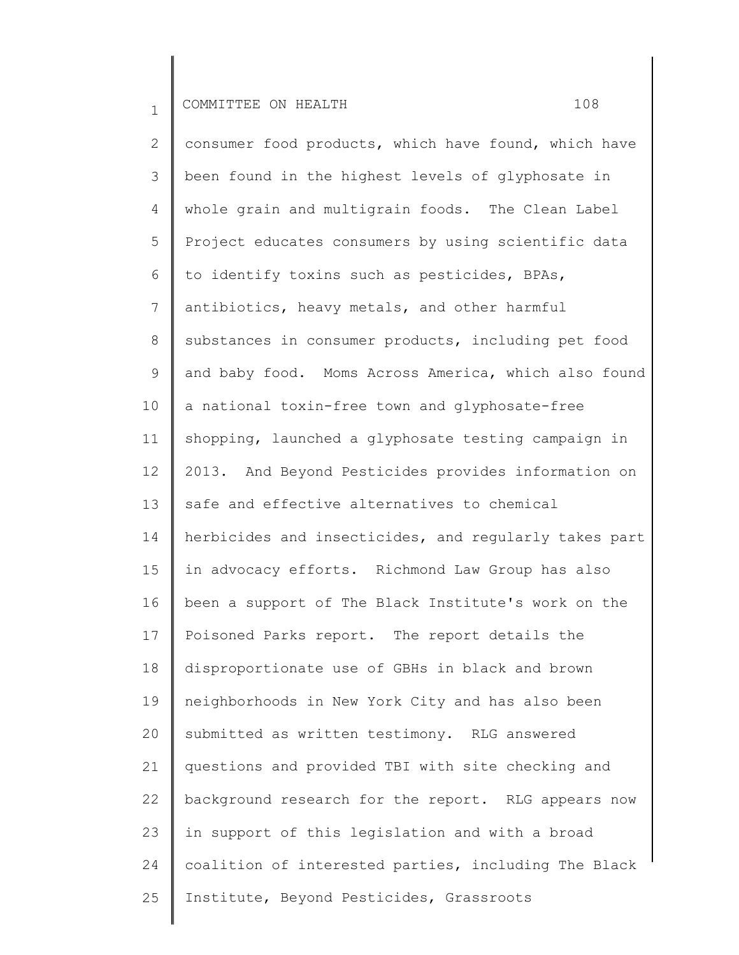2 3 4 5 6 7 8 9 10 11 12 13 14 15 16 17 18 19 20 21 22 23 24 25 consumer food products, which have found, which have been found in the highest levels of glyphosate in whole grain and multigrain foods. The Clean Label Project educates consumers by using scientific data to identify toxins such as pesticides, BPAs, antibiotics, heavy metals, and other harmful substances in consumer products, including pet food and baby food. Moms Across America, which also found a national toxin-free town and glyphosate-free shopping, launched a glyphosate testing campaign in 2013. And Beyond Pesticides provides information on safe and effective alternatives to chemical herbicides and insecticides, and regularly takes part in advocacy efforts. Richmond Law Group has also been a support of The Black Institute's work on the Poisoned Parks report. The report details the disproportionate use of GBHs in black and brown neighborhoods in New York City and has also been submitted as written testimony. RLG answered questions and provided TBI with site checking and background research for the report. RLG appears now in support of this legislation and with a broad coalition of interested parties, including The Black Institute, Beyond Pesticides, Grassroots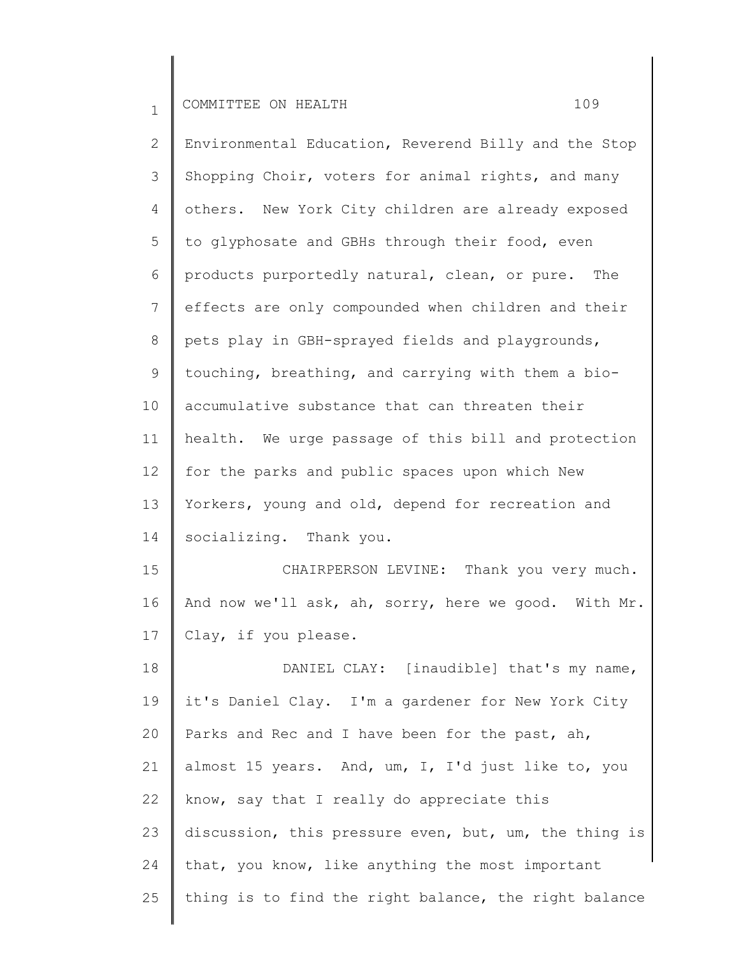22

2 3 4 5 6 7 8 9 10 11 12 13 14 15 16 17 18 19 20 21 Environmental Education, Reverend Billy and the Stop Shopping Choir, voters for animal rights, and many others. New York City children are already exposed to glyphosate and GBHs through their food, even products purportedly natural, clean, or pure. The effects are only compounded when children and their pets play in GBH-sprayed fields and playgrounds, touching, breathing, and carrying with them a bioaccumulative substance that can threaten their health. We urge passage of this bill and protection for the parks and public spaces upon which New Yorkers, young and old, depend for recreation and socializing. Thank you. CHAIRPERSON LEVINE: Thank you very much. And now we'll ask, ah, sorry, here we good. With Mr. Clay, if you please. DANIEL CLAY: [inaudible] that's my name, it's Daniel Clay. I'm a gardener for New York City Parks and Rec and I have been for the past, ah, almost 15 years. And, um, I, I'd just like to, you

23 24 25 discussion, this pressure even, but, um, the thing is that, you know, like anything the most important thing is to find the right balance, the right balance

know, say that I really do appreciate this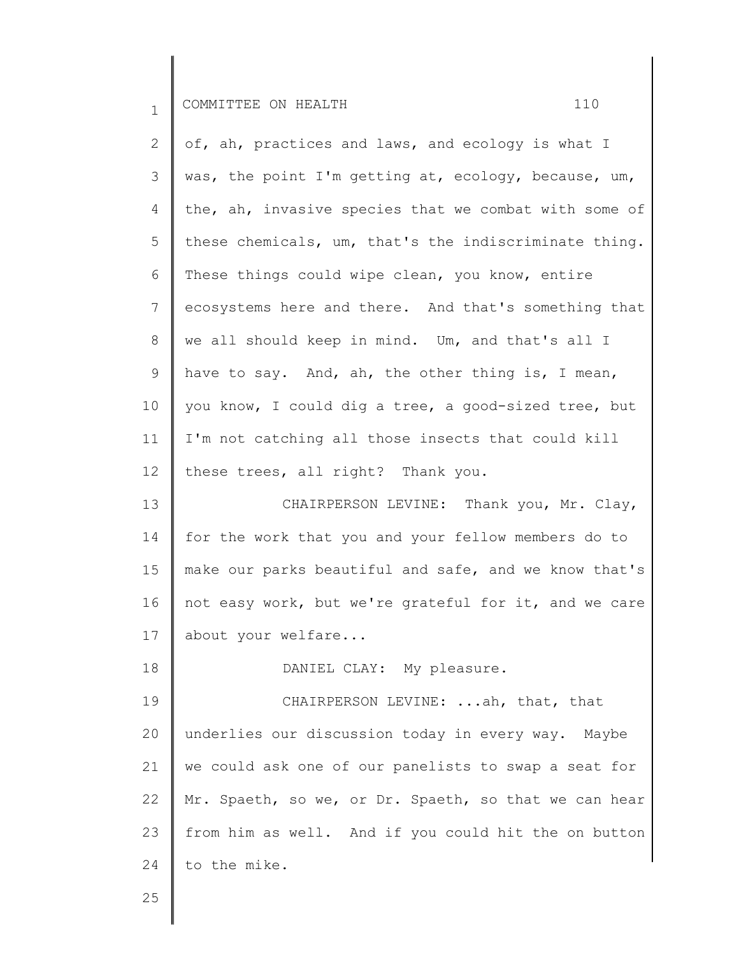|           | OMMITTTEE.<br>Ш | $\sim$ | ON HEAL.<br>m tr |  |  |
|-----------|-----------------|--------|------------------|--|--|
| <b>__</b> |                 |        |                  |  |  |

| $\mathbf{2}$   | of, ah, practices and laws, and ecology is what I     |
|----------------|-------------------------------------------------------|
| 3              | was, the point I'm getting at, ecology, because, um,  |
| 4              | the, ah, invasive species that we combat with some of |
| 5              | these chemicals, um, that's the indiscriminate thing. |
| 6              | These things could wipe clean, you know, entire       |
| 7              | ecosystems here and there. And that's something that  |
| $8\,$          | we all should keep in mind. Um, and that's all I      |
| $\overline{9}$ | have to say. And, ah, the other thing is, I mean,     |
| 10             | you know, I could dig a tree, a good-sized tree, but  |
| 11             | I'm not catching all those insects that could kill    |
| 12             | these trees, all right? Thank you.                    |
| 13             | CHAIRPERSON LEVINE: Thank you, Mr. Clay,              |
| 14             | for the work that you and your fellow members do to   |
| 15             | make our parks beautiful and safe, and we know that's |
| 16             | not easy work, but we're grateful for it, and we care |

17 about your welfare...

18

25

DANIEL CLAY: My pleasure.

19 20 21 22 23 24 CHAIRPERSON LEVINE: ...ah, that, that underlies our discussion today in every way. Maybe we could ask one of our panelists to swap a seat for Mr. Spaeth, so we, or Dr. Spaeth, so that we can hear from him as well. And if you could hit the on button to the mike.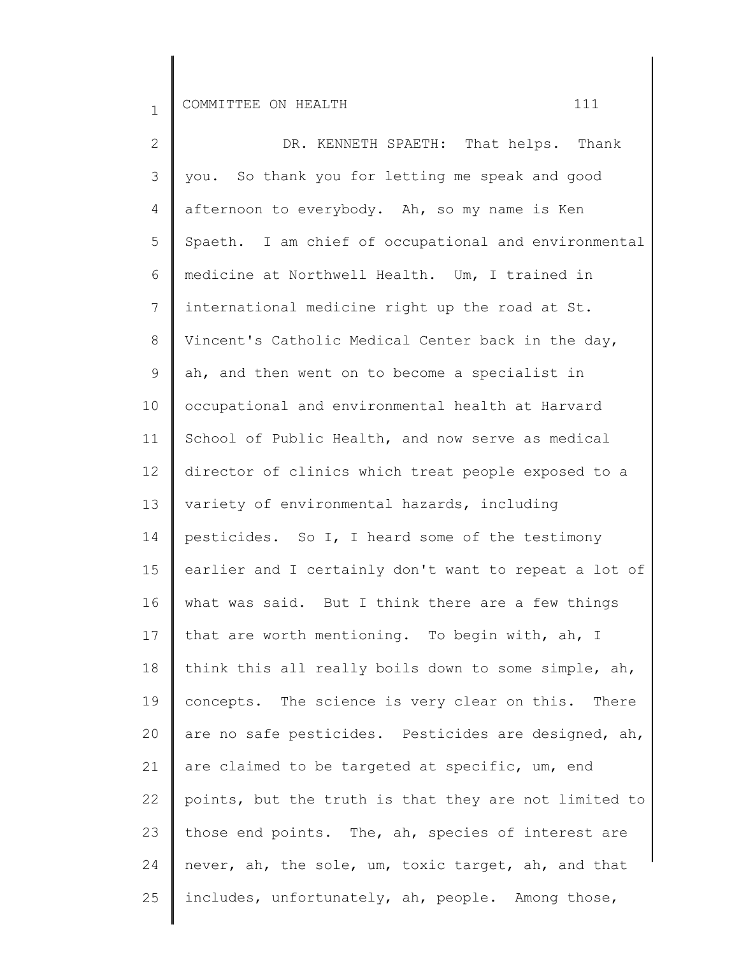2 3 4 5 6 7 8 9 10 11 12 13 14 15 16 17 18 19 20 21 22 23 24 25 DR. KENNETH SPAETH: That helps. Thank you. So thank you for letting me speak and good afternoon to everybody. Ah, so my name is Ken Spaeth. I am chief of occupational and environmental medicine at Northwell Health. Um, I trained in international medicine right up the road at St. Vincent's Catholic Medical Center back in the day, ah, and then went on to become a specialist in occupational and environmental health at Harvard School of Public Health, and now serve as medical director of clinics which treat people exposed to a variety of environmental hazards, including pesticides. So I, I heard some of the testimony earlier and I certainly don't want to repeat a lot of what was said. But I think there are a few things that are worth mentioning. To begin with, ah, I think this all really boils down to some simple, ah, concepts. The science is very clear on this. There are no safe pesticides. Pesticides are designed, ah, are claimed to be targeted at specific, um, end points, but the truth is that they are not limited to those end points. The, ah, species of interest are never, ah, the sole, um, toxic target, ah, and that includes, unfortunately, ah, people. Among those,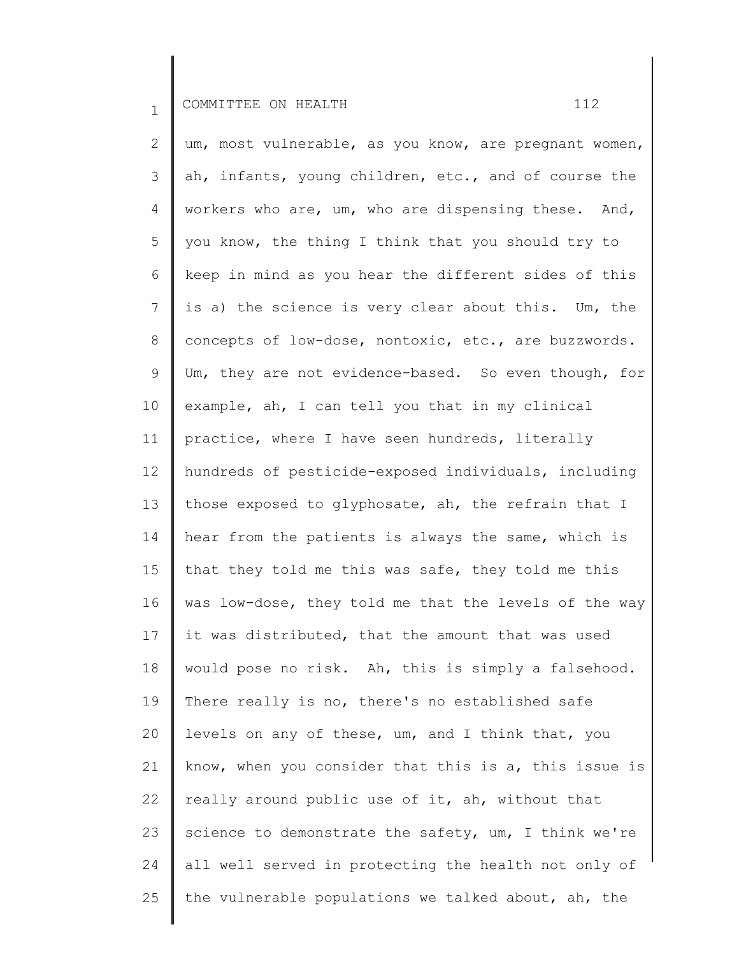2 3 4 5 6 7 8 9 10 11 12 13 14 15 16 17 18 19 20 21 22 23 24 25 um, most vulnerable, as you know, are pregnant women, ah, infants, young children, etc., and of course the workers who are, um, who are dispensing these. And, you know, the thing I think that you should try to keep in mind as you hear the different sides of this is a) the science is very clear about this. Um, the concepts of low-dose, nontoxic, etc., are buzzwords. Um, they are not evidence-based. So even though, for example, ah, I can tell you that in my clinical practice, where I have seen hundreds, literally hundreds of pesticide-exposed individuals, including those exposed to glyphosate, ah, the refrain that I hear from the patients is always the same, which is that they told me this was safe, they told me this was low-dose, they told me that the levels of the way it was distributed, that the amount that was used would pose no risk. Ah, this is simply a falsehood. There really is no, there's no established safe levels on any of these, um, and I think that, you know, when you consider that this is a, this issue is really around public use of it, ah, without that science to demonstrate the safety, um, I think we're all well served in protecting the health not only of the vulnerable populations we talked about, ah, the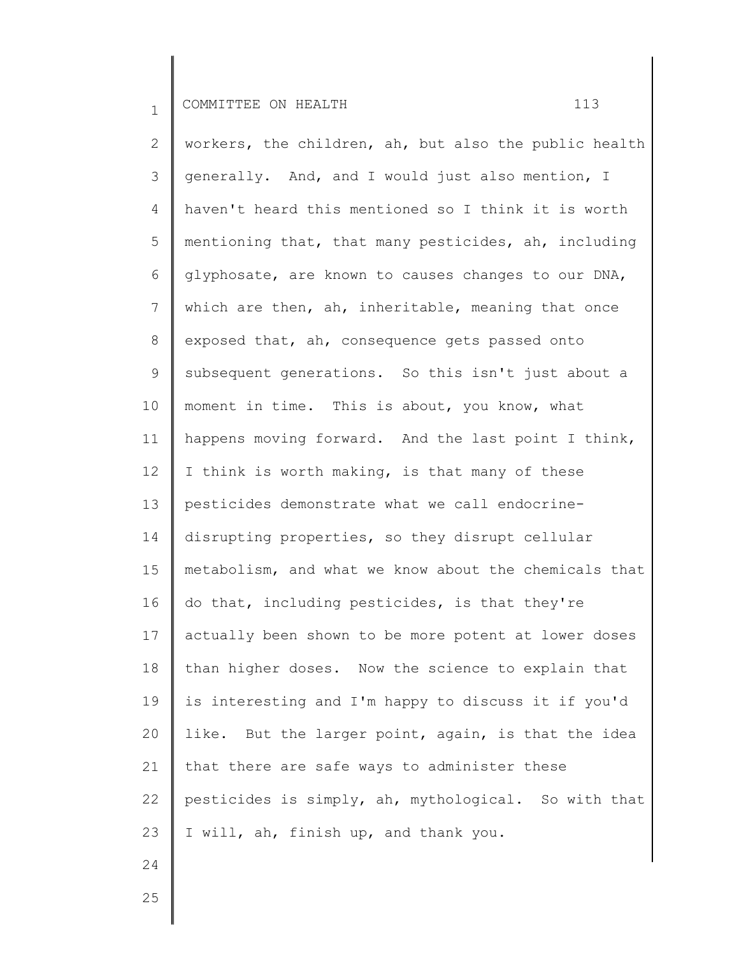2 3 4 5 6 7 8 9 10 11 12 13 14 15 16 17 18 19 20 21 22 23 workers, the children, ah, but also the public health generally. And, and I would just also mention, I haven't heard this mentioned so I think it is worth mentioning that, that many pesticides, ah, including glyphosate, are known to causes changes to our DNA, which are then, ah, inheritable, meaning that once exposed that, ah, consequence gets passed onto subsequent generations. So this isn't just about a moment in time. This is about, you know, what happens moving forward. And the last point I think, I think is worth making, is that many of these pesticides demonstrate what we call endocrinedisrupting properties, so they disrupt cellular metabolism, and what we know about the chemicals that do that, including pesticides, is that they're actually been shown to be more potent at lower doses than higher doses. Now the science to explain that is interesting and I'm happy to discuss it if you'd like. But the larger point, again, is that the idea that there are safe ways to administer these pesticides is simply, ah, mythological. So with that I will, ah, finish up, and thank you.

25

24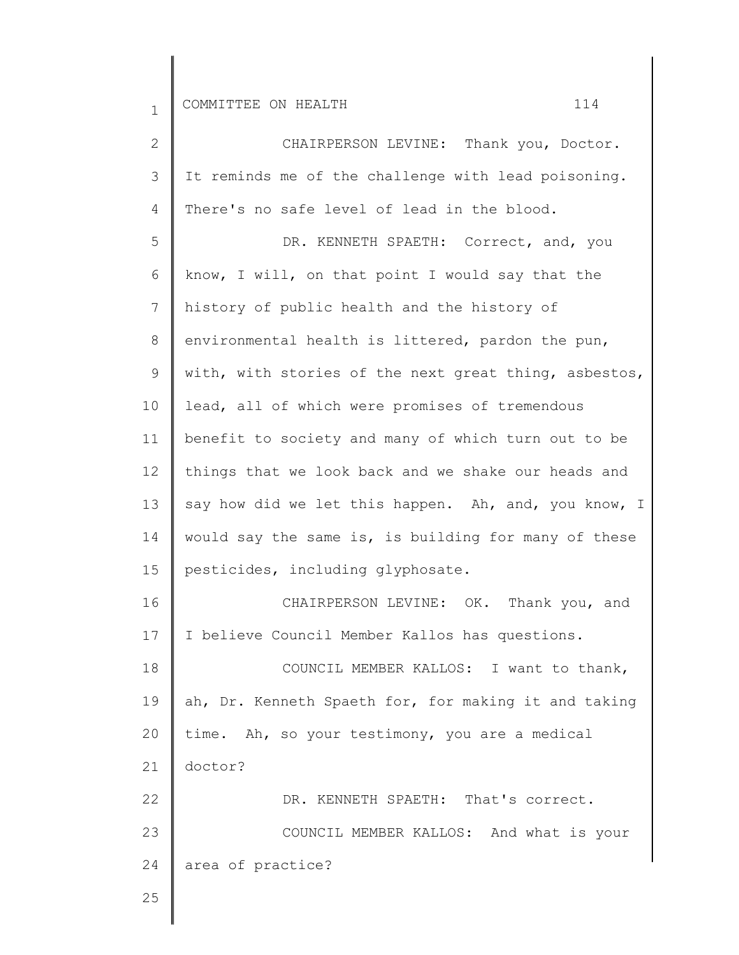| 2              | CHAIRPERSON LEVINE: Thank you, Doctor.                |
|----------------|-------------------------------------------------------|
| 3              | It reminds me of the challenge with lead poisoning.   |
| 4              | There's no safe level of lead in the blood.           |
| 5              | DR. KENNETH SPAETH: Correct, and, you                 |
| 6              | know, I will, on that point I would say that the      |
| $7\phantom{.}$ | history of public health and the history of           |
| 8              | environmental health is littered, pardon the pun,     |
| 9              | with, with stories of the next great thing, asbestos, |
| 10             | lead, all of which were promises of tremendous        |
| 11             | benefit to society and many of which turn out to be   |
| 12             | things that we look back and we shake our heads and   |
| 13             | say how did we let this happen. Ah, and, you know, I  |
| 14             | would say the same is, is building for many of these  |
| 15             | pesticides, including glyphosate.                     |
| 16             | CHAIRPERSON LEVINE: OK. Thank you, and                |
| 17             | I believe Council Member Kallos has questions.        |
| 18             | COUNCIL MEMBER KALLOS: I want to thank,               |
| 19             | ah, Dr. Kenneth Spaeth for, for making it and taking  |
| 20             | time. Ah, so your testimony, you are a medical        |
| 21             | doctor?                                               |
| 22             | DR. KENNETH SPAETH: That's correct.                   |
| 23             | COUNCIL MEMBER KALLOS: And what is your               |
| 24             | area of practice?                                     |
| 25             |                                                       |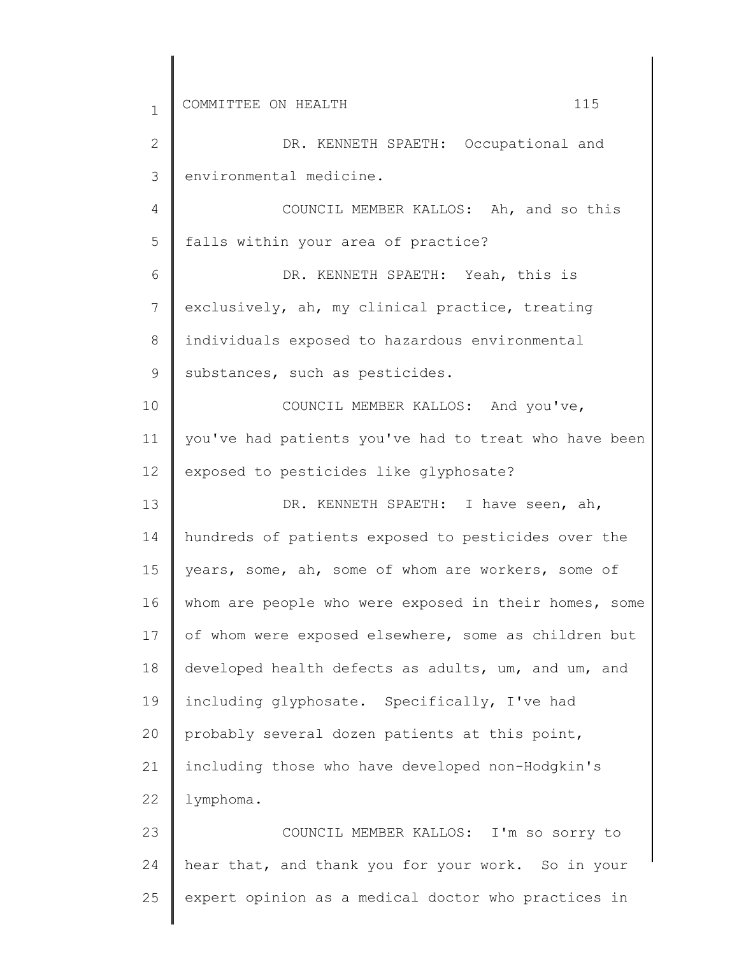| $\mathbf{1}$   | 115<br>COMMITTEE ON HEALTH                            |
|----------------|-------------------------------------------------------|
| $\mathbf{2}$   | DR. KENNETH SPAETH: Occupational and                  |
| 3              | environmental medicine.                               |
| $\overline{4}$ | COUNCIL MEMBER KALLOS: Ah, and so this                |
| 5              | falls within your area of practice?                   |
| 6              | DR. KENNETH SPAETH: Yeah, this is                     |
| $7\phantom{.}$ | exclusively, ah, my clinical practice, treating       |
| 8              | individuals exposed to hazardous environmental        |
| $\mathsf 9$    | substances, such as pesticides.                       |
| 10             | COUNCIL MEMBER KALLOS: And you've,                    |
| 11             | you've had patients you've had to treat who have been |
| 12             | exposed to pesticides like glyphosate?                |
| 13             | DR. KENNETH SPAETH: I have seen, ah,                  |
| 14             | hundreds of patients exposed to pesticides over the   |
| 15             | years, some, ah, some of whom are workers, some of    |
| 16             | whom are people who were exposed in their homes, some |
| 17             | of whom were exposed elsewhere, some as children but  |
| 18             | developed health defects as adults, um, and um, and   |
| 19             | including glyphosate. Specifically, I've had          |
| 20             | probably several dozen patients at this point,        |
| 21             | including those who have developed non-Hodgkin's      |
| 22             | lymphoma.                                             |
| 23             | COUNCIL MEMBER KALLOS: I'm so sorry to                |
| 24             | hear that, and thank you for your work. So in your    |
| 25             | expert opinion as a medical doctor who practices in   |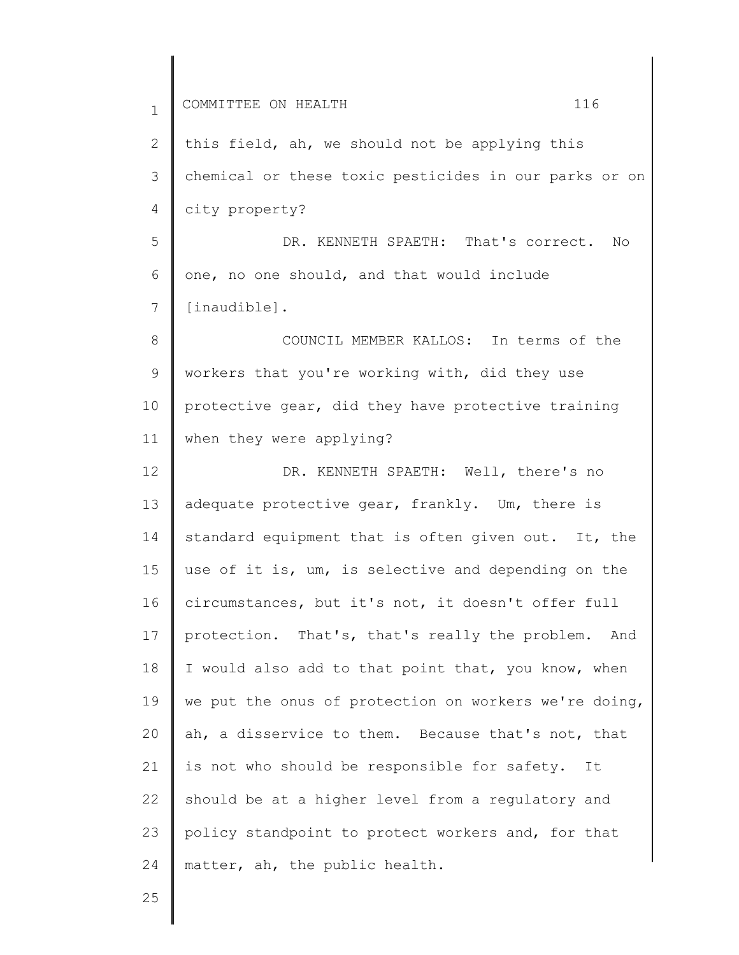1 2 3 4 5 6 7 8 9 10 11 12 13 14 15 16 17 18 19 20 21 22 23 24 COMMITTEE ON HEALTH 116 this field, ah, we should not be applying this chemical or these toxic pesticides in our parks or on city property? DR. KENNETH SPAETH: That's correct. No one, no one should, and that would include [inaudible]. COUNCIL MEMBER KALLOS: In terms of the workers that you're working with, did they use protective gear, did they have protective training when they were applying? DR. KENNETH SPAETH: Well, there's no adequate protective gear, frankly. Um, there is standard equipment that is often given out. It, the use of it is, um, is selective and depending on the circumstances, but it's not, it doesn't offer full protection. That's, that's really the problem. And I would also add to that point that, you know, when we put the onus of protection on workers we're doing, ah, a disservice to them. Because that's not, that is not who should be responsible for safety. It should be at a higher level from a regulatory and policy standpoint to protect workers and, for that matter, ah, the public health.

25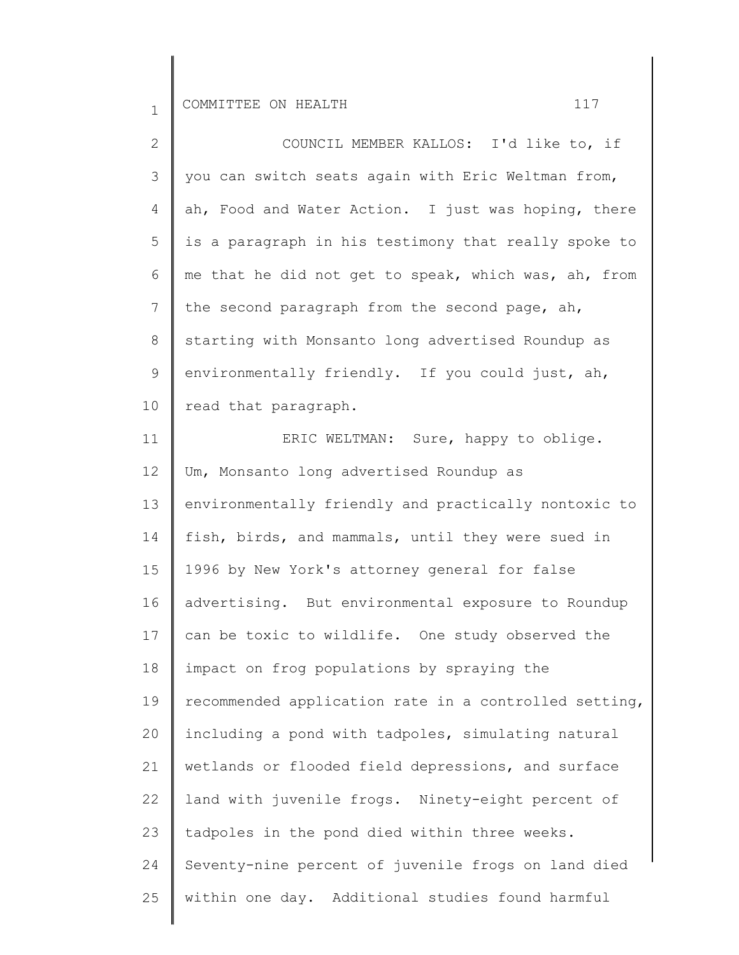| $\overline{2}$  | COUNCIL MEMBER KALLOS: I'd like to, if                |
|-----------------|-------------------------------------------------------|
| 3               | you can switch seats again with Eric Weltman from,    |
| 4               | ah, Food and Water Action. I just was hoping, there   |
| 5               | is a paragraph in his testimony that really spoke to  |
| 6               | me that he did not get to speak, which was, ah, from  |
| $\overline{7}$  | the second paragraph from the second page, ah,        |
| $8\,$           | starting with Monsanto long advertised Roundup as     |
| $\mathsf 9$     | environmentally friendly. If you could just, ah,      |
| 10              | read that paragraph.                                  |
| 11              | ERIC WELTMAN: Sure, happy to oblige.                  |
| 12 <sup>°</sup> | Um, Monsanto long advertised Roundup as               |
| 13              | environmentally friendly and practically nontoxic to  |
| 14              | fish, birds, and mammals, until they were sued in     |
| 15              | 1996 by New York's attorney general for false         |
| 16              | advertising. But environmental exposure to Roundup    |
| 17              | can be toxic to wildlife. One study observed the      |
| 18              | impact on frog populations by spraying the            |
| 19              | recommended application rate in a controlled setting, |
| 20              | including a pond with tadpoles, simulating natural    |
| 21              | wetlands or flooded field depressions, and surface    |
| 22              | land with juvenile frogs. Ninety-eight percent of     |
| 23              | tadpoles in the pond died within three weeks.         |
| 24              | Seventy-nine percent of juvenile frogs on land died   |
| 25              | within one day. Additional studies found harmful      |
|                 |                                                       |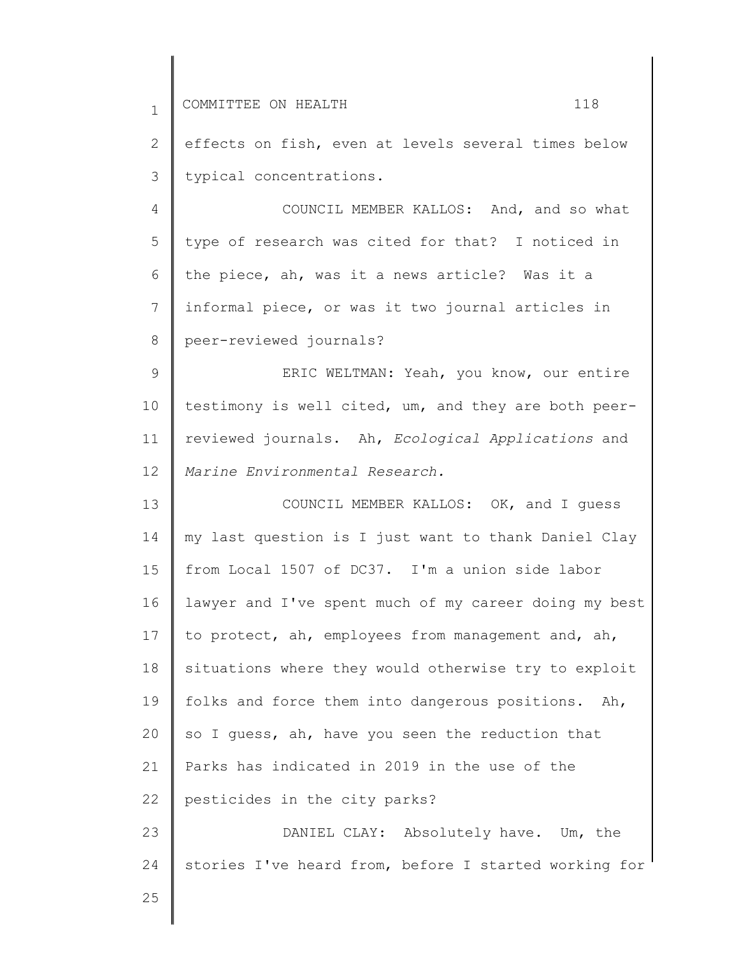| $\mathbf{1}$    | 118<br>COMMITTEE ON HEALTH                            |
|-----------------|-------------------------------------------------------|
| $\overline{2}$  | effects on fish, even at levels several times below   |
| 3               | typical concentrations.                               |
| $\overline{4}$  | COUNCIL MEMBER KALLOS: And, and so what               |
| 5               | type of research was cited for that? I noticed in     |
| 6               | the piece, ah, was it a news article? Was it a        |
| $7\phantom{.}$  | informal piece, or was it two journal articles in     |
| 8               | peer-reviewed journals?                               |
| $\mathsf 9$     | ERIC WELTMAN: Yeah, you know, our entire              |
| 10              | testimony is well cited, um, and they are both peer-  |
| 11              | reviewed journals. Ah, Ecological Applications and    |
| 12 <sup>°</sup> | Marine Environmental Research.                        |
| 13              | COUNCIL MEMBER KALLOS: OK, and I quess                |
| 14              | my last question is I just want to thank Daniel Clay  |
| 15              | from Local 1507 of DC37. I'm a union side labor       |
| 16              | lawyer and I've spent much of my career doing my best |
| 17              | to protect, ah, employees from management and, ah,    |
| 18              | situations where they would otherwise try to exploit  |
| 19              | folks and force them into dangerous positions. Ah,    |
| 20              | so I quess, ah, have you seen the reduction that      |
| 21              | Parks has indicated in 2019 in the use of the         |
| 22              | pesticides in the city parks?                         |
| 23              | DANIEL CLAY: Absolutely have. Um, the                 |
| 24              | stories I've heard from, before I started working for |
| 25              |                                                       |
|                 |                                                       |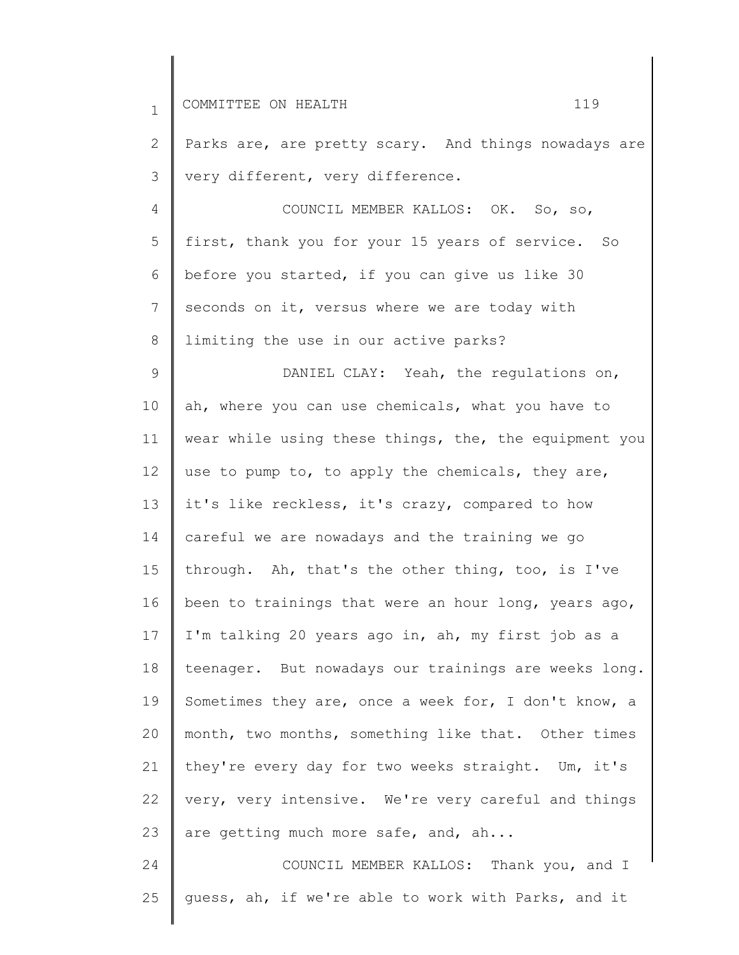| $\mathbf 1$ | 119<br>COMMITTEE ON HEALTH                            |
|-------------|-------------------------------------------------------|
| 2           | Parks are, are pretty scary. And things nowadays are  |
| 3           | very different, very difference.                      |
| 4           | COUNCIL MEMBER KALLOS: OK. So, so,                    |
| 5           | first, thank you for your 15 years of service. So     |
| 6           | before you started, if you can give us like 30        |
| 7           | seconds on it, versus where we are today with         |
| 8           | limiting the use in our active parks?                 |
| 9           | DANIEL CLAY: Yeah, the regulations on,                |
| 10          | ah, where you can use chemicals, what you have to     |
| 11          | wear while using these things, the, the equipment you |
| 12          | use to pump to, to apply the chemicals, they are,     |
| 13          | it's like reckless, it's crazy, compared to how       |
| 14          | careful we are nowadays and the training we go        |
| 15          | through. Ah, that's the other thing, too, is I've     |
| 16          | been to trainings that were an hour long, years ago,  |
| 17          | I'm talking 20 years ago in, ah, my first job as a    |
| 18          | teenager. But nowadays our trainings are weeks long.  |
| 19          | Sometimes they are, once a week for, I don't know, a  |
| 20          | month, two months, something like that. Other times   |
| 21          | they're every day for two weeks straight. Um, it's    |
| 22          | very, very intensive. We're very careful and things   |
| 23          | are getting much more safe, and, ah                   |
| 24          | COUNCIL MEMBER KALLOS: Thank you, and I               |
| 25          | quess, ah, if we're able to work with Parks, and it   |
|             |                                                       |

∥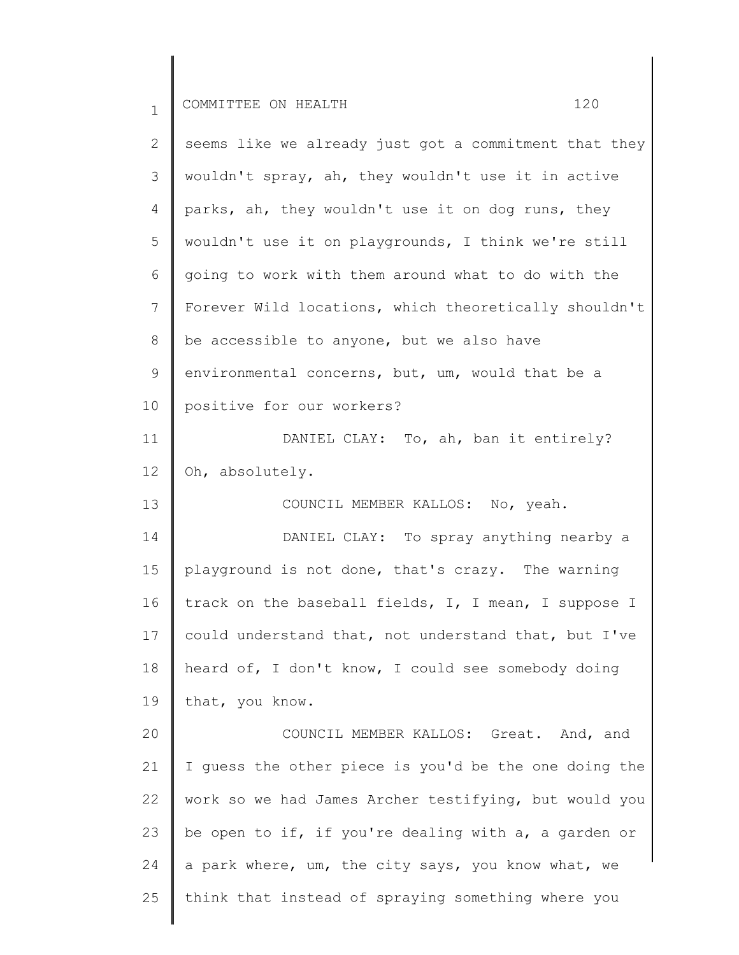| $\mathbf{1}$ | 120<br>COMMITTEE ON HEALTH                            |
|--------------|-------------------------------------------------------|
| $\mathbf{2}$ | seems like we already just got a commitment that they |
| 3            | wouldn't spray, ah, they wouldn't use it in active    |
| 4            | parks, ah, they wouldn't use it on dog runs, they     |
| 5            | wouldn't use it on playgrounds, I think we're still   |
| 6            | going to work with them around what to do with the    |
| 7            | Forever Wild locations, which theoretically shouldn't |
| 8            | be accessible to anyone, but we also have             |
| 9            | environmental concerns, but, um, would that be a      |
| 10           | positive for our workers?                             |
| 11           | DANIEL CLAY: To, ah, ban it entirely?                 |
| 12           | Oh, absolutely.                                       |
| 13           | COUNCIL MEMBER KALLOS: No, yeah.                      |
| 14           | DANIEL CLAY: To spray anything nearby a               |
| 15           | playground is not done, that's crazy. The warning     |
| 16           | track on the baseball fields, I, I mean, I suppose I  |
| 17           | could understand that, not understand that, but I've  |
| 18           | heard of, I don't know, I could see somebody doing    |
| 19           | that, you know.                                       |
| 20           | COUNCIL MEMBER KALLOS: Great. And, and                |
| 21           | I guess the other piece is you'd be the one doing the |
| 22           | work so we had James Archer testifying, but would you |
| 23           | be open to if, if you're dealing with a, a garden or  |
| 24           | a park where, um, the city says, you know what, we    |
| 25           | think that instead of spraying something where you    |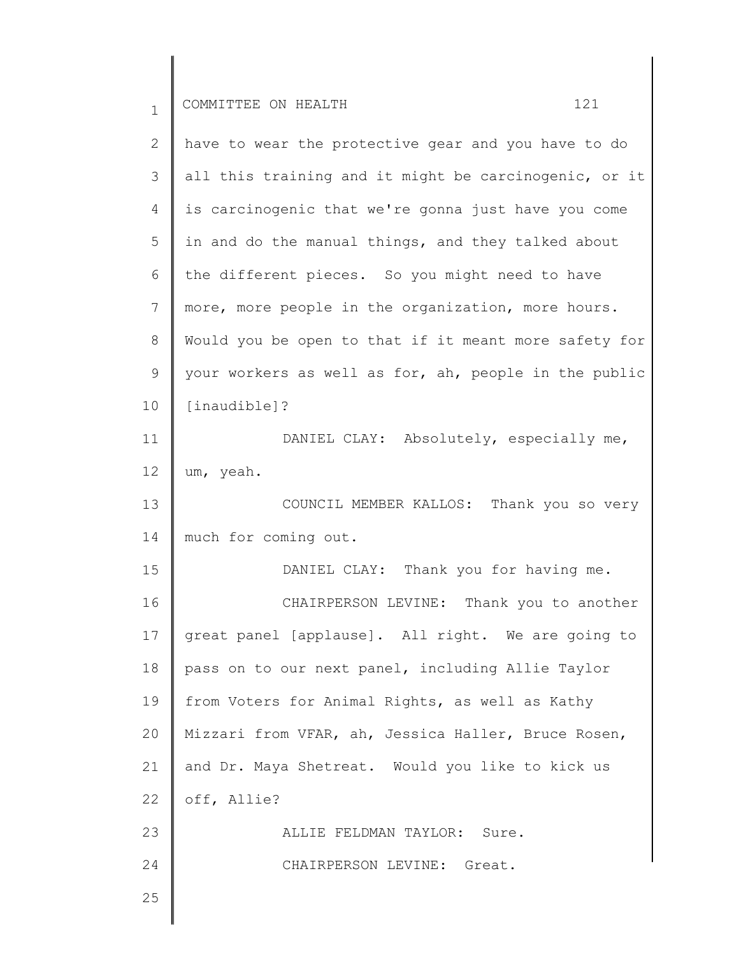| $\mathbf 1$ | 121<br>COMMITTEE ON HEALTH                            |
|-------------|-------------------------------------------------------|
| 2           | have to wear the protective gear and you have to do   |
| 3           | all this training and it might be carcinogenic, or it |
| 4           | is carcinogenic that we're gonna just have you come   |
| 5           | in and do the manual things, and they talked about    |
| 6           | the different pieces. So you might need to have       |
| 7           | more, more people in the organization, more hours.    |
| $8\,$       | Would you be open to that if it meant more safety for |
| 9           | your workers as well as for, ah, people in the public |
| 10          | [inaudible]?                                          |
| 11          | DANIEL CLAY: Absolutely, especially me,               |
| 12          | um, yeah.                                             |
| 13          | COUNCIL MEMBER KALLOS: Thank you so very              |
| 14          | much for coming out.                                  |
| 15          | DANIEL CLAY: Thank you for having me.                 |
| 16          | CHAIRPERSON LEVINE: Thank you to another              |
| 17          | great panel [applause]. All right. We are going to    |
| 18          | pass on to our next panel, including Allie Taylor     |
| 19          | from Voters for Animal Rights, as well as Kathy       |
| 20          | Mizzari from VFAR, ah, Jessica Haller, Bruce Rosen,   |
| 21          | and Dr. Maya Shetreat. Would you like to kick us      |
| 22          | off, Allie?                                           |
| 23          | ALLIE FELDMAN TAYLOR: Sure.                           |
| 24          | CHAIRPERSON LEVINE: Great.                            |
| 25          |                                                       |
|             |                                                       |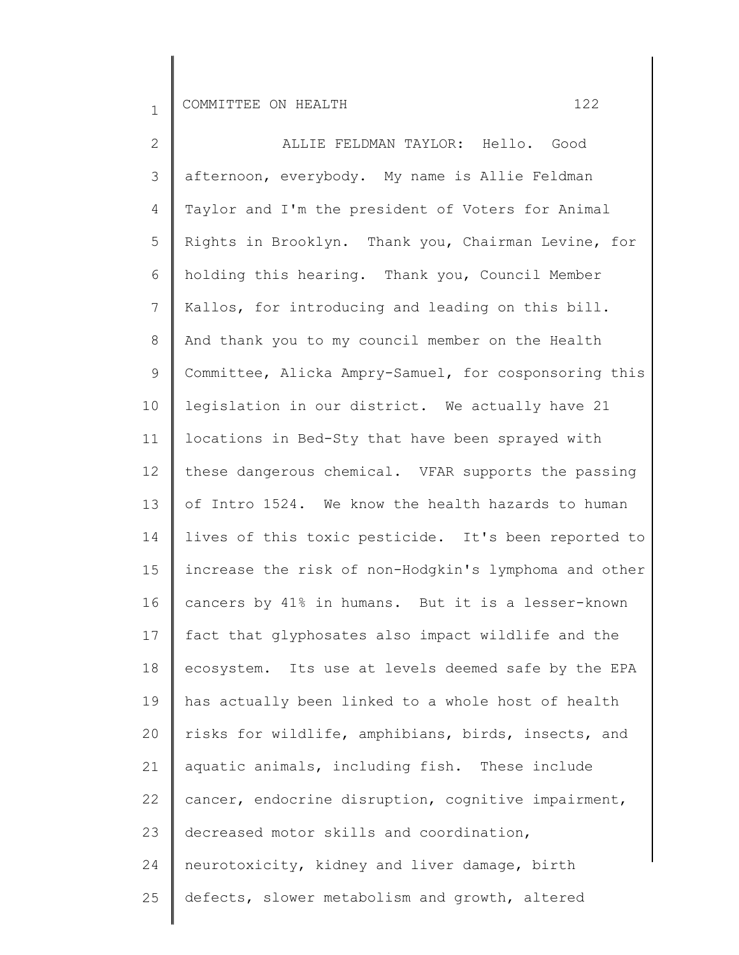2 3 4 5 6 7 8 9 10 11 12 13 14 15 16 17 18 19 20 21 22 23 24 25 ALLIE FELDMAN TAYLOR: Hello. Good afternoon, everybody. My name is Allie Feldman Taylor and I'm the president of Voters for Animal Rights in Brooklyn. Thank you, Chairman Levine, for holding this hearing. Thank you, Council Member Kallos, for introducing and leading on this bill. And thank you to my council member on the Health Committee, Alicka Ampry-Samuel, for cosponsoring this legislation in our district. We actually have 21 locations in Bed-Sty that have been sprayed with these dangerous chemical. VFAR supports the passing of Intro 1524. We know the health hazards to human lives of this toxic pesticide. It's been reported to increase the risk of non-Hodgkin's lymphoma and other cancers by 41% in humans. But it is a lesser-known fact that glyphosates also impact wildlife and the ecosystem. Its use at levels deemed safe by the EPA has actually been linked to a whole host of health risks for wildlife, amphibians, birds, insects, and aquatic animals, including fish. These include cancer, endocrine disruption, cognitive impairment, decreased motor skills and coordination, neurotoxicity, kidney and liver damage, birth defects, slower metabolism and growth, altered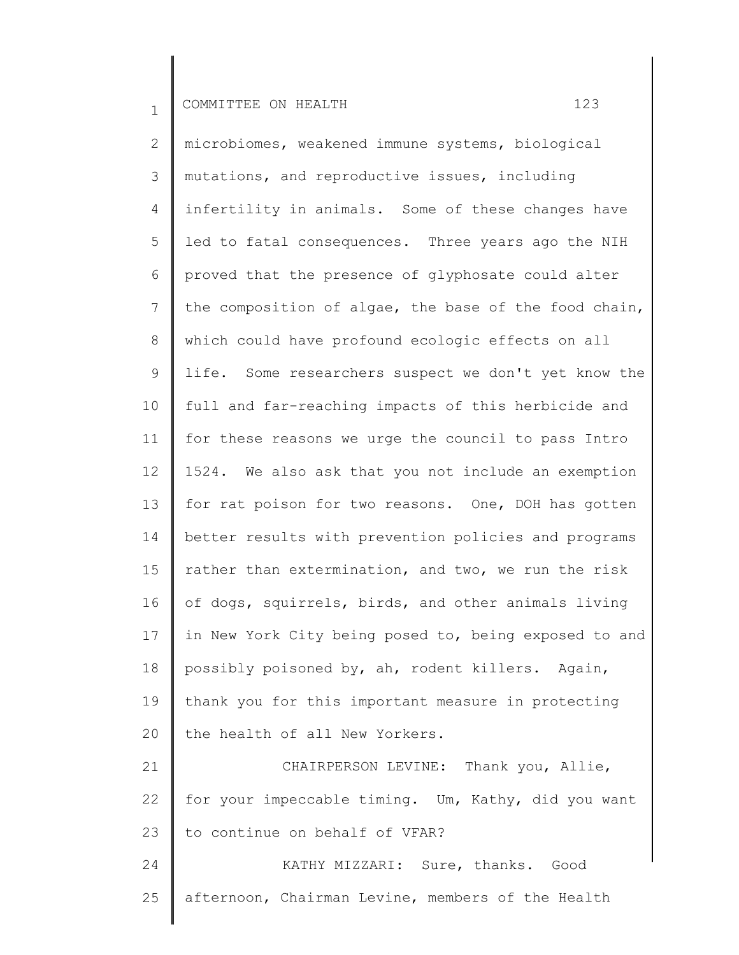2 3 4 5 6 7 8 9 10 11 12 13 14 15 16 17 18 19 20 21 microbiomes, weakened immune systems, biological mutations, and reproductive issues, including infertility in animals. Some of these changes have led to fatal consequences. Three years ago the NIH proved that the presence of glyphosate could alter the composition of algae, the base of the food chain, which could have profound ecologic effects on all life. Some researchers suspect we don't yet know the full and far-reaching impacts of this herbicide and for these reasons we urge the council to pass Intro 1524. We also ask that you not include an exemption for rat poison for two reasons. One, DOH has gotten better results with prevention policies and programs rather than extermination, and two, we run the risk of dogs, squirrels, birds, and other animals living in New York City being posed to, being exposed to and possibly poisoned by, ah, rodent killers. Again, thank you for this important measure in protecting the health of all New Yorkers. CHAIRPERSON LEVINE: Thank you, Allie,

22 23 for your impeccable timing. Um, Kathy, did you want to continue on behalf of VFAR?

24 25 KATHY MIZZARI: Sure, thanks. Good afternoon, Chairman Levine, members of the Health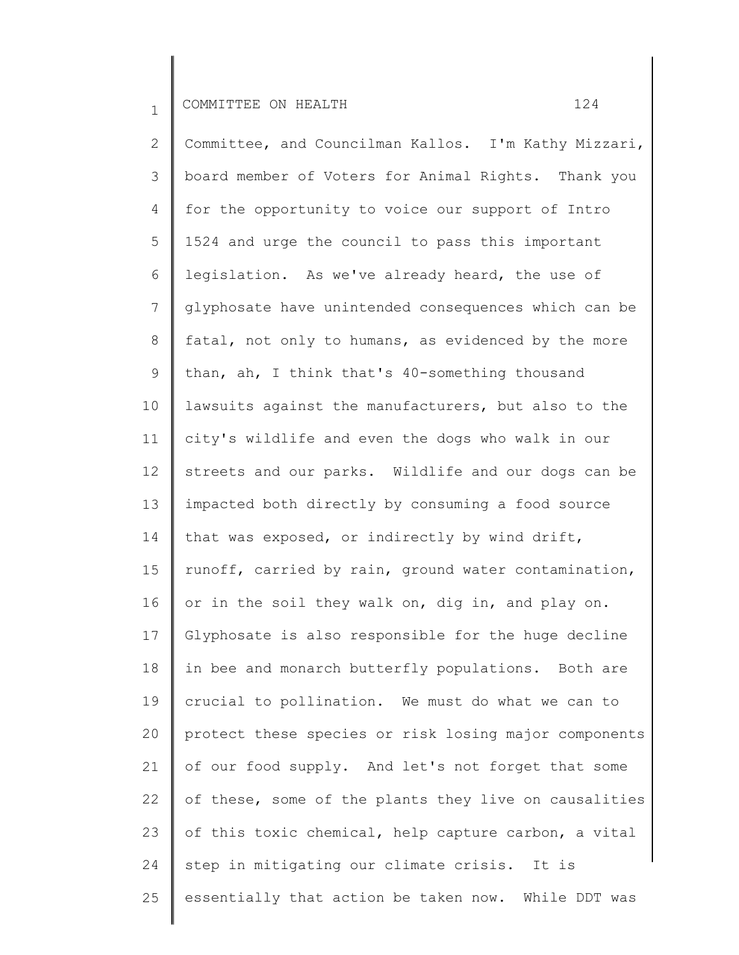2 3 4 5 6 7 8 9 10 11 12 13 14 15 16 17 18 19 20 21 22 23 24 25 Committee, and Councilman Kallos. I'm Kathy Mizzari, board member of Voters for Animal Rights. Thank you for the opportunity to voice our support of Intro 1524 and urge the council to pass this important legislation. As we've already heard, the use of glyphosate have unintended consequences which can be fatal, not only to humans, as evidenced by the more than, ah, I think that's 40-something thousand lawsuits against the manufacturers, but also to the city's wildlife and even the dogs who walk in our streets and our parks. Wildlife and our dogs can be impacted both directly by consuming a food source that was exposed, or indirectly by wind drift, runoff, carried by rain, ground water contamination, or in the soil they walk on, dig in, and play on. Glyphosate is also responsible for the huge decline in bee and monarch butterfly populations. Both are crucial to pollination. We must do what we can to protect these species or risk losing major components of our food supply. And let's not forget that some of these, some of the plants they live on causalities of this toxic chemical, help capture carbon, a vital step in mitigating our climate crisis. It is essentially that action be taken now. While DDT was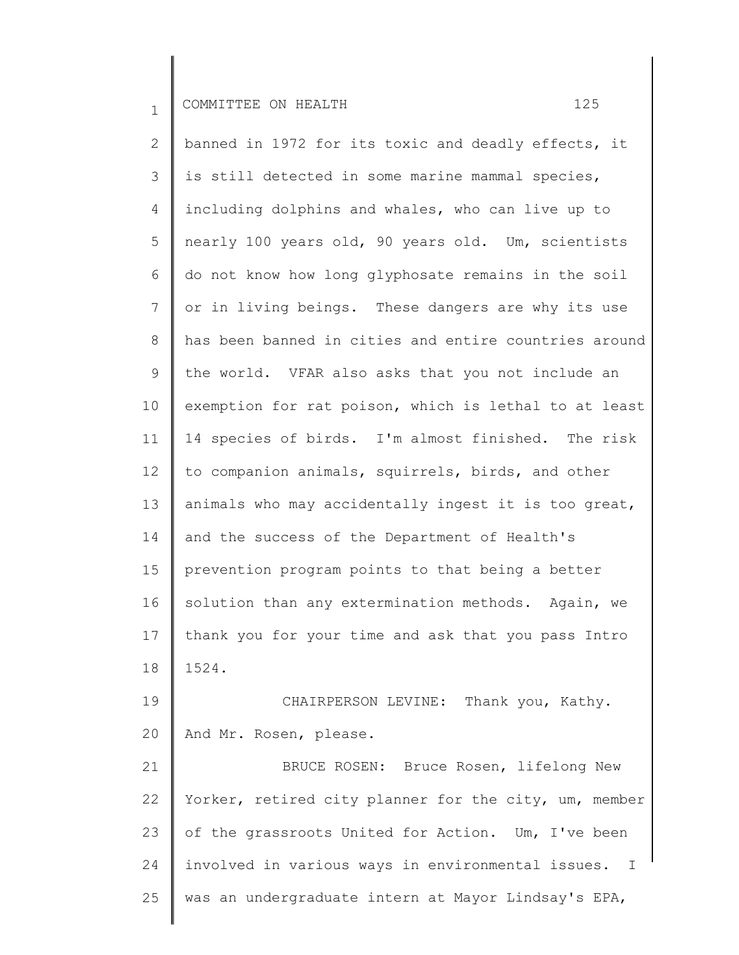2 3 4 5 6 7 8 9 10 11 12 13 14 15 16 17 18 19 banned in 1972 for its toxic and deadly effects, it is still detected in some marine mammal species, including dolphins and whales, who can live up to nearly 100 years old, 90 years old. Um, scientists do not know how long glyphosate remains in the soil or in living beings. These dangers are why its use has been banned in cities and entire countries around the world. VFAR also asks that you not include an exemption for rat poison, which is lethal to at least 14 species of birds. I'm almost finished. The risk to companion animals, squirrels, birds, and other animals who may accidentally ingest it is too great, and the success of the Department of Health's prevention program points to that being a better solution than any extermination methods. Again, we thank you for your time and ask that you pass Intro 1524. CHAIRPERSON LEVINE: Thank you, Kathy.

20 And Mr. Rosen, please.

21 22 23 24 25 BRUCE ROSEN: Bruce Rosen, lifelong New Yorker, retired city planner for the city, um, member of the grassroots United for Action. Um, I've been involved in various ways in environmental issues. I was an undergraduate intern at Mayor Lindsay's EPA,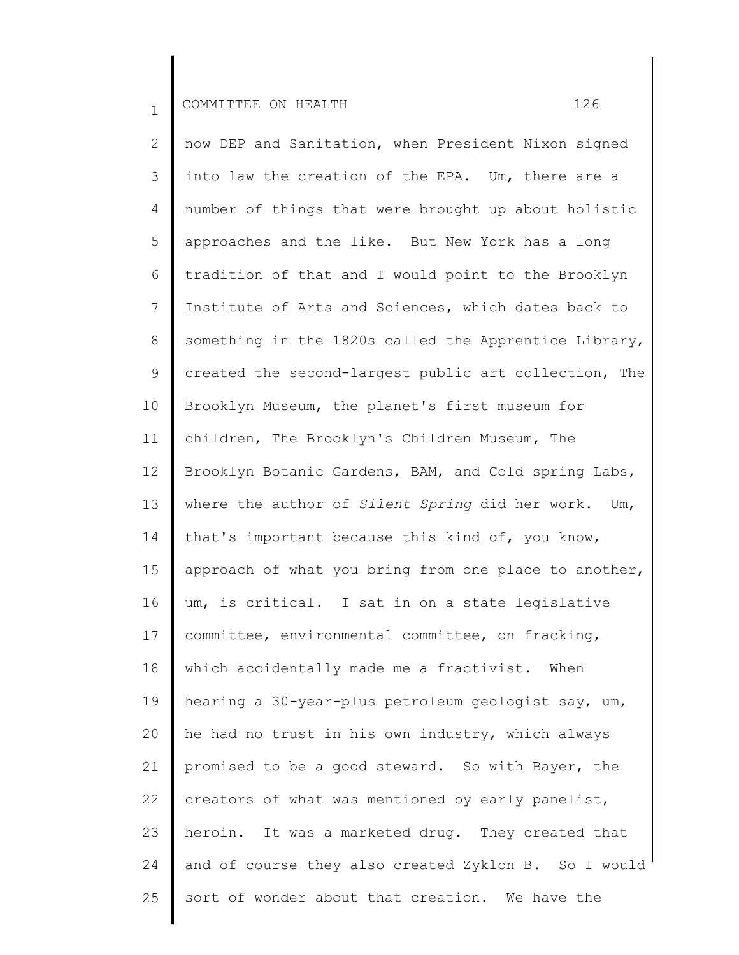2 3 4 5 6 7 8 9 10 11 12 13 14 15 16 17 18 19 20 21 22 23 24 25 now DEP and Sanitation, when President Nixon signed into law the creation of the EPA. Um, there are a number of things that were brought up about holistic approaches and the like. But New York has a long tradition of that and I would point to the Brooklyn Institute of Arts and Sciences, which dates back to something in the 1820s called the Apprentice Library, created the second-largest public art collection, The Brooklyn Museum, the planet's first museum for children, The Brooklyn's Children Museum, The Brooklyn Botanic Gardens, BAM, and Cold spring Labs, where the author of *Silent Spring* did her work. Um, that's important because this kind of, you know, approach of what you bring from one place to another, um, is critical. I sat in on a state legislative committee, environmental committee, on fracking, which accidentally made me a fractivist. When hearing a 30-year-plus petroleum geologist say, um, he had no trust in his own industry, which always promised to be a good steward. So with Bayer, the creators of what was mentioned by early panelist, heroin. It was a marketed drug. They created that and of course they also created Zyklon B. So I would sort of wonder about that creation. We have the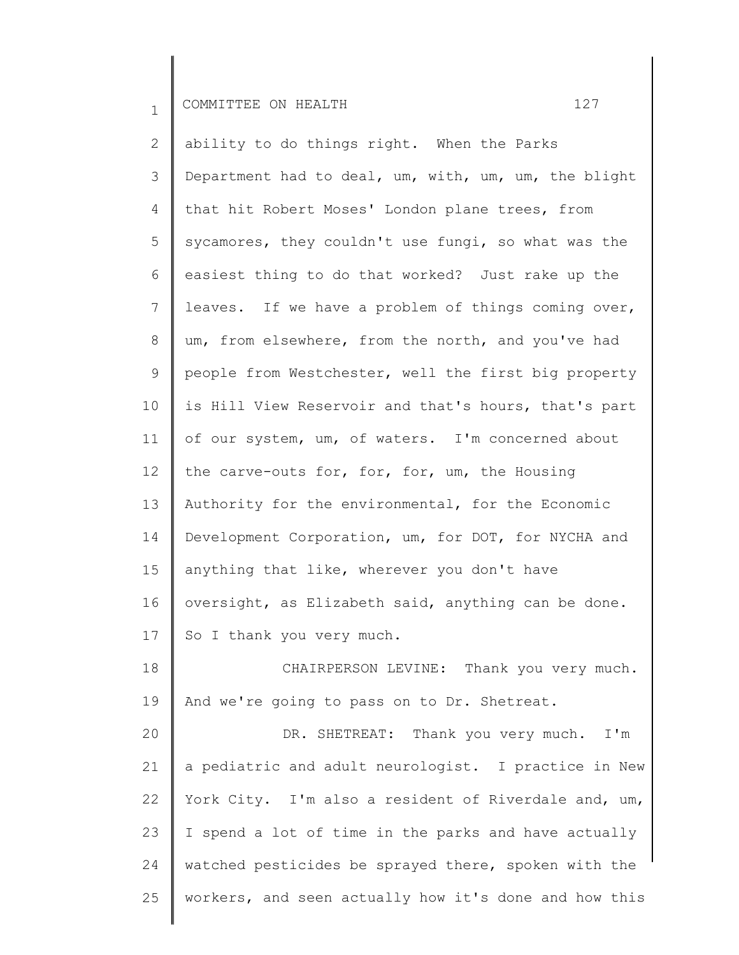2 3 4 5 6 7 8 9 10 11 12 13 14 15 16 17 18 19 20 ability to do things right. When the Parks Department had to deal, um, with, um, um, the blight that hit Robert Moses' London plane trees, from sycamores, they couldn't use fungi, so what was the easiest thing to do that worked? Just rake up the leaves. If we have a problem of things coming over, um, from elsewhere, from the north, and you've had people from Westchester, well the first big property is Hill View Reservoir and that's hours, that's part of our system, um, of waters. I'm concerned about the carve-outs for, for, for, um, the Housing Authority for the environmental, for the Economic Development Corporation, um, for DOT, for NYCHA and anything that like, wherever you don't have oversight, as Elizabeth said, anything can be done. So I thank you very much. CHAIRPERSON LEVINE: Thank you very much. And we're going to pass on to Dr. Shetreat. DR. SHETREAT: Thank you very much. I'm

21 22 23 24 25 a pediatric and adult neurologist. I practice in New York City. I'm also a resident of Riverdale and, um, I spend a lot of time in the parks and have actually watched pesticides be sprayed there, spoken with the workers, and seen actually how it's done and how this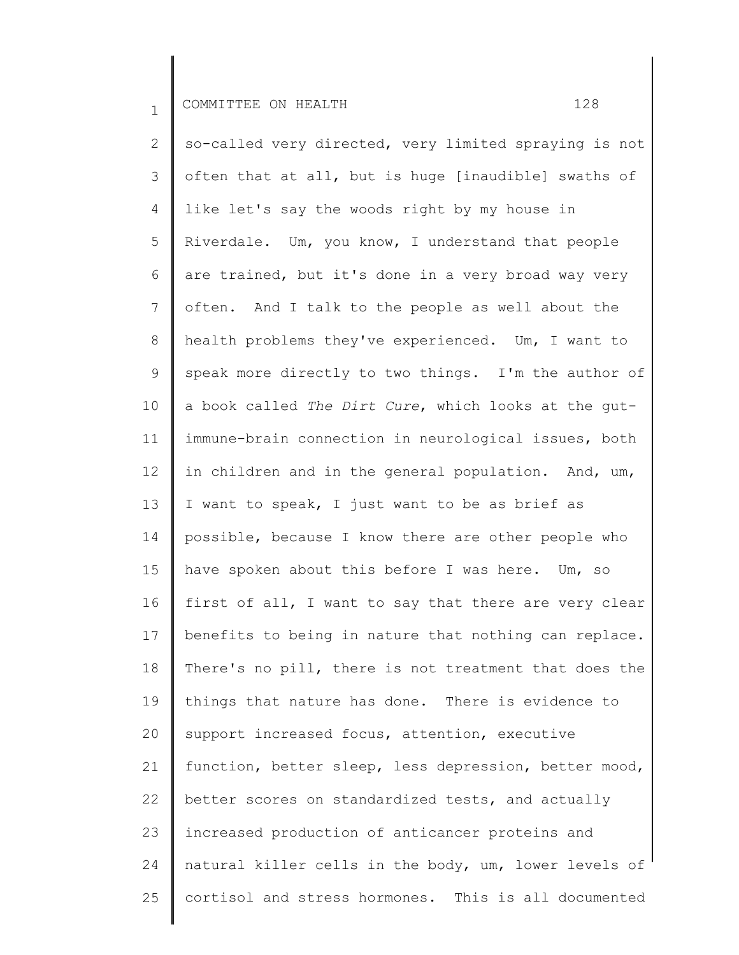2 3 4 5 6 7 8 9 10 11 12 13 14 15 16 17 18 19 20 21 22 23 24 25 so-called very directed, very limited spraying is not often that at all, but is huge [inaudible] swaths of like let's say the woods right by my house in Riverdale. Um, you know, I understand that people are trained, but it's done in a very broad way very often. And I talk to the people as well about the health problems they've experienced. Um, I want to speak more directly to two things. I'm the author of a book called *The Dirt Cure*, which looks at the gutimmune-brain connection in neurological issues, both in children and in the general population. And, um, I want to speak, I just want to be as brief as possible, because I know there are other people who have spoken about this before I was here. Um, so first of all, I want to say that there are very clear benefits to being in nature that nothing can replace. There's no pill, there is not treatment that does the things that nature has done. There is evidence to support increased focus, attention, executive function, better sleep, less depression, better mood, better scores on standardized tests, and actually increased production of anticancer proteins and natural killer cells in the body, um, lower levels of cortisol and stress hormones. This is all documented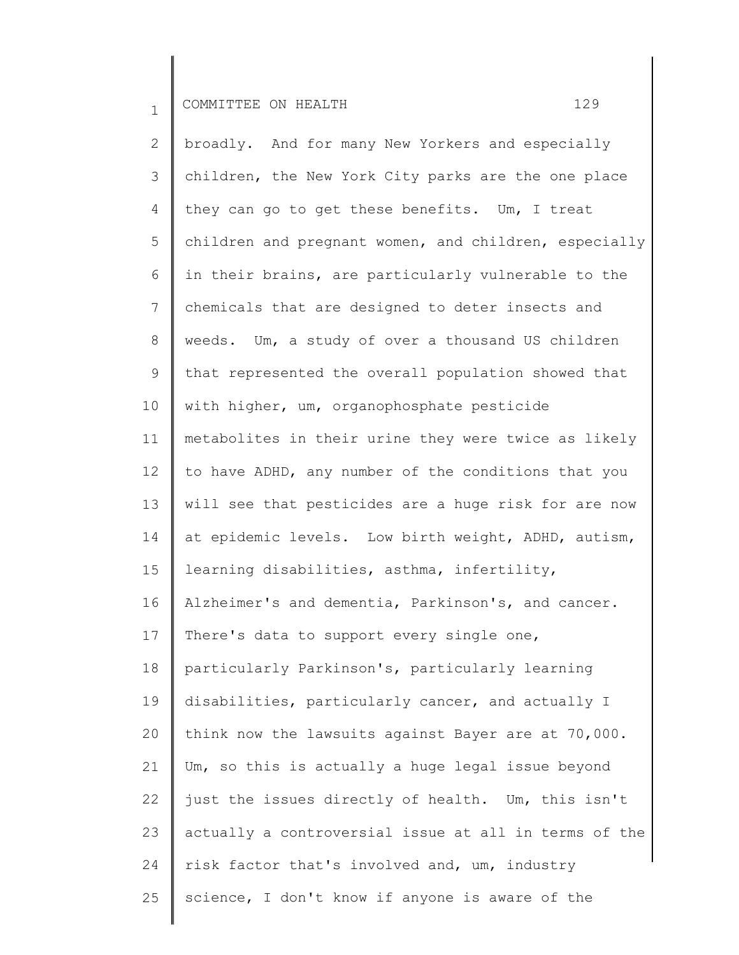2 3 4 5 6 7 8 9 10 11 12 13 14 15 16 17 18 19 20 21 22 23 24 25 broadly. And for many New Yorkers and especially children, the New York City parks are the one place they can go to get these benefits. Um, I treat children and pregnant women, and children, especially in their brains, are particularly vulnerable to the chemicals that are designed to deter insects and weeds. Um, a study of over a thousand US children that represented the overall population showed that with higher, um, organophosphate pesticide metabolites in their urine they were twice as likely to have ADHD, any number of the conditions that you will see that pesticides are a huge risk for are now at epidemic levels. Low birth weight, ADHD, autism, learning disabilities, asthma, infertility, Alzheimer's and dementia, Parkinson's, and cancer. There's data to support every single one, particularly Parkinson's, particularly learning disabilities, particularly cancer, and actually I think now the lawsuits against Bayer are at 70,000. Um, so this is actually a huge legal issue beyond just the issues directly of health. Um, this isn't actually a controversial issue at all in terms of the risk factor that's involved and, um, industry science, I don't know if anyone is aware of the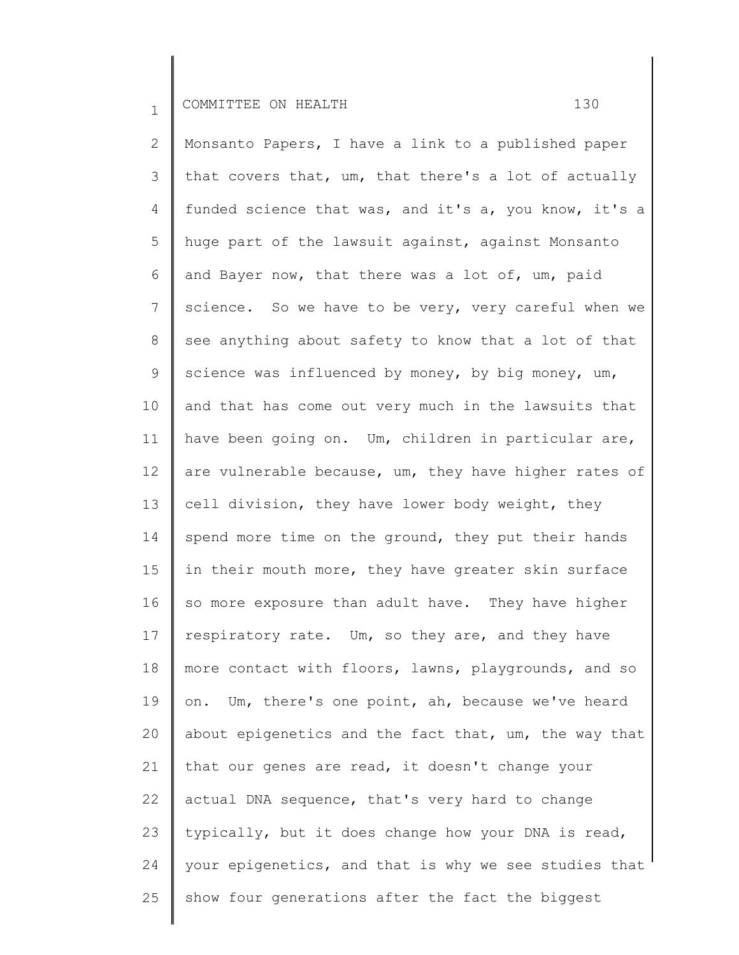2 3 4 5 6 7 8 9 10 11 12 13 14 15 16 17 18 19 20 21 22 23 24 25 Monsanto Papers, I have a link to a published paper that covers that, um, that there's a lot of actually funded science that was, and it's a, you know, it's a huge part of the lawsuit against, against Monsanto and Bayer now, that there was a lot of, um, paid science. So we have to be very, very careful when we see anything about safety to know that a lot of that science was influenced by money, by big money, um, and that has come out very much in the lawsuits that have been going on. Um, children in particular are, are vulnerable because, um, they have higher rates of cell division, they have lower body weight, they spend more time on the ground, they put their hands in their mouth more, they have greater skin surface so more exposure than adult have. They have higher respiratory rate. Um, so they are, and they have more contact with floors, lawns, playgrounds, and so on. Um, there's one point, ah, because we've heard about epigenetics and the fact that, um, the way that that our genes are read, it doesn't change your actual DNA sequence, that's very hard to change typically, but it does change how your DNA is read, your epigenetics, and that is why we see studies that show four generations after the fact the biggest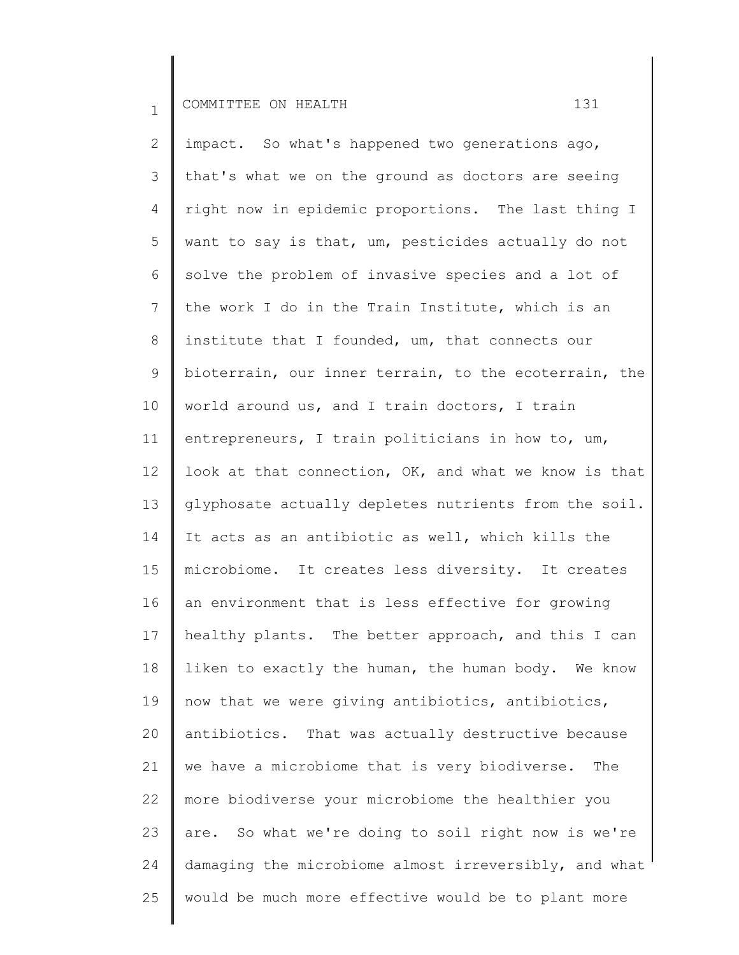2 3 4 5 6 7 8 9 10 11 12 13 14 15 16 17 18 19 20 21 22 23 24 25 impact. So what's happened two generations ago, that's what we on the ground as doctors are seeing right now in epidemic proportions. The last thing I want to say is that, um, pesticides actually do not solve the problem of invasive species and a lot of the work I do in the Train Institute, which is an institute that I founded, um, that connects our bioterrain, our inner terrain, to the ecoterrain, the world around us, and I train doctors, I train entrepreneurs, I train politicians in how to, um, look at that connection, OK, and what we know is that glyphosate actually depletes nutrients from the soil. It acts as an antibiotic as well, which kills the microbiome. It creates less diversity. It creates an environment that is less effective for growing healthy plants. The better approach, and this I can liken to exactly the human, the human body. We know now that we were giving antibiotics, antibiotics, antibiotics. That was actually destructive because we have a microbiome that is very biodiverse. The more biodiverse your microbiome the healthier you are. So what we're doing to soil right now is we're damaging the microbiome almost irreversibly, and what would be much more effective would be to plant more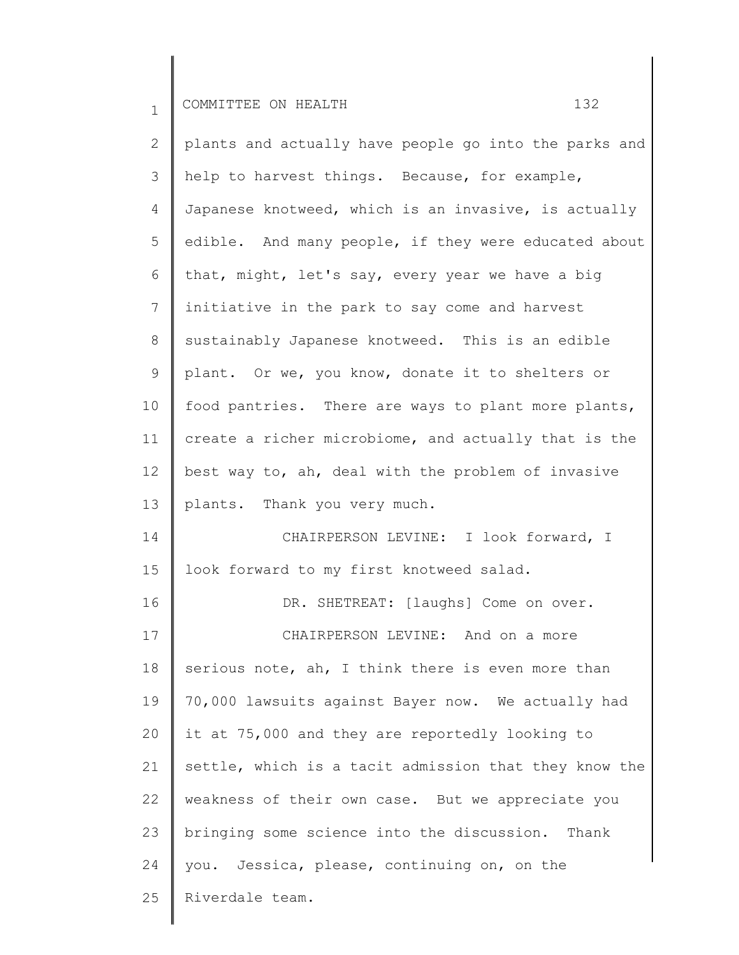2 3 4 5 6 7 8 9 10 11 12 13 14 15 16 17 18 19 20 21 22 23 24 25 plants and actually have people go into the parks and help to harvest things. Because, for example, Japanese knotweed, which is an invasive, is actually edible. And many people, if they were educated about that, might, let's say, every year we have a big initiative in the park to say come and harvest sustainably Japanese knotweed. This is an edible plant. Or we, you know, donate it to shelters or food pantries. There are ways to plant more plants, create a richer microbiome, and actually that is the best way to, ah, deal with the problem of invasive plants. Thank you very much. CHAIRPERSON LEVINE: I look forward, I look forward to my first knotweed salad. DR. SHETREAT: [laughs] Come on over. CHAIRPERSON LEVINE: And on a more serious note, ah, I think there is even more than 70,000 lawsuits against Bayer now. We actually had it at 75,000 and they are reportedly looking to settle, which is a tacit admission that they know the weakness of their own case. But we appreciate you bringing some science into the discussion. Thank you. Jessica, please, continuing on, on the Riverdale team.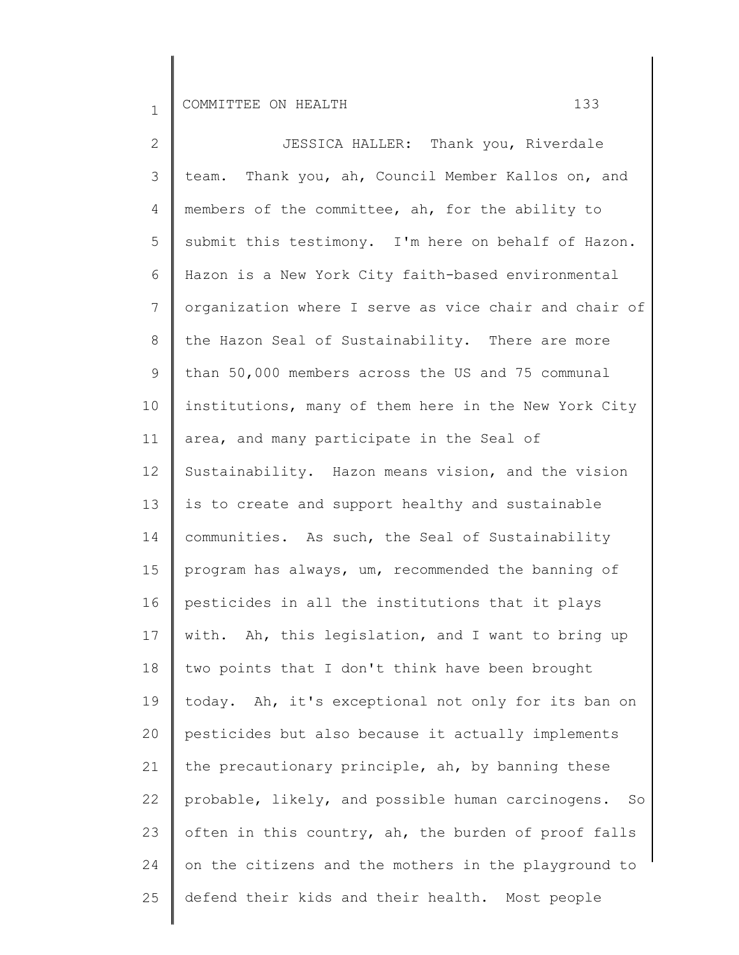2 3 4 5 6 7 8 9 10 11 12 13 14 15 16 17 18 19 20 21 22 23 24 25 JESSICA HALLER: Thank you, Riverdale team. Thank you, ah, Council Member Kallos on, and members of the committee, ah, for the ability to submit this testimony. I'm here on behalf of Hazon. Hazon is a New York City faith-based environmental organization where I serve as vice chair and chair of the Hazon Seal of Sustainability. There are more than 50,000 members across the US and 75 communal institutions, many of them here in the New York City area, and many participate in the Seal of Sustainability. Hazon means vision, and the vision is to create and support healthy and sustainable communities. As such, the Seal of Sustainability program has always, um, recommended the banning of pesticides in all the institutions that it plays with. Ah, this legislation, and I want to bring up two points that I don't think have been brought today. Ah, it's exceptional not only for its ban on pesticides but also because it actually implements the precautionary principle, ah, by banning these probable, likely, and possible human carcinogens. So often in this country, ah, the burden of proof falls on the citizens and the mothers in the playground to defend their kids and their health. Most people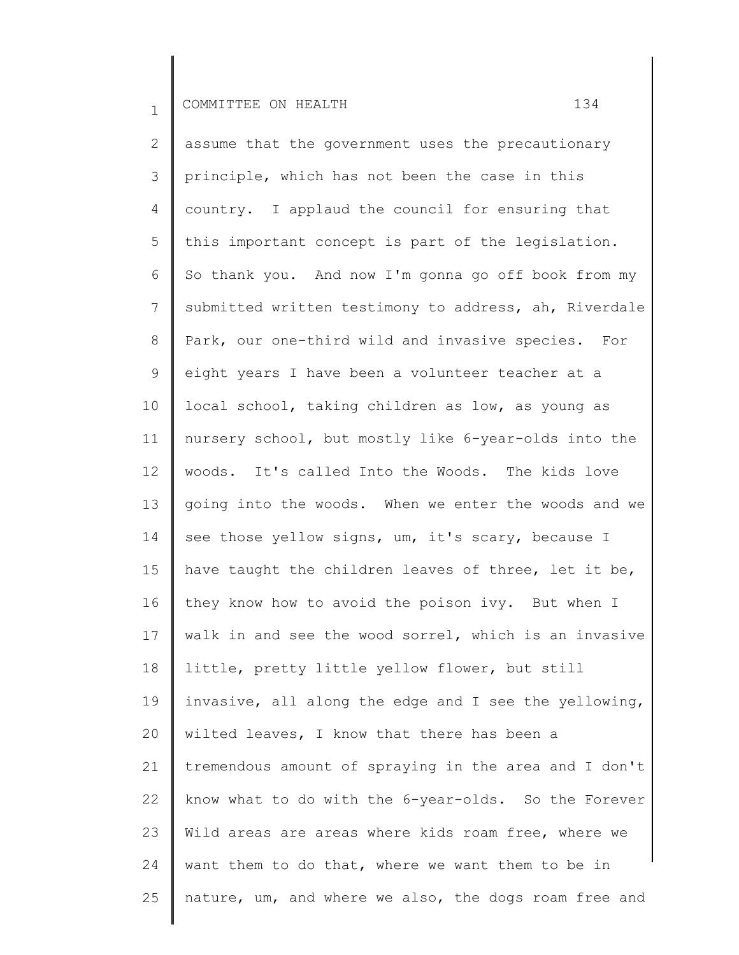2 3 4 5 6 7 8 9 10 11 12 13 14 15 16 17 18 19 20 21 22 23 24 25 assume that the government uses the precautionary principle, which has not been the case in this country. I applaud the council for ensuring that this important concept is part of the legislation. So thank you. And now I'm gonna go off book from my submitted written testimony to address, ah, Riverdale Park, our one-third wild and invasive species. For eight years I have been a volunteer teacher at a local school, taking children as low, as young as nursery school, but mostly like 6-year-olds into the woods. It's called Into the Woods. The kids love going into the woods. When we enter the woods and we see those yellow signs, um, it's scary, because I have taught the children leaves of three, let it be, they know how to avoid the poison ivy. But when I walk in and see the wood sorrel, which is an invasive little, pretty little yellow flower, but still invasive, all along the edge and I see the yellowing, wilted leaves, I know that there has been a tremendous amount of spraying in the area and I don't know what to do with the 6-year-olds. So the Forever Wild areas are areas where kids roam free, where we want them to do that, where we want them to be in nature, um, and where we also, the dogs roam free and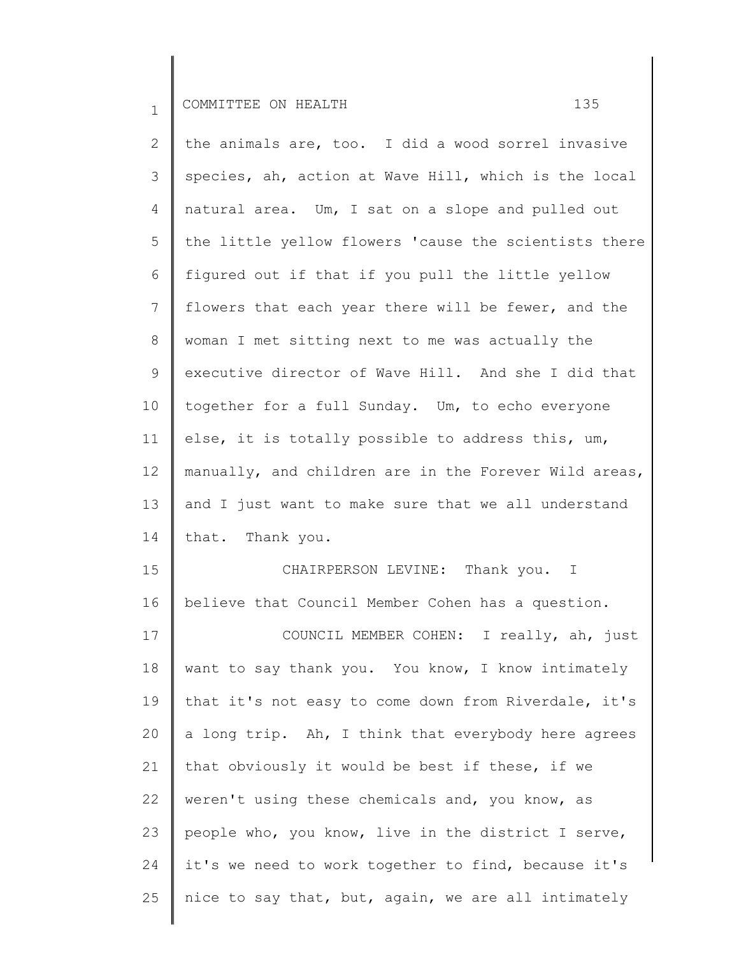2 3 4 5 6 7 8 9 10 11 12 13 14 15 16 17 18 19 20 21 22 the animals are, too. I did a wood sorrel invasive species, ah, action at Wave Hill, which is the local natural area. Um, I sat on a slope and pulled out the little yellow flowers 'cause the scientists there figured out if that if you pull the little yellow flowers that each year there will be fewer, and the woman I met sitting next to me was actually the executive director of Wave Hill. And she I did that together for a full Sunday. Um, to echo everyone else, it is totally possible to address this, um, manually, and children are in the Forever Wild areas, and I just want to make sure that we all understand that. Thank you. CHAIRPERSON LEVINE: Thank you. I believe that Council Member Cohen has a question. COUNCIL MEMBER COHEN: I really, ah, just want to say thank you. You know, I know intimately that it's not easy to come down from Riverdale, it's a long trip. Ah, I think that everybody here agrees that obviously it would be best if these, if we weren't using these chemicals and, you know, as

23 24 25 people who, you know, live in the district I serve, it's we need to work together to find, because it's nice to say that, but, again, we are all intimately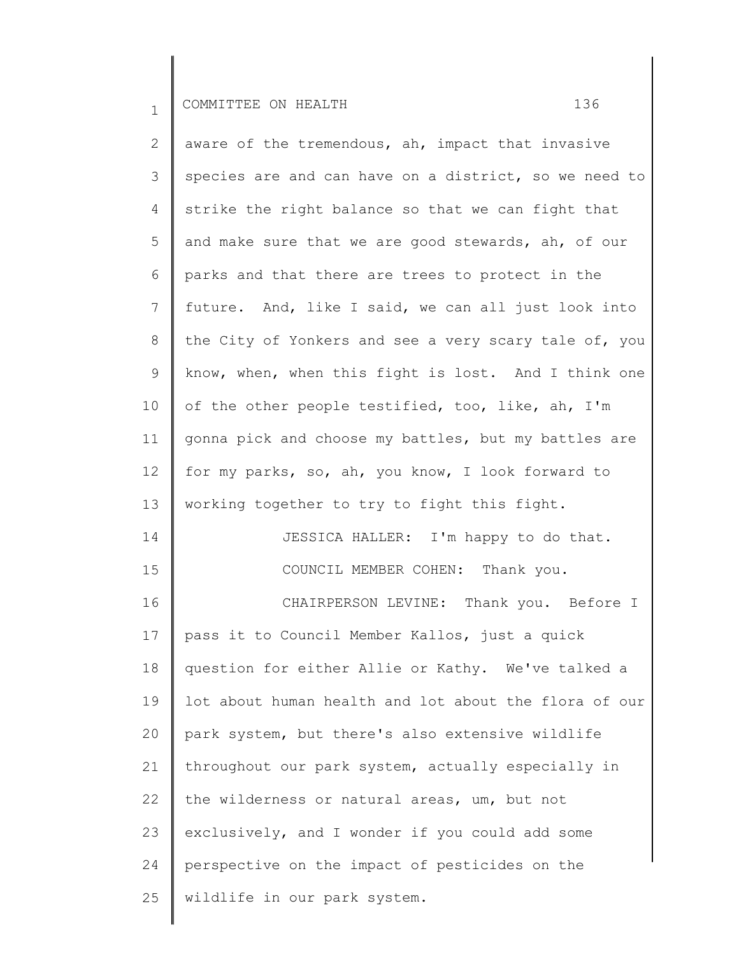25

wildlife in our park system.

2 3 4 5 6 7 8 9 10 11 12 13 14 15 16 17 18 19 20 21 22 23 24 aware of the tremendous, ah, impact that invasive species are and can have on a district, so we need to strike the right balance so that we can fight that and make sure that we are good stewards, ah, of our parks and that there are trees to protect in the future. And, like I said, we can all just look into the City of Yonkers and see a very scary tale of, you know, when, when this fight is lost. And I think one of the other people testified, too, like, ah, I'm gonna pick and choose my battles, but my battles are for my parks, so, ah, you know, I look forward to working together to try to fight this fight. JESSICA HALLER: I'm happy to do that. COUNCIL MEMBER COHEN: Thank you. CHAIRPERSON LEVINE: Thank you. Before I pass it to Council Member Kallos, just a quick question for either Allie or Kathy. We've talked a lot about human health and lot about the flora of our park system, but there's also extensive wildlife throughout our park system, actually especially in the wilderness or natural areas, um, but not exclusively, and I wonder if you could add some perspective on the impact of pesticides on the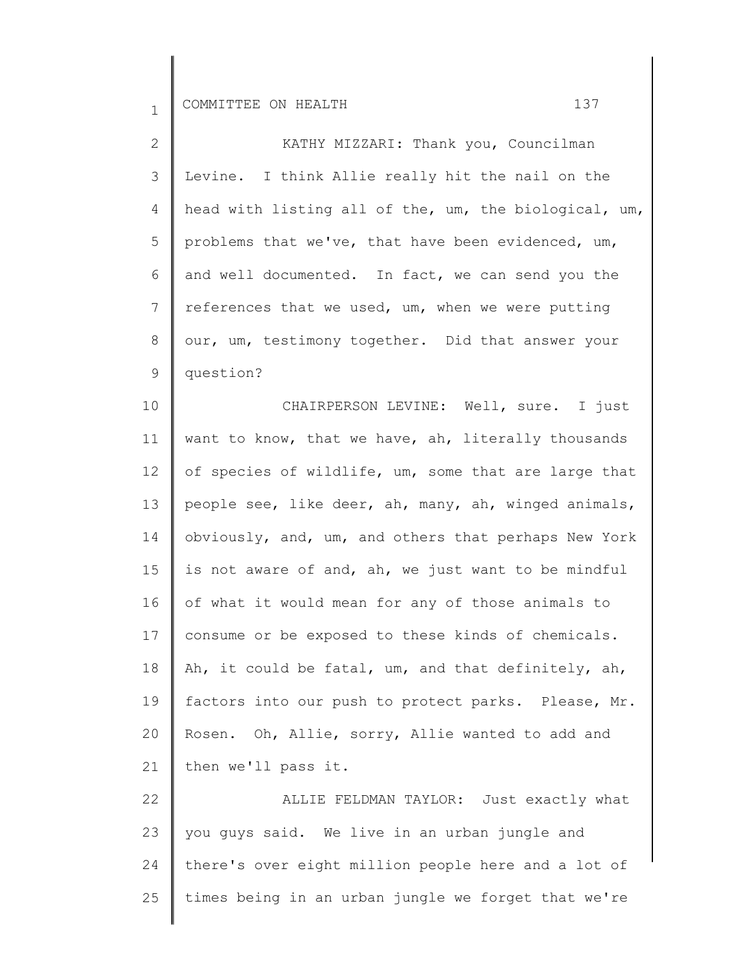25

| KATHY MIZZARI: Thank you, Councilman                  |
|-------------------------------------------------------|
| Levine. I think Allie really hit the nail on the      |
| head with listing all of the, um, the biological, um, |
| problems that we've, that have been evidenced, um,    |
| and well documented. In fact, we can send you the     |
| references that we used, um, when we were putting     |
| our, um, testimony together. Did that answer your     |
| question?                                             |
| CHAIRPERSON LEVINE: Well, sure. I just                |
| want to know, that we have, ah, literally thousands   |
| of species of wildlife, um, some that are large that  |
| people see, like deer, ah, many, ah, winged animals,  |
| obviously, and, um, and others that perhaps New York  |
| is not aware of and, ah, we just want to be mindful   |
| of what it would mean for any of those animals to     |
| consume or be exposed to these kinds of chemicals.    |
| Ah, it could be fatal, um, and that definitely, ah,   |
| factors into our push to protect parks. Please, Mr.   |
| Rosen. Oh, Allie, sorry, Allie wanted to add and      |
| then we'll pass it.                                   |
| ALLIE FELDMAN TAYLOR: Just exactly what               |
| you guys said. We live in an urban jungle and         |
| there's over eight million people here and a lot of   |
|                                                       |

times being in an urban jungle we forget that we're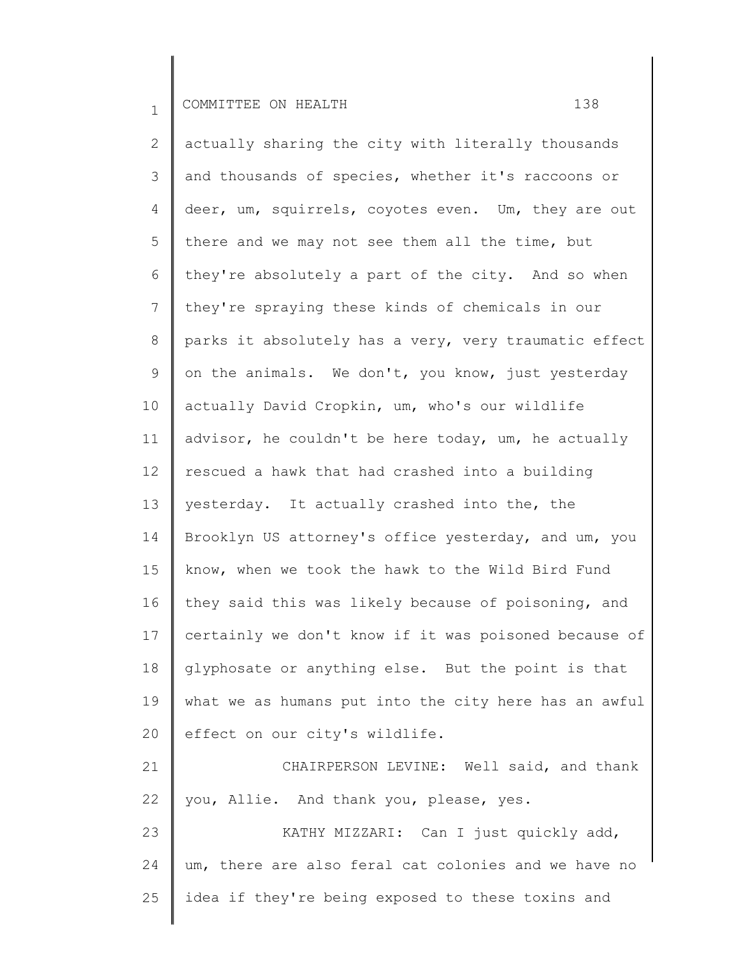2 3 4 5 6 7 8 9 10 11 12 13 14 15 16 17 18 19 20 21 actually sharing the city with literally thousands and thousands of species, whether it's raccoons or deer, um, squirrels, coyotes even. Um, they are out there and we may not see them all the time, but they're absolutely a part of the city. And so when they're spraying these kinds of chemicals in our parks it absolutely has a very, very traumatic effect on the animals. We don't, you know, just yesterday actually David Cropkin, um, who's our wildlife advisor, he couldn't be here today, um, he actually rescued a hawk that had crashed into a building yesterday. It actually crashed into the, the Brooklyn US attorney's office yesterday, and um, you know, when we took the hawk to the Wild Bird Fund they said this was likely because of poisoning, and certainly we don't know if it was poisoned because of glyphosate or anything else. But the point is that what we as humans put into the city here has an awful effect on our city's wildlife. CHAIRPERSON LEVINE: Well said, and thank

22 you, Allie. And thank you, please, yes.

23 24 25 KATHY MIZZARI: Can I just quickly add, um, there are also feral cat colonies and we have no idea if they're being exposed to these toxins and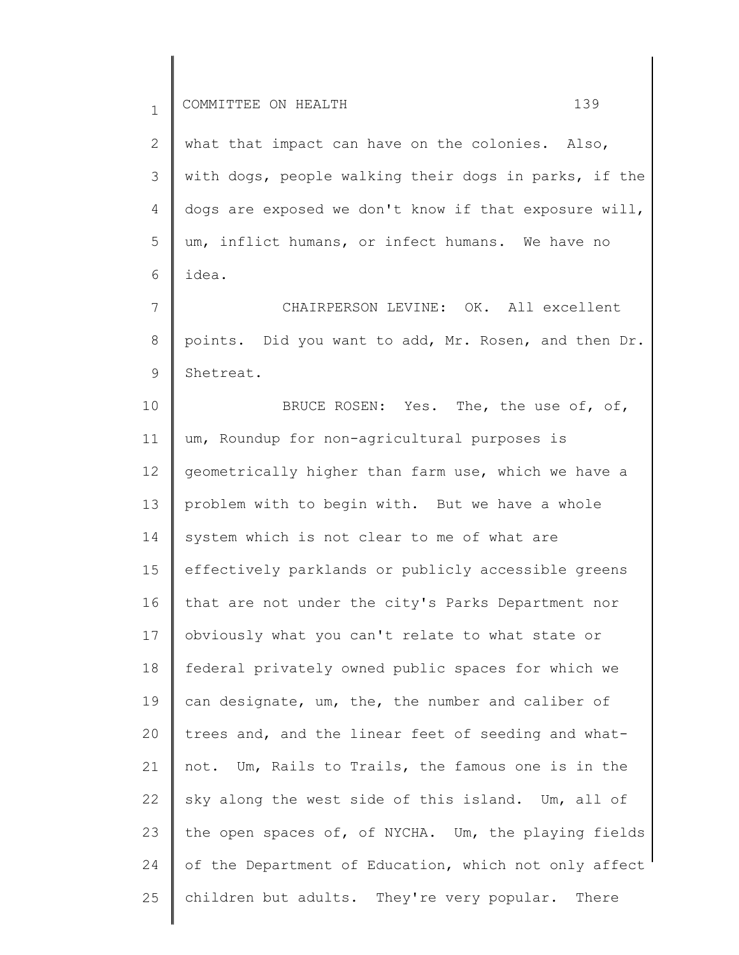2 3 4 5 6 what that impact can have on the colonies. Also, with dogs, people walking their dogs in parks, if the dogs are exposed we don't know if that exposure will, um, inflict humans, or infect humans. We have no idea.

7 8 9 CHAIRPERSON LEVINE: OK. All excellent points. Did you want to add, Mr. Rosen, and then Dr. Shetreat.

10 11 12 13 14 15 16 17 18 19 20 21 22 23 24 25 BRUCE ROSEN: Yes. The, the use of, of, um, Roundup for non-agricultural purposes is geometrically higher than farm use, which we have a problem with to begin with. But we have a whole system which is not clear to me of what are effectively parklands or publicly accessible greens that are not under the city's Parks Department nor obviously what you can't relate to what state or federal privately owned public spaces for which we can designate, um, the, the number and caliber of trees and, and the linear feet of seeding and whatnot. Um, Rails to Trails, the famous one is in the sky along the west side of this island. Um, all of the open spaces of, of NYCHA. Um, the playing fields of the Department of Education, which not only affect children but adults. They're very popular. There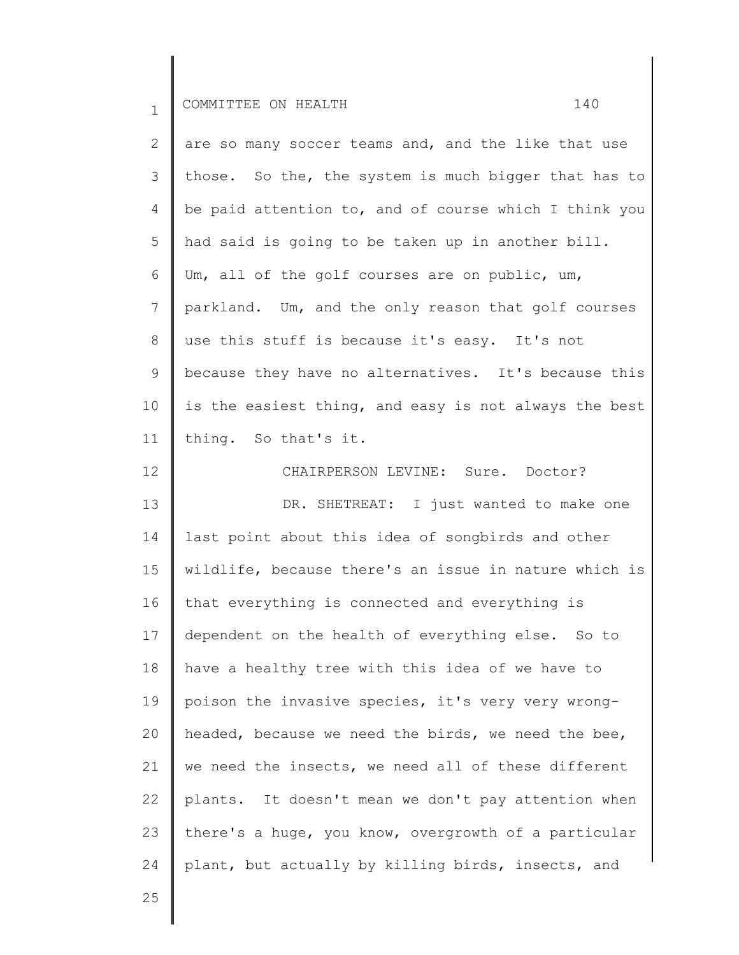| $\mathbf{2}^{\prime}$ | are so many soccer teams and, and the like that use   |
|-----------------------|-------------------------------------------------------|
| 3                     | those. So the, the system is much bigger that has to  |
| 4                     | be paid attention to, and of course which I think you |
| 5                     | had said is going to be taken up in another bill.     |
| 6                     | Um, all of the golf courses are on public, um,        |
| $7\phantom{.}$        | parkland. Um, and the only reason that golf courses   |
| 8                     | use this stuff is because it's easy. It's not         |
| 9                     | because they have no alternatives. It's because this  |
| 10                    | is the easiest thing, and easy is not always the best |
| 11                    | thing. So that's it.                                  |
| 12                    | CHAIRPERSON LEVINE: Sure. Doctor?                     |
| 13                    | DR. SHETREAT: I just wanted to make one               |
| 14                    | last point about this idea of songbirds and other     |
| 15                    | wildlife, because there's an issue in nature which is |
| 16                    | that everything is connected and everything is        |
| 17                    | dependent on the health of everything else. So to     |
| 18                    | have a healthy tree with this idea of we have to      |
| 19                    | poison the invasive species, it's very very wrong-    |
| 20                    | headed, because we need the birds, we need the bee,   |
| 21                    | we need the insects, we need all of these different   |
| 22                    | plants. It doesn't mean we don't pay attention when   |
| 23                    | there's a huge, you know, overgrowth of a particular  |
| 24                    | plant, but actually by killing birds, insects, and    |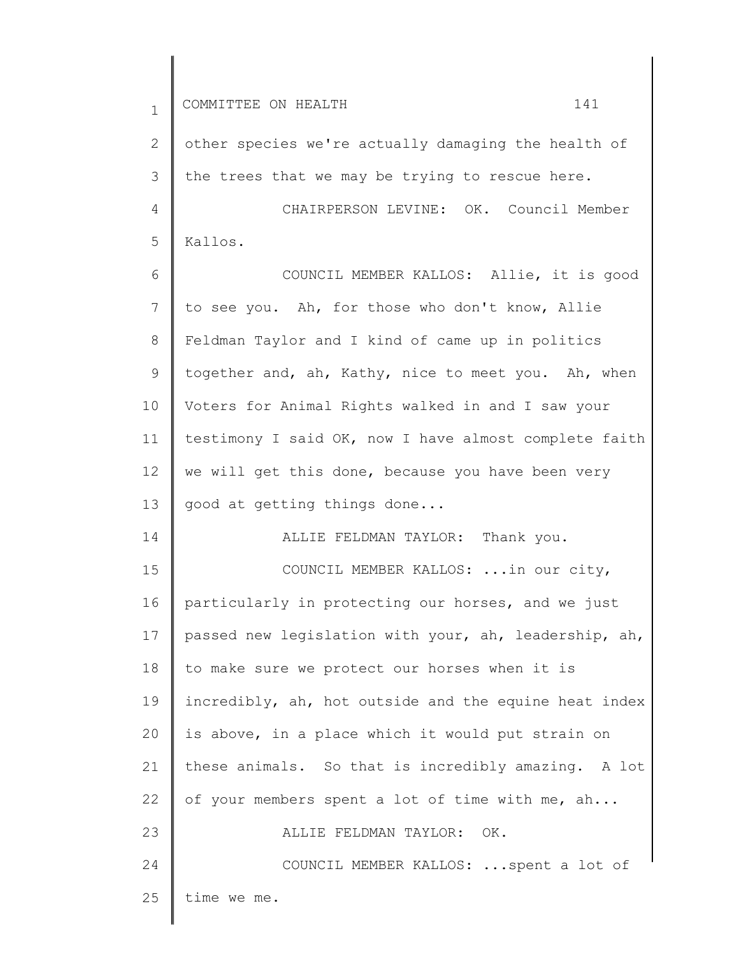| $\mathbf{1}$   | 141<br>COMMITTEE ON HEALTH                            |
|----------------|-------------------------------------------------------|
| $\mathbf{2}$   | other species we're actually damaging the health of   |
| 3              | the trees that we may be trying to rescue here.       |
| $\overline{4}$ | CHAIRPERSON LEVINE: OK. Council Member                |
| 5              | Kallos.                                               |
| 6              | COUNCIL MEMBER KALLOS: Allie, it is good              |
| 7              | to see you. Ah, for those who don't know, Allie       |
| 8              | Feldman Taylor and I kind of came up in politics      |
| 9              | together and, ah, Kathy, nice to meet you. Ah, when   |
| 10             | Voters for Animal Rights walked in and I saw your     |
| 11             | testimony I said OK, now I have almost complete faith |
| 12             | we will get this done, because you have been very     |
| 13             | good at getting things done                           |
| 14             | ALLIE FELDMAN TAYLOR: Thank you.                      |
| 15             | COUNCIL MEMBER KALLOS:  in our city,                  |
| 16             | particularly in protecting our horses, and we just    |
| 17             | passed new legislation with your, ah, leadership, ah, |
| 18             | to make sure we protect our horses when it is         |
| 19             | incredibly, ah, hot outside and the equine heat index |
| 20             | is above, in a place which it would put strain on     |
| 21             | these animals. So that is incredibly amazing. A lot   |
| 22             | of your members spent a lot of time with me, ah       |
| 23             | ALLIE FELDMAN TAYLOR:<br>OK.                          |
| 24             | COUNCIL MEMBER KALLOS:  spent a lot of                |
| 25             | time we me.                                           |

 $\overline{\phantom{a}}$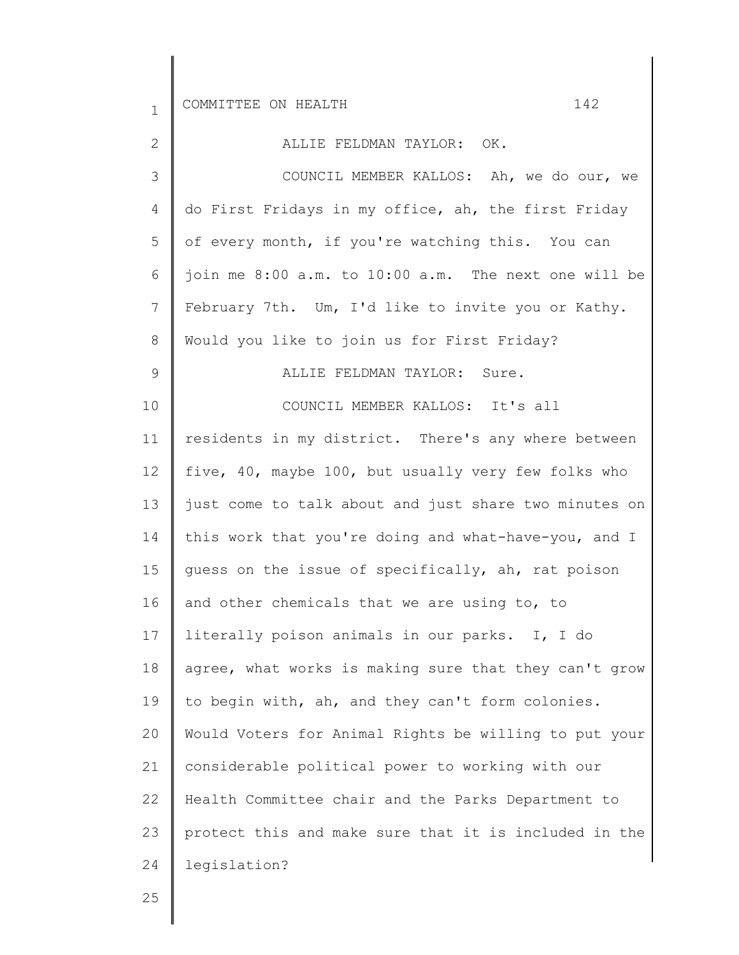2

ALLIE FELDMAN TAYLOR: OK.

3 4 5 6 7 8 9 COUNCIL MEMBER KALLOS: Ah, we do our, we do First Fridays in my office, ah, the first Friday of every month, if you're watching this. You can join me 8:00 a.m. to 10:00 a.m. The next one will be February 7th. Um, I'd like to invite you or Kathy. Would you like to join us for First Friday? ALLIE FELDMAN TAYLOR: Sure.

10 11 12 13 14 15 16 17 18 19 20 21 22 23 24 COUNCIL MEMBER KALLOS: It's all residents in my district. There's any where between five, 40, maybe 100, but usually very few folks who just come to talk about and just share two minutes on this work that you're doing and what-have-you, and I guess on the issue of specifically, ah, rat poison and other chemicals that we are using to, to literally poison animals in our parks. I, I do agree, what works is making sure that they can't grow to begin with, ah, and they can't form colonies. Would Voters for Animal Rights be willing to put your considerable political power to working with our Health Committee chair and the Parks Department to protect this and make sure that it is included in the legislation?

25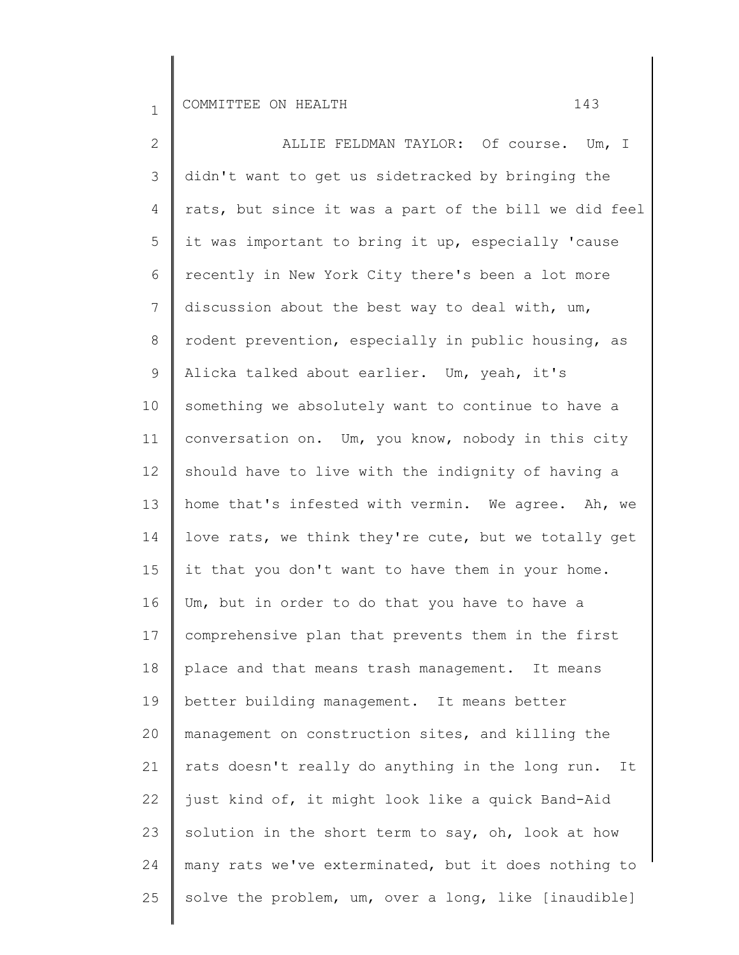2 3 4 5 6 7 8 9 10 11 12 13 14 15 16 17 18 19 20 21 22 23 24 25 ALLIE FELDMAN TAYLOR: Of course. Um, I didn't want to get us sidetracked by bringing the rats, but since it was a part of the bill we did feel it was important to bring it up, especially 'cause recently in New York City there's been a lot more discussion about the best way to deal with, um, rodent prevention, especially in public housing, as Alicka talked about earlier. Um, yeah, it's something we absolutely want to continue to have a conversation on. Um, you know, nobody in this city should have to live with the indignity of having a home that's infested with vermin. We agree. Ah, we love rats, we think they're cute, but we totally get it that you don't want to have them in your home. Um, but in order to do that you have to have a comprehensive plan that prevents them in the first place and that means trash management. It means better building management. It means better management on construction sites, and killing the rats doesn't really do anything in the long run. It just kind of, it might look like a quick Band-Aid solution in the short term to say, oh, look at how many rats we've exterminated, but it does nothing to solve the problem, um, over a long, like [inaudible]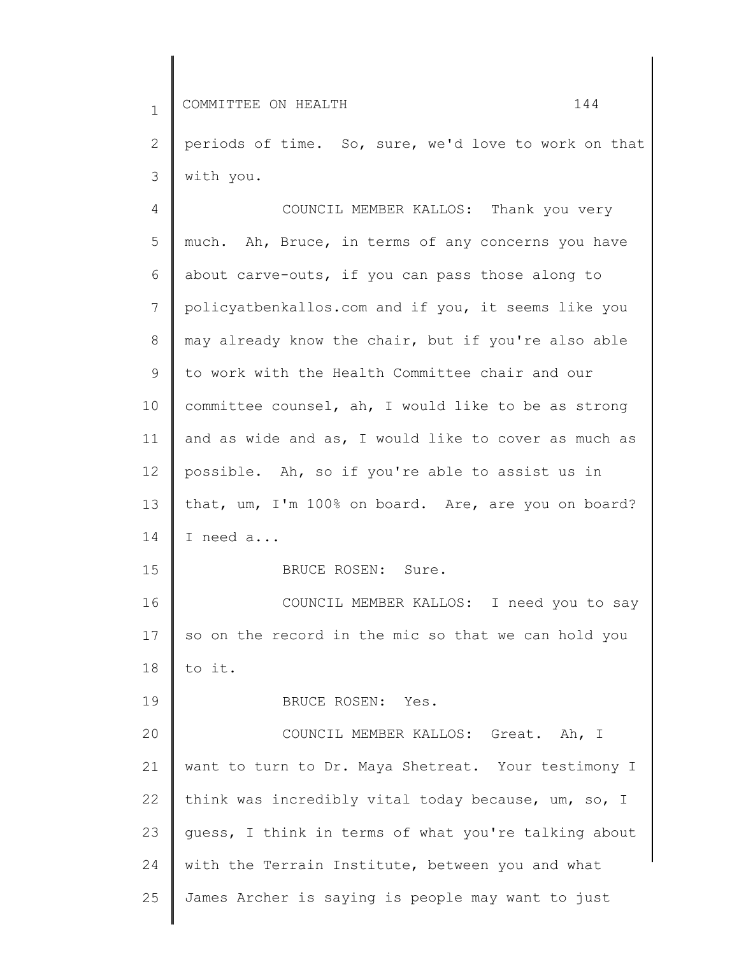2 3 periods of time. So, sure, we'd love to work on that with you.

4 5 6 7 8 9 10 11 12 13 14 15 16 17 18 19 20 21 22 23 24 25 COUNCIL MEMBER KALLOS: Thank you very much. Ah, Bruce, in terms of any concerns you have about carve-outs, if you can pass those along to policyatbenkallos.com and if you, it seems like you may already know the chair, but if you're also able to work with the Health Committee chair and our committee counsel, ah, I would like to be as strong and as wide and as, I would like to cover as much as possible. Ah, so if you're able to assist us in that, um, I'm 100% on board. Are, are you on board? I need a... BRUCE ROSEN: Sure. COUNCIL MEMBER KALLOS: I need you to say so on the record in the mic so that we can hold you to it. BRUCE ROSEN: Yes. COUNCIL MEMBER KALLOS: Great. Ah, I want to turn to Dr. Maya Shetreat. Your testimony I think was incredibly vital today because, um, so, I guess, I think in terms of what you're talking about with the Terrain Institute, between you and what James Archer is saying is people may want to just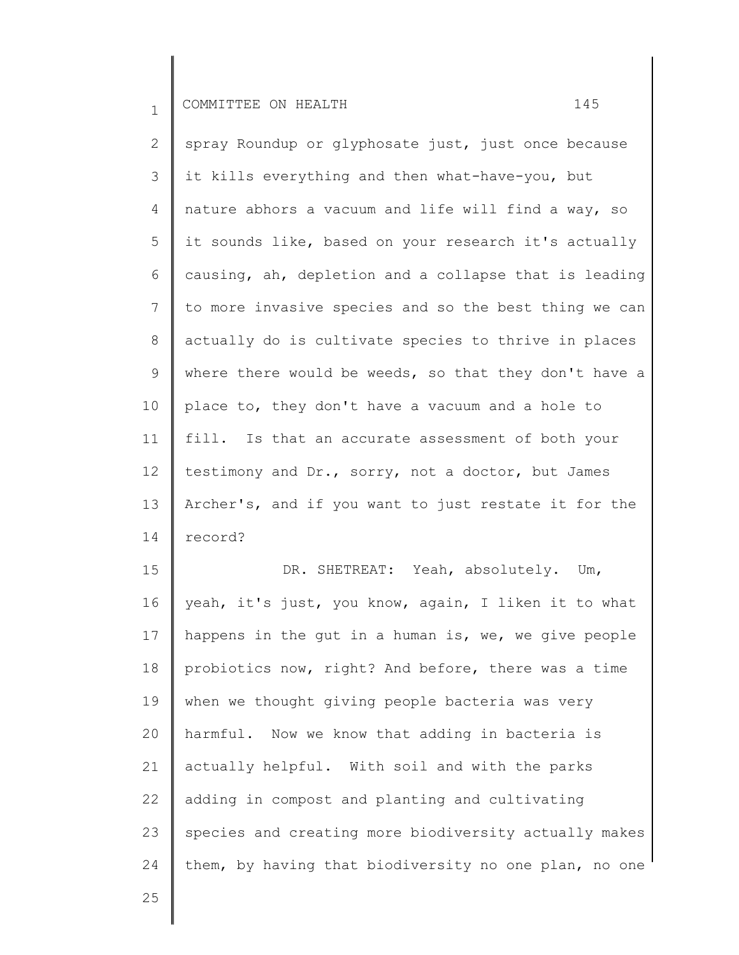25

2 3 4 5 6 7 8 9 10 11 12 13 14 spray Roundup or glyphosate just, just once because it kills everything and then what-have-you, but nature abhors a vacuum and life will find a way, so it sounds like, based on your research it's actually causing, ah, depletion and a collapse that is leading to more invasive species and so the best thing we can actually do is cultivate species to thrive in places where there would be weeds, so that they don't have a place to, they don't have a vacuum and a hole to fill. Is that an accurate assessment of both your testimony and Dr., sorry, not a doctor, but James Archer's, and if you want to just restate it for the record?

15 16 17 18 19 20 21 22 23 24 DR. SHETREAT: Yeah, absolutely. Um, yeah, it's just, you know, again, I liken it to what happens in the gut in a human is, we, we give people probiotics now, right? And before, there was a time when we thought giving people bacteria was very harmful. Now we know that adding in bacteria is actually helpful. With soil and with the parks adding in compost and planting and cultivating species and creating more biodiversity actually makes them, by having that biodiversity no one plan, no one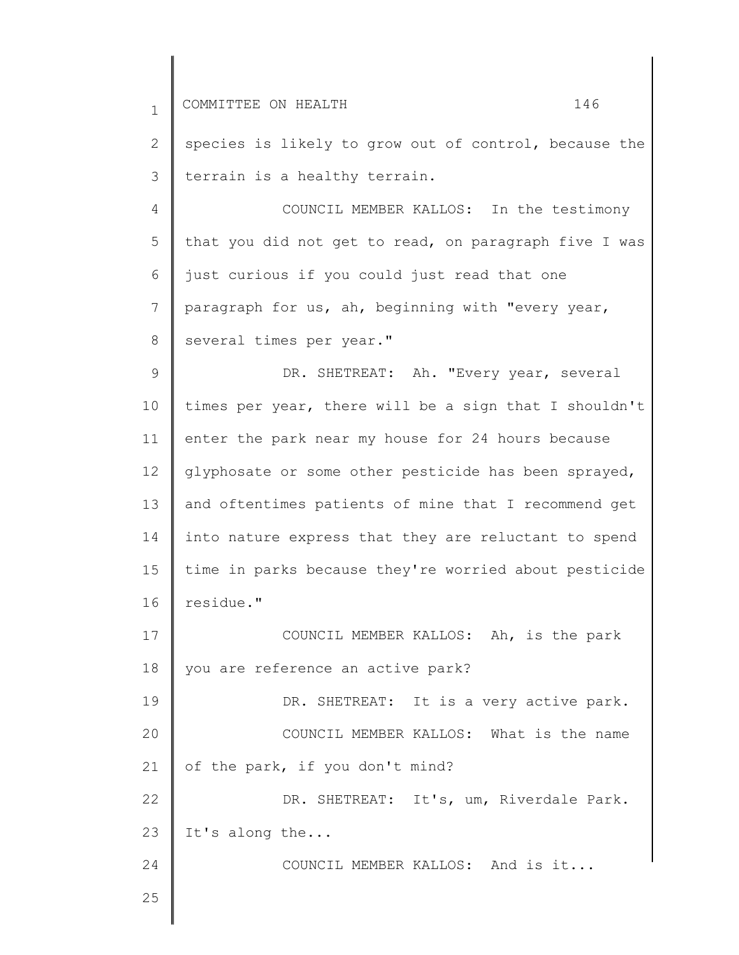| $\mathbf{1}$   | COMMITTEE ON HEALTH<br>146                            |
|----------------|-------------------------------------------------------|
| $\mathbf{2}$   | species is likely to grow out of control, because the |
| 3              | terrain is a healthy terrain.                         |
| $\overline{4}$ | COUNCIL MEMBER KALLOS: In the testimony               |
| 5              | that you did not get to read, on paragraph five I was |
| 6              | just curious if you could just read that one          |
| 7              | paragraph for us, ah, beginning with "every year,     |
| 8              | several times per year."                              |
| $\mathcal{G}$  | DR. SHETREAT: Ah. "Every year, several                |
| 10             | times per year, there will be a sign that I shouldn't |
| 11             | enter the park near my house for 24 hours because     |
| 12             | glyphosate or some other pesticide has been sprayed,  |
| 13             | and oftentimes patients of mine that I recommend get  |
| 14             | into nature express that they are reluctant to spend  |
| 15             | time in parks because they're worried about pesticide |
| 16             | residue."                                             |
| 17             | COUNCIL MEMBER KALLOS: Ah, is the park                |
| 18             | you are reference an active park?                     |
| 19             | DR. SHETREAT: It is a very active park.               |
| 20             | COUNCIL MEMBER KALLOS: What is the name               |
| 21             | of the park, if you don't mind?                       |
| 22             | DR. SHETREAT: It's, um, Riverdale Park.               |
| 23             | It's along the                                        |
| 24             | COUNCIL MEMBER KALLOS: And is it                      |
| 25             |                                                       |

 $\parallel$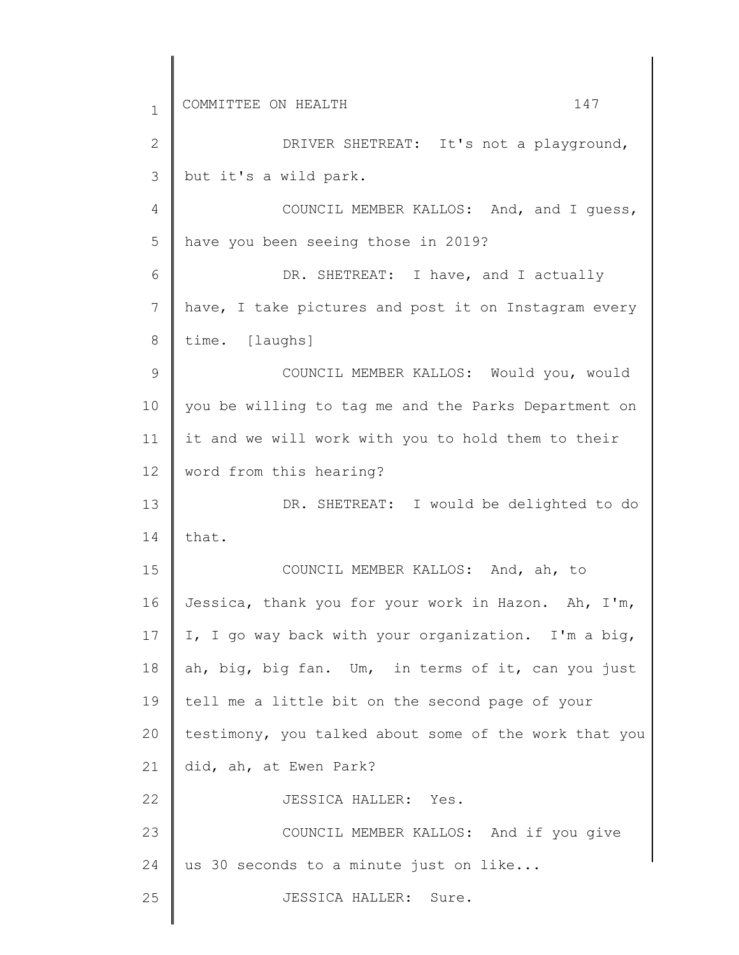| $\mathbf{1}$   | 147<br>COMMITTEE ON HEALTH                            |
|----------------|-------------------------------------------------------|
| $\mathbf{2}$   | DRIVER SHETREAT: It's not a playground,               |
| 3              | but it's a wild park.                                 |
| $\overline{4}$ | COUNCIL MEMBER KALLOS: And, and I guess,              |
| 5              | have you been seeing those in 2019?                   |
| 6              | DR. SHETREAT: I have, and I actually                  |
| 7              | have, I take pictures and post it on Instagram every  |
| 8              | time. [laughs]                                        |
| 9              | COUNCIL MEMBER KALLOS: Would you, would               |
| 10             | you be willing to tag me and the Parks Department on  |
| 11             | it and we will work with you to hold them to their    |
| 12             | word from this hearing?                               |
| 13             | DR. SHETREAT: I would be delighted to do              |
| 14             | that.                                                 |
| 15             | COUNCIL MEMBER KALLOS: And, ah, to                    |
| 16             | Jessica, thank you for your work in Hazon. Ah, I'm,   |
| 17             | I, I go way back with your organization. I'm a big,   |
| 18             | ah, big, big fan. Um, in terms of it, can you just    |
| 19             | tell me a little bit on the second page of your       |
| 20             | testimony, you talked about some of the work that you |
| 21             | did, ah, at Ewen Park?                                |
| 22             | JESSICA HALLER: Yes.                                  |
| 23             | COUNCIL MEMBER KALLOS: And if you give                |
| 24             | us 30 seconds to a minute just on like                |
| 25             | JESSICA HALLER: Sure.                                 |
|                |                                                       |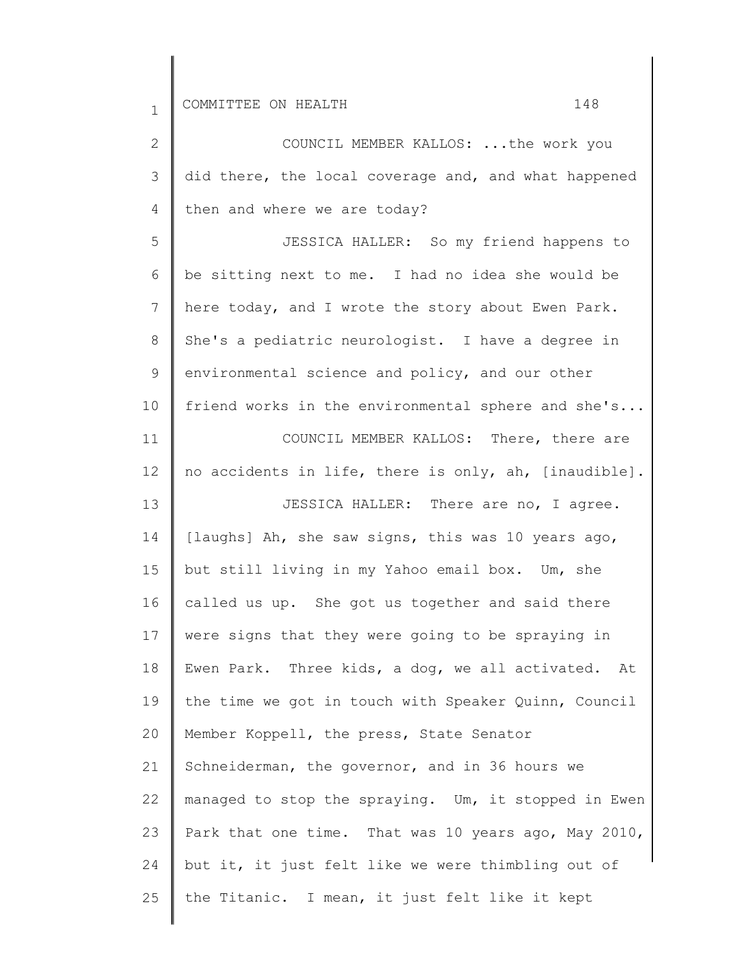25

2 3 4 5 6 7 8 9 10 11 12 13 14 15 16 17 18 19 20 21 22 23 24 COUNCIL MEMBER KALLOS: ...the work you did there, the local coverage and, and what happened then and where we are today? JESSICA HALLER: So my friend happens to be sitting next to me. I had no idea she would be here today, and I wrote the story about Ewen Park. She's a pediatric neurologist. I have a degree in environmental science and policy, and our other friend works in the environmental sphere and she's... COUNCIL MEMBER KALLOS: There, there are no accidents in life, there is only, ah, [inaudible]. JESSICA HALLER: There are no, I agree. [laughs] Ah, she saw signs, this was 10 years ago, but still living in my Yahoo email box. Um, she called us up. She got us together and said there were signs that they were going to be spraying in Ewen Park. Three kids, a dog, we all activated. At the time we got in touch with Speaker Quinn, Council Member Koppell, the press, State Senator Schneiderman, the governor, and in 36 hours we managed to stop the spraying. Um, it stopped in Ewen Park that one time. That was 10 years ago, May 2010, but it, it just felt like we were thimbling out of

the Titanic. I mean, it just felt like it kept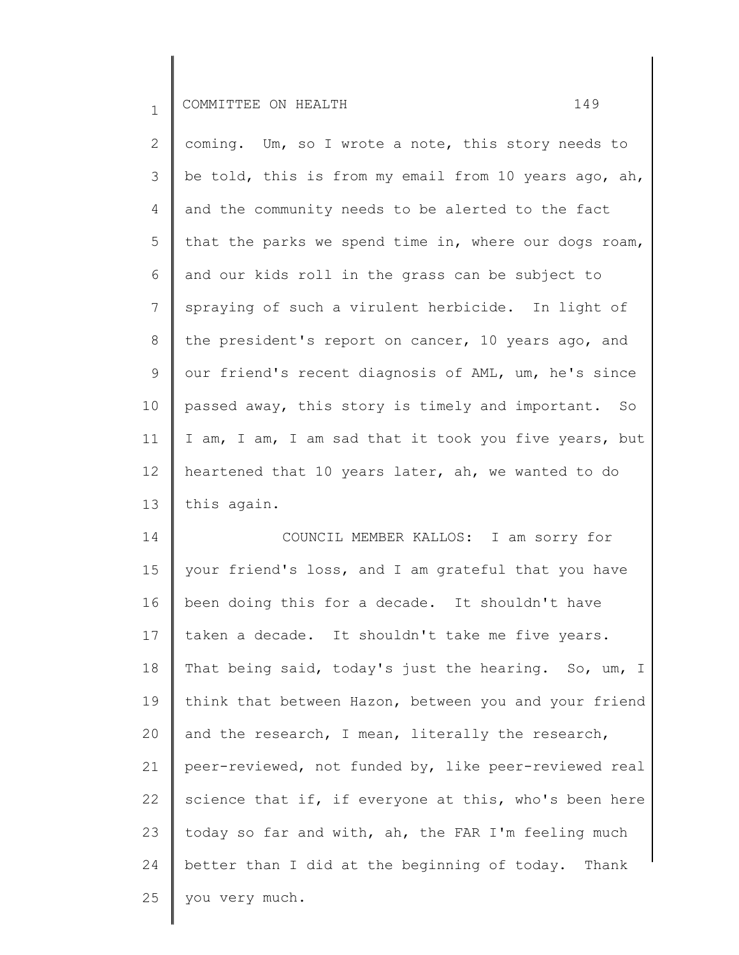| $\overline{2}$  | coming. Um, so I wrote a note, this story needs to    |
|-----------------|-------------------------------------------------------|
| 3               | be told, this is from my email from 10 years ago, ah, |
| 4               | and the community needs to be alerted to the fact     |
| 5               | that the parks we spend time in, where our dogs roam, |
| 6               | and our kids roll in the grass can be subject to      |
| $7\phantom{.}$  | spraying of such a virulent herbicide. In light of    |
| 8               | the president's report on cancer, 10 years ago, and   |
| 9               | our friend's recent diagnosis of AML, um, he's since  |
| 10              | passed away, this story is timely and important. So   |
| 11              | I am, I am, I am sad that it took you five years, but |
| 12 <sup>°</sup> | heartened that 10 years later, ah, we wanted to do    |
| 13              | this again.                                           |

14 15 16 17 18 19 20 21 22 23 24 25 COUNCIL MEMBER KALLOS: I am sorry for your friend's loss, and I am grateful that you have been doing this for a decade. It shouldn't have taken a decade. It shouldn't take me five years. That being said, today's just the hearing. So, um, I think that between Hazon, between you and your friend and the research, I mean, literally the research, peer-reviewed, not funded by, like peer-reviewed real science that if, if everyone at this, who's been here today so far and with, ah, the FAR I'm feeling much better than I did at the beginning of today. Thank you very much.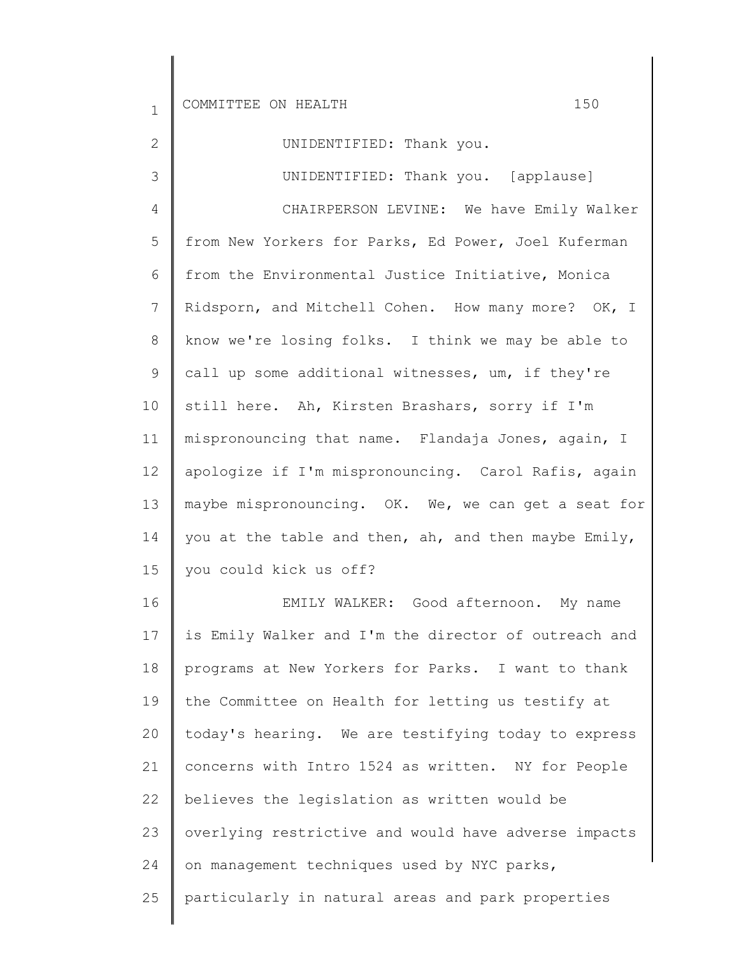1

2 3 4 5 6 7 8 9 10 11 12 13 14 15 16 17 UNIDENTIFIED: Thank you. UNIDENTIFIED: Thank you. [applause] CHAIRPERSON LEVINE: We have Emily Walker from New Yorkers for Parks, Ed Power, Joel Kuferman from the Environmental Justice Initiative, Monica Ridsporn, and Mitchell Cohen. How many more? OK, I know we're losing folks. I think we may be able to call up some additional witnesses, um, if they're still here. Ah, Kirsten Brashars, sorry if I'm mispronouncing that name. Flandaja Jones, again, I apologize if I'm mispronouncing. Carol Rafis, again maybe mispronouncing. OK. We, we can get a seat for you at the table and then, ah, and then maybe Emily, you could kick us off? EMILY WALKER: Good afternoon. My name is Emily Walker and I'm the director of outreach and programs at New Yorkers for Parks. I want to thank the Committee on Health for letting us testify at

18 19 20 21 22 23 24 25 today's hearing. We are testifying today to express concerns with Intro 1524 as written. NY for People believes the legislation as written would be overlying restrictive and would have adverse impacts on management techniques used by NYC parks, particularly in natural areas and park properties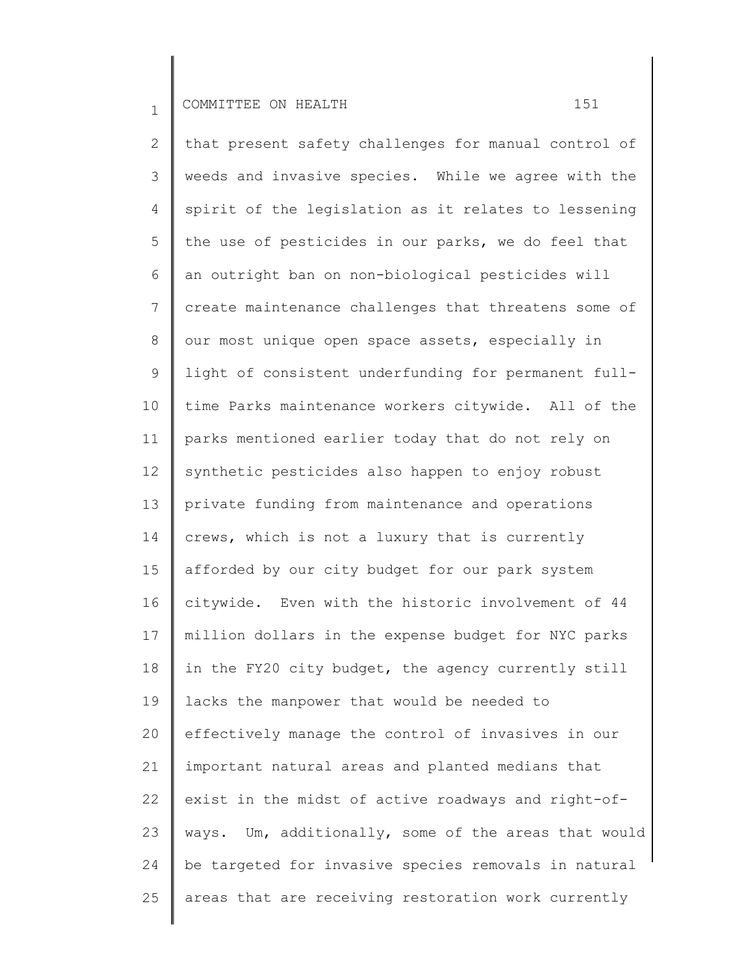2 3 4 5 6 7 8 9 10 11 12 13 14 15 16 17 18 19 20 21 22 23 24 25 that present safety challenges for manual control of weeds and invasive species. While we agree with the spirit of the legislation as it relates to lessening the use of pesticides in our parks, we do feel that an outright ban on non-biological pesticides will create maintenance challenges that threatens some of our most unique open space assets, especially in light of consistent underfunding for permanent fulltime Parks maintenance workers citywide. All of the parks mentioned earlier today that do not rely on synthetic pesticides also happen to enjoy robust private funding from maintenance and operations crews, which is not a luxury that is currently afforded by our city budget for our park system citywide. Even with the historic involvement of 44 million dollars in the expense budget for NYC parks in the FY20 city budget, the agency currently still lacks the manpower that would be needed to effectively manage the control of invasives in our important natural areas and planted medians that exist in the midst of active roadways and right-ofways. Um, additionally, some of the areas that would be targeted for invasive species removals in natural areas that are receiving restoration work currently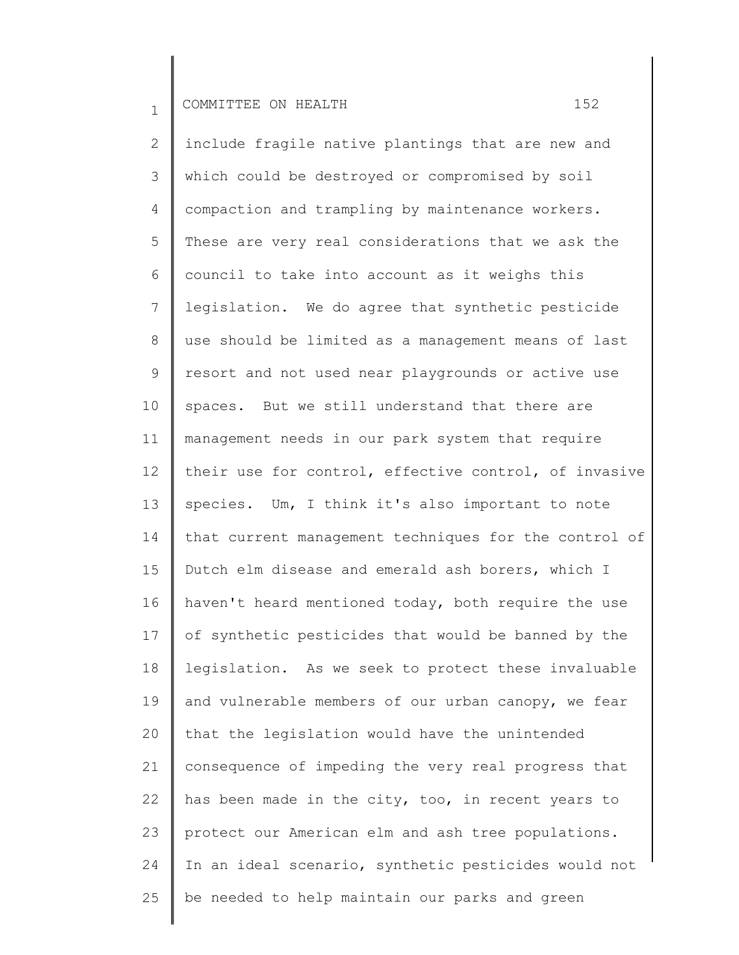2 3 4 5 6 7 8 9 10 11 12 13 14 15 16 17 18 19 20 21 22 23 24 25 include fragile native plantings that are new and which could be destroyed or compromised by soil compaction and trampling by maintenance workers. These are very real considerations that we ask the council to take into account as it weighs this legislation. We do agree that synthetic pesticide use should be limited as a management means of last resort and not used near playgrounds or active use spaces. But we still understand that there are management needs in our park system that require their use for control, effective control, of invasive species. Um, I think it's also important to note that current management techniques for the control of Dutch elm disease and emerald ash borers, which I haven't heard mentioned today, both require the use of synthetic pesticides that would be banned by the legislation. As we seek to protect these invaluable and vulnerable members of our urban canopy, we fear that the legislation would have the unintended consequence of impeding the very real progress that has been made in the city, too, in recent years to protect our American elm and ash tree populations. In an ideal scenario, synthetic pesticides would not be needed to help maintain our parks and green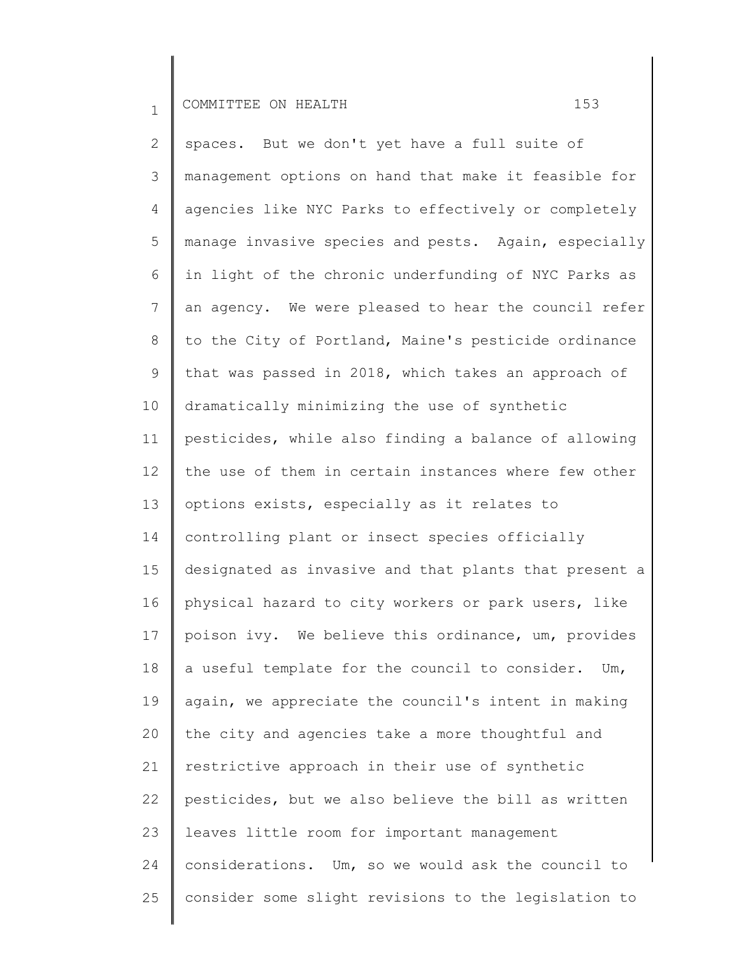2 3 4 5 6 7 8 9 10 11 12 13 14 15 16 17 18 19 20 21 22 23 24 25 spaces. But we don't yet have a full suite of management options on hand that make it feasible for agencies like NYC Parks to effectively or completely manage invasive species and pests. Again, especially in light of the chronic underfunding of NYC Parks as an agency. We were pleased to hear the council refer to the City of Portland, Maine's pesticide ordinance that was passed in 2018, which takes an approach of dramatically minimizing the use of synthetic pesticides, while also finding a balance of allowing the use of them in certain instances where few other options exists, especially as it relates to controlling plant or insect species officially designated as invasive and that plants that present a physical hazard to city workers or park users, like poison ivy. We believe this ordinance, um, provides a useful template for the council to consider. Um, again, we appreciate the council's intent in making the city and agencies take a more thoughtful and restrictive approach in their use of synthetic pesticides, but we also believe the bill as written leaves little room for important management considerations. Um, so we would ask the council to consider some slight revisions to the legislation to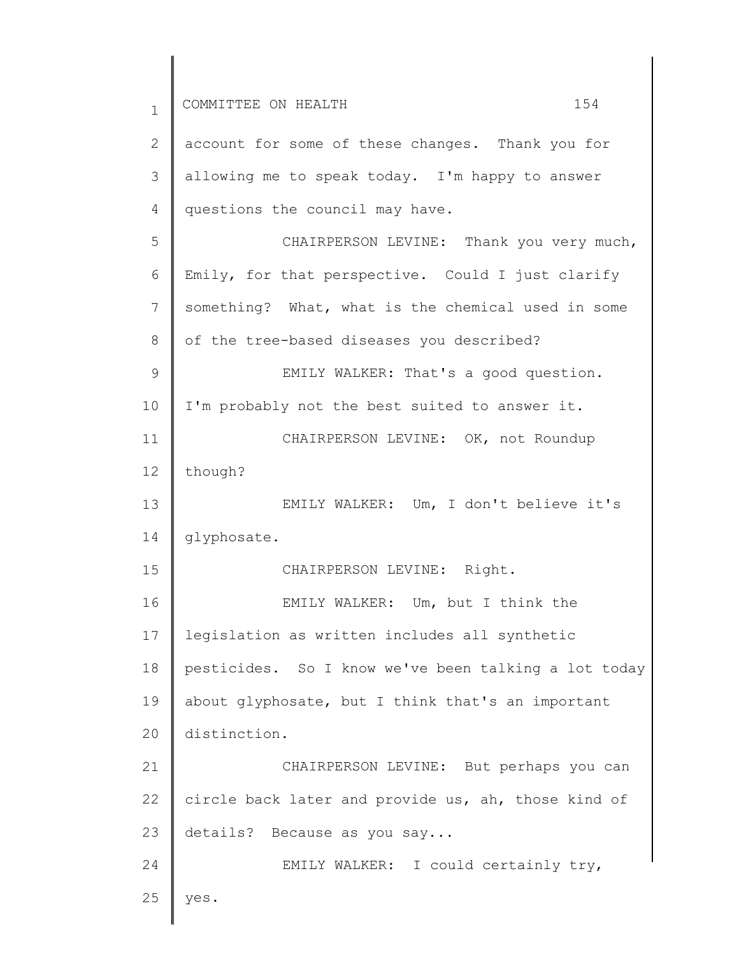1 2 3 4 5 6 7 8 9 10 11 12 13 14 15 16 17 18 19 20 21 22 23 24 25 COMMITTEE ON HEALTH 154 account for some of these changes. Thank you for allowing me to speak today. I'm happy to answer questions the council may have. CHAIRPERSON LEVINE: Thank you very much, Emily, for that perspective. Could I just clarify something? What, what is the chemical used in some of the tree-based diseases you described? EMILY WALKER: That's a good question. I'm probably not the best suited to answer it. CHAIRPERSON LEVINE: OK, not Roundup though? EMILY WALKER: Um, I don't believe it's glyphosate. CHAIRPERSON LEVINE: Right. EMILY WALKER: Um, but I think the legislation as written includes all synthetic pesticides. So I know we've been talking a lot today about glyphosate, but I think that's an important distinction. CHAIRPERSON LEVINE: But perhaps you can circle back later and provide us, ah, those kind of details? Because as you say... EMILY WALKER: I could certainly try, yes.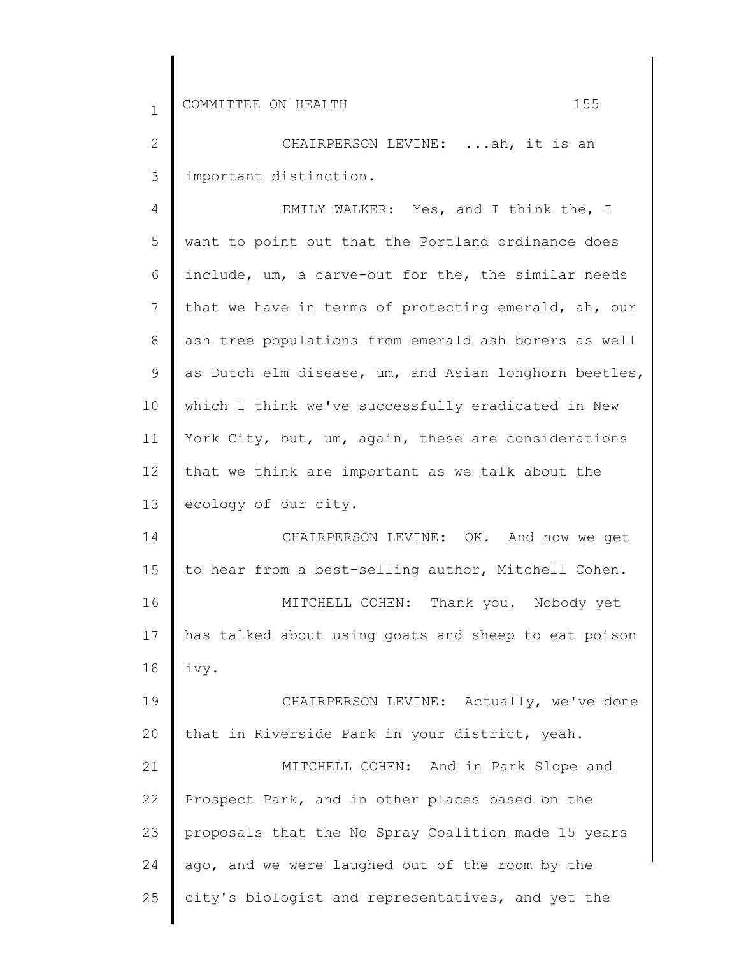2 3 CHAIRPERSON LEVINE: ...ah, it is an important distinction.

4 5 6 7 8 9 10 11 12 13 EMILY WALKER: Yes, and I think the, I want to point out that the Portland ordinance does include, um, a carve-out for the, the similar needs that we have in terms of protecting emerald, ah, our ash tree populations from emerald ash borers as well as Dutch elm disease, um, and Asian longhorn beetles, which I think we've successfully eradicated in New York City, but, um, again, these are considerations that we think are important as we talk about the ecology of our city.

14 15 16 17 18 CHAIRPERSON LEVINE: OK. And now we get to hear from a best-selling author, Mitchell Cohen. MITCHELL COHEN: Thank you. Nobody yet has talked about using goats and sheep to eat poison ivy.

19 20 CHAIRPERSON LEVINE: Actually, we've done that in Riverside Park in your district, yeah.

21 22 23 24 25 MITCHELL COHEN: And in Park Slope and Prospect Park, and in other places based on the proposals that the No Spray Coalition made 15 years ago, and we were laughed out of the room by the city's biologist and representatives, and yet the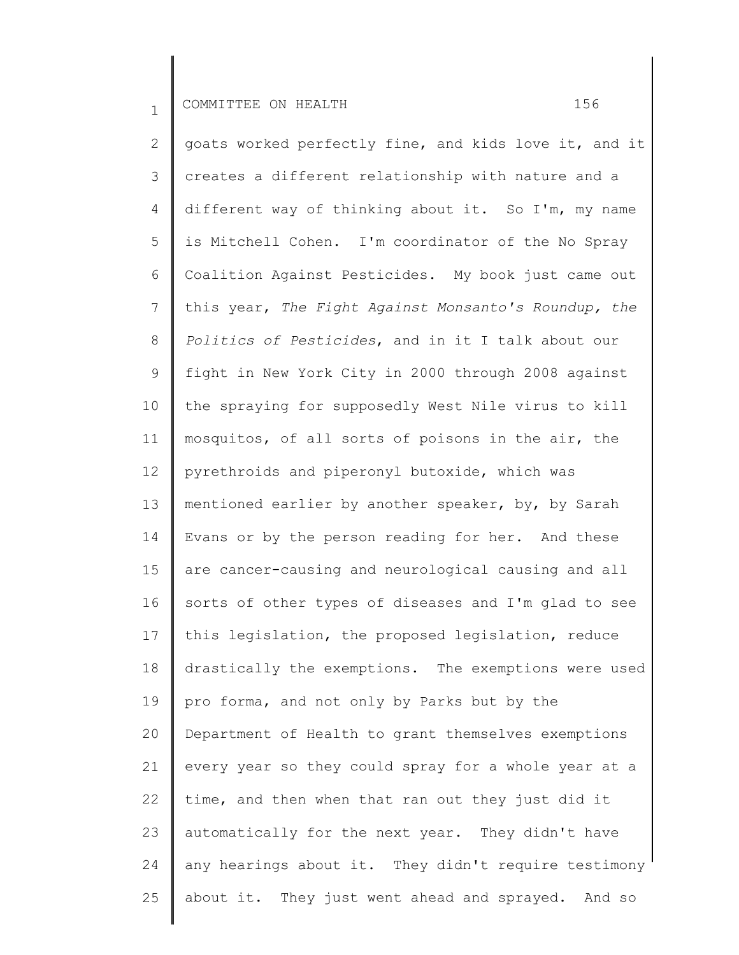2 3 4 5 6 7 8 9 10 11 12 13 14 15 16 17 18 19 20 21 22 23 24 25 goats worked perfectly fine, and kids love it, and it creates a different relationship with nature and a different way of thinking about it. So I'm, my name is Mitchell Cohen. I'm coordinator of the No Spray Coalition Against Pesticides. My book just came out this year, *The Fight Against Monsanto's Roundup, the Politics of Pesticides*, and in it I talk about our fight in New York City in 2000 through 2008 against the spraying for supposedly West Nile virus to kill mosquitos, of all sorts of poisons in the air, the pyrethroids and piperonyl butoxide, which was mentioned earlier by another speaker, by, by Sarah Evans or by the person reading for her. And these are cancer-causing and neurological causing and all sorts of other types of diseases and I'm glad to see this legislation, the proposed legislation, reduce drastically the exemptions. The exemptions were used pro forma, and not only by Parks but by the Department of Health to grant themselves exemptions every year so they could spray for a whole year at a time, and then when that ran out they just did it automatically for the next year. They didn't have any hearings about it. They didn't require testimony about it. They just went ahead and sprayed. And so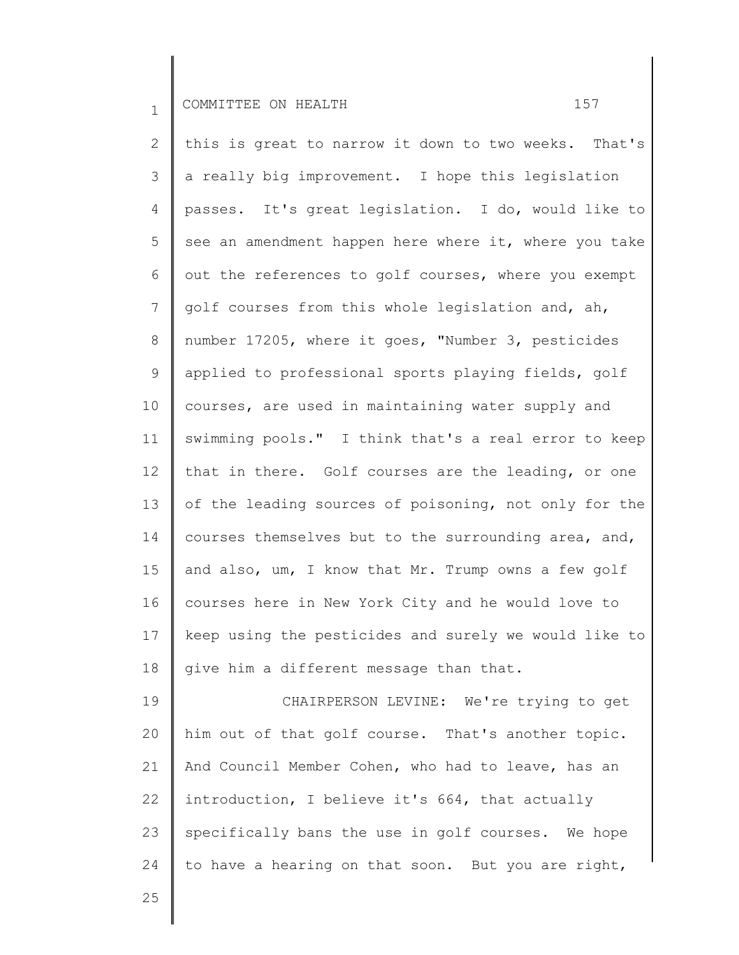2 3 4 5 6 7 8 9 10 11 12 13 14 15 16 17 18 this is great to narrow it down to two weeks. That's a really big improvement. I hope this legislation passes. It's great legislation. I do, would like to see an amendment happen here where it, where you take out the references to golf courses, where you exempt golf courses from this whole legislation and, ah, number 17205, where it goes, "Number 3, pesticides applied to professional sports playing fields, golf courses, are used in maintaining water supply and swimming pools." I think that's a real error to keep that in there. Golf courses are the leading, or one of the leading sources of poisoning, not only for the courses themselves but to the surrounding area, and, and also, um, I know that Mr. Trump owns a few golf courses here in New York City and he would love to keep using the pesticides and surely we would like to give him a different message than that.

19 20 21 22 23 24 CHAIRPERSON LEVINE: We're trying to get him out of that golf course. That's another topic. And Council Member Cohen, who had to leave, has an introduction, I believe it's 664, that actually specifically bans the use in golf courses. We hope to have a hearing on that soon. But you are right,

25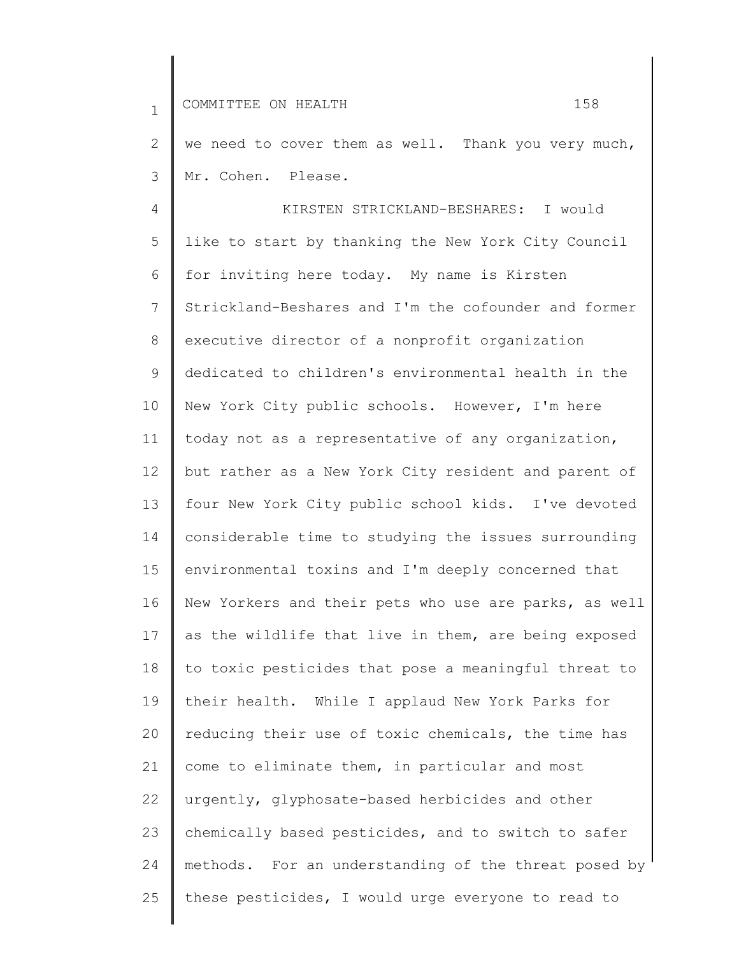1 2 3 4 5 6 7 8 9 10 11 12 13 14 15 16 17 18 19 20 21 22 23 24 25 COMMITTEE ON HEALTH 158 we need to cover them as well. Thank you very much, Mr. Cohen. Please. KIRSTEN STRICKLAND-BESHARES: I would like to start by thanking the New York City Council for inviting here today. My name is Kirsten Strickland-Beshares and I'm the cofounder and former executive director of a nonprofit organization dedicated to children's environmental health in the New York City public schools. However, I'm here today not as a representative of any organization, but rather as a New York City resident and parent of four New York City public school kids. I've devoted considerable time to studying the issues surrounding environmental toxins and I'm deeply concerned that New Yorkers and their pets who use are parks, as well as the wildlife that live in them, are being exposed to toxic pesticides that pose a meaningful threat to their health. While I applaud New York Parks for reducing their use of toxic chemicals, the time has come to eliminate them, in particular and most urgently, glyphosate-based herbicides and other chemically based pesticides, and to switch to safer methods. For an understanding of the threat posed by these pesticides, I would urge everyone to read to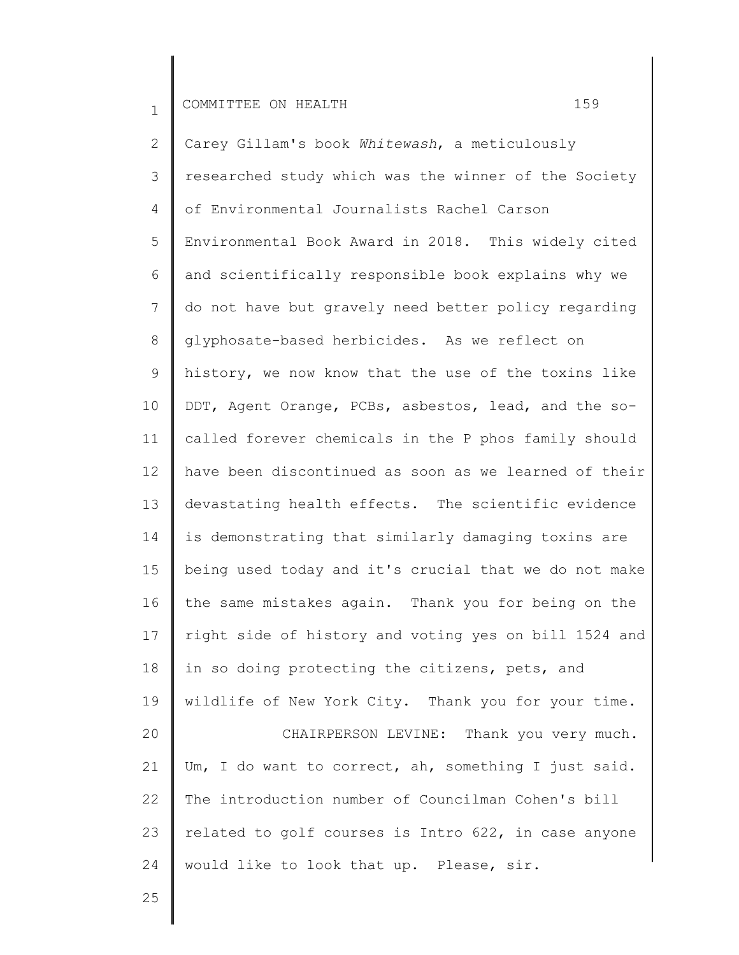2 3 4 5 6 7 8 9 10 11 12 13 14 15 16 17 18 19 20 21 22 23 24 Carey Gillam's book *Whitewash*, a meticulously researched study which was the winner of the Society of Environmental Journalists Rachel Carson Environmental Book Award in 2018. This widely cited and scientifically responsible book explains why we do not have but gravely need better policy regarding glyphosate-based herbicides. As we reflect on history, we now know that the use of the toxins like DDT, Agent Orange, PCBs, asbestos, lead, and the socalled forever chemicals in the P phos family should have been discontinued as soon as we learned of their devastating health effects. The scientific evidence is demonstrating that similarly damaging toxins are being used today and it's crucial that we do not make the same mistakes again. Thank you for being on the right side of history and voting yes on bill 1524 and in so doing protecting the citizens, pets, and wildlife of New York City. Thank you for your time. CHAIRPERSON LEVINE: Thank you very much. Um, I do want to correct, ah, something I just said. The introduction number of Councilman Cohen's bill related to golf courses is Intro 622, in case anyone would like to look that up. Please, sir.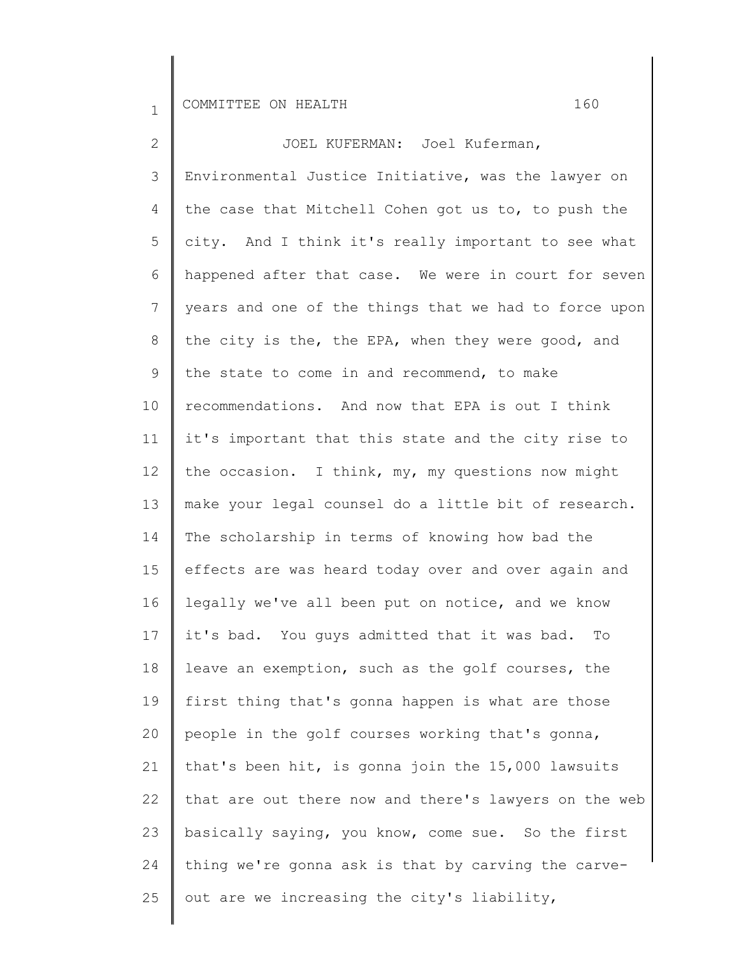2 3 4 5 6 7 8 9 10 11 12 13 14 15 16 17 18 19 20 21 22 23 24 25 JOEL KUFERMAN: Joel Kuferman, Environmental Justice Initiative, was the lawyer on the case that Mitchell Cohen got us to, to push the city. And I think it's really important to see what happened after that case. We were in court for seven years and one of the things that we had to force upon the city is the, the EPA, when they were good, and the state to come in and recommend, to make recommendations. And now that EPA is out I think it's important that this state and the city rise to the occasion. I think, my, my questions now might make your legal counsel do a little bit of research. The scholarship in terms of knowing how bad the effects are was heard today over and over again and legally we've all been put on notice, and we know it's bad. You guys admitted that it was bad. To leave an exemption, such as the golf courses, the first thing that's gonna happen is what are those people in the golf courses working that's gonna, that's been hit, is gonna join the 15,000 lawsuits that are out there now and there's lawyers on the web basically saying, you know, come sue. So the first thing we're gonna ask is that by carving the carveout are we increasing the city's liability,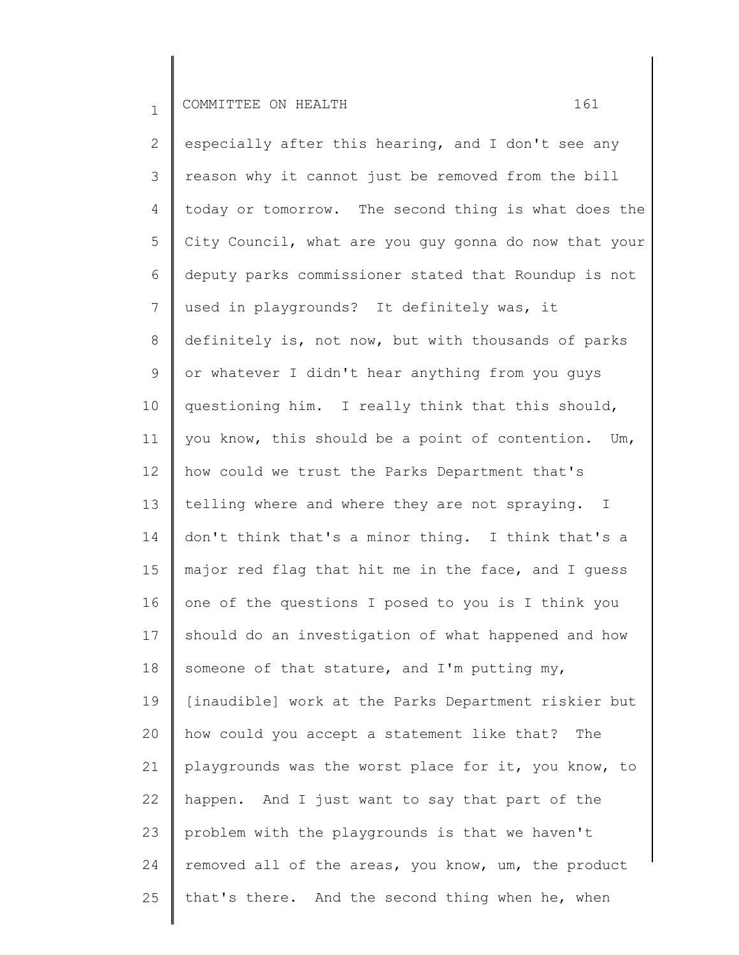2 3 4 5 6 7 8 9 10 11 12 13 14 15 16 17 18 19 20 21 22 23 24 25 especially after this hearing, and I don't see any reason why it cannot just be removed from the bill today or tomorrow. The second thing is what does the City Council, what are you guy gonna do now that your deputy parks commissioner stated that Roundup is not used in playgrounds? It definitely was, it definitely is, not now, but with thousands of parks or whatever I didn't hear anything from you guys questioning him. I really think that this should, you know, this should be a point of contention. Um, how could we trust the Parks Department that's telling where and where they are not spraying. I don't think that's a minor thing. I think that's a major red flag that hit me in the face, and I guess one of the questions I posed to you is I think you should do an investigation of what happened and how someone of that stature, and I'm putting my, [inaudible] work at the Parks Department riskier but how could you accept a statement like that? The playgrounds was the worst place for it, you know, to happen. And I just want to say that part of the problem with the playgrounds is that we haven't removed all of the areas, you know, um, the product that's there. And the second thing when he, when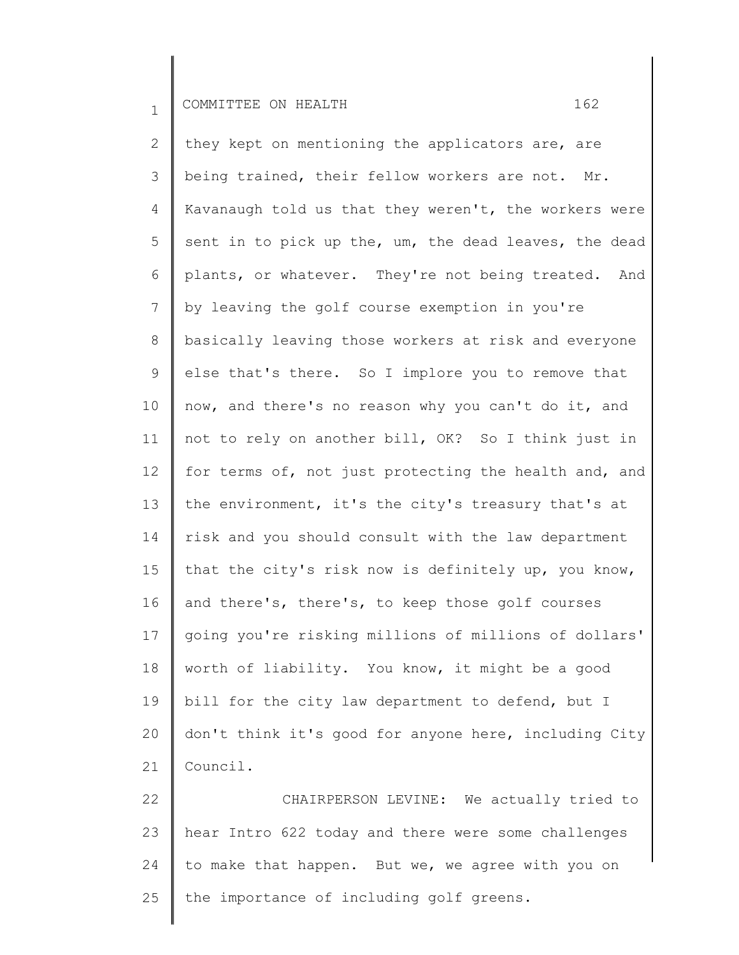2 3 4 5 6 7 8 9 10 11 12 13 14 15 16 17 18 19 20 21 they kept on mentioning the applicators are, are being trained, their fellow workers are not. Mr. Kavanaugh told us that they weren't, the workers were sent in to pick up the, um, the dead leaves, the dead plants, or whatever. They're not being treated. And by leaving the golf course exemption in you're basically leaving those workers at risk and everyone else that's there. So I implore you to remove that now, and there's no reason why you can't do it, and not to rely on another bill, OK? So I think just in for terms of, not just protecting the health and, and the environment, it's the city's treasury that's at risk and you should consult with the law department that the city's risk now is definitely up, you know, and there's, there's, to keep those golf courses going you're risking millions of millions of dollars' worth of liability. You know, it might be a good bill for the city law department to defend, but I don't think it's good for anyone here, including City Council.

22 23 24 25 CHAIRPERSON LEVINE: We actually tried to hear Intro 622 today and there were some challenges to make that happen. But we, we agree with you on the importance of including golf greens.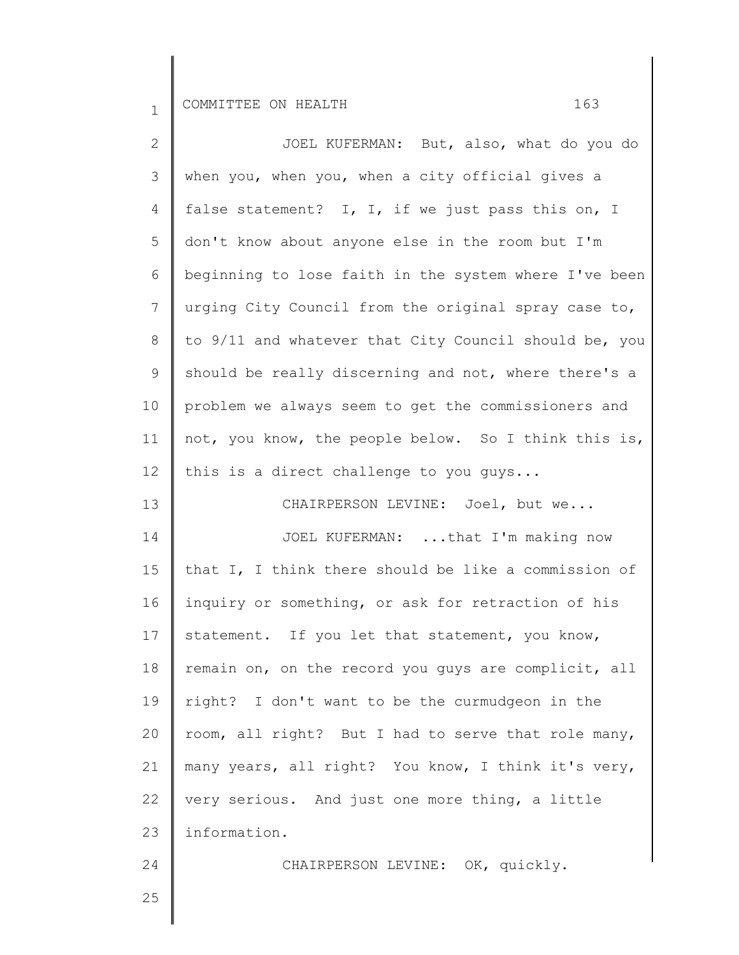25

| $\mathbf{2}$    | JOEL KUFERMAN: But, also, what do you do              |
|-----------------|-------------------------------------------------------|
| $\mathcal{S}$   | when you, when you, when a city official gives a      |
| 4               | false statement? I, I, if we just pass this on, I     |
| 5               | don't know about anyone else in the room but I'm      |
| 6               | beginning to lose faith in the system where I've been |
| 7               | urging City Council from the original spray case to,  |
| $8\,$           | to 9/11 and whatever that City Council should be, you |
| 9               | should be really discerning and not, where there's a  |
| 10              | problem we always seem to get the commissioners and   |
| 11              | not, you know, the people below. So I think this is,  |
| 12 <sup>°</sup> | this is a direct challenge to you guys                |
| 13              | CHAIRPERSON LEVINE: Joel, but we                      |
| 14              | JOEL KUFERMAN: that I'm making now                    |
| 15              | that I, I think there should be like a commission of  |
| 16              | inquiry or something, or ask for retraction of his    |
| 17              | statement. If you let that statement, you know,       |
| 18              | remain on, on the record you guys are complicit, all  |
| 19              | right? I don't want to be the curmudgeon in the       |
| 20              | room, all right? But I had to serve that role many,   |
| 21              | many years, all right? You know, I think it's very,   |
| 22              | very serious. And just one more thing, a little       |
| 23              | information.                                          |
| 24              | CHAIRPERSON LEVINE: OK, quickly.                      |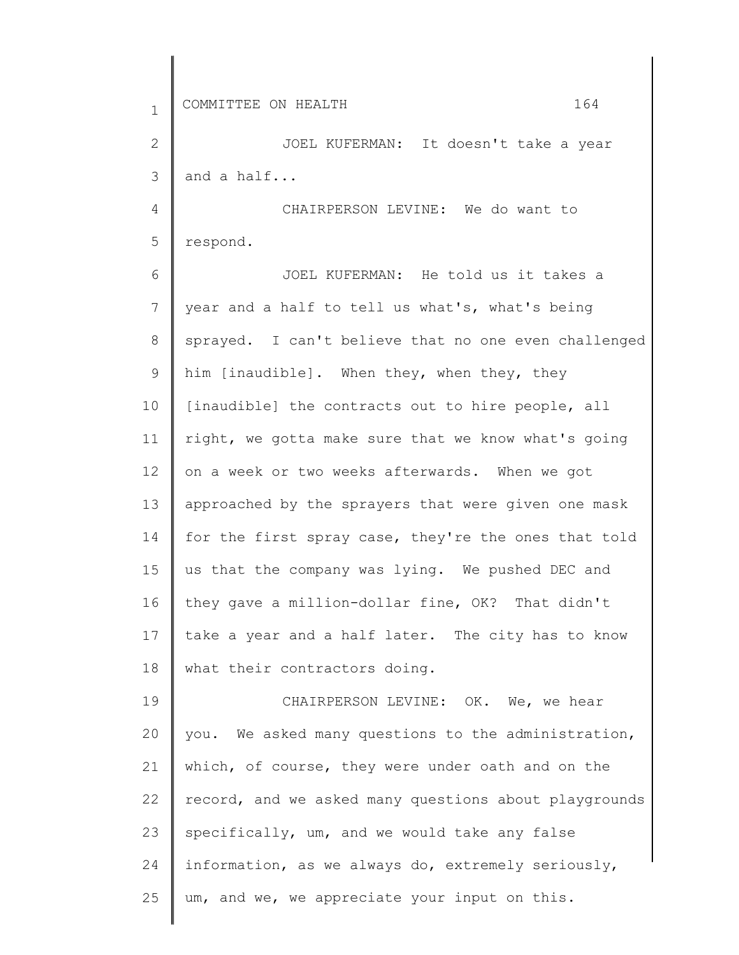| $\mathbf{1}$ | 164<br>COMMITTEE ON HEALTH                            |
|--------------|-------------------------------------------------------|
| 2            | JOEL KUFERMAN: It doesn't take a year                 |
| 3            | and a half                                            |
| 4            | CHAIRPERSON LEVINE: We do want to                     |
| 5            | respond.                                              |
| 6            | JOEL KUFERMAN: He told us it takes a                  |
| 7            | year and a half to tell us what's, what's being       |
| 8            | sprayed. I can't believe that no one even challenged  |
| 9            | him [inaudible]. When they, when they, they           |
| 10           | [inaudible] the contracts out to hire people, all     |
| 11           | right, we gotta make sure that we know what's going   |
| 12           | on a week or two weeks afterwards. When we got        |
| 13           | approached by the sprayers that were given one mask   |
| 14           | for the first spray case, they're the ones that told  |
| 15           | us that the company was lying. We pushed DEC and      |
| 16           | they gave a million-dollar fine, OK? That didn't      |
| 17           | take a year and a half later. The city has to know    |
| 18           | what their contractors doing.                         |
| 19           | CHAIRPERSON LEVINE: OK. We, we hear                   |
| 20           | you. We asked many questions to the administration,   |
| 21           | which, of course, they were under oath and on the     |
| 22           | record, and we asked many questions about playgrounds |
| 23           | specifically, um, and we would take any false         |
| 24           | information, as we always do, extremely seriously,    |
| 25           | um, and we, we appreciate your input on this.         |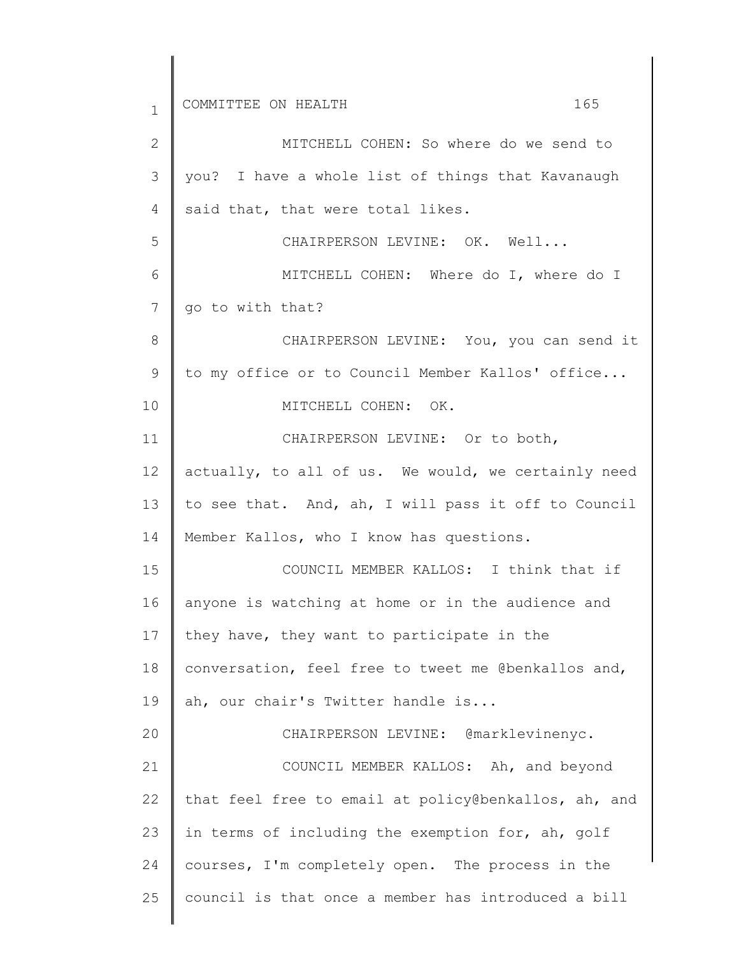1 2 3 4 5 6 7 8 9 10 11 12 13 14 15 16 17 18 19 20 21 22 23 24 25 COMMITTEE ON HEALTH 165 MITCHELL COHEN: So where do we send to you? I have a whole list of things that Kavanaugh said that, that were total likes. CHAIRPERSON LEVINE: OK. Well... MITCHELL COHEN: Where do I, where do I go to with that? CHAIRPERSON LEVINE: You, you can send it to my office or to Council Member Kallos' office... MITCHELL COHEN: OK. CHAIRPERSON LEVINE: Or to both, actually, to all of us. We would, we certainly need to see that. And, ah, I will pass it off to Council Member Kallos, who I know has questions. COUNCIL MEMBER KALLOS: I think that if anyone is watching at home or in the audience and they have, they want to participate in the conversation, feel free to tweet me @benkallos and, ah, our chair's Twitter handle is... CHAIRPERSON LEVINE: @marklevinenyc. COUNCIL MEMBER KALLOS: Ah, and beyond that feel free to email at policy@benkallos, ah, and in terms of including the exemption for, ah, golf courses, I'm completely open. The process in the council is that once a member has introduced a bill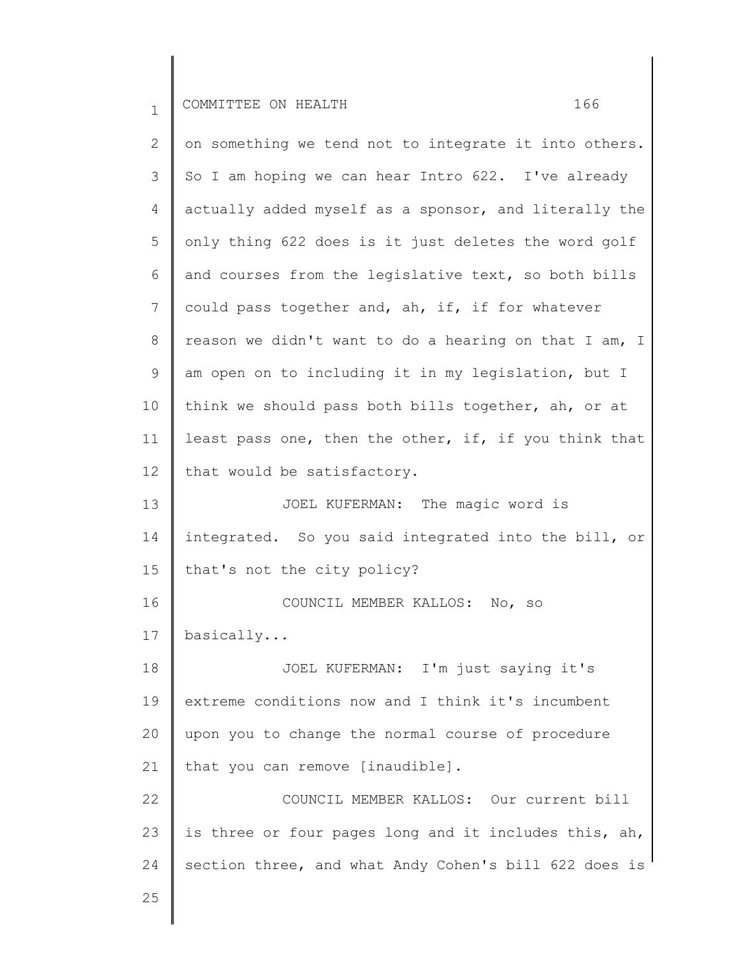2 3 4 5 6 7 8 9 10 11 12 13 14 15 16 17 18 19 20 21 22 23 24 on something we tend not to integrate it into others. So I am hoping we can hear Intro 622. I've already actually added myself as a sponsor, and literally the only thing 622 does is it just deletes the word golf and courses from the legislative text, so both bills could pass together and, ah, if, if for whatever reason we didn't want to do a hearing on that I am, I am open on to including it in my legislation, but I think we should pass both bills together, ah, or at least pass one, then the other, if, if you think that that would be satisfactory. JOEL KUFERMAN: The magic word is integrated. So you said integrated into the bill, or that's not the city policy? COUNCIL MEMBER KALLOS: No, so basically... JOEL KUFERMAN: I'm just saying it's extreme conditions now and I think it's incumbent upon you to change the normal course of procedure that you can remove [inaudible]. COUNCIL MEMBER KALLOS: Our current bill is three or four pages long and it includes this, ah, section three, and what Andy Cohen's bill 622 does is

25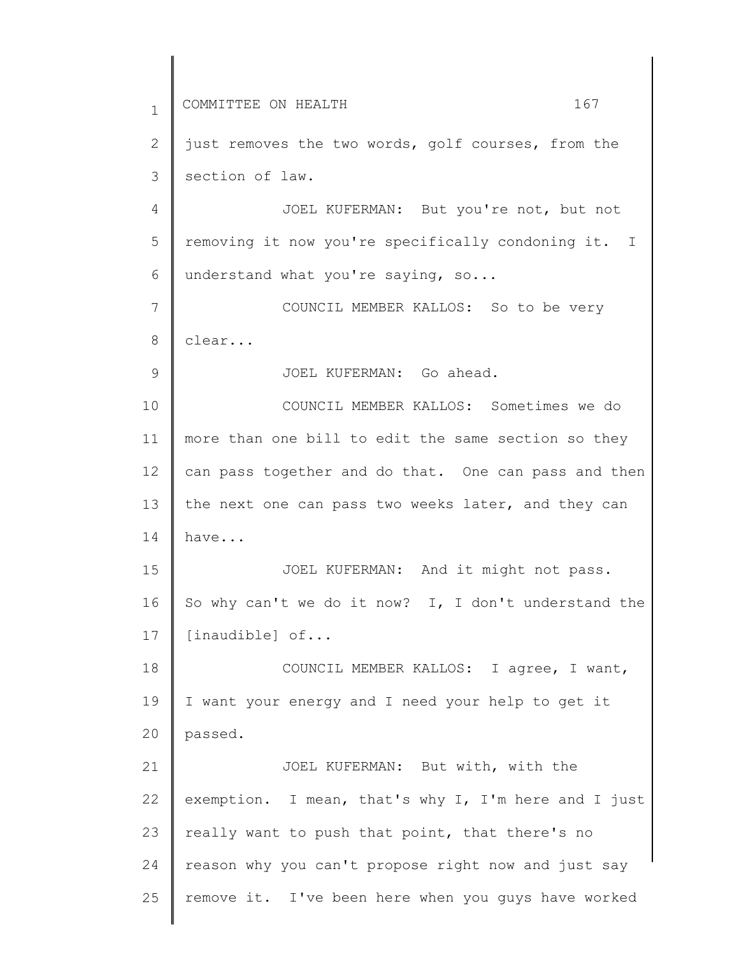1 2 3 4 5 6 7 8 9 10 11 12 13 14 15 16 17 18 19 20 21 22 23 24 25 COMMITTEE ON HEALTH 167 just removes the two words, golf courses, from the section of law. JOEL KUFERMAN: But you're not, but not removing it now you're specifically condoning it. I understand what you're saying, so... COUNCIL MEMBER KALLOS: So to be very clear... JOEL KUFERMAN: Go ahead. COUNCIL MEMBER KALLOS: Sometimes we do more than one bill to edit the same section so they can pass together and do that. One can pass and then the next one can pass two weeks later, and they can have... JOEL KUFERMAN: And it might not pass. So why can't we do it now? I, I don't understand the [inaudible] of... COUNCIL MEMBER KALLOS: I agree, I want, I want your energy and I need your help to get it passed. JOEL KUFERMAN: But with, with the exemption. I mean, that's why I, I'm here and I just really want to push that point, that there's no reason why you can't propose right now and just say remove it. I've been here when you guys have worked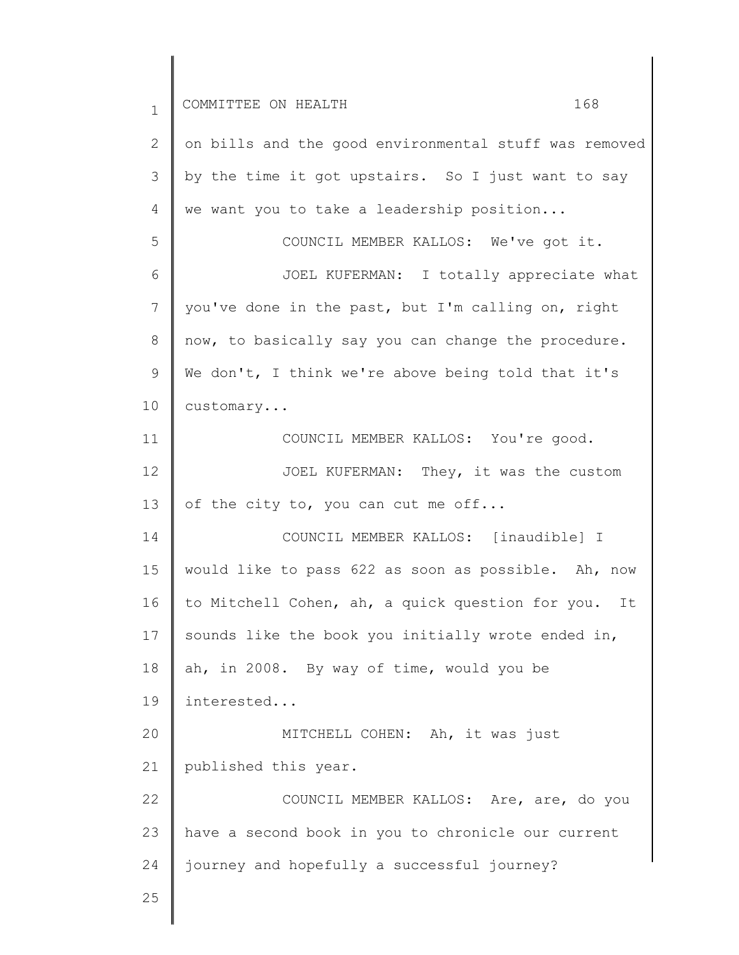1 2 3 4 5 6 7 8 9 10 11 12 13 14 15 16 17 18 19 20 21 22 23 24 25 COMMITTEE ON HEALTH 168 on bills and the good environmental stuff was removed by the time it got upstairs. So I just want to say we want you to take a leadership position... COUNCIL MEMBER KALLOS: We've got it. JOEL KUFERMAN: I totally appreciate what you've done in the past, but I'm calling on, right now, to basically say you can change the procedure. We don't, I think we're above being told that it's customary... COUNCIL MEMBER KALLOS: You're good. JOEL KUFERMAN: They, it was the custom of the city to, you can cut me off... COUNCIL MEMBER KALLOS: [inaudible] I would like to pass 622 as soon as possible. Ah, now to Mitchell Cohen, ah, a quick question for you. It sounds like the book you initially wrote ended in, ah, in 2008. By way of time, would you be interested... MITCHELL COHEN: Ah, it was just published this year. COUNCIL MEMBER KALLOS: Are, are, do you have a second book in you to chronicle our current journey and hopefully a successful journey?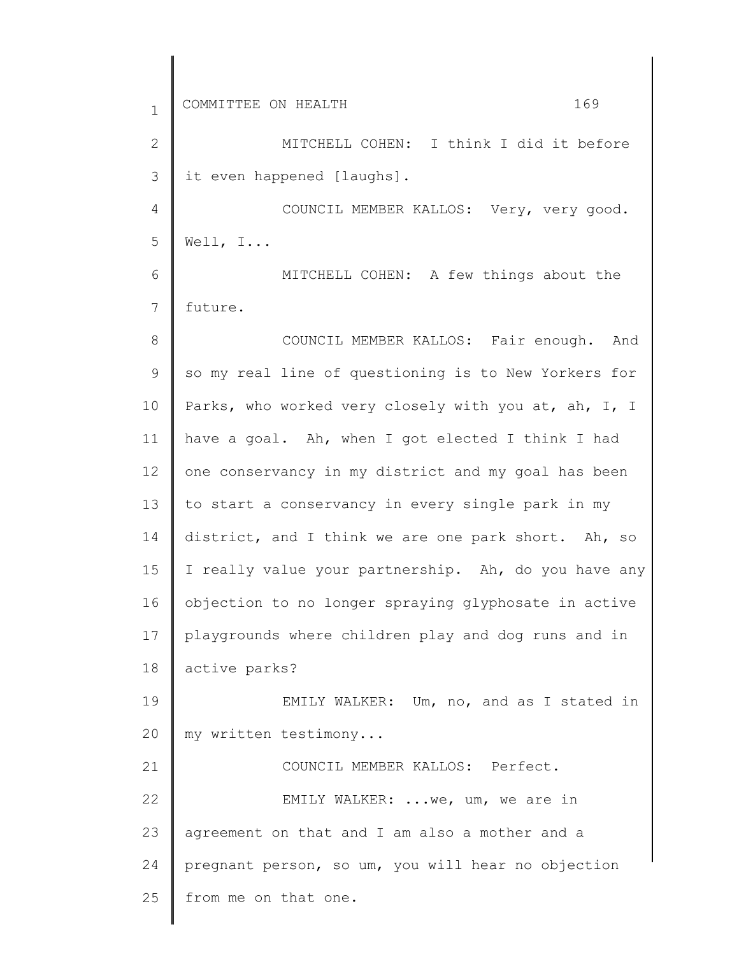| $\mathbf{1}$    | COMMITTEE ON HEALTH<br>169                           |
|-----------------|------------------------------------------------------|
| $\overline{2}$  | MITCHELL COHEN: I think I did it before              |
| 3               | it even happened [laughs].                           |
| $\overline{4}$  | COUNCIL MEMBER KALLOS: Very, very good.              |
| 5               | Well, $I$                                            |
| 6               | MITCHELL COHEN: A few things about the               |
| 7               | future.                                              |
| 8               | COUNCIL MEMBER KALLOS: Fair enough. And              |
| 9               | so my real line of questioning is to New Yorkers for |
| 10              | Parks, who worked very closely with you at, ah, I, I |
| 11              | have a goal. Ah, when I got elected I think I had    |
| 12 <sup>°</sup> | one conservancy in my district and my goal has been  |
| 13              | to start a conservancy in every single park in my    |
| 14              | district, and I think we are one park short. Ah, so  |
| 15              | I really value your partnership. Ah, do you have any |
| 16              | objection to no longer spraying glyphosate in active |
| 17              | playgrounds where children play and dog runs and in  |
| 18              | active parks?                                        |
| 19              | EMILY WALKER: Um, no, and as I stated in             |
| 20              | my written testimony                                 |
| 21              | COUNCIL MEMBER KALLOS: Perfect.                      |
| 22              | EMILY WALKER:  we, um, we are in                     |
| 23              | agreement on that and I am also a mother and a       |
| 24              | pregnant person, so um, you will hear no objection   |
| 25              | from me on that one.                                 |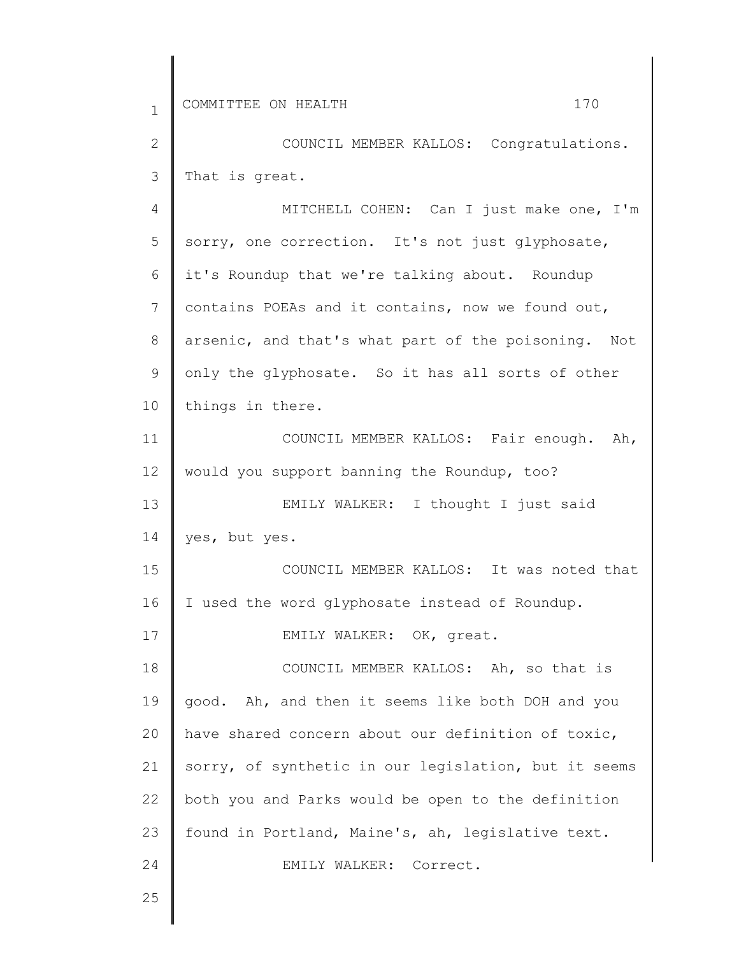2 3 COUNCIL MEMBER KALLOS: Congratulations. That is great.

4 5 6 7 8 9 10 11 12 13 14 15 16 17 18 19 20 21 22 23 24 25 MITCHELL COHEN: Can I just make one, I'm sorry, one correction. It's not just glyphosate, it's Roundup that we're talking about. Roundup contains POEAs and it contains, now we found out, arsenic, and that's what part of the poisoning. Not only the glyphosate. So it has all sorts of other things in there. COUNCIL MEMBER KALLOS: Fair enough. Ah, would you support banning the Roundup, too? EMILY WALKER: I thought I just said yes, but yes. COUNCIL MEMBER KALLOS: It was noted that I used the word glyphosate instead of Roundup. EMILY WALKER: OK, great. COUNCIL MEMBER KALLOS: Ah, so that is good. Ah, and then it seems like both DOH and you have shared concern about our definition of toxic, sorry, of synthetic in our legislation, but it seems both you and Parks would be open to the definition found in Portland, Maine's, ah, legislative text. EMILY WALKER: Correct.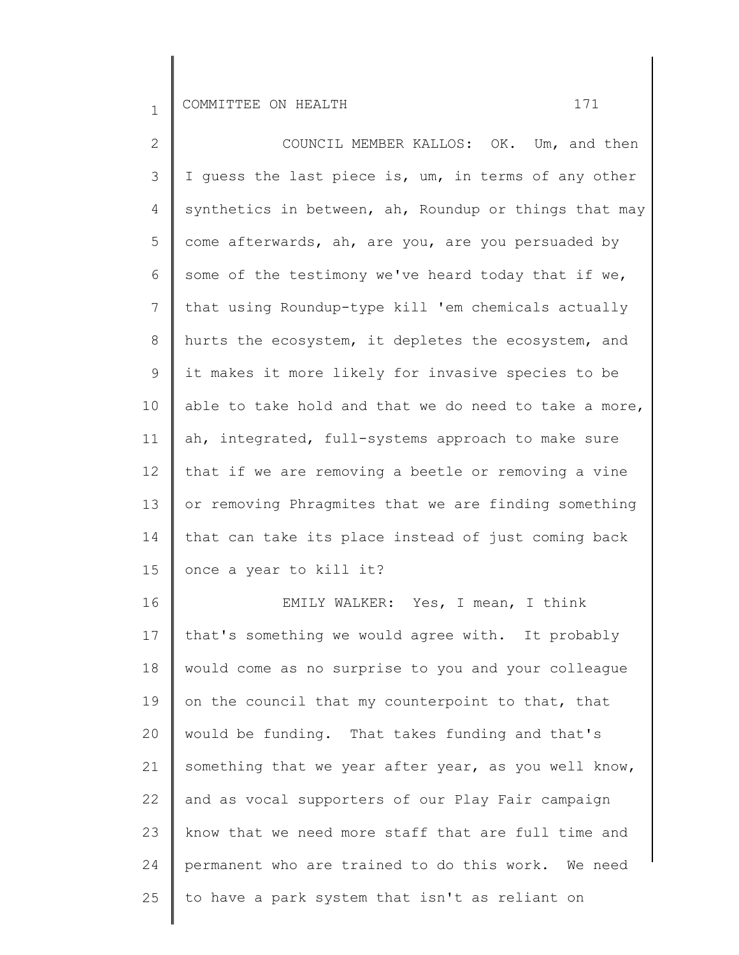25

2 3 4 5 6 7 8 9 10 11 12 13 14 15 16 17 18 19 20 21 22 23 24 COUNCIL MEMBER KALLOS: OK. Um, and then I guess the last piece is, um, in terms of any other synthetics in between, ah, Roundup or things that may come afterwards, ah, are you, are you persuaded by some of the testimony we've heard today that if we, that using Roundup-type kill 'em chemicals actually hurts the ecosystem, it depletes the ecosystem, and it makes it more likely for invasive species to be able to take hold and that we do need to take a more, ah, integrated, full-systems approach to make sure that if we are removing a beetle or removing a vine or removing Phragmites that we are finding something that can take its place instead of just coming back once a year to kill it? EMILY WALKER: Yes, I mean, I think that's something we would agree with. It probably would come as no surprise to you and your colleague on the council that my counterpoint to that, that would be funding. That takes funding and that's something that we year after year, as you well know, and as vocal supporters of our Play Fair campaign know that we need more staff that are full time and permanent who are trained to do this work. We need

to have a park system that isn't as reliant on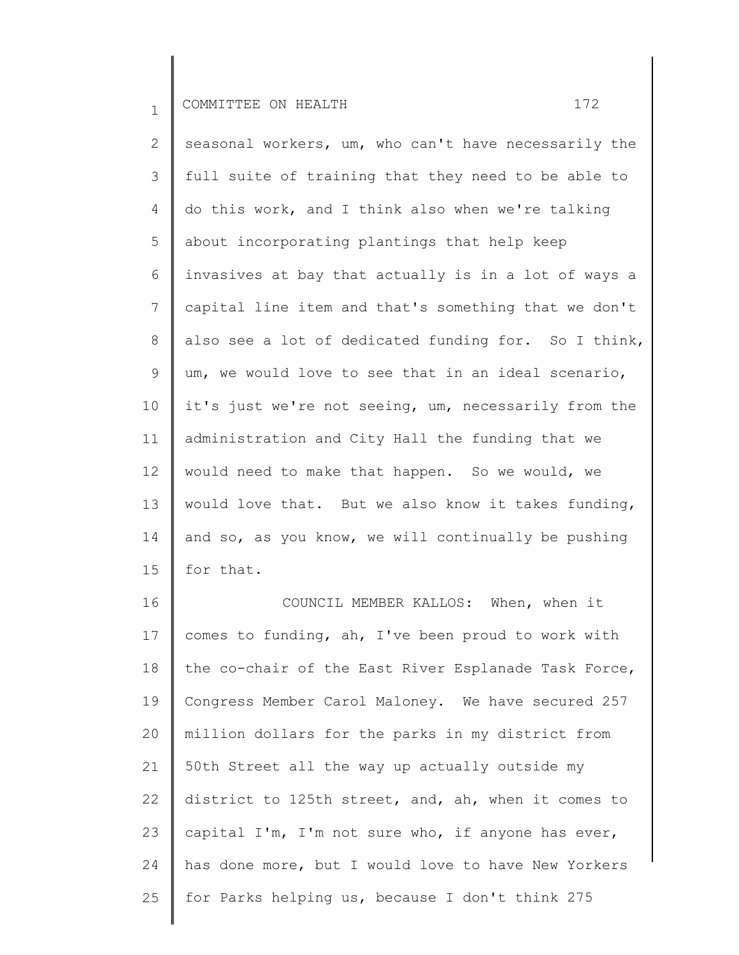2 3 4 5 6 7 8 9 10 11 12 13 14 15 seasonal workers, um, who can't have necessarily the full suite of training that they need to be able to do this work, and I think also when we're talking about incorporating plantings that help keep invasives at bay that actually is in a lot of ways a capital line item and that's something that we don't also see a lot of dedicated funding for. So I think, um, we would love to see that in an ideal scenario, it's just we're not seeing, um, necessarily from the administration and City Hall the funding that we would need to make that happen. So we would, we would love that. But we also know it takes funding, and so, as you know, we will continually be pushing for that.

16 17 18 19 20 21 22 23 24 25 COUNCIL MEMBER KALLOS: When, when it comes to funding, ah, I've been proud to work with the co-chair of the East River Esplanade Task Force, Congress Member Carol Maloney. We have secured 257 million dollars for the parks in my district from 50th Street all the way up actually outside my district to 125th street, and, ah, when it comes to capital I'm, I'm not sure who, if anyone has ever, has done more, but I would love to have New Yorkers for Parks helping us, because I don't think 275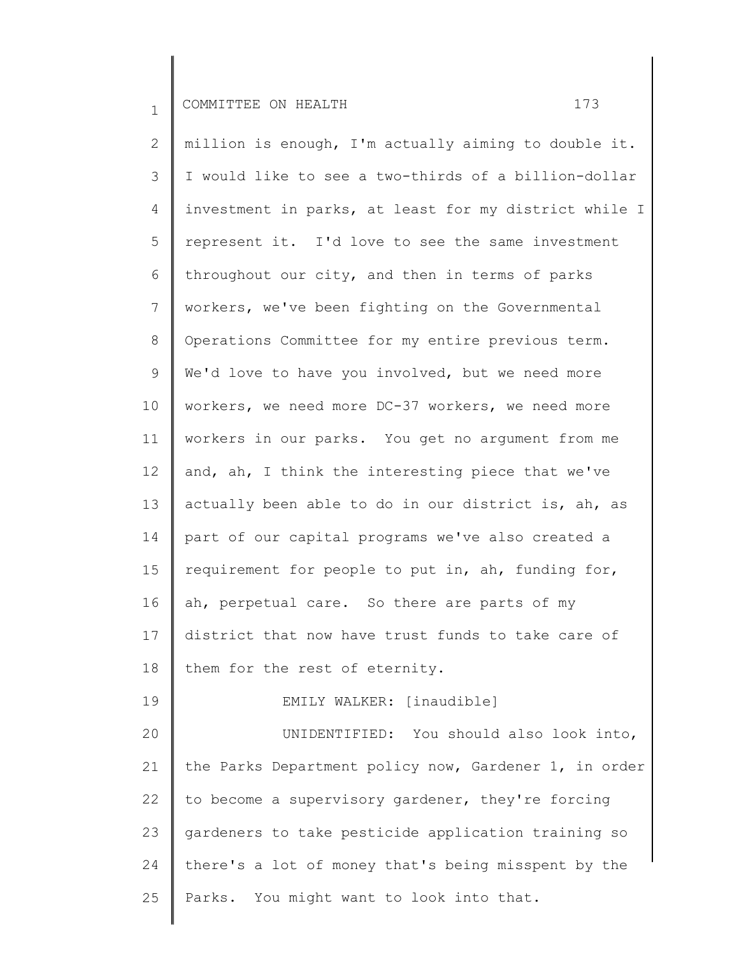2 3 4 5 6 7 8 9 10 11 12 13 14 15 16 17 18 19 20 21 22 23 24 25 million is enough, I'm actually aiming to double it. I would like to see a two-thirds of a billion-dollar investment in parks, at least for my district while I represent it. I'd love to see the same investment throughout our city, and then in terms of parks workers, we've been fighting on the Governmental Operations Committee for my entire previous term. We'd love to have you involved, but we need more workers, we need more DC-37 workers, we need more workers in our parks. You get no argument from me and, ah, I think the interesting piece that we've actually been able to do in our district is, ah, as part of our capital programs we've also created a requirement for people to put in, ah, funding for, ah, perpetual care. So there are parts of my district that now have trust funds to take care of them for the rest of eternity. EMILY WALKER: [inaudible] UNIDENTIFIED: You should also look into, the Parks Department policy now, Gardener 1, in order to become a supervisory gardener, they're forcing gardeners to take pesticide application training so there's a lot of money that's being misspent by the Parks. You might want to look into that.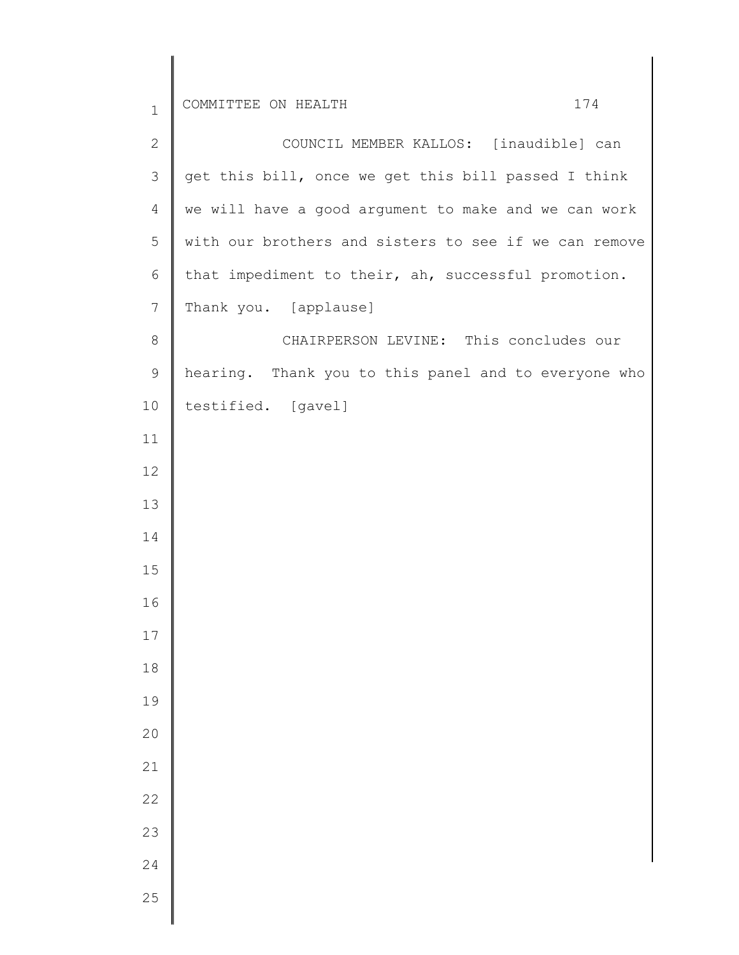| $\mathbf 1$    | 174<br>COMMITTEE ON HEALTH                            |
|----------------|-------------------------------------------------------|
| $\mathbf{2}$   | COUNCIL MEMBER KALLOS: [inaudible] can                |
| $\mathcal{S}$  | get this bill, once we get this bill passed I think   |
| $\overline{4}$ | we will have a good argument to make and we can work  |
| 5              | with our brothers and sisters to see if we can remove |
| 6              | that impediment to their, ah, successful promotion.   |
| $\overline{7}$ | Thank you. [applause]                                 |
| $8\,$          | CHAIRPERSON LEVINE: This concludes our                |
| 9              | hearing. Thank you to this panel and to everyone who  |
| 10             | testified. [gavel]                                    |
| 11             |                                                       |
| 12             |                                                       |
| 13             |                                                       |
| 14             |                                                       |
| 15             |                                                       |
| 16             |                                                       |
| $17\,$         |                                                       |
| $18\,$         |                                                       |
| 19             |                                                       |
| 20             |                                                       |
| 21             |                                                       |
| 22             |                                                       |
| 23             |                                                       |
| 24             |                                                       |
| 25             |                                                       |

 $\overline{\phantom{a}}$